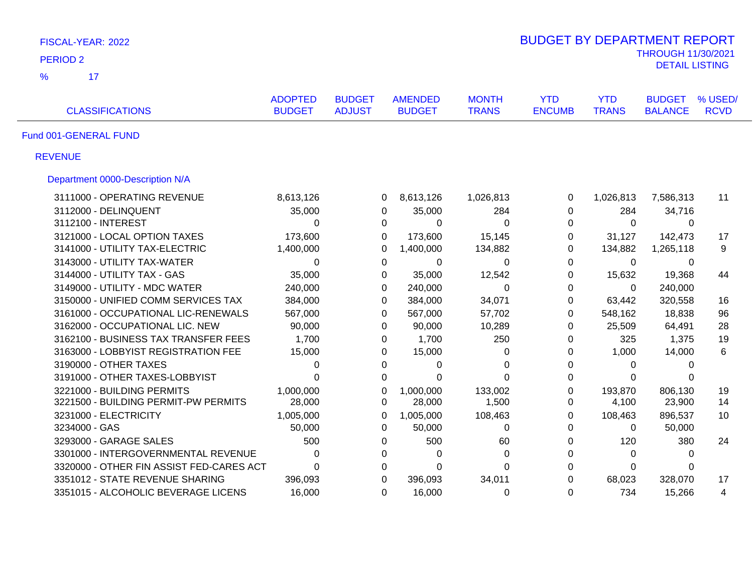| FISCAL-YEAR: 2022                        |                                 |                                |                                 |                              | <b>BUDGET BY DEPARTMENT REPORT</b> |                            |                                 |                        |
|------------------------------------------|---------------------------------|--------------------------------|---------------------------------|------------------------------|------------------------------------|----------------------------|---------------------------------|------------------------|
| <b>PERIOD 2</b>                          |                                 |                                |                                 |                              |                                    |                            | <b>THROUGH 11/30/2021</b>       |                        |
| 17<br>$\frac{9}{6}$                      |                                 |                                |                                 |                              |                                    |                            | <b>DETAIL LISTING</b>           |                        |
| <b>CLASSIFICATIONS</b>                   | <b>ADOPTED</b><br><b>BUDGET</b> | <b>BUDGET</b><br><b>ADJUST</b> | <b>AMENDED</b><br><b>BUDGET</b> | <b>MONTH</b><br><b>TRANS</b> | <b>YTD</b><br><b>ENCUMB</b>        | <b>YTD</b><br><b>TRANS</b> | <b>BUDGET</b><br><b>BALANCE</b> | % USED/<br><b>RCVD</b> |
| Fund 001-GENERAL FUND                    |                                 |                                |                                 |                              |                                    |                            |                                 |                        |
| <b>REVENUE</b>                           |                                 |                                |                                 |                              |                                    |                            |                                 |                        |
| Department 0000-Description N/A          |                                 |                                |                                 |                              |                                    |                            |                                 |                        |
| 3111000 - OPERATING REVENUE              | 8,613,126                       |                                | 8,613,126<br>0                  | 1,026,813                    | 0                                  | 1,026,813                  | 7,586,313                       | 11                     |
| 3112000 - DELINQUENT                     | 35,000                          | 0                              | 35,000                          | 284                          | 0                                  | 284                        | 34,716                          |                        |
| 3112100 - INTEREST                       | $\Omega$                        | 0                              | 0                               | $\Omega$                     | 0                                  | $\Omega$                   | 0                               |                        |
| 3121000 - LOCAL OPTION TAXES             | 173,600                         | 0                              | 173,600                         | 15,145                       | 0                                  | 31,127                     | 142,473                         | 17                     |
| 3141000 - UTILITY TAX-ELECTRIC           | 1,400,000                       | 0                              | 1,400,000                       | 134,882                      | 0                                  | 134,882                    | 1,265,118                       | 9                      |
| 3143000 - UTILITY TAX-WATER              | $\Omega$                        | $\mathbf 0$                    | 0                               | $\Omega$                     | 0                                  | $\mathbf 0$                | 0                               |                        |
| 3144000 - UTILITY TAX - GAS              | 35,000                          | 0                              | 35,000                          | 12,542                       | 0                                  | 15,632                     | 19,368                          | 44                     |
| 3149000 - UTILITY - MDC WATER            | 240,000                         | $\mathbf 0$                    | 240,000                         | $\mathbf 0$                  | $\boldsymbol{0}$                   | $\mathbf 0$                | 240,000                         |                        |
| 3150000 - UNIFIED COMM SERVICES TAX      | 384,000                         | 0                              | 384,000                         | 34,071                       | $\boldsymbol{0}$                   | 63,442                     | 320,558                         | 16                     |
| 3161000 - OCCUPATIONAL LIC-RENEWALS      | 567,000                         | 0                              | 567,000                         | 57,702                       | 0                                  | 548,162                    | 18,838                          | 96                     |
| 3162000 - OCCUPATIONAL LIC. NEW          | 90,000                          | 0                              | 90,000                          | 10,289                       | 0                                  | 25,509                     | 64,491                          | 28                     |
| 3162100 - BUSINESS TAX TRANSFER FEES     | 1,700                           | 0                              | 1,700                           | 250                          | 0                                  | 325                        | 1,375                           | 19                     |
| 3163000 - LOBBYIST REGISTRATION FEE      | 15,000                          | 0                              | 15,000                          | $\Omega$                     | 0                                  | 1,000                      | 14,000                          | 6                      |
| 3190000 - OTHER TAXES                    | 0                               | 0                              | 0                               | $\Omega$                     | 0                                  | $\Omega$                   | 0                               |                        |
| 3191000 - OTHER TAXES-LOBBYIST           | $\Omega$                        | $\Omega$                       | $\Omega$                        | $\Omega$                     | 0                                  | $\Omega$                   | $\Omega$                        |                        |
| 3221000 - BUILDING PERMITS               | 1,000,000                       | 0                              | 1,000,000                       | 133,002                      | $\Omega$                           | 193,870                    | 806,130                         | 19                     |
| 3221500 - BUILDING PERMIT-PW PERMITS     | 28,000                          | 0                              | 28,000                          | 1,500                        | 0                                  | 4,100                      | 23,900                          | 14                     |
| 3231000 - ELECTRICITY                    | 1,005,000                       | 0                              | 1,005,000                       | 108,463                      | $\Omega$                           | 108,463                    | 896,537                         | 10                     |
| 3234000 - GAS                            | 50,000                          | 0                              | 50,000                          | $\Omega$                     | 0                                  | $\Omega$                   | 50,000                          |                        |
| 3293000 - GARAGE SALES                   | 500                             | 0                              | 500                             | 60                           | 0                                  | 120                        | 380                             | 24                     |
| 3301000 - INTERGOVERNMENTAL REVENUE      | 0                               | $\Omega$                       | 0                               | $\Omega$                     | $\Omega$                           | $\Omega$                   | $\Omega$                        |                        |
| 3320000 - OTHER FIN ASSIST FED-CARES ACT | $\Omega$                        | 0                              | $\Omega$                        | 0                            | $\Omega$                           | 0                          | $\Omega$                        |                        |
| 3351012 - STATE REVENUE SHARING          | 396,093                         | 0                              | 396,093                         | 34,011                       | $\Omega$                           | 68,023                     | 328,070                         | 17                     |
| 3351015 - ALCOHOLIC BEVERAGE LICENS      | 16,000                          | 0                              | 16,000                          | 0                            | $\Omega$                           | 734                        | 15,266                          | 4                      |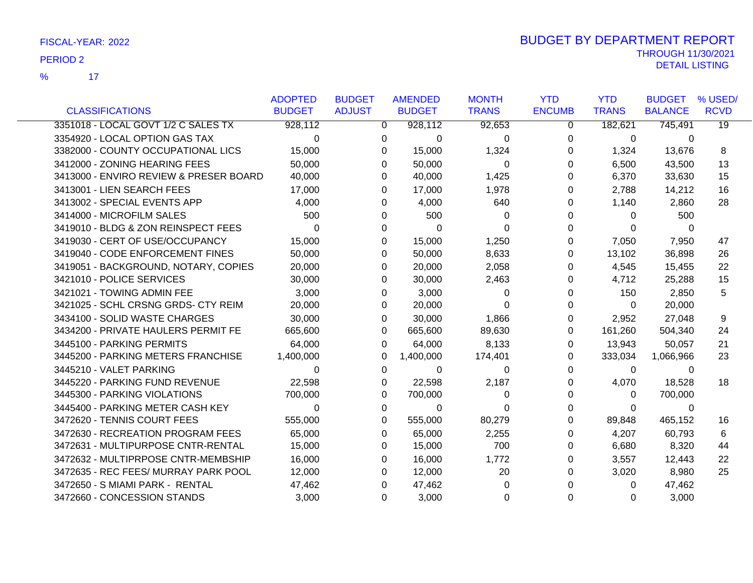17 %

|                                        | <b>ADOPTED</b> | <b>BUDGET</b> | <b>AMENDED</b> | <b>MONTH</b> | <b>YTD</b>    | <b>YTD</b>   | <b>BUDGET</b>  | % USED/         |
|----------------------------------------|----------------|---------------|----------------|--------------|---------------|--------------|----------------|-----------------|
| <b>CLASSIFICATIONS</b>                 | <b>BUDGET</b>  | <b>ADJUST</b> | <b>BUDGET</b>  | <b>TRANS</b> | <b>ENCUMB</b> | <b>TRANS</b> | <b>BALANCE</b> | <b>RCVD</b>     |
| 3351018 - LOCAL GOVT 1/2 C SALES TX    | 928,112        | $\Omega$      | 928,112        | 92,653       | $\Omega$      | 182,621      | 745,491        | $\overline{19}$ |
| 3354920 - LOCAL OPTION GAS TAX         | $\Omega$       | 0             | $\Omega$       | 0            | 0             | $\mathbf{0}$ | $\Omega$       |                 |
| 3382000 - COUNTY OCCUPATIONAL LICS     | 15,000         | 0             | 15,000         | 1,324        | 0             | 1,324        | 13,676         | 8               |
| 3412000 - ZONING HEARING FEES          | 50,000         | 0             | 50,000         | $\Omega$     | 0             | 6,500        | 43,500         | 13              |
| 3413000 - ENVIRO REVIEW & PRESER BOARD | 40,000         | 0             | 40,000         | 1,425        | 0             | 6,370        | 33,630         | 15              |
| 3413001 - LIEN SEARCH FEES             | 17,000         | 0             | 17,000         | 1,978        | 0             | 2,788        | 14,212         | 16              |
| 3413002 - SPECIAL EVENTS APP           | 4,000          | 0             | 4,000          | 640          | 0             | 1,140        | 2,860          | 28              |
| 3414000 - MICROFILM SALES              | 500            | 0             | 500            | 0            | 0             | $\Omega$     | 500            |                 |
| 3419010 - BLDG & ZON REINSPECT FEES    | $\Omega$       | 0             | 0              | 0            | 0             | $\Omega$     | $\Omega$       |                 |
| 3419030 - CERT OF USE/OCCUPANCY        | 15,000         | 0             | 15,000         | 1,250        | 0             | 7,050        | 7,950          | 47              |
| 3419040 - CODE ENFORCEMENT FINES       | 50,000         | 0             | 50,000         | 8,633        | 0             | 13,102       | 36,898         | 26              |
| 3419051 - BACKGROUND, NOTARY, COPIES   | 20,000         | 0             | 20,000         | 2,058        | 0             | 4,545        | 15,455         | 22              |
| 3421010 - POLICE SERVICES              | 30,000         | 0             | 30,000         | 2,463        | 0             | 4,712        | 25,288         | 15              |
| 3421021 - TOWING ADMIN FEE             | 3,000          | 0             | 3,000          | $\Omega$     | 0             | 150          | 2,850          | 5               |
| 3421025 - SCHL CRSNG GRDS- CTY REIM    | 20,000         | 0             | 20,000         | 0            | 0             | $\Omega$     | 20,000         |                 |
| 3434100 - SOLID WASTE CHARGES          | 30,000         | 0             | 30,000         | 1,866        | 0             | 2,952        | 27,048         | 9               |
| 3434200 - PRIVATE HAULERS PERMIT FE    | 665,600        | 0             | 665,600        | 89,630       | 0             | 161,260      | 504,340        | 24              |
| 3445100 - PARKING PERMITS              | 64,000         | 0             | 64,000         | 8,133        | 0             | 13,943       | 50,057         | 21              |
| 3445200 - PARKING METERS FRANCHISE     | 1,400,000      | 0             | 1,400,000      | 174,401      | 0             | 333,034      | 1,066,966      | 23              |
| 3445210 - VALET PARKING                | 0              | 0             | 0              | $\Omega$     | 0             | $\Omega$     | $\Omega$       |                 |
| 3445220 - PARKING FUND REVENUE         | 22,598         | 0             | 22,598         | 2,187        | 0             | 4,070        | 18,528         | 18              |
| 3445300 - PARKING VIOLATIONS           | 700,000        | 0             | 700,000        | 0            | 0             | $\Omega$     | 700,000        |                 |
| 3445400 - PARKING METER CASH KEY       | $\Omega$       | 0             | $\Omega$       | $\Omega$     | 0             | $\Omega$     | $\Omega$       |                 |
| 3472620 - TENNIS COURT FEES            | 555,000        | 0             | 555,000        | 80,279       | 0             | 89,848       | 465,152        | 16              |
| 3472630 - RECREATION PROGRAM FEES      | 65,000         | 0             | 65,000         | 2,255        | 0             | 4,207        | 60,793         | 6               |
| 3472631 - MULTIPURPOSE CNTR-RENTAL     | 15,000         | 0             | 15,000         | 700          | 0             | 6,680        | 8,320          | 44              |
| 3472632 - MULTIPRPOSE CNTR-MEMBSHIP    | 16,000         | 0             | 16,000         | 1,772        | 0             | 3,557        | 12,443         | 22              |
| 3472635 - REC FEES/ MURRAY PARK POOL   | 12,000         | 0             | 12,000         | 20           | 0             | 3,020        | 8,980          | 25              |
| 3472650 - S MIAMI PARK - RENTAL        | 47,462         | 0             | 47,462         | O            | 0             | $\Omega$     | 47,462         |                 |
| 3472660 - CONCESSION STANDS            | 3,000          | 0             | 3,000          | 0            | $\Omega$      | $\Omega$     | 3,000          |                 |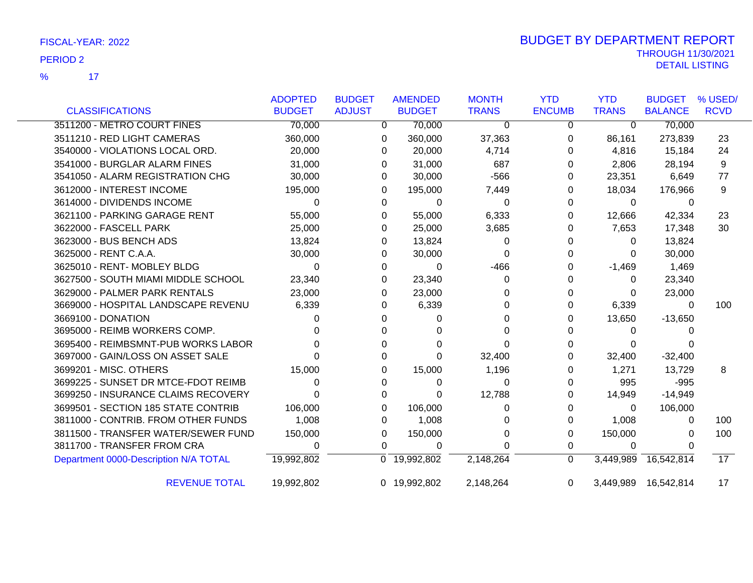17 %

|                                       | <b>ADOPTED</b>          | <b>BUDGET</b> | <b>AMENDED</b>            | <b>MONTH</b> | <b>YTD</b>    | <b>YTD</b>   | <b>BUDGET</b>        | % USED/         |
|---------------------------------------|-------------------------|---------------|---------------------------|--------------|---------------|--------------|----------------------|-----------------|
| <b>CLASSIFICATIONS</b>                | <b>BUDGET</b>           | <b>ADJUST</b> | <b>BUDGET</b>             | <b>TRANS</b> | <b>ENCUMB</b> | <b>TRANS</b> | <b>BALANCE</b>       | <b>RCVD</b>     |
| 3511200 - METRO COURT FINES           | 70,000                  | 0             | 70,000                    | $\Omega$     | 0             | $\Omega$     | 70,000               |                 |
| 3511210 - RED LIGHT CAMERAS           | 360,000                 | 0             | 360,000                   | 37,363       | 0             | 86,161       | 273,839              | 23              |
| 3540000 - VIOLATIONS LOCAL ORD.       | 20,000                  | 0             | 20,000                    | 4,714        | 0             | 4,816        | 15,184               | 24              |
| 3541000 - BURGLAR ALARM FINES         | 31,000                  | 0             | 31,000                    | 687          | 0             | 2,806        | 28,194               | 9               |
| 3541050 - ALARM REGISTRATION CHG      | 30,000                  | 0             | 30,000                    | $-566$       | 0             | 23,351       | 6,649                | 77              |
| 3612000 - INTEREST INCOME             | 195,000                 | 0             | 195,000                   | 7,449        | 0             | 18,034       | 176,966              | 9               |
| 3614000 - DIVIDENDS INCOME            | $\Omega$                | 0             | 0                         | 0            | 0             | $\mathbf 0$  | 0                    |                 |
| 3621100 - PARKING GARAGE RENT         | 55,000                  | 0             | 55,000                    | 6,333        | 0             | 12,666       | 42,334               | 23              |
| 3622000 - FASCELL PARK                | 25,000                  | 0             | 25,000                    | 3,685        | 0             | 7,653        | 17,348               | 30              |
| 3623000 - BUS BENCH ADS               | 13,824                  | 0             | 13,824                    | 0            | 0             | 0            | 13,824               |                 |
| 3625000 - RENT C.A.A.                 | 30,000                  | 0             | 30,000                    | 0            | 0             | 0            | 30,000               |                 |
| 3625010 - RENT- MOBLEY BLDG           | $\Omega$                | 0             | $\Omega$                  | $-466$       | 0             | $-1,469$     | 1,469                |                 |
| 3627500 - SOUTH MIAMI MIDDLE SCHOOL   | 23,340                  | 0             | 23,340                    | 0            | 0             | 0            | 23,340               |                 |
| 3629000 - PALMER PARK RENTALS         | 23,000                  | 0             | 23,000                    | 0            | 0             | 0            | 23,000               |                 |
| 3669000 - HOSPITAL LANDSCAPE REVENU   | 6,339                   | 0             | 6,339                     | 0            | 0             | 6,339        | $\Omega$             | 100             |
| 3669100 - DONATION                    |                         |               | 0                         | 0            | 0             | 13,650       | $-13,650$            |                 |
| 3695000 - REIMB WORKERS COMP.         |                         |               |                           | 0            | 0             | 0            |                      |                 |
| 3695400 - REIMBSMNT-PUB WORKS LABOR   |                         | 0             |                           | 0            | 0             | 0            |                      |                 |
| 3697000 - GAIN/LOSS ON ASSET SALE     |                         |               | 0                         | 32,400       |               | 32,400       | $-32,400$            |                 |
| 3699201 - MISC. OTHERS                | 15,000                  | 0             | 15,000                    | 1,196        | 0             | 1,271        | 13,729               | 8               |
| 3699225 - SUNSET DR MTCE-FDOT REIMB   |                         | 0             | 0                         | $\Omega$     | 0             | 995          | $-995$               |                 |
| 3699250 - INSURANCE CLAIMS RECOVERY   |                         | 0             | 0                         | 12,788       | 0             | 14,949       | $-14,949$            |                 |
| 3699501 - SECTION 185 STATE CONTRIB   | 106,000                 | 0             | 106,000                   | 0            | 0             | 0            | 106,000              |                 |
| 3811000 - CONTRIB. FROM OTHER FUNDS   | 1,008                   | 0             | 1,008                     | 0            | 0             | 1,008        | 0                    | 100             |
| 3811500 - TRANSFER WATER/SEWER FUND   | 150,000                 | 0             | 150,000                   | 0            | 0             | 150,000      | $\Omega$             | 100             |
| 3811700 - TRANSFER FROM CRA           | 0                       | 0             | 0                         | 0            | 0             | 0            |                      |                 |
| Department 0000-Description N/A TOTAL | $\overline{19,992,802}$ |               | $\overline{0}$ 19,992,802 | 2,148,264    | $\mathbf 0$   | 3,449,989    | 16,542,814           | $\overline{17}$ |
| <b>REVENUE TOTAL</b>                  | 19,992,802              |               | 0 19,992,802              | 2,148,264    | 0             |              | 3,449,989 16,542,814 | 17              |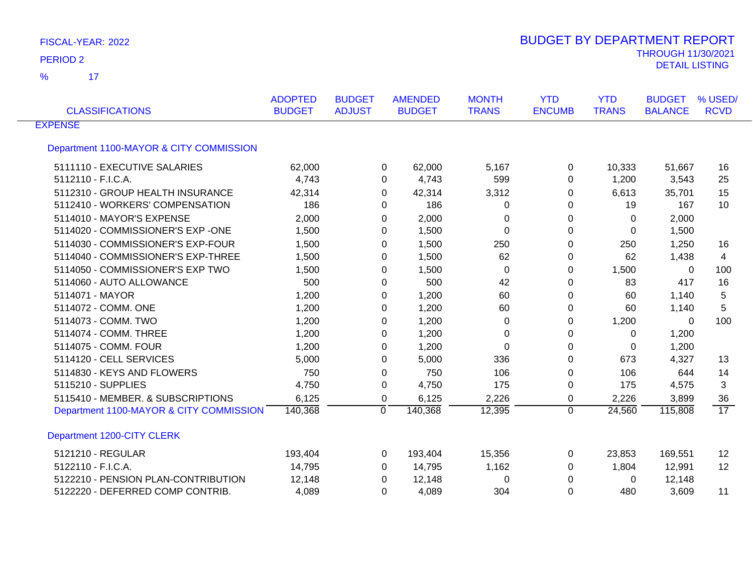$\overline{\mathbf{17}}$ %

| <b>CLASSIFICATIONS</b>                  | <b>ADOPTED</b><br><b>BUDGET</b> | <b>BUDGET</b><br><b>ADJUST</b> | <b>AMENDED</b><br><b>BUDGET</b> | <b>MONTH</b><br><b>TRANS</b> | <b>YTD</b><br><b>ENCUMB</b> | <b>YTD</b><br><b>TRANS</b> | <b>BUDGET</b><br><b>BALANCE</b> | % USED/<br><b>RCVD</b> |
|-----------------------------------------|---------------------------------|--------------------------------|---------------------------------|------------------------------|-----------------------------|----------------------------|---------------------------------|------------------------|
| <b>EXPENSE</b>                          |                                 |                                |                                 |                              |                             |                            |                                 |                        |
| Department 1100-MAYOR & CITY COMMISSION |                                 |                                |                                 |                              |                             |                            |                                 |                        |
| 5111110 - EXECUTIVE SALARIES            | 62,000                          |                                | 62,000<br>0                     | 5,167                        | 0                           | 10,333                     | 51,667                          | 16                     |
| 5112110 - F.I.C.A.                      | 4,743                           |                                | 4,743<br>0                      | 599                          | $\Omega$                    | 1,200                      | 3,543                           | 25                     |
| 5112310 - GROUP HEALTH INSURANCE        | 42,314                          |                                | 42,314<br>0                     | 3,312                        | 0                           | 6,613                      | 35,701                          | 15                     |
| 5112410 - WORKERS' COMPENSATION         | 186                             |                                | 186<br>0                        | 0                            | 0                           | 19                         | 167                             | 10                     |
| 5114010 - MAYOR'S EXPENSE               | 2,000                           |                                | 2,000<br>$\Omega$               | 0                            | $\Omega$                    | 0                          | 2,000                           |                        |
| 5114020 - COMMISSIONER'S EXP -ONE       | 1,500                           |                                | 1,500<br>0                      | 0                            | $\Omega$                    | 0                          | 1,500                           |                        |
| 5114030 - COMMISSIONER'S EXP-FOUR       | 1,500                           |                                | 1,500<br>0                      | 250                          | 0                           | 250                        | 1,250                           | 16                     |
| 5114040 - COMMISSIONER'S EXP-THREE      | 1,500                           |                                | 1,500<br>0                      | 62                           | 0                           | 62                         | 1,438                           | 4                      |
| 5114050 - COMMISSIONER'S EXP TWO        | 1,500                           |                                | 1,500<br>0                      | $\mathbf 0$                  | 0                           | 1,500                      | 0                               | 100                    |
| 5114060 - AUTO ALLOWANCE                | 500                             |                                | 500<br>$\Omega$                 | 42                           | $\Omega$                    | 83                         | 417                             | 16                     |
| 5114071 - MAYOR                         | 1,200                           |                                | 1,200<br>0                      | 60                           | 0                           | 60                         | 1,140                           | 5                      |
| 5114072 - COMM. ONE                     | 1,200                           |                                | 1,200<br>0                      | 60                           | 0                           | 60                         | 1,140                           | 5                      |
| 5114073 - COMM. TWO                     | 1,200                           |                                | 1,200<br>0                      | 0                            | 0                           | 1,200                      | 0                               | 100                    |
| 5114074 - COMM. THREE                   | 1,200                           |                                | 1,200<br>0                      | 0                            | 0                           | 0                          | 1,200                           |                        |
| 5114075 - COMM. FOUR                    | 1,200                           |                                | 1,200<br>0                      | 0                            | 0                           | 0                          | 1,200                           |                        |
| 5114120 - CELL SERVICES                 | 5,000                           |                                | 5,000<br>0                      | 336                          | 0                           | 673                        | 4,327                           | 13                     |
| 5114830 - KEYS AND FLOWERS              | 750                             |                                | 750<br>0                        | 106                          | 0                           | 106                        | 644                             | 14                     |
| 5115210 - SUPPLIES                      | 4,750                           |                                | 4,750<br>$\Omega$               | 175                          | $\Omega$                    | 175                        | 4,575                           | 3                      |
| 5115410 - MEMBER. & SUBSCRIPTIONS       | 6,125                           |                                | 6,125<br>0                      | 2,226                        | 0                           | 2,226                      | 3,899                           | 36                     |
| Department 1100-MAYOR & CITY COMMISSION | 140,368                         | $\Omega$                       | 140,368                         | 12,395                       | $\Omega$                    | 24,560                     | 115,808                         | $\overline{17}$        |
| Department 1200-CITY CLERK              |                                 |                                |                                 |                              |                             |                            |                                 |                        |
| 5121210 - REGULAR                       | 193,404                         |                                | 193,404<br>0                    | 15,356                       | 0                           | 23,853                     | 169,551                         | 12                     |
| 5122110 - F.I.C.A.                      | 14,795                          |                                | 14,795<br>$\Omega$              | 1,162                        | 0                           | 1,804                      | 12,991                          | 12                     |
| 5122210 - PENSION PLAN-CONTRIBUTION     | 12,148                          |                                | 12,148<br>0                     | 0                            | 0                           | 0                          | 12,148                          |                        |
| 5122220 - DEFERRED COMP CONTRIB.        | 4,089                           |                                | 4,089<br>0                      | 304                          | 0                           | 480                        | 3,609                           | 11                     |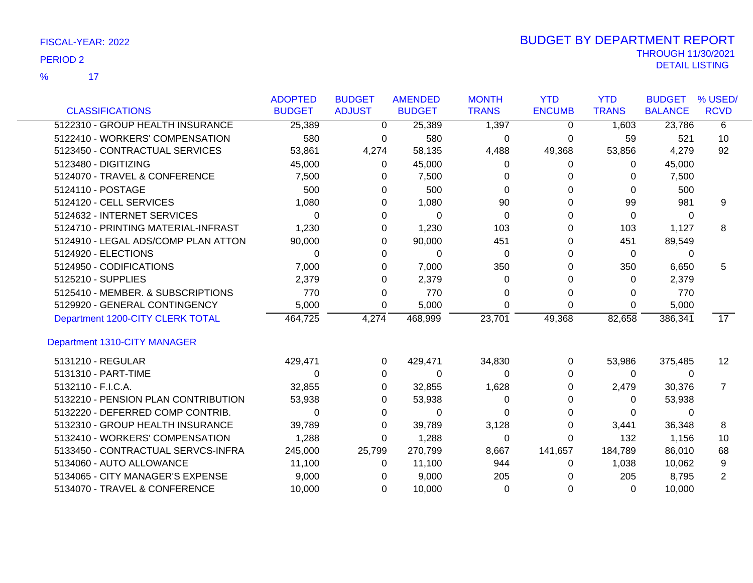$\overline{17}$ %

|                                     | <b>ADOPTED</b> | <b>BUDGET</b> | <b>AMENDED</b> | <b>MONTH</b> | <b>YTD</b>    | <b>YTD</b>   | <b>BUDGET</b>  | % USED/           |
|-------------------------------------|----------------|---------------|----------------|--------------|---------------|--------------|----------------|-------------------|
| <b>CLASSIFICATIONS</b>              | <b>BUDGET</b>  | <b>ADJUST</b> | <b>BUDGET</b>  | <b>TRANS</b> | <b>ENCUMB</b> | <b>TRANS</b> | <b>BALANCE</b> | <b>RCVD</b>       |
| 5122310 - GROUP HEALTH INSURANCE    | 25,389         | $\Omega$      | 25,389         | 1,397        | $\Omega$      | 1,603        | 23,786         | 6                 |
| 5122410 - WORKERS' COMPENSATION     | 580            | 0             | 580            | 0            | 0             | 59           | 521            | 10                |
| 5123450 - CONTRACTUAL SERVICES      | 53,861         | 4,274         | 58,135         | 4,488        | 49,368        | 53,856       | 4,279          | 92                |
| 5123480 - DIGITIZING                | 45,000         | 0             | 45,000         | 0            | 0             | 0            | 45,000         |                   |
| 5124070 - TRAVEL & CONFERENCE       | 7,500          | 0             | 7,500          | O            | 0             | $\Omega$     | 7,500          |                   |
| 5124110 - POSTAGE                   | 500            | 0             | 500            | 0            | 0             | $\Omega$     | 500            |                   |
| 5124120 - CELL SERVICES             | 1,080          | 0             | 1,080          | 90           | 0             | 99           | 981            | 9                 |
| 5124632 - INTERNET SERVICES         | 0              | 0             | $\Omega$       | $\Omega$     | 0             | 0            | $\Omega$       |                   |
| 5124710 - PRINTING MATERIAL-INFRAST | 1,230          | 0             | 1,230          | 103          | 0             | 103          | 1,127          | 8                 |
| 5124910 - LEGAL ADS/COMP PLAN ATTON | 90,000         | 0             | 90,000         | 451          | 0             | 451          | 89,549         |                   |
| 5124920 - ELECTIONS                 | 0              | 0             | 0              | 0            | 0             | 0            | 0              |                   |
| 5124950 - CODIFICATIONS             | 7,000          | 0             | 7,000          | 350          | 0             | 350          | 6,650          | 5                 |
| 5125210 - SUPPLIES                  | 2,379          | 0             | 2,379          | $\Omega$     | 0             | 0            | 2,379          |                   |
| 5125410 - MEMBER. & SUBSCRIPTIONS   | 770            | 0             | 770            | 0            | 0             | 0            | 770            |                   |
| 5129920 - GENERAL CONTINGENCY       | 5,000          | 0             | 5,000          | $\Omega$     | $\Omega$      | $\Omega$     | 5,000          |                   |
| Department 1200-CITY CLERK TOTAL    | 464,725        | 4,274         | 468,999        | 23,701       | 49,368        | 82,658       | 386,341        | 17                |
| Department 1310-CITY MANAGER        |                |               |                |              |               |              |                |                   |
| 5131210 - REGULAR                   | 429,471        | 0             | 429,471        | 34,830       | 0             | 53,986       | 375,485        | $12 \overline{ }$ |
| 5131310 - PART-TIME                 | 0              | 0             | 0              | 0            | 0             | $\Omega$     | $\Omega$       |                   |
| 5132110 - F.I.C.A.                  | 32,855         | 0             | 32,855         | 1,628        | 0             | 2,479        | 30,376         | $\overline{7}$    |
| 5132210 - PENSION PLAN CONTRIBUTION | 53,938         | 0             | 53,938         | 0            | 0             | 0            | 53,938         |                   |
| 5132220 - DEFERRED COMP CONTRIB.    | 0              | 0             | 0              | O            | 0             | 0            | $\Omega$       |                   |
| 5132310 - GROUP HEALTH INSURANCE    | 39,789         | 0             | 39,789         | 3,128        | 0             | 3,441        | 36,348         | 8                 |
| 5132410 - WORKERS' COMPENSATION     | 1,288          | $\Omega$      | 1,288          | $\Omega$     | 0             | 132          | 1,156          | 10                |
| 5133450 - CONTRACTUAL SERVCS-INFRA  | 245,000        | 25,799        | 270,799        | 8,667        | 141,657       | 184,789      | 86,010         | 68                |
| 5134060 - AUTO ALLOWANCE            | 11,100         | 0             | 11,100         | 944          | 0             | 1,038        | 10,062         | 9                 |
| 5134065 - CITY MANAGER'S EXPENSE    | 9,000          | $\Omega$      | 9,000          | 205          |               | 205          | 8,795          | 2                 |
| 5134070 - TRAVEL & CONFERENCE       | 10,000         | $\Omega$      | 10,000         | 0            | 0             | $\Omega$     | 10.000         |                   |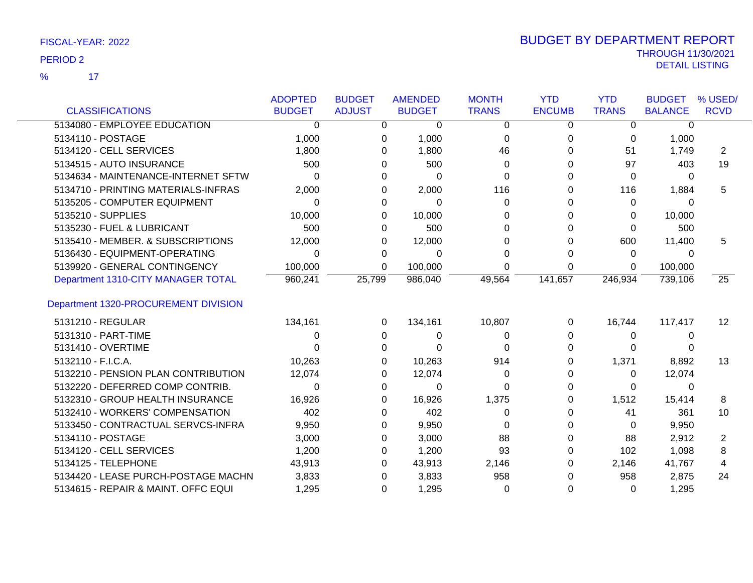$\overline{17}$ %

|                                      | <b>ADOPTED</b> | <b>BUDGET</b> | <b>AMENDED</b> | <b>MONTH</b> | <b>YTD</b>    | <b>YTD</b>   | <b>BUDGET</b>  | % USED/     |
|--------------------------------------|----------------|---------------|----------------|--------------|---------------|--------------|----------------|-------------|
| <b>CLASSIFICATIONS</b>               | <b>BUDGET</b>  | <b>ADJUST</b> | <b>BUDGET</b>  | <b>TRANS</b> | <b>ENCUMB</b> | <b>TRANS</b> | <b>BALANCE</b> | <b>RCVD</b> |
| 5134080 - EMPLOYEE EDUCATION         | $\Omega$       | $\Omega$      | 0              | $\Omega$     | $\Omega$      | 0            | 0              |             |
| 5134110 - POSTAGE                    | 1,000          | 0             | 1,000          | 0            | 0             | 0            | 1,000          |             |
| 5134120 - CELL SERVICES              | 1,800          | 0             | 1,800          | 46           | 0             | 51           | 1,749          | 2           |
| 5134515 - AUTO INSURANCE             | 500            | 0             | 500            | 0            | 0             | 97           | 403            | 19          |
| 5134634 - MAINTENANCE-INTERNET SFTW  | 0              | 0             | 0              | $\Omega$     | O             | 0            | $\Omega$       |             |
| 5134710 - PRINTING MATERIALS-INFRAS  | 2,000          | 0             | 2,000          | 116          | 0             | 116          | 1,884          | 5           |
| 5135205 - COMPUTER EQUIPMENT         | 0              | 0             | 0              | 0            |               | 0            | 0              |             |
| 5135210 - SUPPLIES                   | 10,000         | 0             | 10,000         | 0            | 0             | 0            | 10,000         |             |
| 5135230 - FUEL & LUBRICANT           | 500            | 0             | 500            | 0            | 0             | 0            | 500            |             |
| 5135410 - MEMBER. & SUBSCRIPTIONS    | 12,000         | 0             | 12,000         | 0            | 0             | 600          | 11,400         | 5           |
| 5136430 - EQUIPMENT-OPERATING        | 0              | 0             | 0              | 0            |               | 0            | 0              |             |
| 5139920 - GENERAL CONTINGENCY        | 100,000        | 0             | 100,000        | 0            | 0             | 0            | 100,000        |             |
| Department 1310-CITY MANAGER TOTAL   | 960,241        | 25,799        | 986,040        | 49,564       | 141,657       | 246,934      | 739,106        | 25          |
| Department 1320-PROCUREMENT DIVISION |                |               |                |              |               |              |                |             |
| 5131210 - REGULAR                    | 134,161        | 0             | 134,161        | 10,807       | 0             | 16,744       | 117,417        | 12          |
| 5131310 - PART-TIME                  |                | 0             | 0              | 0            | 0             | 0            | 0              |             |
| 5131410 - OVERTIME                   |                | 0             | $\Omega$       | 0            | 0             | 0            |                |             |
| 5132110 - F.I.C.A.                   | 10,263         | 0             | 10,263         | 914          | 0             | 1,371        | 8,892          | 13          |
| 5132210 - PENSION PLAN CONTRIBUTION  | 12,074         | 0             | 12,074         | $\Omega$     | O             | 0            | 12,074         |             |
| 5132220 - DEFERRED COMP CONTRIB.     | 0              | 0             | 0              | $\Omega$     | 0             | 0            | 0              |             |
| 5132310 - GROUP HEALTH INSURANCE     | 16,926         | 0             | 16,926         | 1,375        | 0             | 1,512        | 15,414         | 8           |
| 5132410 - WORKERS' COMPENSATION      | 402            | 0             | 402            | 0            | 0             | 41           | 361            | 10          |
| 5133450 - CONTRACTUAL SERVCS-INFRA   | 9,950          | 0             | 9,950          | 0            | 0             | 0            | 9,950          |             |
| 5134110 - POSTAGE                    | 3,000          | 0             | 3,000          | 88           | 0             | 88           | 2,912          | 2           |
| 5134120 - CELL SERVICES              | 1,200          | 0             | 1,200          | 93           | 0             | 102          | 1,098          | 8           |
| 5134125 - TELEPHONE                  | 43,913         | 0             | 43,913         | 2,146        | 0             | 2,146        | 41,767         | 4           |
| 5134420 - LEASE PURCH-POSTAGE MACHN  | 3,833          | 0             | 3,833          | 958          |               | 958          | 2,875          | 24          |
| 5134615 - REPAIR & MAINT. OFFC EQUI  | 1,295          | 0             | 1,295          | $\Omega$     | 0             | 0            | 1,295          |             |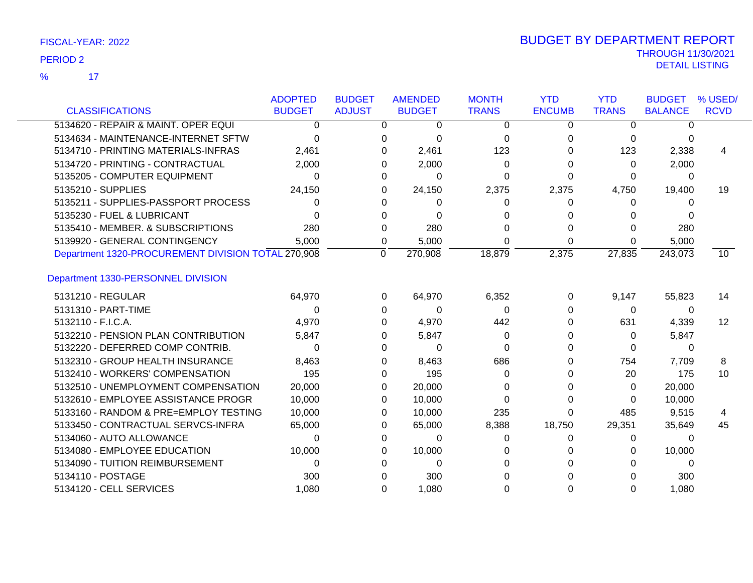|                                                    | <b>ADOPTED</b> | <b>BUDGET</b> | <b>AMENDED</b>    | <b>MONTH</b> | <b>YTD</b>    | <b>YTD</b>   | <b>BUDGET</b>  | % USED/     |
|----------------------------------------------------|----------------|---------------|-------------------|--------------|---------------|--------------|----------------|-------------|
| <b>CLASSIFICATIONS</b>                             | <b>BUDGET</b>  | <b>ADJUST</b> | <b>BUDGET</b>     | <b>TRANS</b> | <b>ENCUMB</b> | <b>TRANS</b> | <b>BALANCE</b> | <b>RCVD</b> |
| 5134620 - REPAIR & MAINT. OPER EQUI                | 0              |               | 0<br>0            | 0            | 0             | $\Omega$     | 0              |             |
| 5134634 - MAINTENANCE-INTERNET SFTW                | $\Omega$       |               | $\Omega$<br>0     | 0            | 0             | $\Omega$     | 0              |             |
| 5134710 - PRINTING MATERIALS-INFRAS                | 2,461          |               | 2,461<br>0        | 123          |               | 123          | 2,338          | 4           |
| 5134720 - PRINTING - CONTRACTUAL                   | 2,000          |               | 2,000<br>0        | 0            | 0             | $\Omega$     | 2,000          |             |
| 5135205 - COMPUTER EQUIPMENT                       | 0              |               | 0<br>$\Omega$     | 0            | 0             | $\Omega$     | 0              |             |
| 5135210 - SUPPLIES                                 | 24,150         |               | 24,150<br>0       | 2,375        | 2,375         | 4,750        | 19,400         | 19          |
| 5135211 - SUPPLIES-PASSPORT PROCESS                | 0              |               | $\Omega$<br>0     |              | 0             | $\Omega$     | 0              |             |
| 5135230 - FUEL & LUBRICANT                         | 0              |               | 0<br>$\Omega$     |              |               | 0            | 0              |             |
| 5135410 - MEMBER. & SUBSCRIPTIONS                  | 280            | 0             | 280               | 0            | 0             | $\Omega$     | 280            |             |
| 5139920 - GENERAL CONTINGENCY                      | 5.000          |               | 5,000<br>0        | 0            | $\Omega$      | 0            | 5,000          |             |
| Department 1320-PROCUREMENT DIVISION TOTAL 270,908 |                | $\Omega$      | 270,908           | 18,879       | 2,375         | 27,835       | 243,073        | 10          |
| Department 1330-PERSONNEL DIVISION                 |                |               |                   |              |               |              |                |             |
| 5131210 - REGULAR                                  | 64,970         |               | 64,970<br>0       | 6,352        | 0             | 9,147        | 55,823         | 14          |
| 5131310 - PART-TIME                                | 0              |               | 0<br>$\Omega$     | 0            | 0             | 0            | 0              |             |
| 5132110 - F.I.C.A.                                 | 4,970          |               | 4,970<br>0        | 442          | 0             | 631          | 4,339          | 12          |
| 5132210 - PENSION PLAN CONTRIBUTION                | 5,847          |               | 5,847<br>0        | 0            | 0             | $\Omega$     | 5,847          |             |
| 5132220 - DEFERRED COMP CONTRIB.                   | 0              |               | 0<br>0            | 0            |               | 0            | 0              |             |
| 5132310 - GROUP HEALTH INSURANCE                   | 8,463          |               | 8,463<br>0        | 686          | 0             | 754          | 7,709          | 8           |
| 5132410 - WORKERS' COMPENSATION                    | 195            |               | 195<br>0          | 0            |               | 20           | 175            | 10          |
| 5132510 - UNEMPLOYMENT COMPENSATION                | 20,000         |               | 20,000<br>0       | 0            | 0             | $\Omega$     | 20,000         |             |
| 5132610 - EMPLOYEE ASSISTANCE PROGR                | 10,000         |               | 10,000<br>0       | 0            | 0             | 0            | 10,000         |             |
| 5133160 - RANDOM & PRE=EMPLOY TESTING              | 10,000         |               | 10,000<br>0       | 235          | 0             | 485          | 9,515          | 4           |
| 5133450 - CONTRACTUAL SERVCS-INFRA                 | 65,000         |               | 65,000<br>0       | 8,388        | 18,750        | 29,351       | 35,649         | 45          |
| 5134060 - AUTO ALLOWANCE                           | 0              |               | 0<br>0            | 0            | 0             | 0            | 0              |             |
| 5134080 - EMPLOYEE EDUCATION                       | 10,000         |               | 10,000<br>0       | 0            |               | 0            | 10,000         |             |
| 5134090 - TUITION REIMBURSEMENT                    | $\Omega$       |               | $\Omega$<br>0     | 0            |               | 0            | 0              |             |
| 5134110 - POSTAGE                                  | 300            |               | 300<br>0          |              |               | <sup>0</sup> | 300            |             |
| 5134120 - CELL SERVICES                            | 1.080          |               | 1,080<br>$\Omega$ | 0            | 0             | $\Omega$     | 1,080          |             |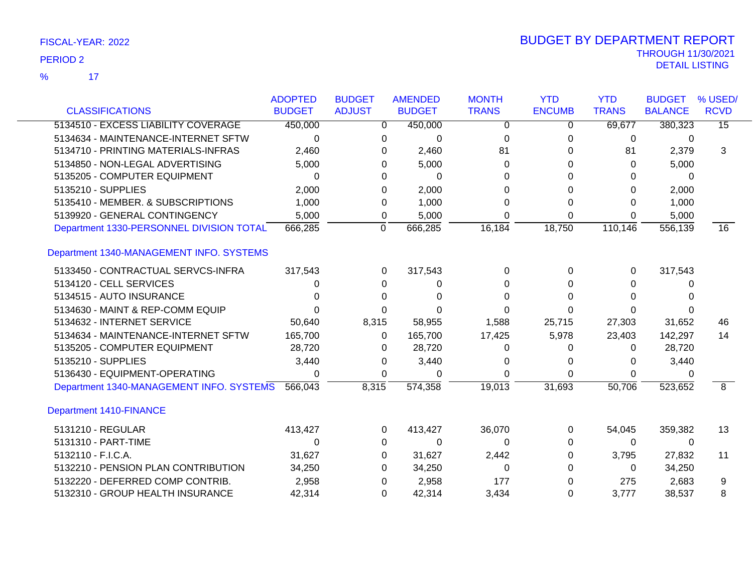$\overline{\phantom{1}}$  17 %

|                                          | <b>ADOPTED</b> | <b>BUDGET</b>  | <b>AMENDED</b> | <b>MONTH</b> | <b>YTD</b>    | <b>YTD</b>   | <b>BUDGET</b>  | % USED/         |
|------------------------------------------|----------------|----------------|----------------|--------------|---------------|--------------|----------------|-----------------|
| <b>CLASSIFICATIONS</b>                   | <b>BUDGET</b>  | <b>ADJUST</b>  | <b>BUDGET</b>  | <b>TRANS</b> | <b>ENCUMB</b> | <b>TRANS</b> | <b>BALANCE</b> | <b>RCVD</b>     |
| 5134510 - EXCESS LIABILITY COVERAGE      | 450,000        | 0              | 450,000        | 0            | 0             | 69,677       | 380,323        | $\overline{15}$ |
| 5134634 - MAINTENANCE-INTERNET SFTW      | $\Omega$       | 0              | 0              | 0            | 0             | 0            | 0              |                 |
| 5134710 - PRINTING MATERIALS-INFRAS      | 2,460          | 0              | 2,460          | 81           | O             | 81           | 2,379          | 3               |
| 5134850 - NON-LEGAL ADVERTISING          | 5,000          | 0              | 5,000          | 0            |               | 0            | 5,000          |                 |
| 5135205 - COMPUTER EQUIPMENT             | $\Omega$       | 0              | $\Omega$       | 0            | 0             | 0            | $\Omega$       |                 |
| 5135210 - SUPPLIES                       | 2,000          | 0              | 2,000          | 0            | 0             | 0            | 2,000          |                 |
| 5135410 - MEMBER. & SUBSCRIPTIONS        | 1,000          | 0              | 1,000          | 0            | 0             | 0            | 1,000          |                 |
| 5139920 - GENERAL CONTINGENCY            | 5,000          | 0              | 5,000          | 0            | 0             | 0            | 5,000          |                 |
| Department 1330-PERSONNEL DIVISION TOTAL | 666,285        | $\overline{0}$ | 666,285        | 16,184       | 18,750        | 110,146      | 556,139        | $\overline{16}$ |
| Department 1340-MANAGEMENT INFO. SYSTEMS |                |                |                |              |               |              |                |                 |
| 5133450 - CONTRACTUAL SERVCS-INFRA       | 317,543        | 0              | 317,543        | 0            | $\Omega$      | 0            | 317,543        |                 |
| 5134120 - CELL SERVICES                  | 0              | 0              | 0              | $\Omega$     |               | 0            |                |                 |
| 5134515 - AUTO INSURANCE                 | U              | 0              | 0              | ∩            | $\Omega$      | $\Omega$     | <sup>0</sup>   |                 |
| 5134630 - MAINT & REP-COMM EQUIP         | 0              | 0              | 0              | 0            | 0             | 0            | 0              |                 |
| 5134632 - INTERNET SERVICE               | 50,640         | 8,315          | 58,955         | 1,588        | 25,715        | 27,303       | 31,652         | 46              |
| 5134634 - MAINTENANCE-INTERNET SFTW      | 165,700        | 0              | 165,700        | 17,425       | 5,978         | 23,403       | 142,297        | 14              |
| 5135205 - COMPUTER EQUIPMENT             | 28,720         | 0              | 28,720         | 0            | 0             | 0            | 28,720         |                 |
| 5135210 - SUPPLIES                       | 3,440          | 0              | 3,440          | 0            | 0             | 0            | 3,440          |                 |
| 5136430 - EQUIPMENT-OPERATING            | 0              | 0              | 0              | 0            | 0             | 0            | 0              |                 |
| Department 1340-MANAGEMENT INFO. SYSTEMS | 566,043        | 8,315          | 574,358        | 19,013       | 31,693        | 50,706       | 523,652        | $\overline{8}$  |
| <b>Department 1410-FINANCE</b>           |                |                |                |              |               |              |                |                 |
| 5131210 - REGULAR                        | 413,427        | 0              | 413,427        | 36,070       | 0             | 54,045       | 359,382        | 13              |
| 5131310 - PART-TIME                      | 0              | 0              | 0              | $\Omega$     | 0             | $\mathbf{0}$ | $\Omega$       |                 |
| 5132110 - F.I.C.A.                       | 31,627         | 0              | 31,627         | 2,442        | 0             | 3,795        | 27,832         | 11              |
| 5132210 - PENSION PLAN CONTRIBUTION      | 34,250         | 0              | 34,250         | 0            | 0             | 0            | 34,250         |                 |
| 5132220 - DEFERRED COMP CONTRIB.         | 2,958          | 0              | 2,958          | 177          | 0             | 275          | 2,683          | 9               |
| 5132310 - GROUP HEALTH INSURANCE         | 42,314         | 0              | 42,314         | 3,434        | 0             | 3,777        | 38,537         | 8               |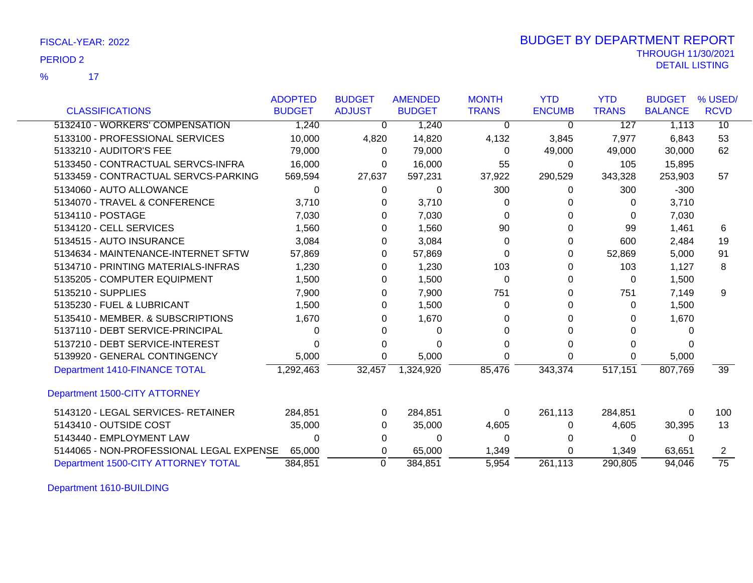17 %

| FISCAL-YEAR: 2022 | <b>BUDGET BY DEPARTMENT REPORT</b> |
|-------------------|------------------------------------|
| <b>PERIOD 2</b>   | <b>THROUGH 11/30/2021</b>          |
|                   | DETAIL LISTING                     |

|                                          | <b>ADOPTED</b> | <b>BUDGET</b> | <b>AMENDED</b> | <b>MONTH</b> | <b>YTD</b>    | <b>YTD</b>   | <b>BUDGET</b>  | % USED/         |
|------------------------------------------|----------------|---------------|----------------|--------------|---------------|--------------|----------------|-----------------|
| <b>CLASSIFICATIONS</b>                   | <b>BUDGET</b>  | <b>ADJUST</b> | <b>BUDGET</b>  | <b>TRANS</b> | <b>ENCUMB</b> | <b>TRANS</b> | <b>BALANCE</b> | <b>RCVD</b>     |
| 5132410 - WORKERS' COMPENSATION          | 1,240          | $\Omega$      | 1,240          | 0            | 0             | 127          | 1,113          | 10              |
| 5133100 - PROFESSIONAL SERVICES          | 10,000         | 4,820         | 14,820         | 4,132        | 3,845         | 7,977        | 6,843          | 53              |
| 5133210 - AUDITOR'S FEE                  | 79,000         | $\Omega$      | 79,000         | 0            | 49,000        | 49,000       | 30,000         | 62              |
| 5133450 - CONTRACTUAL SERVCS-INFRA       | 16,000         | 0             | 16,000         | 55           | $\Omega$      | 105          | 15,895         |                 |
| 5133459 - CONTRACTUAL SERVCS-PARKING     | 569,594        | 27,637        | 597,231        | 37,922       | 290,529       | 343,328      | 253,903        | 57              |
| 5134060 - AUTO ALLOWANCE                 | 0              | 0             | $\Omega$       | 300          | 0             | 300          | $-300$         |                 |
| 5134070 - TRAVEL & CONFERENCE            | 3,710          | 0             | 3,710          | 0            |               | 0            | 3,710          |                 |
| 5134110 - POSTAGE                        | 7,030          | 0             | 7,030          | 0            |               | 0            | 7,030          |                 |
| 5134120 - CELL SERVICES                  | 1,560          | 0             | 1,560          | 90           |               | 99           | 1,461          | 6               |
| 5134515 - AUTO INSURANCE                 | 3,084          | 0             | 3,084          | 0            | 0             | 600          | 2,484          | 19              |
| 5134634 - MAINTENANCE-INTERNET SFTW      | 57,869         | 0             | 57,869         | 0            | 0             | 52,869       | 5,000          | 91              |
| 5134710 - PRINTING MATERIALS-INFRAS      | 1,230          | 0             | 1,230          | 103          |               | 103          | 1,127          | 8               |
| 5135205 - COMPUTER EQUIPMENT             | 1,500          | 0             | 1,500          | 0            |               | 0            | 1,500          |                 |
| 5135210 - SUPPLIES                       | 7,900          | 0             | 7,900          | 751          | O             | 751          | 7,149          | 9               |
| 5135230 - FUEL & LUBRICANT               | 1,500          | 0             | 1,500          | 0            | O             | 0            | 1,500          |                 |
| 5135410 - MEMBER. & SUBSCRIPTIONS        | 1,670          | 0             | 1,670          |              |               | 0            | 1,670          |                 |
| 5137110 - DEBT SERVICE-PRINCIPAL         | 0              | 0             | 0              | 0            | O             | 0            |                |                 |
| 5137210 - DEBT SERVICE-INTEREST          | 0              | 0             | 0              |              |               | 0            | $\Omega$       |                 |
| 5139920 - GENERAL CONTINGENCY            | 5,000          | 0             | 5,000          | 0            | 0             | 0            | 5,000          |                 |
| Department 1410-FINANCE TOTAL            | 1,292,463      | 32,457        | 1,324,920      | 85,476       | 343,374       | 517,151      | 807,769        | $\overline{39}$ |
| Department 1500-CITY ATTORNEY            |                |               |                |              |               |              |                |                 |
| 5143120 - LEGAL SERVICES- RETAINER       | 284,851        | 0             | 284,851        | 0            | 261,113       | 284,851      | 0              | 100             |
| 5143410 - OUTSIDE COST                   | 35,000         | 0             | 35,000         | 4,605        | 0             | 4,605        | 30,395         | 13              |
| 5143440 - EMPLOYMENT LAW                 | 0              | 0             | 0              | 0            | 0             | 0            | $\Omega$       |                 |
| 5144065 - NON-PROFESSIONAL LEGAL EXPENSE | 65,000         | 0             | 65,000         | 1,349        | 0             | 1,349        | 63,651         | 2               |
| Department 1500-CITY ATTORNEY TOTAL      | 384,851        | $\Omega$      | 384,851        | 5,954        | 261,113       | 290,805      | 94,046         | $\overline{75}$ |

Department 1610-BUILDING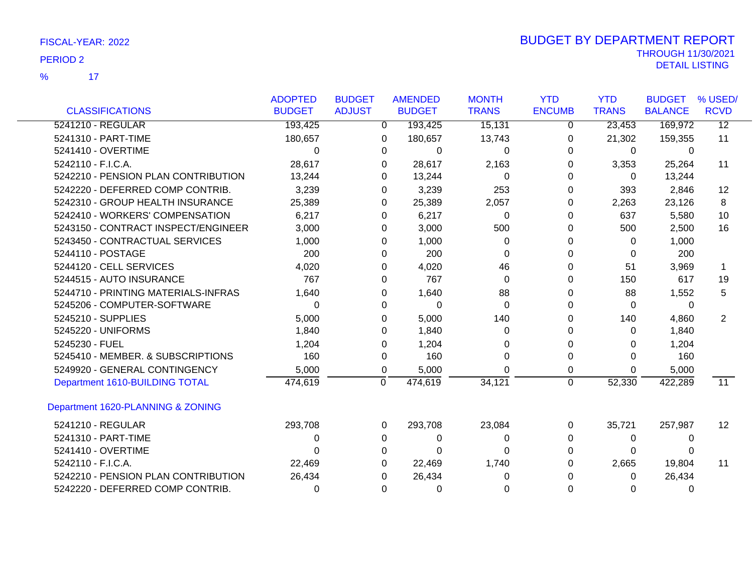$\overline{17}$ %

|                                     | <b>ADOPTED</b> | <b>BUDGET</b> | <b>AMENDED</b> | <b>MONTH</b> | <b>YTD</b>    | <b>YTD</b>   | <b>BUDGET</b>  | % USED/         |
|-------------------------------------|----------------|---------------|----------------|--------------|---------------|--------------|----------------|-----------------|
| <b>CLASSIFICATIONS</b>              | <b>BUDGET</b>  | <b>ADJUST</b> | <b>BUDGET</b>  | <b>TRANS</b> | <b>ENCUMB</b> | <b>TRANS</b> | <b>BALANCE</b> | <b>RCVD</b>     |
| 5241210 - REGULAR                   | 193,425        | $\mathbf 0$   | 193,425        | 15,131       | 0             | 23,453       | 169,972        | $\overline{12}$ |
| 5241310 - PART-TIME                 | 180,657        | $\Omega$      | 180,657        | 13,743       | $\Omega$      | 21,302       | 159,355        | 11              |
| 5241410 - OVERTIME                  | 0              | 0             | 0              | 0            | 0             | 0            | 0              |                 |
| 5242110 - F.I.C.A.                  | 28,617         | 0             | 28,617         | 2,163        | 0             | 3,353        | 25,264         | 11              |
| 5242210 - PENSION PLAN CONTRIBUTION | 13,244         | 0             | 13,244         | 0            | 0             | $\Omega$     | 13,244         |                 |
| 5242220 - DEFERRED COMP CONTRIB.    | 3,239          | 0             | 3,239          | 253          | 0             | 393          | 2,846          | $12 \,$         |
| 5242310 - GROUP HEALTH INSURANCE    | 25,389         | 0             | 25,389         | 2,057        | 0             | 2,263        | 23,126         | 8               |
| 5242410 - WORKERS' COMPENSATION     | 6,217          | 0             | 6,217          | 0            | 0             | 637          | 5,580          | 10              |
| 5243150 - CONTRACT INSPECT/ENGINEER | 3,000          | 0             | 3,000          | 500          | 0             | 500          | 2,500          | 16              |
| 5243450 - CONTRACTUAL SERVICES      | 1,000          | 0             | 1,000          | $\Omega$     | 0             | $\Omega$     | 1,000          |                 |
| 5244110 - POSTAGE                   | 200            | 0             | 200            | 0            | 0             | $\Omega$     | 200            |                 |
| 5244120 - CELL SERVICES             | 4,020          | 0             | 4,020          | 46           | 0             | 51           | 3,969          | 1.              |
| 5244515 - AUTO INSURANCE            | 767            | 0             | 767            | $\Omega$     | 0             | 150          | 617            | 19              |
| 5244710 - PRINTING MATERIALS-INFRAS | 1,640          | 0             | 1,640          | 88           | 0             | 88           | 1,552          | 5               |
| 5245206 - COMPUTER-SOFTWARE         | 0              | 0             | $\Omega$       | 0            | 0             | $\Omega$     | 0              |                 |
| 5245210 - SUPPLIES                  | 5,000          | 0             | 5,000          | 140          | 0             | 140          | 4,860          | $\overline{2}$  |
| 5245220 - UNIFORMS                  | 1,840          | 0             | 1,840          | $\Omega$     | 0             | 0            | 1,840          |                 |
| 5245230 - FUEL                      | 1,204          | 0             | 1,204          | 0            | 0             | 0            | 1,204          |                 |
| 5245410 - MEMBER. & SUBSCRIPTIONS   | 160            | 0             | 160            | ∩            | 0             | 0            | 160            |                 |
| 5249920 - GENERAL CONTINGENCY       | 5,000          | 0             | 5,000          | 0            | 0             | 0            | 5,000          |                 |
| Department 1610-BUILDING TOTAL      | 474,619        | 0             | 474,619        | 34,121       | $\mathbf 0$   | 52,330       | 422,289        | $\overline{11}$ |
| Department 1620-PLANNING & ZONING   |                |               |                |              |               |              |                |                 |
| 5241210 - REGULAR                   | 293,708        | 0             | 293,708        | 23,084       | 0             | 35,721       | 257,987        | 12              |
| 5241310 - PART-TIME                 | 0              | 0             | 0              | 0            | $\Omega$      | 0            | $\Omega$       |                 |
| 5241410 - OVERTIME                  | U              | 0             | $\Omega$       | ∩            | 0             | $\Omega$     | 0              |                 |
| 5242110 - F.I.C.A.                  | 22,469         | 0             | 22,469         | 1,740        | 0             | 2,665        | 19,804         | 11              |
| 5242210 - PENSION PLAN CONTRIBUTION | 26,434         | 0             | 26,434         | U            |               | 0            | 26,434         |                 |
| 5242220 - DEFERRED COMP CONTRIB.    | 0              | 0             | 0              | 0            | 0             | 0            | $\Omega$       |                 |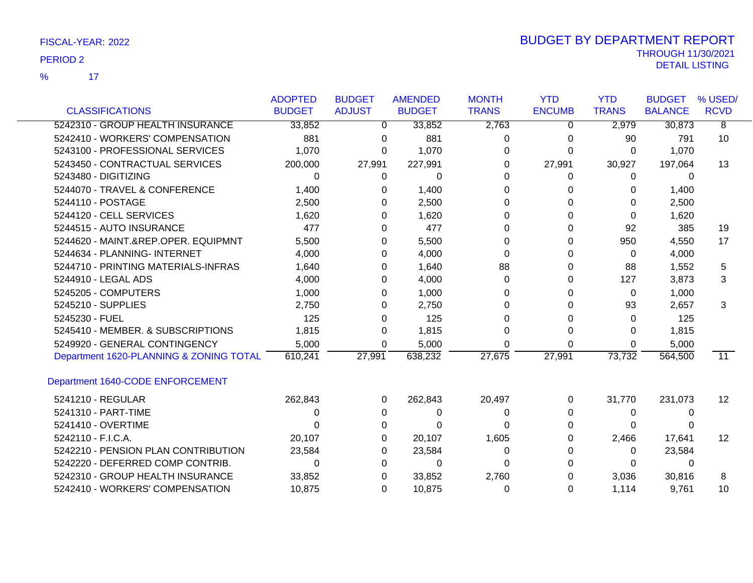$\overline{\mathbf{17}}$ %

|                                         | <b>ADOPTED</b> | <b>BUDGET</b> | <b>AMENDED</b> | <b>MONTH</b> | <b>YTD</b>    | <b>YTD</b>   | <b>BUDGET</b>  | % USED/           |
|-----------------------------------------|----------------|---------------|----------------|--------------|---------------|--------------|----------------|-------------------|
| <b>CLASSIFICATIONS</b>                  | <b>BUDGET</b>  | <b>ADJUST</b> | <b>BUDGET</b>  | <b>TRANS</b> | <b>ENCUMB</b> | <b>TRANS</b> | <b>BALANCE</b> | <b>RCVD</b>       |
| 5242310 - GROUP HEALTH INSURANCE        | 33,852         | 0             | 33,852         | 2,763        | 0             | 2,979        | 30,873         | 8                 |
| 5242410 - WORKERS' COMPENSATION         | 881            | $\Omega$      | 881            | 0            | 0             | 90           | 791            | 10                |
| 5243100 - PROFESSIONAL SERVICES         | 1,070          | 0             | 1,070          | 0            | 0             | $\Omega$     | 1,070          |                   |
| 5243450 - CONTRACTUAL SERVICES          | 200,000        | 27,991        | 227,991        | 0            | 27,991        | 30,927       | 197,064        | 13                |
| 5243480 - DIGITIZING                    | 0              | 0             | 0              | 0            | 0             | 0            | 0              |                   |
| 5244070 - TRAVEL & CONFERENCE           | 1,400          | 0             | 1,400          | 0            | 0             | 0            | 1,400          |                   |
| 5244110 - POSTAGE                       | 2,500          | 0             | 2,500          | 0            | 0             | 0            | 2,500          |                   |
| 5244120 - CELL SERVICES                 | 1,620          | $\Omega$      | 1,620          | $\Omega$     |               | $\Omega$     | 1,620          |                   |
| 5244515 - AUTO INSURANCE                | 477            | 0             | 477            | 0            | 0             | 92           | 385            | 19                |
| 5244620 - MAINT.&REP.OPER. EQUIPMNT     | 5,500          | 0             | 5,500          | 0            |               | 950          | 4,550          | 17                |
| 5244634 - PLANNING- INTERNET            | 4,000          | 0             | 4,000          | $\Omega$     | ი             | 0            | 4,000          |                   |
| 5244710 - PRINTING MATERIALS-INFRAS     | 1,640          | 0             | 1,640          | 88           | 0             | 88           | 1,552          | 5                 |
| 5244910 - LEGAL ADS                     | 4,000          | 0             | 4,000          | 0            |               | 127          | 3,873          | 3                 |
| 5245205 - COMPUTERS                     | 1,000          | 0             | 1,000          | 0            | 0             | $\Omega$     | 1,000          |                   |
| 5245210 - SUPPLIES                      | 2,750          | 0             | 2,750          | 0            | O             | 93           | 2,657          | 3                 |
| 5245230 - FUEL                          | 125            | 0             | 125            | U            |               | $\Omega$     | 125            |                   |
| 5245410 - MEMBER. & SUBSCRIPTIONS       | 1,815          | 0             | 1,815          |              | 0             | 0            | 1,815          |                   |
| 5249920 - GENERAL CONTINGENCY           | 5,000          | 0             | 5,000          | $\Omega$     | 0             | $\Omega$     | 5,000          |                   |
| Department 1620-PLANNING & ZONING TOTAL | 610,241        | 27,991        | 638,232        | 27,675       | 27,991        | 73,732       | 564,500        | 11                |
| Department 1640-CODE ENFORCEMENT        |                |               |                |              |               |              |                |                   |
| 5241210 - REGULAR                       | 262,843        | $\Omega$      | 262,843        | 20,497       | 0             | 31,770       | 231,073        | $12 \overline{ }$ |
| 5241310 - PART-TIME                     | 0              | 0             | 0              | 0            | 0             | $\Omega$     | $\Omega$       |                   |
| 5241410 - OVERTIME                      |                | 0             |                | 0            |               | 0            |                |                   |
| 5242110 - F.I.C.A.                      | 20,107         | 0             | 20,107         | 1,605        |               | 2,466        | 17,641         | 12                |
| 5242210 - PENSION PLAN CONTRIBUTION     | 23,584         | 0             | 23,584         | 0            |               | 0            | 23,584         |                   |
| 5242220 - DEFERRED COMP CONTRIB.        | 0              | 0             | 0              | 0            |               | 0            | 0              |                   |
| 5242310 - GROUP HEALTH INSURANCE        | 33,852         | 0             | 33,852         | 2,760        |               | 3,036        | 30,816         | 8                 |
| 5242410 - WORKERS' COMPENSATION         | 10,875         | 0             | 10,875         | $\Omega$     | 0             | 1,114        | 9,761          | 10                |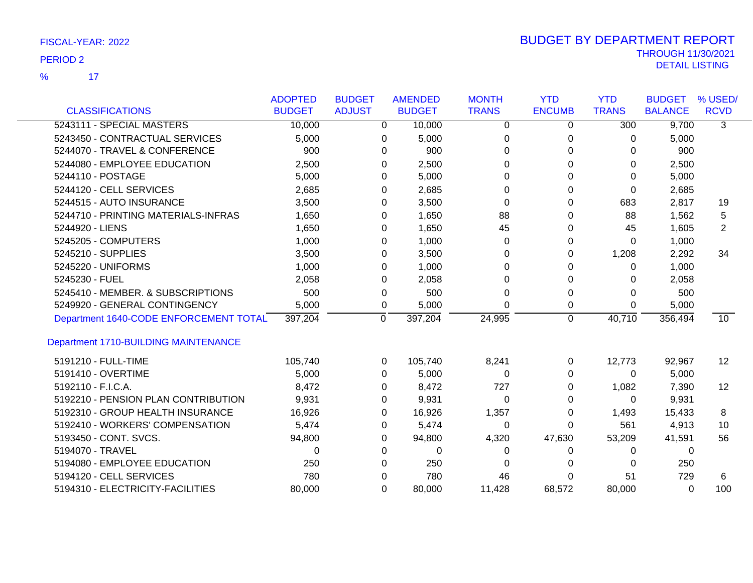$\overline{\mathbf{17}}$ %

|                                             | <b>ADOPTED</b> | <b>BUDGET</b>  |              | <b>AMENDED</b> | <b>MONTH</b> | <b>YTD</b>     | <b>YTD</b>       | <b>BUDGET</b>  | % USED/         |
|---------------------------------------------|----------------|----------------|--------------|----------------|--------------|----------------|------------------|----------------|-----------------|
| <b>CLASSIFICATIONS</b>                      | <b>BUDGET</b>  | <b>ADJUST</b>  |              | <b>BUDGET</b>  | <b>TRANS</b> | <b>ENCUMB</b>  | <b>TRANS</b>     | <b>BALANCE</b> | <b>RCVD</b>     |
| 5243111 - SPECIAL MASTERS                   | 10,000         |                | $\mathbf{0}$ | 10,000         | 0            | 0              | $\overline{300}$ | 9,700          | $\overline{3}$  |
| 5243450 - CONTRACTUAL SERVICES              | 5,000          |                | 0            | 5,000          | 0            | 0              | 0                | 5,000          |                 |
| 5244070 - TRAVEL & CONFERENCE               | 900            |                | 0            | 900            | 0            | $\Omega$       | $\Omega$         | 900            |                 |
| 5244080 - EMPLOYEE EDUCATION                | 2,500          |                | 0            | 2,500          | 0            | 0              | 0                | 2,500          |                 |
| 5244110 - POSTAGE                           | 5,000          |                | 0            | 5,000          | 0            | $\Omega$       | $\Omega$         | 5,000          |                 |
| 5244120 - CELL SERVICES                     | 2,685          |                | 0            | 2,685          | 0            | 0              | 0                | 2,685          |                 |
| 5244515 - AUTO INSURANCE                    | 3,500          |                | 0            | 3,500          | 0            | 0              | 683              | 2,817          | 19              |
| 5244710 - PRINTING MATERIALS-INFRAS         | 1,650          |                | 0            | 1,650          | 88           | $\Omega$       | 88               | 1,562          | 5               |
| 5244920 - LIENS                             | 1,650          |                | 0            | 1,650          | 45           | 0              | 45               | 1,605          | $\overline{2}$  |
| 5245205 - COMPUTERS                         | 1,000          |                | 0            | 1,000          | 0            | 0              | $\Omega$         | 1,000          |                 |
| 5245210 - SUPPLIES                          | 3,500          |                | 0            | 3,500          | 0            | 0              | 1,208            | 2,292          | 34              |
| 5245220 - UNIFORMS                          | 1,000          |                | 0            | 1,000          | 0            | 0              | 0                | 1,000          |                 |
| 5245230 - FUEL                              | 2,058          |                | 0            | 2,058          | 0            | $\Omega$       | 0                | 2,058          |                 |
| 5245410 - MEMBER. & SUBSCRIPTIONS           | 500            |                | 0            | 500            | 0            | 0              | 0                | 500            |                 |
| 5249920 - GENERAL CONTINGENCY               | 5,000          |                | 0            | 5,000          | 0            | 0              | $\Omega$         | 5,000          |                 |
| Department 1640-CODE ENFORCEMENT TOTAL      | 397,204        | $\overline{0}$ |              | 397,204        | 24,995       | $\overline{0}$ | 40,710           | 356,494        | $\overline{10}$ |
| <b>Department 1710-BUILDING MAINTENANCE</b> |                |                |              |                |              |                |                  |                |                 |
| 5191210 - FULL-TIME                         | 105,740        |                | 0            | 105,740        | 8,241        | 0              | 12,773           | 92,967         | 12              |
| 5191410 - OVERTIME                          | 5,000          |                | $\Omega$     | 5,000          | $\Omega$     | $\Omega$       | 0                | 5,000          |                 |
| 5192110 - F.I.C.A.                          | 8,472          |                | 0            | 8,472          | 727          | 0              | 1,082            | 7,390          | 12              |
| 5192210 - PENSION PLAN CONTRIBUTION         | 9,931          |                | 0            | 9,931          | 0            | 0              | 0                | 9,931          |                 |
| 5192310 - GROUP HEALTH INSURANCE            | 16,926         |                | 0            | 16,926         | 1,357        | 0              | 1,493            | 15,433         | 8               |
| 5192410 - WORKERS' COMPENSATION             | 5,474          |                | 0            | 5,474          | 0            | 0              | 561              | 4,913          | 10              |
| 5193450 - CONT. SVCS.                       | 94,800         |                | 0            | 94,800         | 4,320        | 47,630         | 53,209           | 41,591         | 56              |
| 5194070 - TRAVEL                            | $\Omega$       |                | 0            | 0              | 0            | 0              | 0                | 0              |                 |
| 5194080 - EMPLOYEE EDUCATION                | 250            |                | 0            | 250            | 0            | 0              | 0                | 250            |                 |
| 5194120 - CELL SERVICES                     | 780            |                | 0            | 780            | 46           | 0              | 51               | 729            | 6               |
| 5194310 - ELECTRICITY-FACILITIES            | 80,000         |                | $\Omega$     | 80,000         | 11,428       | 68,572         | 80,000           | 0              | 100             |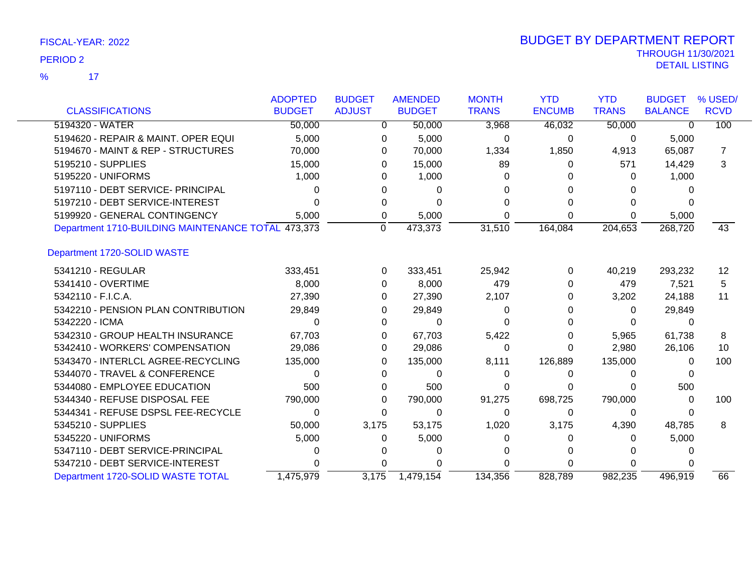17 %

|                                                    | <b>ADOPTED</b> | <b>BUDGET</b> | <b>AMENDED</b> | <b>MONTH</b> | <b>YTD</b>    | <b>YTD</b>   | <b>BUDGET</b>  | % USED/     |
|----------------------------------------------------|----------------|---------------|----------------|--------------|---------------|--------------|----------------|-------------|
| <b>CLASSIFICATIONS</b>                             | <b>BUDGET</b>  | <b>ADJUST</b> | <b>BUDGET</b>  | <b>TRANS</b> | <b>ENCUMB</b> | <b>TRANS</b> | <b>BALANCE</b> | <b>RCVD</b> |
| 5194320 - WATER                                    | 50,000         | $\Omega$      | 50,000         | 3,968        | 46,032        | 50,000       | $\Omega$       | 100         |
| 5194620 - REPAIR & MAINT, OPER EQUI                | 5,000          | 0             | 5,000          | 0            | 0             | 0            | 5,000          |             |
| 5194670 - MAINT & REP - STRUCTURES                 | 70,000         | 0             | 70,000         | 1,334        | 1,850         | 4,913        | 65,087         | 7           |
| 5195210 - SUPPLIES                                 | 15,000         | 0             | 15,000         | 89           | 0             | 571          | 14,429         | 3           |
| 5195220 - UNIFORMS                                 | 1,000          |               | 1,000          | O            | 0             | 0            | 1,000          |             |
| 5197110 - DEBT SERVICE- PRINCIPAL                  | 0              |               | 0              |              |               |              |                |             |
| 5197210 - DEBT SERVICE-INTEREST                    |                |               |                |              |               | 0            |                |             |
| 5199920 - GENERAL CONTINGENCY                      | 5,000          | 0             | 5,000          | 0            | 0             | 0            | 5,000          |             |
| Department 1710-BUILDING MAINTENANCE TOTAL 473,373 |                | $\mathbf 0$   | 473,373        | 31,510       | 164,084       | 204,653      | 268,720        | 43          |
| Department 1720-SOLID WASTE                        |                |               |                |              |               |              |                |             |
| 5341210 - REGULAR                                  | 333,451        | $\Omega$      | 333,451        | 25,942       | 0             | 40,219       | 293,232        | 12          |
| 5341410 - OVERTIME                                 | 8,000          | $\Omega$      | 8,000          | 479          | 0             | 479          | 7,521          | 5           |
| 5342110 - F.I.C.A.                                 | 27,390         | 0             | 27,390         | 2,107        | 0             | 3,202        | 24,188         | 11          |
| 5342210 - PENSION PLAN CONTRIBUTION                | 29,849         | 0             | 29,849         | 0            | 0             | 0            | 29,849         |             |
| 5342220 - ICMA                                     | 0              |               | 0              |              |               | 0            | 0              |             |
| 5342310 - GROUP HEALTH INSURANCE                   | 67,703         | 0             | 67,703         | 5,422        | 0             | 5,965        | 61,738         | 8           |
| 5342410 - WORKERS' COMPENSATION                    | 29,086         | 0             | 29,086         | 0            | 0             | 2,980        | 26,106         | 10          |
| 5343470 - INTERLCL AGREE-RECYCLING                 | 135,000        | 0             | 135,000        | 8,111        | 126,889       | 135,000      | 0              | 100         |
| 5344070 - TRAVEL & CONFERENCE                      | 0              | 0             | 0              | 0            | 0             | 0            |                |             |
| 5344080 - EMPLOYEE EDUCATION                       | 500            | 0             | 500            |              | 0             | 0            | 500            |             |
| 5344340 - REFUSE DISPOSAL FEE                      | 790,000        | 0             | 790,000        | 91,275       | 698,725       | 790,000      | 0              | 100         |
| 5344341 - REFUSE DSPSL FEE-RECYCLE                 | 0              | 0             | 0              | 0            | 0             | 0            |                |             |
| 5345210 - SUPPLIES                                 | 50,000         | 3,175         | 53,175         | 1,020        | 3,175         | 4,390        | 48,785         | 8           |
| 5345220 - UNIFORMS                                 | 5,000          | 0             | 5,000          |              | 0             | 0            | 5,000          |             |
| 5347110 - DEBT SERVICE-PRINCIPAL                   |                |               |                |              |               |              |                |             |
| 5347210 - DEBT SERVICE-INTEREST                    |                |               |                |              | U             | 0            |                |             |
| Department 1720-SOLID WASTE TOTAL                  | 1,475,979      | 3,175         | 1,479,154      | 134.356      | 828,789       | 982.235      | 496.919        | 66          |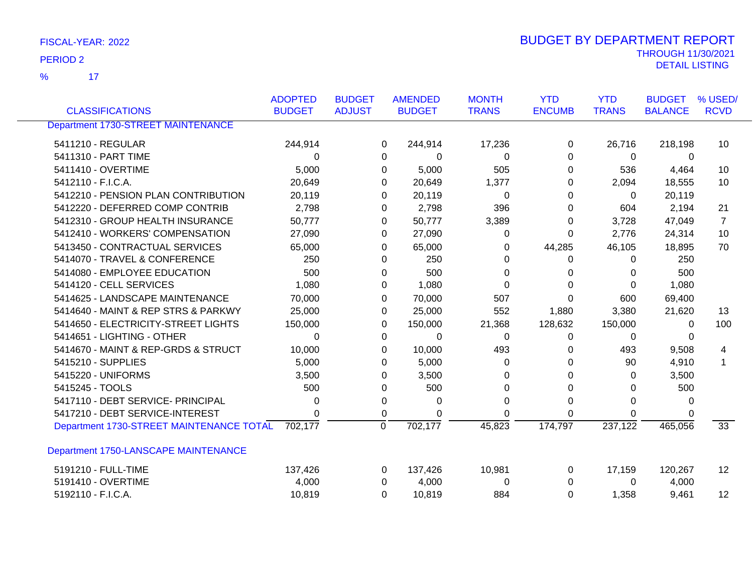17 %

| <b>CLASSIFICATIONS</b>                    | <b>ADOPTED</b><br><b>BUDGET</b> | <b>BUDGET</b><br><b>ADJUST</b> |          | <b>AMENDED</b><br><b>BUDGET</b> | <b>MONTH</b><br><b>TRANS</b> | <b>YTD</b><br><b>ENCUMB</b> | <b>YTD</b><br><b>TRANS</b> | <b>BUDGET</b><br><b>BALANCE</b> | % USED/<br><b>RCVD</b> |
|-------------------------------------------|---------------------------------|--------------------------------|----------|---------------------------------|------------------------------|-----------------------------|----------------------------|---------------------------------|------------------------|
|                                           |                                 |                                |          |                                 |                              |                             |                            |                                 |                        |
| <b>Department 1730-STREET MAINTENANCE</b> |                                 |                                |          |                                 |                              |                             |                            |                                 |                        |
| 5411210 - REGULAR                         | 244,914                         |                                | 0        | 244,914                         | 17,236                       | 0                           | 26,716                     | 218,198                         | 10                     |
| 5411310 - PART TIME                       | 0                               |                                | 0        | 0                               | $\Omega$                     | $\Omega$                    | 0                          | 0                               |                        |
| 5411410 - OVERTIME                        | 5,000                           |                                | 0        | 5,000                           | 505                          | 0                           | 536                        | 4,464                           | 10                     |
| 5412110 - F.I.C.A.                        | 20,649                          |                                | 0        | 20,649                          | 1,377                        | 0                           | 2,094                      | 18,555                          | 10                     |
| 5412210 - PENSION PLAN CONTRIBUTION       | 20,119                          |                                | 0        | 20,119                          | $\Omega$                     | 0                           | 0                          | 20,119                          |                        |
| 5412220 - DEFERRED COMP CONTRIB           | 2,798                           |                                | 0        | 2,798                           | 396                          | 0                           | 604                        | 2,194                           | 21                     |
| 5412310 - GROUP HEALTH INSURANCE          | 50,777                          |                                | 0        | 50,777                          | 3,389                        | 0                           | 3,728                      | 47,049                          | $\overline{7}$         |
| 5412410 - WORKERS' COMPENSATION           | 27,090                          |                                | 0        | 27,090                          | 0                            | 0                           | 2,776                      | 24,314                          | 10                     |
| 5413450 - CONTRACTUAL SERVICES            | 65,000                          |                                | 0        | 65,000                          | 0                            | 44,285                      | 46,105                     | 18,895                          | 70                     |
| 5414070 - TRAVEL & CONFERENCE             | 250                             |                                | 0        | 250                             | 0                            | 0                           | 0                          | 250                             |                        |
| 5414080 - EMPLOYEE EDUCATION              | 500                             |                                | 0        | 500                             | 0                            | 0                           | 0                          | 500                             |                        |
| 5414120 - CELL SERVICES                   | 1,080                           |                                | 0        | 1,080                           | $\Omega$                     | $\Omega$                    | $\Omega$                   | 1,080                           |                        |
| 5414625 - LANDSCAPE MAINTENANCE           | 70,000                          |                                | 0        | 70,000                          | 507                          | 0                           | 600                        | 69,400                          |                        |
| 5414640 - MAINT & REP STRS & PARKWY       | 25,000                          |                                | 0        | 25,000                          | 552                          | 1,880                       | 3,380                      | 21,620                          | 13                     |
| 5414650 - ELECTRICITY-STREET LIGHTS       | 150,000                         |                                | 0        | 150,000                         | 21,368                       | 128,632                     | 150,000                    | 0                               | 100                    |
| 5414651 - LIGHTING - OTHER                | 0                               |                                | 0        | 0                               | 0                            | 0                           | 0                          | 0                               |                        |
| 5414670 - MAINT & REP-GRDS & STRUCT       | 10,000                          |                                | 0        | 10,000                          | 493                          | 0                           | 493                        | 9,508                           | 4                      |
| 5415210 - SUPPLIES                        | 5,000                           |                                | 0        | 5,000                           | 0                            | 0                           | 90                         | 4,910                           | 1                      |
| 5415220 - UNIFORMS                        | 3,500                           |                                | 0        | 3,500                           | 0                            | 0                           | 0                          | 3,500                           |                        |
| 5415245 - TOOLS                           | 500                             |                                | 0        | 500                             | O                            | 0                           | $\Omega$                   | 500                             |                        |
| 5417110 - DEBT SERVICE- PRINCIPAL         | 0                               |                                | 0        | 0                               | 0                            | 0                           | $\Omega$                   | 0                               |                        |
| 5417210 - DEBT SERVICE-INTEREST           | 0                               |                                | 0        | 0                               | $\Omega$                     | 0                           | 0                          |                                 |                        |
| Department 1730-STREET MAINTENANCE TOTAL  | 702,177                         |                                | 0        | 702,177                         | 45,823                       | 174,797                     | 237,122                    | 465,056                         | $\overline{33}$        |
| Department 1750-LANSCAPE MAINTENANCE      |                                 |                                |          |                                 |                              |                             |                            |                                 |                        |
| 5191210 - FULL-TIME                       | 137,426                         |                                | 0        | 137,426                         | 10,981                       | 0                           | 17,159                     | 120,267                         | 12                     |
| 5191410 - OVERTIME                        | 4,000                           |                                | 0        | 4,000                           | $\Omega$                     | $\Omega$                    | 0                          | 4,000                           |                        |
| 5192110 - F.I.C.A.                        | 10,819                          |                                | $\Omega$ | 10,819                          | 884                          | 0                           | 1,358                      | 9,461                           | 12 <sup>2</sup>        |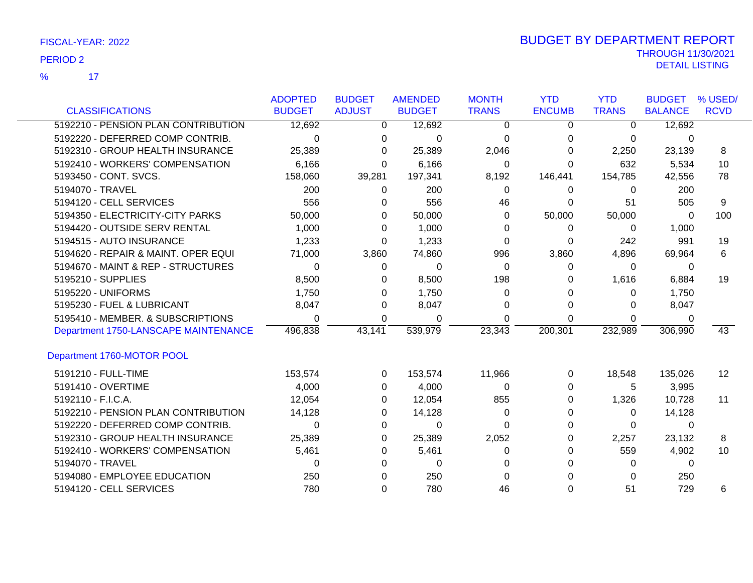17 %

|                                      | <b>ADOPTED</b> | <b>BUDGET</b> | <b>AMENDED</b> | <b>MONTH</b> | <b>YTD</b>    | <b>YTD</b>   | <b>BUDGET</b>  | % USED/     |
|--------------------------------------|----------------|---------------|----------------|--------------|---------------|--------------|----------------|-------------|
| <b>CLASSIFICATIONS</b>               | <b>BUDGET</b>  | <b>ADJUST</b> | <b>BUDGET</b>  | <b>TRANS</b> | <b>ENCUMB</b> | <b>TRANS</b> | <b>BALANCE</b> | <b>RCVD</b> |
| 5192210 - PENSION PLAN CONTRIBUTION  | 12,692         | $\mathbf{0}$  | 12,692         | 0            | 0             | $\Omega$     | 12,692         |             |
| 5192220 - DEFERRED COMP CONTRIB.     | $\Omega$       | $\Omega$      | 0              | $\Omega$     | 0             | 0            | 0              |             |
| 5192310 - GROUP HEALTH INSURANCE     | 25,389         | 0             | 25,389         | 2,046        | 0             | 2,250        | 23,139         | 8           |
| 5192410 - WORKERS' COMPENSATION      | 6,166          | $\Omega$      | 6,166          | $\Omega$     | $\Omega$      | 632          | 5,534          | 10          |
| 5193450 - CONT. SVCS.                | 158,060        | 39,281        | 197,341        | 8,192        | 146,441       | 154,785      | 42,556         | 78          |
| 5194070 - TRAVEL                     | 200            | 0             | 200            | 0            | 0             | 0            | 200            |             |
| 5194120 - CELL SERVICES              | 556            | $\Omega$      | 556            | 46           | 0             | 51           | 505            | 9           |
| 5194350 - ELECTRICITY-CITY PARKS     | 50,000         | 0             | 50,000         | 0            | 50,000        | 50,000       | 0              | 100         |
| 5194420 - OUTSIDE SERV RENTAL        | 1,000          | 0             | 1,000          | $\Omega$     | 0             | 0            | 1,000          |             |
| 5194515 - AUTO INSURANCE             | 1,233          | $\Omega$      | 1,233          | $\Omega$     | 0             | 242          | 991            | 19          |
| 5194620 - REPAIR & MAINT. OPER EQUI  | 71,000         | 3,860         | 74,860         | 996          | 3,860         | 4,896        | 69,964         | 6           |
| 5194670 - MAINT & REP - STRUCTURES   | 0              | $\Omega$      | 0              | 0            | 0             | 0            | 0              |             |
| 5195210 - SUPPLIES                   | 8,500          | $\Omega$      | 8,500          | 198          | 0             | 1,616        | 6,884          | 19          |
| 5195220 - UNIFORMS                   | 1,750          | $\Omega$      | 1,750          | 0            | $\Omega$      | 0            | 1,750          |             |
| 5195230 - FUEL & LUBRICANT           | 8,047          | $\Omega$      | 8,047          | 0            | 0             | 0            | 8,047          |             |
| 5195410 - MEMBER. & SUBSCRIPTIONS    | 0              | 0             | 0              | 0            | 0             | 0            | 0              |             |
| Department 1750-LANSCAPE MAINTENANCE | 496,838        | 43,141        | 539,979        | 23,343       | 200,301       | 232,989      | 306,990        | 43          |
| Department 1760-MOTOR POOL           |                |               |                |              |               |              |                |             |
| 5191210 - FULL-TIME                  | 153,574        | $\Omega$      | 153,574        | 11,966       | 0             | 18,548       | 135,026        | 12          |
| 5191410 - OVERTIME                   | 4,000          | $\Omega$      | 4,000          | $\Omega$     | 0             | 5            | 3,995          |             |
| 5192110 - F.I.C.A.                   | 12,054         | $\Omega$      | 12,054         | 855          | 0             | 1,326        | 10,728         | 11          |
| 5192210 - PENSION PLAN CONTRIBUTION  | 14,128         | 0             | 14,128         | 0            | 0             | 0            | 14,128         |             |
| 5192220 - DEFERRED COMP CONTRIB.     | $\Omega$       | 0             | 0              | $\Omega$     | 0             | 0            | 0              |             |
| 5192310 - GROUP HEALTH INSURANCE     | 25,389         | 0             | 25,389         | 2,052        | 0             | 2,257        | 23,132         | 8           |
| 5192410 - WORKERS' COMPENSATION      | 5,461          | 0             | 5,461          | 0            | 0             | 559          | 4,902          | 10          |
| 5194070 - TRAVEL                     | 0              | 0             | 0              | 0            | 0             | 0            | $\Omega$       |             |
| 5194080 - EMPLOYEE EDUCATION         | 250            | 0             | 250            | 0            |               | 0            | 250            |             |
| 5194120 - CELL SERVICES              | 780            | 0             | 780            | 46           | 0             | 51           | 729            | 6           |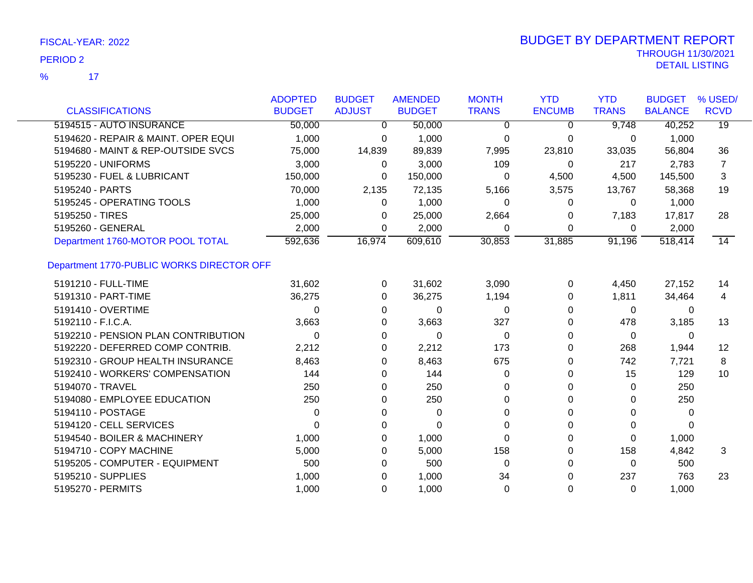$\overline{17}$ %

|                                           | <b>ADOPTED</b> | <b>BUDGET</b> | <b>AMENDED</b> | <b>MONTH</b> | <b>YTD</b>    | <b>YTD</b>   | <b>BUDGET</b>  | % USED/         |
|-------------------------------------------|----------------|---------------|----------------|--------------|---------------|--------------|----------------|-----------------|
| <b>CLASSIFICATIONS</b>                    | <b>BUDGET</b>  | <b>ADJUST</b> | <b>BUDGET</b>  | <b>TRANS</b> | <b>ENCUMB</b> | <b>TRANS</b> | <b>BALANCE</b> | <b>RCVD</b>     |
| 5194515 - AUTO INSURANCE                  | 50,000         | 0             | 50,000         | 0            | 0             | 9,748        | 40,252         | $\overline{19}$ |
| 5194620 - REPAIR & MAINT. OPER EQUI       | 1,000          | 0             | 1,000          | 0            | 0             | 0            | 1,000          |                 |
| 5194680 - MAINT & REP-OUTSIDE SVCS        | 75,000         | 14,839        | 89,839         | 7,995        | 23,810        | 33,035       | 56,804         | 36              |
| 5195220 - UNIFORMS                        | 3,000          | 0             | 3,000          | 109          | $\mathbf 0$   | 217          | 2,783          | 7               |
| 5195230 - FUEL & LUBRICANT                | 150,000        | 0             | 150,000        | 0            | 4,500         | 4,500        | 145,500        | 3               |
| 5195240 - PARTS                           | 70,000         | 2,135         | 72,135         | 5,166        | 3,575         | 13,767       | 58,368         | 19              |
| 5195245 - OPERATING TOOLS                 | 1,000          | 0             | 1,000          | 0            | $\Omega$      | 0            | 1,000          |                 |
| 5195250 - TIRES                           | 25,000         | 0             | 25,000         | 2,664        | 0             | 7,183        | 17,817         | 28              |
| 5195260 - GENERAL                         | 2,000          | 0             | 2,000          | 0            | 0             | 0            | 2,000          |                 |
| Department 1760-MOTOR POOL TOTAL          | 592,636        | 16,974        | 609,610        | 30,853       | 31,885        | 91,196       | 518,414        | $\overline{14}$ |
| Department 1770-PUBLIC WORKS DIRECTOR OFF |                |               |                |              |               |              |                |                 |
| 5191210 - FULL-TIME                       | 31,602         | 0             | 31,602         | 3,090        | 0             | 4,450        | 27,152         | 14              |
| 5191310 - PART-TIME                       | 36,275         | 0             | 36,275         | 1,194        | 0             | 1,811        | 34,464         | 4               |
| 5191410 - OVERTIME                        | 0              | 0             | 0              | $\Omega$     | 0             | 0            | 0              |                 |
| 5192110 - F.I.C.A.                        | 3,663          | 0             | 3,663          | 327          | 0             | 478          | 3,185          | 13              |
| 5192210 - PENSION PLAN CONTRIBUTION       | $\Omega$       | 0             | 0              | 0            | 0             | 0            | 0              |                 |
| 5192220 - DEFERRED COMP CONTRIB.          | 2,212          | 0             | 2,212          | 173          | 0             | 268          | 1,944          | 12              |
| 5192310 - GROUP HEALTH INSURANCE          | 8,463          | 0             | 8,463          | 675          | 0             | 742          | 7,721          | 8               |
| 5192410 - WORKERS' COMPENSATION           | 144            | 0             | 144            | $\Omega$     | 0             | 15           | 129            | 10              |
| 5194070 - TRAVEL                          | 250            | 0             | 250            | 0            | 0             | 0            | 250            |                 |
| 5194080 - EMPLOYEE EDUCATION              | 250            | 0             | 250            | 0            | 0             | 0            | 250            |                 |
| 5194110 - POSTAGE                         | 0              | 0             | 0              | 0            | $\Omega$      | $\Omega$     | 0              |                 |
| 5194120 - CELL SERVICES                   | 0              | 0             | $\Omega$       | 0            | 0             | 0            | 0              |                 |
| 5194540 - BOILER & MACHINERY              | 1,000          | 0             | 1,000          | 0            | 0             | $\Omega$     | 1,000          |                 |
| 5194710 - COPY MACHINE                    | 5,000          | 0             | 5,000          | 158          | 0             | 158          | 4,842          | 3               |
| 5195205 - COMPUTER - EQUIPMENT            | 500            | 0             | 500            | 0            | 0             | 0            | 500            |                 |
| 5195210 - SUPPLIES                        | 1,000          | 0             | 1,000          | 34           | 0             | 237          | 763            | 23              |
| 5195270 - PERMITS                         | 1,000          | $\Omega$      | 1,000          | $\Omega$     | $\Omega$      | $\Omega$     | 1,000          |                 |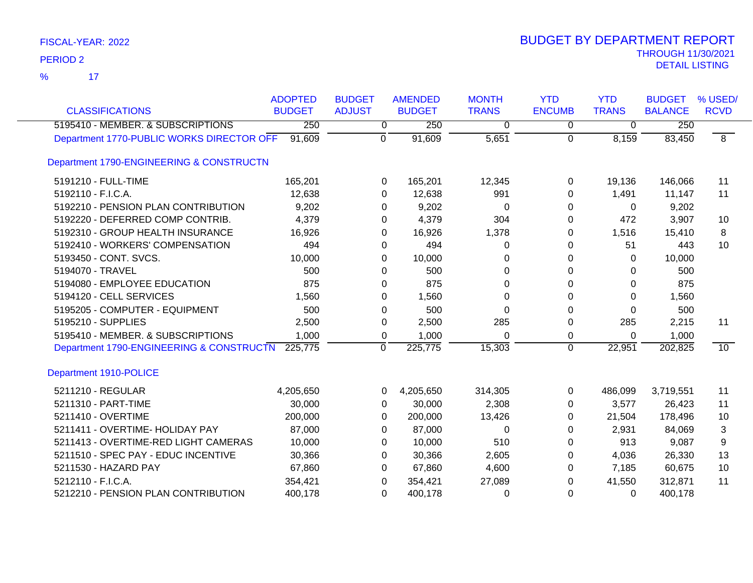$\overline{\mathbf{17}}$ %

| <b>CLASSIFICATIONS</b>                    | <b>ADOPTED</b><br><b>BUDGET</b> | <b>BUDGET</b><br><b>ADJUST</b> | <b>AMENDED</b><br><b>BUDGET</b> | <b>MONTH</b><br><b>TRANS</b> | <b>YTD</b><br><b>ENCUMB</b> | <b>YTD</b><br><b>TRANS</b> | <b>BUDGET</b><br><b>BALANCE</b> | % USED/<br><b>RCVD</b> |
|-------------------------------------------|---------------------------------|--------------------------------|---------------------------------|------------------------------|-----------------------------|----------------------------|---------------------------------|------------------------|
| 5195410 - MEMBER. & SUBSCRIPTIONS         | 250                             | 0                              | 250                             | $\overline{0}$               | $\overline{0}$              | $\overline{0}$             | 250                             |                        |
| Department 1770-PUBLIC WORKS DIRECTOR OFF | 91,609                          | $\overline{0}$                 | 91,609                          | 5,651                        | $\mathbf 0$                 | 8,159                      | 83,450                          | $\overline{8}$         |
| Department 1790-ENGINEERING & CONSTRUCTN  |                                 |                                |                                 |                              |                             |                            |                                 |                        |
| 5191210 - FULL-TIME                       | 165,201                         | 0                              | 165,201                         | 12,345                       | 0                           | 19,136                     | 146,066                         | 11                     |
| 5192110 - F.I.C.A.                        | 12,638                          | 0                              | 12,638                          | 991                          | 0                           | 1,491                      | 11,147                          | 11                     |
| 5192210 - PENSION PLAN CONTRIBUTION       | 9,202                           | 0                              | 9,202                           | 0                            | 0                           | $\Omega$                   | 9,202                           |                        |
| 5192220 - DEFERRED COMP CONTRIB.          | 4,379                           | 0                              | 4,379                           | 304                          | 0                           | 472                        | 3,907                           | 10                     |
| 5192310 - GROUP HEALTH INSURANCE          | 16,926                          | 0                              | 16,926                          | 1,378                        | 0                           | 1,516                      | 15,410                          | 8                      |
| 5192410 - WORKERS' COMPENSATION           | 494                             | 0                              | 494                             | $\Omega$                     | 0                           | 51                         | 443                             | 10                     |
| 5193450 - CONT. SVCS.                     | 10,000                          | 0                              | 10,000                          | 0                            | 0                           | $\Omega$                   | 10,000                          |                        |
| 5194070 - TRAVEL                          | 500                             | 0                              | 500                             | 0                            | 0                           | 0                          | 500                             |                        |
| 5194080 - EMPLOYEE EDUCATION              | 875                             | 0                              | 875                             | 0                            | 0                           | 0                          | 875                             |                        |
| 5194120 - CELL SERVICES                   | 1,560                           | 0                              | 1,560                           | 0                            | 0                           | $\Omega$                   | 1,560                           |                        |
| 5195205 - COMPUTER - EQUIPMENT            | 500                             | $\Omega$                       | 500                             | 0                            | $\Omega$                    | 0                          | 500                             |                        |
| 5195210 - SUPPLIES                        | 2,500                           | 0                              | 2,500                           | 285                          | 0                           | 285                        | 2,215                           | 11                     |
| 5195410 - MEMBER. & SUBSCRIPTIONS         | 1,000                           | 0                              | 1,000                           | 0                            | 0                           | 0                          | 1,000                           |                        |
| Department 1790-ENGINEERING & CONSTRUCTN  | 225,775                         | 0                              | 225,775                         | 15,303                       | $\mathbf 0$                 | 22,951                     | 202,825                         | 10                     |
| Department 1910-POLICE                    |                                 |                                |                                 |                              |                             |                            |                                 |                        |
| 5211210 - REGULAR                         | 4,205,650                       | 0                              | 4,205,650                       | 314,305                      | $\Omega$                    | 486,099                    | 3,719,551                       | 11                     |
| 5211310 - PART-TIME                       | 30,000                          | 0                              | 30,000                          | 2,308                        | 0                           | 3,577                      | 26,423                          | 11                     |
| 5211410 - OVERTIME                        | 200,000                         | 0                              | 200,000                         | 13,426                       | 0                           | 21,504                     | 178,496                         | 10                     |
| 5211411 - OVERTIME- HOLIDAY PAY           | 87,000                          | 0                              | 87,000                          | $\Omega$                     | 0                           | 2,931                      | 84,069                          | 3                      |
| 5211413 - OVERTIME-RED LIGHT CAMERAS      | 10,000                          | 0                              | 10,000                          | 510                          | 0                           | 913                        | 9,087                           | 9                      |
| 5211510 - SPEC PAY - EDUC INCENTIVE       | 30,366                          | 0                              | 30,366                          | 2,605                        | 0                           | 4,036                      | 26,330                          | 13                     |
| 5211530 - HAZARD PAY                      | 67,860                          | 0                              | 67,860                          | 4,600                        | 0                           | 7,185                      | 60,675                          | 10                     |
| 5212110 - F.I.C.A.                        | 354,421                         | 0                              | 354,421                         | 27,089                       | 0                           | 41,550                     | 312,871                         | 11                     |
| 5212210 - PENSION PLAN CONTRIBUTION       | 400,178                         | 0                              | 400,178                         | 0                            | 0                           | $\Omega$                   | 400,178                         |                        |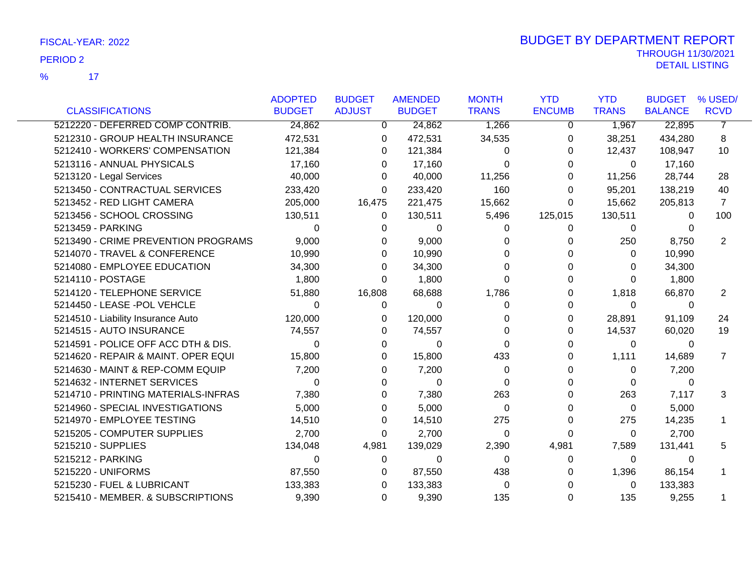17 %

|                                     | <b>ADOPTED</b> | <b>BUDGET</b>  | <b>AMENDED</b> | <b>MONTH</b> | <b>YTD</b>    | <b>YTD</b>   | <b>BUDGET</b>  | % USED/        |
|-------------------------------------|----------------|----------------|----------------|--------------|---------------|--------------|----------------|----------------|
| <b>CLASSIFICATIONS</b>              | <b>BUDGET</b>  | <b>ADJUST</b>  | <b>BUDGET</b>  | <b>TRANS</b> | <b>ENCUMB</b> | <b>TRANS</b> | <b>BALANCE</b> | <b>RCVD</b>    |
| 5212220 - DEFERRED COMP CONTRIB.    | 24,862         | $\overline{0}$ | 24,862         | 1,266        | 0             | 1,967        | 22,895         | $\overline{7}$ |
| 5212310 - GROUP HEALTH INSURANCE    | 472,531        | 0              | 472,531        | 34,535       | 0             | 38,251       | 434,280        | 8              |
| 5212410 - WORKERS' COMPENSATION     | 121,384        | 0              | 121,384        | 0            | 0             | 12,437       | 108,947        | 10             |
| 5213116 - ANNUAL PHYSICALS          | 17,160         | $\Omega$       | 17,160         | 0            | 0             | 0            | 17,160         |                |
| 5213120 - Legal Services            | 40,000         | $\Omega$       | 40,000         | 11,256       | 0             | 11,256       | 28,744         | 28             |
| 5213450 - CONTRACTUAL SERVICES      | 233,420        | $\Omega$       | 233,420        | 160          | 0             | 95,201       | 138,219        | 40             |
| 5213452 - RED LIGHT CAMERA          | 205,000        | 16,475         | 221,475        | 15,662       | 0             | 15,662       | 205,813        | $\overline{7}$ |
| 5213456 - SCHOOL CROSSING           | 130,511        | 0              | 130,511        | 5,496        | 125,015       | 130,511      | 0              | 100            |
| 5213459 - PARKING                   | 0              | 0              | 0              | 0            | 0             | 0            | $\Omega$       |                |
| 5213490 - CRIME PREVENTION PROGRAMS | 9,000          | $\Omega$       | 9,000          | 0            |               | 250          | 8,750          | 2              |
| 5214070 - TRAVEL & CONFERENCE       | 10,990         | 0              | 10,990         | 0            |               | 0            | 10,990         |                |
| 5214080 - EMPLOYEE EDUCATION        | 34,300         | 0              | 34,300         | 0            |               | $\Omega$     | 34,300         |                |
| 5214110 - POSTAGE                   | 1,800          | $\Omega$       | 1,800          | 0            |               | $\Omega$     | 1,800          |                |
| 5214120 - TELEPHONE SERVICE         | 51,880         | 16,808         | 68,688         | 1,786        |               | 1,818        | 66,870         | 2              |
| 5214450 - LEASE -POL VEHCLE         | 0              | 0              | 0              | 0            | 0             | 0            | 0              |                |
| 5214510 - Liability Insurance Auto  | 120,000        | 0              | 120,000        | 0            | 0             | 28,891       | 91,109         | 24             |
| 5214515 - AUTO INSURANCE            | 74,557         | 0              | 74,557         | 0            | 0             | 14,537       | 60,020         | 19             |
| 5214591 - POLICE OFF ACC DTH & DIS. | $\Omega$       | 0              | $\Omega$       | 0            | 0             | $\Omega$     | $\mathbf{0}$   |                |
| 5214620 - REPAIR & MAINT. OPER EQUI | 15,800         | 0              | 15,800         | 433          | 0             | 1,111        | 14,689         | 7              |
| 5214630 - MAINT & REP-COMM EQUIP    | 7,200          | 0              | 7,200          | 0            |               | 0            | 7,200          |                |
| 5214632 - INTERNET SERVICES         | $\Omega$       | 0              | $\Omega$       | $\Omega$     |               | $\Omega$     | $\Omega$       |                |
| 5214710 - PRINTING MATERIALS-INFRAS | 7,380          | 0              | 7,380          | 263          | 0             | 263          | 7,117          | 3              |
| 5214960 - SPECIAL INVESTIGATIONS    | 5,000          | 0              | 5,000          | 0            | 0             | 0            | 5,000          |                |
| 5214970 - EMPLOYEE TESTING          | 14,510         | 0              | 14,510         | 275          | 0             | 275          | 14,235         |                |
| 5215205 - COMPUTER SUPPLIES         | 2,700          | $\Omega$       | 2,700          | 0            | 0             | 0            | 2,700          |                |
| 5215210 - SUPPLIES                  | 134,048        | 4,981          | 139,029        | 2,390        | 4,981         | 7,589        | 131,441        | 5              |
| 5215212 - PARKING                   | 0              | 0              | 0              | 0            | 0             | 0            | $\mathbf{0}$   |                |
| 5215220 - UNIFORMS                  | 87,550         | 0              | 87,550         | 438          |               | 1,396        | 86,154         |                |
| 5215230 - FUEL & LUBRICANT          | 133,383        | 0              | 133,383        | 0            |               | 0            | 133,383        |                |
| 5215410 - MEMBER. & SUBSCRIPTIONS   | 9,390          | $\Omega$       | 9,390          | 135          | 0             | 135          | 9,255          |                |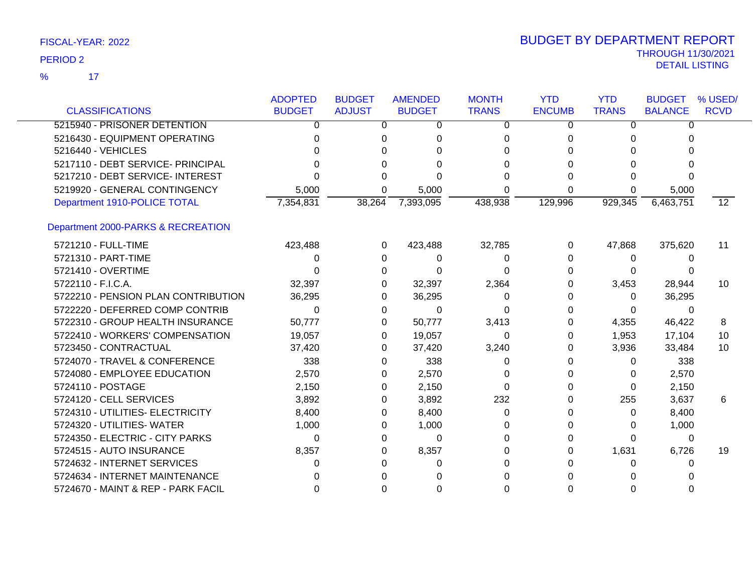$\overline{\mathbf{17}}$ %

|                                     | <b>ADOPTED</b> | <b>BUDGET</b> | <b>AMENDED</b> | <b>MONTH</b> | <b>YTD</b>    | <b>YTD</b>   | <b>BUDGET</b>  | % USED/          |
|-------------------------------------|----------------|---------------|----------------|--------------|---------------|--------------|----------------|------------------|
| <b>CLASSIFICATIONS</b>              | <b>BUDGET</b>  | <b>ADJUST</b> | <b>BUDGET</b>  | <b>TRANS</b> | <b>ENCUMB</b> | <b>TRANS</b> | <b>BALANCE</b> | <b>RCVD</b>      |
| 5215940 - PRISONER DETENTION        | 0              | 0             | 0              | 0            | 0             | 0            | 0              |                  |
| 5216430 - EQUIPMENT OPERATING       |                | 0             |                | 0            | 0             | 0            | 0              |                  |
| 5216440 - VEHICLES                  |                |               |                | U            |               | U            |                |                  |
| 5217110 - DEBT SERVICE- PRINCIPAL   |                | $\Omega$      |                | 0            |               | 0            |                |                  |
| 5217210 - DEBT SERVICE- INTEREST    |                |               |                |              |               |              |                |                  |
| 5219920 - GENERAL CONTINGENCY       | 5,000          | 0             | 5,000          | 0            | 0             |              | 5,000          |                  |
| Department 1910-POLICE TOTAL        | 7,354,831      | 38,264        | 7,393,095      | 438,938      | 129,996       | 929,345      | 6,463,751      | 12 <sup>12</sup> |
| Department 2000-PARKS & RECREATION  |                |               |                |              |               |              |                |                  |
| 5721210 - FULL-TIME                 | 423,488        | 0             | 423,488        | 32,785       | 0             | 47,868       | 375,620        | 11               |
| 5721310 - PART-TIME                 | 0              | 0             | 0              | 0            | 0             | 0            | 0              |                  |
| 5721410 - OVERTIME                  |                | 0             | $\Omega$       | 0            | 0             | $\Omega$     | $\Omega$       |                  |
| 5722110 - F.I.C.A.                  | 32,397         | $\Omega$      | 32,397         | 2,364        |               | 3,453        | 28,944         | 10               |
| 5722210 - PENSION PLAN CONTRIBUTION | 36,295         | 0             | 36,295         | 0            | O             | $\Omega$     | 36,295         |                  |
| 5722220 - DEFERRED COMP CONTRIB     | 0              | 0             | 0              | 0            |               | 0            | 0              |                  |
| 5722310 - GROUP HEALTH INSURANCE    | 50,777         | 0             | 50,777         | 3,413        | O             | 4,355        | 46,422         | 8                |
| 5722410 - WORKERS' COMPENSATION     | 19,057         | 0             | 19,057         | 0            | 0             | 1,953        | 17,104         | 10               |
| 5723450 - CONTRACTUAL               | 37,420         | 0             | 37,420         | 3,240        | O             | 3,936        | 33,484         | 10               |
| 5724070 - TRAVEL & CONFERENCE       | 338            | 0             | 338            | 0            |               | 0            | 338            |                  |
| 5724080 - EMPLOYEE EDUCATION        | 2,570          | 0             | 2,570          | 0            |               | 0            | 2,570          |                  |
| 5724110 - POSTAGE                   | 2,150          | 0             | 2,150          | $\Omega$     | O             | 0            | 2,150          |                  |
| 5724120 - CELL SERVICES             | 3,892          | 0             | 3,892          | 232          | O             | 255          | 3,637          | 6                |
| 5724310 - UTILITIES- ELECTRICITY    | 8,400          | 0             | 8,400          | 0            |               | 0            | 8,400          |                  |
| 5724320 - UTILITIES- WATER          | 1,000          | 0             | 1,000          | 0            |               | $\Omega$     | 1,000          |                  |
| 5724350 - ELECTRIC - CITY PARKS     | 0              | 0             | 0              | 0            |               | 0            | $\Omega$       |                  |
| 5724515 - AUTO INSURANCE            | 8,357          | 0             | 8,357          | 0            |               | 1,631        | 6,726          | 19               |
| 5724632 - INTERNET SERVICES         | 0              | 0             |                | 0            |               | 0            | $\Omega$       |                  |
| 5724634 - INTERNET MAINTENANCE      |                |               |                |              |               |              |                |                  |
| 5724670 - MAINT & REP - PARK FACIL  |                |               |                | ი            |               |              |                |                  |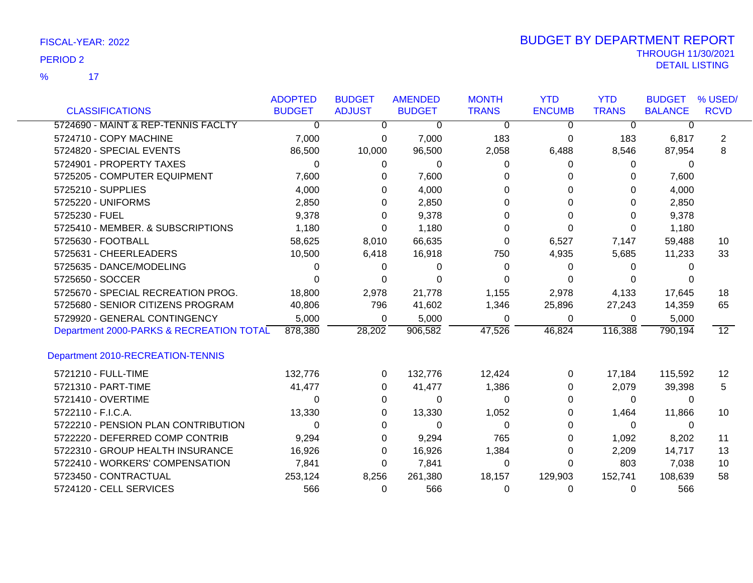$\overline{\phantom{1}}$  17 %

|                                          | <b>ADOPTED</b> | <b>BUDGET</b> | <b>AMENDED</b> | <b>MONTH</b> | <b>YTD</b>    | <b>YTD</b>   | <b>BUDGET</b>  | % USED/     |
|------------------------------------------|----------------|---------------|----------------|--------------|---------------|--------------|----------------|-------------|
| <b>CLASSIFICATIONS</b>                   | <b>BUDGET</b>  | <b>ADJUST</b> | <b>BUDGET</b>  | <b>TRANS</b> | <b>ENCUMB</b> | <b>TRANS</b> | <b>BALANCE</b> | <b>RCVD</b> |
| 5724690 - MAINT & REP-TENNIS FACLTY      | $\overline{0}$ | 0             | 0              | $\Omega$     | $\Omega$      | 0            | 0              |             |
| 5724710 - COPY MACHINE                   | 7,000          | 0             | 7,000          | 183          | 0             | 183          | 6,817          | 2           |
| 5724820 - SPECIAL EVENTS                 | 86,500         | 10,000        | 96,500         | 2,058        | 6,488         | 8,546        | 87,954         | 8           |
| 5724901 - PROPERTY TAXES                 | $\Omega$       | 0             | $\Omega$       | 0            | 0             | 0            | $\Omega$       |             |
| 5725205 - COMPUTER EQUIPMENT             | 7,600          | 0             | 7,600          | O            | 0             | 0            | 7,600          |             |
| 5725210 - SUPPLIES                       | 4,000          | 0             | 4,000          |              | 0             | 0            | 4,000          |             |
| 5725220 - UNIFORMS                       | 2,850          | 0             | 2,850          | 0            | 0             | 0            | 2,850          |             |
| 5725230 - FUEL                           | 9,378          | 0             | 9,378          | 0            | 0             | 0            | 9,378          |             |
| 5725410 - MEMBER. & SUBSCRIPTIONS        | 1,180          | 0             | 1,180          | 0            | 0             | 0            | 1,180          |             |
| 5725630 - FOOTBALL                       | 58,625         | 8,010         | 66,635         | 0            | 6,527         | 7,147        | 59,488         | 10          |
| 5725631 - CHEERLEADERS                   | 10,500         | 6,418         | 16,918         | 750          | 4,935         | 5,685        | 11,233         | 33          |
| 5725635 - DANCE/MODELING                 | 0              | 0             | 0              | $\Omega$     | 0             | 0            |                |             |
| 5725650 - SOCCER                         | 0              | 0             | 0              | 0            | 0             | 0            |                |             |
| 5725670 - SPECIAL RECREATION PROG.       | 18,800         | 2,978         | 21,778         | 1,155        | 2,978         | 4,133        | 17,645         | 18          |
| 5725680 - SENIOR CITIZENS PROGRAM        | 40,806         | 796           | 41,602         | 1,346        | 25,896        | 27,243       | 14,359         | 65          |
| 5729920 - GENERAL CONTINGENCY            | 5,000          | 0             | 5,000          | 0            | 0             | 0            | 5,000          |             |
| Department 2000-PARKS & RECREATION TOTAL | 878,380        | 28,202        | 906,582        | 47,526       | 46,824        | 116,388      | 790,194        | 12          |
| Department 2010-RECREATION-TENNIS        |                |               |                |              |               |              |                |             |
| 5721210 - FULL-TIME                      | 132,776        | 0             | 132,776        | 12,424       | 0             | 17,184       | 115,592        | 12          |
| 5721310 - PART-TIME                      | 41,477         | 0             | 41,477         | 1,386        | 0             | 2,079        | 39,398         | 5           |
| 5721410 - OVERTIME                       | 0              | 0             | 0              | 0            | 0             | 0            | 0              |             |
| 5722110 - F.I.C.A.                       | 13,330         | 0             | 13,330         | 1,052        | 0             | 1,464        | 11,866         | 10          |
| 5722210 - PENSION PLAN CONTRIBUTION      | 0              | 0             | 0              | 0            | 0             | 0            | $\Omega$       |             |
| 5722220 - DEFERRED COMP CONTRIB          | 9,294          | 0             | 9,294          | 765          | 0             | 1,092        | 8,202          | 11          |
| 5722310 - GROUP HEALTH INSURANCE         | 16,926         | 0             | 16,926         | 1,384        | 0             | 2,209        | 14,717         | 13          |
| 5722410 - WORKERS' COMPENSATION          | 7,841          | 0             | 7,841          | $\Omega$     | 0             | 803          | 7,038          | 10          |
| 5723450 - CONTRACTUAL                    | 253,124        | 8,256         | 261,380        | 18,157       | 129,903       | 152,741      | 108,639        | 58          |
| 5724120 - CELL SERVICES                  | 566            | 0             | 566            | 0            | 0             | 0            | 566            |             |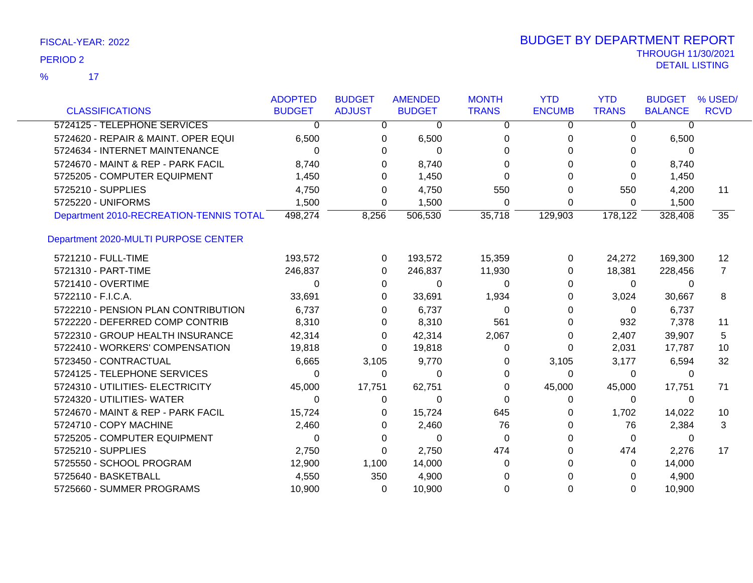|  | FISCAL-YEAR: 2022 |  |
|--|-------------------|--|
|--|-------------------|--|

|                                         | <b>ADOPTED</b> | <b>BUDGET</b>  | <b>AMENDED</b> | <b>MONTH</b>   | <b>YTD</b>    | <b>YTD</b>   | <b>BUDGET</b>  | % USED/         |
|-----------------------------------------|----------------|----------------|----------------|----------------|---------------|--------------|----------------|-----------------|
| <b>CLASSIFICATIONS</b>                  | <b>BUDGET</b>  | <b>ADJUST</b>  | <b>BUDGET</b>  | <b>TRANS</b>   | <b>ENCUMB</b> | <b>TRANS</b> | <b>BALANCE</b> | <b>RCVD</b>     |
| 5724125 - TELEPHONE SERVICES            | $\Omega$       | $\overline{0}$ | 0              | $\overline{0}$ | 0             | 0            | $\Omega$       |                 |
| 5724620 - REPAIR & MAINT. OPER EQUI     | 6,500          | 0              | 6,500          | 0              | 0             | 0            | 6,500          |                 |
| 5724634 - INTERNET MAINTENANCE          | $\Omega$       | 0              | 0              | 0              | 0             | 0            | 0              |                 |
| 5724670 - MAINT & REP - PARK FACIL      | 8,740          | $\Omega$       | 8,740          | $\Omega$       | 0             | 0            | 8,740          |                 |
| 5725205 - COMPUTER EQUIPMENT            | 1,450          | 0              | 1,450          | 0              | 0             | 0            | 1,450          |                 |
| 5725210 - SUPPLIES                      | 4,750          | 0              | 4,750          | 550            | 0             | 550          | 4,200          | 11              |
| 5725220 - UNIFORMS                      | 1,500          | 0              | 1,500          | $\Omega$       | 0             | 0            | 1,500          |                 |
| Department 2010-RECREATION-TENNIS TOTAL | 498,274        | 8,256          | 506,530        | 35,718         | 129,903       | 178,122      | 328,408        | $\overline{35}$ |
| Department 2020-MULTI PURPOSE CENTER    |                |                |                |                |               |              |                |                 |
| 5721210 - FULL-TIME                     | 193,572        | 0              | 193,572        | 15,359         | 0             | 24,272       | 169,300        | 12              |
| 5721310 - PART-TIME                     | 246,837        | $\Omega$       | 246,837        | 11,930         | 0             | 18,381       | 228,456        | $\overline{7}$  |
| 5721410 - OVERTIME                      | 0              | 0              | 0              | 0              | 0             | 0            | 0              |                 |
| 5722110 - F.I.C.A.                      | 33,691         | $\Omega$       | 33,691         | 1,934          | 0             | 3,024        | 30,667         | 8               |
| 5722210 - PENSION PLAN CONTRIBUTION     | 6,737          | 0              | 6,737          | $\Omega$       | 0             | $\Omega$     | 6,737          |                 |
| 5722220 - DEFERRED COMP CONTRIB         | 8,310          | 0              | 8,310          | 561            | 0             | 932          | 7,378          | 11              |
| 5722310 - GROUP HEALTH INSURANCE        | 42,314         | 0              | 42,314         | 2,067          | 0             | 2,407        | 39,907         | 5               |
| 5722410 - WORKERS' COMPENSATION         | 19,818         | $\Omega$       | 19,818         | 0              | 0             | 2,031        | 17,787         | 10              |
| 5723450 - CONTRACTUAL                   | 6,665          | 3,105          | 9,770          | 0              | 3,105         | 3,177        | 6,594          | 32              |
| 5724125 - TELEPHONE SERVICES            | 0              | 0              | 0              | 0              | 0             | 0            | 0              |                 |
| 5724310 - UTILITIES- ELECTRICITY        | 45,000         | 17,751         | 62,751         | 0              | 45,000        | 45,000       | 17,751         | 71              |
| 5724320 - UTILITIES- WATER              | 0              | 0              | $\Omega$       | $\Omega$       | 0             | $\Omega$     | 0              |                 |
| 5724670 - MAINT & REP - PARK FACIL      | 15,724         | 0              | 15,724         | 645            | 0             | 1,702        | 14,022         | 10              |
| 5724710 - COPY MACHINE                  | 2,460          | 0              | 2,460          | 76             | 0             | 76           | 2,384          | 3               |
| 5725205 - COMPUTER EQUIPMENT            | $\Omega$       | $\Omega$       | $\Omega$       | $\Omega$       | 0             | $\Omega$     | $\Omega$       |                 |
| 5725210 - SUPPLIES                      | 2,750          | 0              | 2,750          | 474            | 0             | 474          | 2,276          | 17              |
| 5725550 - SCHOOL PROGRAM                | 12,900         | 1,100          | 14,000         | 0              | 0             | 0            | 14,000         |                 |
| 5725640 - BASKETBALL                    | 4,550          | 350            | 4,900          | $\Omega$       | 0             | 0            | 4,900          |                 |
| 5725660 - SUMMER PROGRAMS               | 10,900         | 0              | 10,900         | $\Omega$       | 0             | $\Omega$     | 10,900         |                 |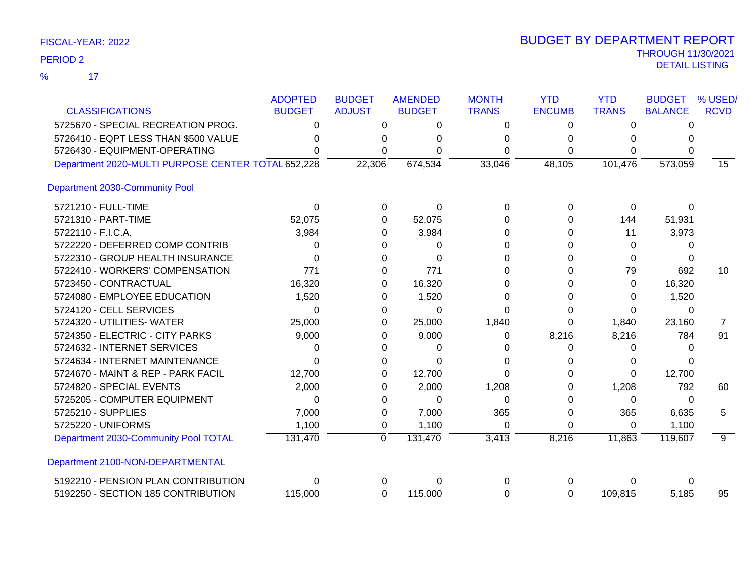$\overline{\mathbf{17}}$ %

| <b>CLASSIFICATIONS</b>                             | <b>ADOPTED</b><br><b>BUDGET</b> | <b>BUDGET</b><br><b>ADJUST</b> | <b>AMENDED</b><br><b>BUDGET</b> | <b>MONTH</b><br><b>TRANS</b> | <b>YTD</b><br><b>ENCUMB</b> | <b>YTD</b><br><b>TRANS</b> | <b>BUDGET</b><br><b>BALANCE</b> | % USED/<br><b>RCVD</b> |
|----------------------------------------------------|---------------------------------|--------------------------------|---------------------------------|------------------------------|-----------------------------|----------------------------|---------------------------------|------------------------|
| 5725670 - SPECIAL RECREATION PROG.                 | $\Omega$                        | 0                              | 0                               | $\Omega$                     | $\Omega$                    | $\Omega$                   | $\Omega$                        |                        |
| 5726410 - EQPT LESS THAN \$500 VALUE               | O                               |                                | 0                               | 0                            | $\Omega$                    | 0                          | 0                               |                        |
| 5726430 - EQUIPMENT-OPERATING                      | O                               | 0<br>0                         |                                 | 0                            | 0                           |                            | 0                               |                        |
|                                                    |                                 |                                | 0                               |                              |                             | 0                          |                                 |                        |
| Department 2020-MULTI PURPOSE CENTER TOTAL 652,228 |                                 | 22,306                         | 674,534                         | 33,046                       | 48,105                      | 101,476                    | 573,059                         | 15                     |
| Department 2030-Community Pool                     |                                 |                                |                                 |                              |                             |                            |                                 |                        |
| 5721210 - FULL-TIME                                | 0                               | 0                              | 0                               | 0                            | 0                           | 0                          | $\Omega$                        |                        |
| 5721310 - PART-TIME                                | 52,075                          | 0                              | 52,075                          | 0                            | 0                           | 144                        | 51,931                          |                        |
| 5722110 - F.I.C.A.                                 | 3,984                           | 0                              | 3,984                           | 0                            | 0                           | 11                         | 3,973                           |                        |
| 5722220 - DEFERRED COMP CONTRIB                    | 0                               |                                | 0                               | ∩                            | 0                           | $\Omega$                   | 0                               |                        |
| 5722310 - GROUP HEALTH INSURANCE                   | 0                               | 0                              | $\Omega$                        | 0                            | 0                           | $\Omega$                   | 0                               |                        |
| 5722410 - WORKERS' COMPENSATION                    | 771                             | 0                              | 771                             | 0                            | 0                           | 79                         | 692                             | 10                     |
| 5723450 - CONTRACTUAL                              | 16,320                          | 0                              | 16,320                          | 0                            | 0                           | $\Omega$                   | 16,320                          |                        |
| 5724080 - EMPLOYEE EDUCATION                       | 1,520                           | 0                              | 1,520                           | 0                            | 0                           | 0                          | 1,520                           |                        |
| 5724120 - CELL SERVICES                            | 0                               | 0                              | 0                               | ∩                            | 0                           | 0                          | $\Omega$                        |                        |
| 5724320 - UTILITIES- WATER                         | 25,000                          | 0                              | 25,000                          | 1,840                        | 0                           | 1,840                      | 23,160                          | $\overline{7}$         |
| 5724350 - ELECTRIC - CITY PARKS                    | 9,000                           | 0                              | 9,000                           | 0                            | 8,216                       | 8,216                      | 784                             | 91                     |
| 5724632 - INTERNET SERVICES                        | 0                               | 0                              | 0                               | 0                            | 0                           | 0                          | $\Omega$                        |                        |
| 5724634 - INTERNET MAINTENANCE                     | 0                               | 0                              | 0                               | 0                            | 0                           | 0                          | U                               |                        |
| 5724670 - MAINT & REP - PARK FACIL                 | 12,700                          |                                | 12,700                          | $\Omega$                     | 0                           | $\Omega$                   | 12,700                          |                        |
| 5724820 - SPECIAL EVENTS                           | 2,000                           | 0                              | 2,000                           | 1,208                        | 0                           | 1,208                      | 792                             | 60                     |
| 5725205 - COMPUTER EQUIPMENT                       | 0                               | 0                              | 0                               | 0                            | 0                           | 0                          | $\Omega$                        |                        |
| 5725210 - SUPPLIES                                 | 7,000                           | 0                              | 7,000                           | 365                          | 0                           | 365                        | 6,635                           | 5                      |
| 5725220 - UNIFORMS                                 | 1,100                           | 0                              | 1,100                           | 0                            | 0                           | $\Omega$                   | 1,100                           |                        |
| Department 2030-Community Pool TOTAL               | 131,470                         | $\mathbf 0$                    | 131,470                         | 3,413                        | 8,216                       | 11,863                     | 119,607                         | 9                      |
| Department 2100-NON-DEPARTMENTAL                   |                                 |                                |                                 |                              |                             |                            |                                 |                        |
| 5192210 - PENSION PLAN CONTRIBUTION                | 0                               | 0                              | 0                               | 0                            | $\Omega$                    | 0                          | 0                               |                        |
| 5192250 - SECTION 185 CONTRIBUTION                 | 115,000                         | 0                              | 115,000                         | $\Omega$                     | 0                           | 109,815                    | 5,185                           | 95                     |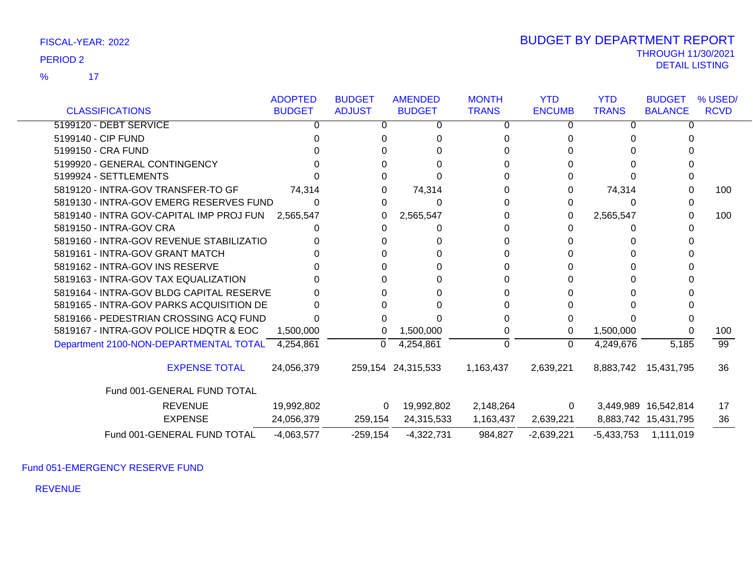$\overline{17}$ %

|                                                  | <b>ADOPTED</b> | <b>BUDGET</b> | <b>AMENDED</b>     | <b>MONTH</b> | <b>YTD</b>    | <b>YTD</b>   | <b>BUDGET</b>        | % USED/         |
|--------------------------------------------------|----------------|---------------|--------------------|--------------|---------------|--------------|----------------------|-----------------|
| <b>CLASSIFICATIONS</b>                           | <b>BUDGET</b>  | <b>ADJUST</b> | <b>BUDGET</b>      | <b>TRANS</b> | <b>ENCUMB</b> | <b>TRANS</b> | <b>BALANCE</b>       | <b>RCVD</b>     |
| 5199120 - DEBT SERVICE                           |                | 0             | 0                  | 0            | 0             | 0            | U                    |                 |
| 5199140 - CIP FUND                               |                |               |                    |              |               |              |                      |                 |
| 5199150 - CRA FUND                               |                |               |                    |              |               |              |                      |                 |
| 5199920 - GENERAL CONTINGENCY                    |                |               |                    |              |               |              |                      |                 |
| 5199924 - SETTLEMENTS                            |                |               |                    |              |               |              |                      |                 |
| 5819120 - INTRA-GOV TRANSFER-TO GF               | 74,314         |               | 74,314             |              |               | 74,314       | 0                    | 100             |
| 5819130 - INTRA-GOV EMERG RESERVES FUND          |                | 0             | 0                  | 0            | 0             |              |                      |                 |
| 5819140 - INTRA GOV-CAPITAL IMP PROJ FUN         | 2,565,547      | 0             | 2,565,547          |              | 0             | 2,565,547    |                      | 100             |
| 5819150 - INTRA-GOV CRA                          |                |               |                    |              |               |              |                      |                 |
| 5819160 - INTRA-GOV REVENUE STABILIZATIO         |                |               |                    |              |               |              |                      |                 |
| 5819161 - INTRA-GOV GRANT MATCH                  |                |               |                    |              |               |              |                      |                 |
| 5819162 - INTRA-GOV INS RESERVE                  |                |               |                    |              |               |              |                      |                 |
| 5819163 - INTRA-GOV TAX EQUALIZATION             |                |               |                    |              |               |              |                      |                 |
| 5819164 - INTRA-GOV BLDG CAPITAL RESERVE         |                |               |                    |              |               |              |                      |                 |
| 5819165 - INTRA-GOV PARKS ACQUISITION DE         |                |               |                    |              |               |              |                      |                 |
| 5819166 - PEDESTRIAN CROSSING ACQ FUND           |                |               |                    |              |               |              |                      |                 |
| 5819167 - INTRA-GOV POLICE HDQTR & EOC           | 1,500,000      | 0             | 1,500,000          |              | 0             | 1,500,000    |                      | 100             |
| Department 2100-NON-DEPARTMENTAL TOTAL 4,254,861 |                | 0             | 4,254,861          | 0            | 0             | 4,249,676    | 5,185                | $\overline{99}$ |
| <b>EXPENSE TOTAL</b>                             | 24,056,379     |               | 259,154 24,315,533 | 1,163,437    | 2,639,221     |              | 8,883,742 15,431,795 | 36              |
| Fund 001-GENERAL FUND TOTAL                      |                |               |                    |              |               |              |                      |                 |
| <b>REVENUE</b>                                   | 19,992,802     | 0             | 19,992,802         | 2,148,264    | 0             |              | 3,449,989 16,542,814 | 17              |
| <b>EXPENSE</b>                                   | 24,056,379     | 259,154       | 24,315,533         | 1,163,437    | 2,639,221     |              | 8,883,742 15,431,795 | 36              |
| Fund 001-GENERAL FUND TOTAL                      | $-4,063,577$   | $-259,154$    | $-4,322,731$       | 984,827      | $-2,639,221$  | $-5,433,753$ | 1,111,019            |                 |

Fund 051-EMERGENCY RESERVE FUND

REVENUE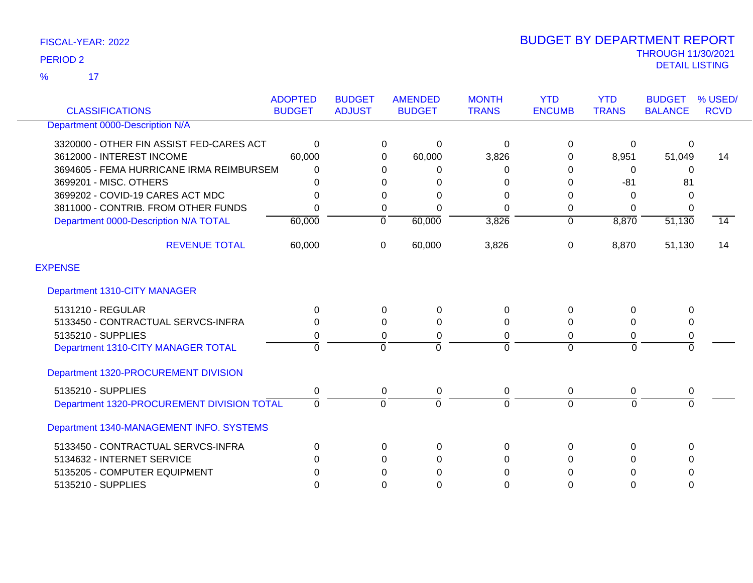17 %

|                                            | <b>ADOPTED</b> | <b>BUDGET</b>  | <b>AMENDED</b> | <b>MONTH</b>   | <b>YTD</b>    | <b>YTD</b>     | <b>BUDGET</b>  | % USED/     |
|--------------------------------------------|----------------|----------------|----------------|----------------|---------------|----------------|----------------|-------------|
| <b>CLASSIFICATIONS</b>                     | <b>BUDGET</b>  | <b>ADJUST</b>  | <b>BUDGET</b>  | <b>TRANS</b>   | <b>ENCUMB</b> | <b>TRANS</b>   | <b>BALANCE</b> | <b>RCVD</b> |
| Department 0000-Description N/A            |                |                |                |                |               |                |                |             |
| 3320000 - OTHER FIN ASSIST FED-CARES ACT   | 0              | 0              | 0              | $\Omega$       | 0             | 0              | 0              |             |
| 3612000 - INTEREST INCOME                  | 60,000         | 0              | 60,000         | 3,826          | 0             | 8,951          | 51,049         | 14          |
| 3694605 - FEMA HURRICANE IRMA REIMBURSEM   | 0              | 0              | $\Omega$       | 0              | 0             | 0              | $\Omega$       |             |
| 3699201 - MISC. OTHERS                     | 0              | 0              | 0              | 0              | $\Omega$      | $-81$          | 81             |             |
| 3699202 - COVID-19 CARES ACT MDC           | 0              | 0              | 0              | $\Omega$       | 0             | 0              | 0              |             |
| 3811000 - CONTRIB. FROM OTHER FUNDS        | 0              | 0              | $\Omega$       | $\Omega$       | 0             | 0              | $\Omega$       |             |
| Department 0000-Description N/A TOTAL      | 60,000         | $\overline{0}$ | 60,000         | 3,826          | 0             | 8,870          | 51,130         | 14          |
| <b>REVENUE TOTAL</b>                       | 60,000         | 0              | 60,000         | 3,826          | $\Omega$      | 8,870          | 51,130         | 14          |
| <b>EXPENSE</b>                             |                |                |                |                |               |                |                |             |
| Department 1310-CITY MANAGER               |                |                |                |                |               |                |                |             |
| 5131210 - REGULAR                          | 0              | $\Omega$       | 0              | 0              | $\Omega$      | $\Omega$       | $\Omega$       |             |
| 5133450 - CONTRACTUAL SERVCS-INFRA         | 0              | $\Omega$       | 0              | 0              | $\Omega$      | 0              | $\Omega$       |             |
| 5135210 - SUPPLIES                         | 0              | 0              | 0              | 0              | $\Omega$      | 0              | 0              |             |
| Department 1310-CITY MANAGER TOTAL         | $\overline{0}$ | $\overline{0}$ | $\Omega$       | $\overline{0}$ | $\Omega$      | $\overline{0}$ | $\overline{0}$ |             |
| Department 1320-PROCUREMENT DIVISION       |                |                |                |                |               |                |                |             |
| 5135210 - SUPPLIES                         | 0              | 0              | 0              | $\pmb{0}$      | $\mathbf 0$   | 0              | 0              |             |
| Department 1320-PROCUREMENT DIVISION TOTAL | $\overline{0}$ | $\mathbf 0$    | $\Omega$       | $\mathbf 0$    | $\Omega$      | $\Omega$       | $\overline{0}$ |             |
| Department 1340-MANAGEMENT INFO. SYSTEMS   |                |                |                |                |               |                |                |             |
| 5133450 - CONTRACTUAL SERVCS-INFRA         | 0              | $\Omega$       | 0              | $\Omega$       | $\mathbf{0}$  | $\Omega$       | $\Omega$       |             |
| 5134632 - INTERNET SERVICE                 | 0              | $\Omega$       | $\Omega$       | $\Omega$       | $\Omega$      | 0              | $\Omega$       |             |
| 5135205 - COMPUTER EQUIPMENT               | 0              | $\Omega$       | 0              | 0              | 0             | 0              | 0              |             |
| 5135210 - SUPPLIES                         | 0              | 0              | $\Omega$       | 0              | 0             | $\Omega$       | $\Omega$       |             |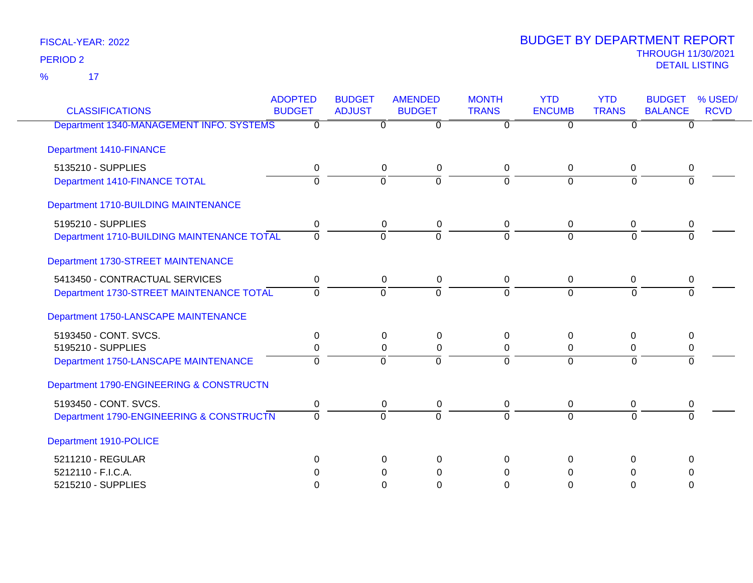17 %

| <b>CLASSIFICATIONS</b>                     | <b>ADOPTED</b><br><b>BUDGET</b> | <b>BUDGET</b><br><b>ADJUST</b> | <b>AMENDED</b><br><b>BUDGET</b> | <b>MONTH</b><br><b>TRANS</b> | <b>YTD</b><br><b>ENCUMB</b> | <b>YTD</b><br><b>TRANS</b> | <b>BUDGET</b><br><b>BALANCE</b> | % USED/<br><b>RCVD</b> |
|--------------------------------------------|---------------------------------|--------------------------------|---------------------------------|------------------------------|-----------------------------|----------------------------|---------------------------------|------------------------|
| Department 1340-MANAGEMENT INFO. SYSTEMS   | 0                               | $\Omega$                       | $\overline{0}$                  | $\overline{0}$               | $\Omega$                    | 0                          | $\Omega$                        |                        |
| Department 1410-FINANCE                    |                                 |                                |                                 |                              |                             |                            |                                 |                        |
| 5135210 - SUPPLIES                         | 0                               | 0                              | 0                               | 0                            | $\mathbf 0$                 | $\mathbf 0$                | 0                               |                        |
| Department 1410-FINANCE TOTAL              | $\overline{0}$                  | $\overline{0}$                 | $\overline{0}$                  | $\Omega$                     | $\overline{0}$              | $\Omega$                   | $\Omega$                        |                        |
| Department 1710-BUILDING MAINTENANCE       |                                 |                                |                                 |                              |                             |                            |                                 |                        |
| 5195210 - SUPPLIES                         | $\mathbf 0$                     | 0                              | 0                               | $\mathbf 0$                  | $\mathbf 0$                 | 0                          | 0                               |                        |
| Department 1710-BUILDING MAINTENANCE TOTAL | $\Omega$                        | $\Omega$                       | $\Omega$                        | $\Omega$                     | $\Omega$                    | $\Omega$                   | $\Omega$                        |                        |
| Department 1730-STREET MAINTENANCE         |                                 |                                |                                 |                              |                             |                            |                                 |                        |
| 5413450 - CONTRACTUAL SERVICES             | 0                               | 0                              | 0                               | 0                            | $\mathbf 0$                 | 0                          | 0                               |                        |
| Department 1730-STREET MAINTENANCE TOTAL   | $\Omega$                        | $\Omega$                       | $\overline{0}$                  | $\Omega$                     | $\Omega$                    | $\Omega$                   | $\Omega$                        |                        |
| Department 1750-LANSCAPE MAINTENANCE       |                                 |                                |                                 |                              |                             |                            |                                 |                        |
| 5193450 - CONT. SVCS.                      | 0                               | 0                              | 0                               | 0                            | 0                           | $\Omega$                   | 0                               |                        |
| 5195210 - SUPPLIES                         | 0                               | 0                              | 0                               | 0                            | 0                           | 0                          | 0                               |                        |
| Department 1750-LANSCAPE MAINTENANCE       | $\Omega$                        | $\Omega$                       | $\Omega$                        | $\Omega$                     | $\Omega$                    | $\overline{0}$             | $\overline{0}$                  |                        |
| Department 1790-ENGINEERING & CONSTRUCTN   |                                 |                                |                                 |                              |                             |                            |                                 |                        |
| 5193450 - CONT. SVCS.                      | 0                               | 0                              | 0                               | 0                            | $\mathbf 0$                 | 0                          | 0                               |                        |
| Department 1790-ENGINEERING & CONSTRUCTN   | $\Omega$                        | $\Omega$                       | $\overline{0}$                  | $\Omega$                     | $\Omega$                    | $\Omega$                   | $\Omega$                        |                        |
| Department 1910-POLICE                     |                                 |                                |                                 |                              |                             |                            |                                 |                        |
| 5211210 - REGULAR                          | $\Omega$                        | $\Omega$                       | $\Omega$                        | $\Omega$                     | $\Omega$                    | $\Omega$                   | $\Omega$                        |                        |
| 5212110 - F.I.C.A.                         | 0                               | 0                              | 0                               | 0                            | 0                           | 0                          | $\Omega$                        |                        |
| 5215210 - SUPPLIES                         | 0                               | $\Omega$                       | $\Omega$                        | $\Omega$                     | $\Omega$                    | 0                          | 0                               |                        |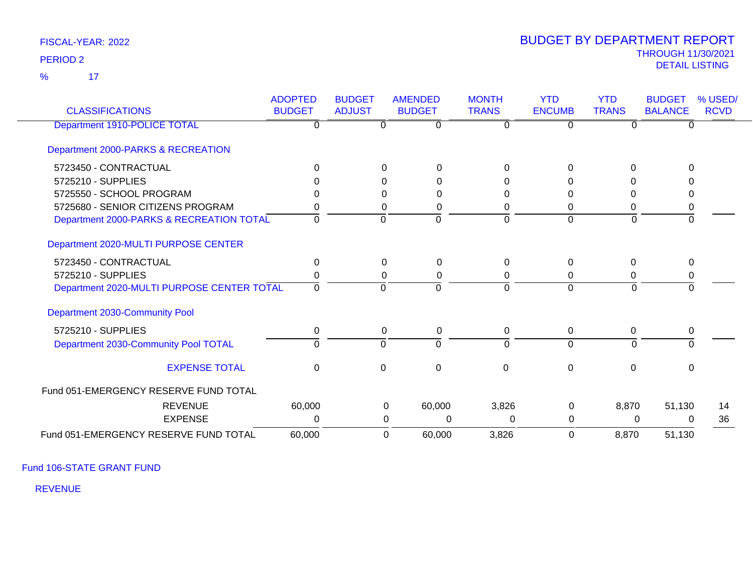$\overline{17}$ %

# THROUGH 11/30/2021 DETAIL LISTING PERIOD <sup>2</sup> BUDGET BY DEPARTMENT REPORT

| <b>CLASSIFICATIONS</b>                     | <b>ADOPTED</b><br><b>BUDGET</b> | <b>BUDGET</b><br><b>ADJUST</b> | <b>AMENDED</b><br><b>BUDGET</b> | <b>MONTH</b><br><b>TRANS</b> | <b>YTD</b><br><b>ENCUMB</b> | <b>YTD</b><br><b>TRANS</b> | <b>BUDGET</b><br><b>BALANCE</b> | % USED/<br><b>RCVD</b> |
|--------------------------------------------|---------------------------------|--------------------------------|---------------------------------|------------------------------|-----------------------------|----------------------------|---------------------------------|------------------------|
| Department 1910-POLICE TOTAL               | 0                               | 0                              | $\Omega$                        | 0                            | 0                           | 0                          | $\Omega$                        |                        |
| Department 2000-PARKS & RECREATION         |                                 |                                |                                 |                              |                             |                            |                                 |                        |
| 5723450 - CONTRACTUAL                      | $\Omega$                        | $\Omega$                       | $\Omega$                        | $\Omega$                     | $\Omega$                    | $\Omega$                   | $\Omega$                        |                        |
| 5725210 - SUPPLIES                         |                                 |                                | 0<br>0                          | 0                            | 0                           |                            |                                 |                        |
| 5725550 - SCHOOL PROGRAM                   |                                 |                                | $\Omega$<br>0                   | 0                            | 0                           | 0                          | 0                               |                        |
| 5725680 - SENIOR CITIZENS PROGRAM          |                                 |                                | 0<br>0                          | 0                            | 0                           | 0                          | 0                               |                        |
| Department 2000-PARKS & RECREATION TOTAL   | 0                               | $\Omega$                       | $\Omega$                        | $\Omega$                     | $\Omega$                    | $\mathbf 0$                | $\mathbf 0$                     |                        |
| Department 2020-MULTI PURPOSE CENTER       |                                 |                                |                                 |                              |                             |                            |                                 |                        |
| 5723450 - CONTRACTUAL                      | $\Omega$                        |                                | $\Omega$<br>0                   | $\Omega$                     | $\Omega$                    | $\Omega$                   | $\Omega$                        |                        |
| 5725210 - SUPPLIES                         |                                 |                                | 0<br>0                          | 0                            | 0                           | 0                          | 0                               |                        |
| Department 2020-MULTI PURPOSE CENTER TOTAL | $\Omega$                        | $\Omega$                       | $\Omega$                        | $\Omega$                     | $\Omega$                    | $\Omega$                   | $\Omega$                        |                        |
| Department 2030-Community Pool             |                                 |                                |                                 |                              |                             |                            |                                 |                        |
| 5725210 - SUPPLIES                         | 0                               |                                | 0<br>0                          | 0                            | 0                           | $\Omega$                   | 0                               |                        |
| Department 2030-Community Pool TOTAL       | $\Omega$                        | $\Omega$                       | $\Omega$                        | $\Omega$                     | $\Omega$                    | $\Omega$                   | $\Omega$                        |                        |
| <b>EXPENSE TOTAL</b>                       | $\mathbf 0$                     | $\mathbf 0$                    | $\mathbf 0$                     | 0                            | $\Omega$                    | $\mathbf 0$                | $\Omega$                        |                        |
| Fund 051-EMERGENCY RESERVE FUND TOTAL      |                                 |                                |                                 |                              |                             |                            |                                 |                        |
| <b>REVENUE</b>                             | 60,000                          |                                | 60,000<br>0                     | 3,826                        | 0                           | 8,870                      | 51,130                          | 14                     |
| <b>EXPENSE</b>                             | 0                               |                                | $\Omega$<br>$\Omega$            | 0                            | 0                           | 0                          | $\Omega$                        | 36                     |
| Fund 051-EMERGENCY RESERVE FUND TOTAL      | 60,000                          |                                | 60,000<br>0                     | 3,826                        | $\Omega$                    | 8,870                      | 51,130                          |                        |

Fund 106-STATE GRANT FUND

REVENUE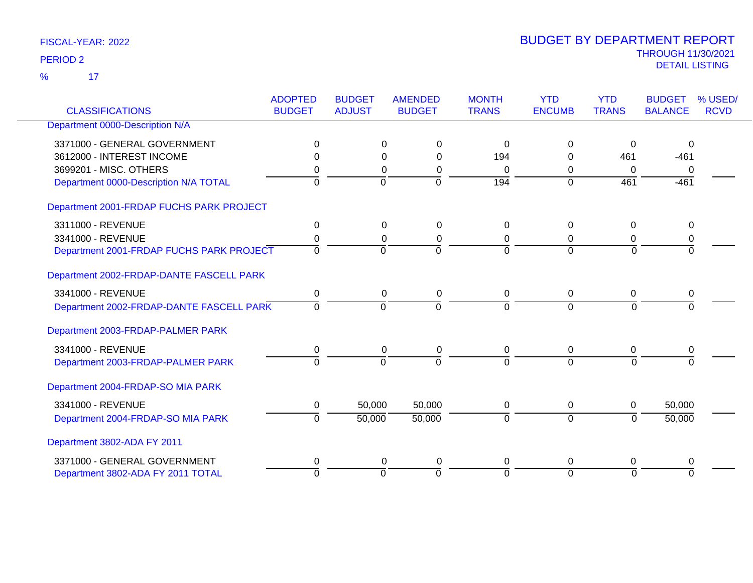17 %

| <b>CLASSIFICATIONS</b>                   | <b>ADOPTED</b><br><b>BUDGET</b> | <b>BUDGET</b><br><b>ADJUST</b> | <b>AMENDED</b><br><b>BUDGET</b> | <b>MONTH</b><br><b>TRANS</b> | <b>YTD</b><br><b>ENCUMB</b> | <b>YTD</b><br><b>TRANS</b> | <b>BUDGET</b><br><b>BALANCE</b> | % USED/<br><b>RCVD</b> |
|------------------------------------------|---------------------------------|--------------------------------|---------------------------------|------------------------------|-----------------------------|----------------------------|---------------------------------|------------------------|
| Department 0000-Description N/A          |                                 |                                |                                 |                              |                             |                            |                                 |                        |
| 3371000 - GENERAL GOVERNMENT             | 0                               |                                | 0<br>0                          | $\Omega$                     | $\Omega$                    | 0                          | 0                               |                        |
| 3612000 - INTEREST INCOME                |                                 |                                | $\Omega$<br>$\Omega$            | 194                          | 0                           | 461                        | $-461$                          |                        |
| 3699201 - MISC, OTHERS                   | 0                               |                                | $\Omega$<br>0                   | $\Omega$                     | $\Omega$                    | $\Omega$                   | 0                               |                        |
| Department 0000-Description N/A TOTAL    | $\Omega$                        | $\mathbf 0$                    | $\overline{0}$                  | 194                          | $\Omega$                    | 461                        | $-461$                          |                        |
| Department 2001-FRDAP FUCHS PARK PROJECT |                                 |                                |                                 |                              |                             |                            |                                 |                        |
| 3311000 - REVENUE                        | $\mathbf 0$                     |                                | $\mathbf 0$<br>$\mathbf 0$      | $\mathbf 0$                  | $\mathbf 0$                 | $\mathbf 0$                | $\mathbf 0$                     |                        |
| 3341000 - REVENUE                        | 0                               |                                | 0<br>0                          | 0                            | 0                           | 0                          | 0                               |                        |
| Department 2001-FRDAP FUCHS PARK PROJECT | $\mathbf 0$                     | $\Omega$                       | $\overline{0}$                  | $\Omega$                     | $\Omega$                    | $\overline{0}$             | $\overline{0}$                  |                        |
| Department 2002-FRDAP-DANTE FASCELL PARK |                                 |                                |                                 |                              |                             |                            |                                 |                        |
| 3341000 - REVENUE                        | 0                               |                                | $\mathbf 0$<br>0                | 0                            | 0                           | $\mathbf 0$                | 0                               |                        |
| Department 2002-FRDAP-DANTE FASCELL PARK | $\Omega$                        | $\overline{0}$                 | $\mathbf 0$                     | $\Omega$                     | $\Omega$                    | $\Omega$                   | $\Omega$                        |                        |
| Department 2003-FRDAP-PALMER PARK        |                                 |                                |                                 |                              |                             |                            |                                 |                        |
| 3341000 - REVENUE                        | 0                               |                                | 0<br>0                          | 0                            | 0                           | $\pmb{0}$                  | 0                               |                        |
| Department 2003-FRDAP-PALMER PARK        | $\Omega$                        | $\overline{0}$                 | $\overline{0}$                  | $\Omega$                     | $\Omega$                    | $\Omega$                   | $\Omega$                        |                        |
| Department 2004-FRDAP-SO MIA PARK        |                                 |                                |                                 |                              |                             |                            |                                 |                        |
| 3341000 - REVENUE                        | 0                               | 50,000                         | 50,000                          | 0                            | 0                           | 0                          | 50,000                          |                        |
| Department 2004-FRDAP-SO MIA PARK        | $\Omega$                        | 50,000                         | 50,000                          | $\Omega$                     | $\mathbf 0$                 | $\Omega$                   | 50,000                          |                        |
| Department 3802-ADA FY 2011              |                                 |                                |                                 |                              |                             |                            |                                 |                        |
| 3371000 - GENERAL GOVERNMENT             | 0                               |                                | 0<br>0                          | 0                            | 0                           | 0                          | 0                               |                        |
| Department 3802-ADA FY 2011 TOTAL        | $\Omega$                        | $\overline{0}$                 | $\overline{0}$                  | $\Omega$                     | $\overline{0}$              | $\Omega$                   | $\Omega$                        |                        |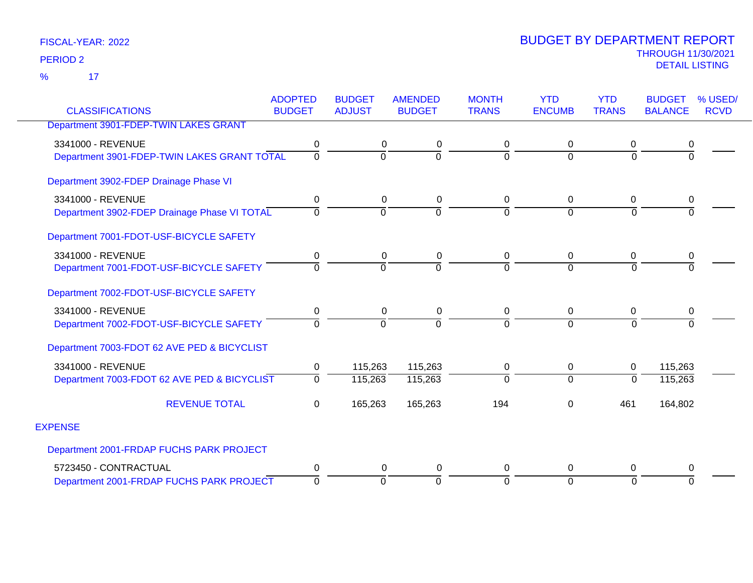17 %

| <b>CLASSIFICATIONS</b>                       | <b>ADOPTED</b><br><b>BUDGET</b> | <b>BUDGET</b><br><b>ADJUST</b> | <b>AMENDED</b><br><b>BUDGET</b> | <b>MONTH</b><br><b>TRANS</b> | <b>YTD</b><br><b>ENCUMB</b> | <b>YTD</b><br><b>TRANS</b> | <b>BUDGET</b><br><b>BALANCE</b> | % USED/<br><b>RCVD</b> |
|----------------------------------------------|---------------------------------|--------------------------------|---------------------------------|------------------------------|-----------------------------|----------------------------|---------------------------------|------------------------|
|                                              |                                 |                                |                                 |                              |                             |                            |                                 |                        |
| Department 3901-FDEP-TWIN LAKES GRANT        |                                 |                                |                                 |                              |                             |                            |                                 |                        |
| 3341000 - REVENUE                            | 0                               | 0                              |                                 | 0                            | 0                           | 0                          | 0                               |                        |
| Department 3901-FDEP-TWIN LAKES GRANT TOTAL  | $\Omega$                        | $\Omega$                       | $\Omega$                        | $\overline{0}$               | $\Omega$                    | $\Omega$                   | $\Omega$                        |                        |
| Department 3902-FDEP Drainage Phase VI       |                                 |                                |                                 |                              |                             |                            |                                 |                        |
| 3341000 - REVENUE                            | 0                               | 0                              | 0                               | 0                            | $\mathbf{0}$                | 0                          | 0                               |                        |
| Department 3902-FDEP Drainage Phase VI TOTAL | 0                               | $\Omega$                       | $\Omega$                        | $\overline{0}$               | $\Omega$                    | $\Omega$                   | $\Omega$                        |                        |
| Department 7001-FDOT-USF-BICYCLE SAFETY      |                                 |                                |                                 |                              |                             |                            |                                 |                        |
| 3341000 - REVENUE                            | 0                               | 0                              | 0                               | $\pmb{0}$                    | $\mathbf{0}$                | 0                          | 0                               |                        |
| Department 7001-FDOT-USF-BICYCLE SAFETY      | 0                               | $\Omega$                       | $\Omega$                        | $\Omega$                     | $\Omega$                    | $\Omega$                   | $\Omega$                        |                        |
| Department 7002-FDOT-USF-BICYCLE SAFETY      |                                 |                                |                                 |                              |                             |                            |                                 |                        |
| 3341000 - REVENUE                            | 0                               | 0                              | 0                               | 0                            | $\Omega$                    | $\Omega$                   | 0                               |                        |
| Department 7002-FDOT-USF-BICYCLE SAFETY      | 0                               | $\Omega$                       | 0                               | $\overline{0}$               | $\Omega$                    | $\Omega$                   | $\overline{0}$                  |                        |
| Department 7003-FDOT 62 AVE PED & BICYCLIST  |                                 |                                |                                 |                              |                             |                            |                                 |                        |
| 3341000 - REVENUE                            | 0                               | 115,263                        | 115,263                         | $\pmb{0}$                    | 0                           | 0                          | 115,263                         |                        |
| Department 7003-FDOT 62 AVE PED & BICYCLIST  | $\overline{0}$                  | 115,263                        | 115,263                         | $\overline{0}$               | $\Omega$                    | $\Omega$                   | 115,263                         |                        |
| <b>REVENUE TOTAL</b>                         | 0                               | 165,263                        | 165,263                         | 194                          | $\Omega$                    | 461                        | 164,802                         |                        |
| <b>EXPENSE</b>                               |                                 |                                |                                 |                              |                             |                            |                                 |                        |
| Department 2001-FRDAP FUCHS PARK PROJECT     |                                 |                                |                                 |                              |                             |                            |                                 |                        |
| 5723450 - CONTRACTUAL                        | 0                               | 0                              | 0                               | 0                            | $\mathbf 0$                 | $\Omega$                   | 0                               |                        |
| Department 2001-FRDAP FUCHS PARK PROJECT     | $\mathbf 0$                     | $\overline{0}$                 | $\Omega$                        | $\mathbf 0$                  | $\Omega$                    | $\Omega$                   | $\Omega$                        |                        |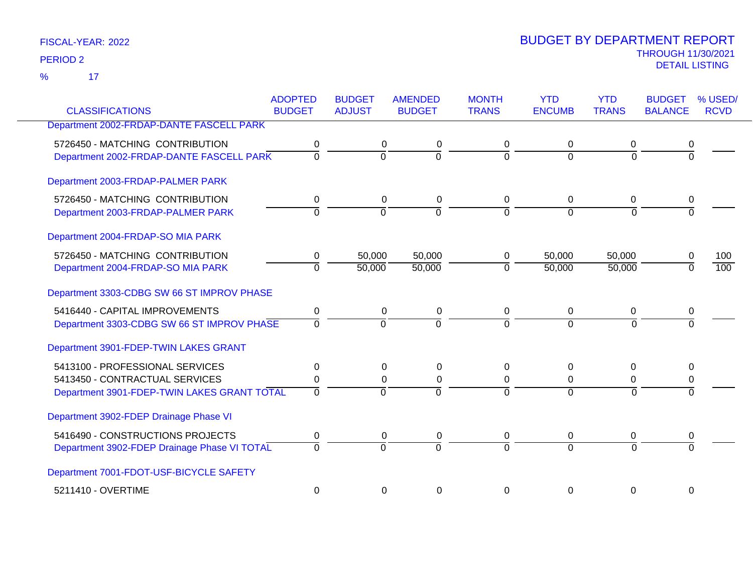17 %

|                                              | <b>ADOPTED</b> | <b>BUDGET</b>  | <b>AMENDED</b> | <b>MONTH</b> | <b>YTD</b>     | <b>YTD</b>     | <b>BUDGET</b>  | % USED/     |
|----------------------------------------------|----------------|----------------|----------------|--------------|----------------|----------------|----------------|-------------|
| <b>CLASSIFICATIONS</b>                       | <b>BUDGET</b>  | <b>ADJUST</b>  | <b>BUDGET</b>  | <b>TRANS</b> | <b>ENCUMB</b>  | <b>TRANS</b>   | <b>BALANCE</b> | <b>RCVD</b> |
| Department 2002-FRDAP-DANTE FASCELL PARK     |                |                |                |              |                |                |                |             |
| 5726450 - MATCHING CONTRIBUTION              | 0              | 0              | 0              | 0            | $\Omega$       | 0              | 0              |             |
| Department 2002-FRDAP-DANTE FASCELL PARK     | $\Omega$       | 0              | $\overline{0}$ | $\Omega$     | $\Omega$       | 0              | $\overline{0}$ |             |
| Department 2003-FRDAP-PALMER PARK            |                |                |                |              |                |                |                |             |
| 5726450 - MATCHING CONTRIBUTION              | 0              | 0              | 0              | 0            | 0              | 0              | 0              |             |
| Department 2003-FRDAP-PALMER PARK            | 0              | $\overline{0}$ | $\overline{0}$ | $\Omega$     | $\Omega$       | $\mathbf 0$    | $\Omega$       |             |
| Department 2004-FRDAP-SO MIA PARK            |                |                |                |              |                |                |                |             |
| 5726450 - MATCHING CONTRIBUTION              | 0              | 50,000         | 50,000         | 0            | 50,000         | 50,000         | 0              | 100         |
| Department 2004-FRDAP-SO MIA PARK            | $\overline{0}$ | 50,000         | 50,000         | $\mathbf 0$  | 50,000         | 50,000         | $\Omega$       | 100         |
| Department 3303-CDBG SW 66 ST IMPROV PHASE   |                |                |                |              |                |                |                |             |
| 5416440 - CAPITAL IMPROVEMENTS               | 0              | 0              | 0              | 0            | $\mathbf 0$    | 0              | 0              |             |
| Department 3303-CDBG SW 66 ST IMPROV PHASE   | $\Omega$       | $\Omega$       | $\Omega$       | $\Omega$     | $\Omega$       | $\Omega$       | $\Omega$       |             |
| Department 3901-FDEP-TWIN LAKES GRANT        |                |                |                |              |                |                |                |             |
| 5413100 - PROFESSIONAL SERVICES              | 0              | 0              | 0              | 0            | 0              | 0              | 0              |             |
| 5413450 - CONTRACTUAL SERVICES               | 0              | $\Omega$       | 0              | 0            | $\mathbf 0$    | 0              | 0              |             |
| Department 3901-FDEP-TWIN LAKES GRANT TOTAL  | $\overline{0}$ | $\overline{0}$ | $\overline{0}$ | $\Omega$     | $\overline{0}$ | $\overline{0}$ | $\Omega$       |             |
| Department 3902-FDEP Drainage Phase VI       |                |                |                |              |                |                |                |             |
| 5416490 - CONSTRUCTIONS PROJECTS             | 0              | 0              | 0              | 0            | 0              | 0              | 0              |             |
| Department 3902-FDEP Drainage Phase VI TOTAL | $\Omega$       | $\overline{0}$ | $\overline{0}$ | $\Omega$     | $\Omega$       | $\overline{0}$ | $\overline{0}$ |             |
| Department 7001-FDOT-USF-BICYCLE SAFETY      |                |                |                |              |                |                |                |             |
| 5211410 - OVERTIME                           | 0              | 0              | 0              | 0            | $\mathbf{0}$   | 0              | 0              |             |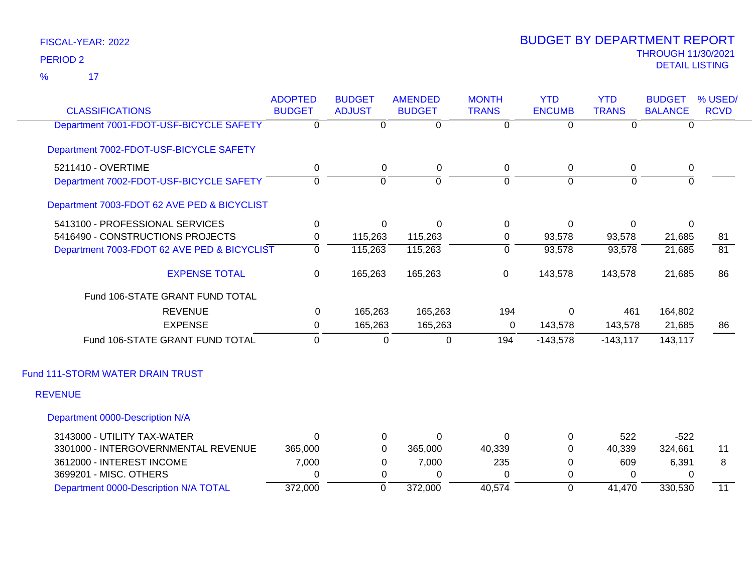17 %

| <b>CLASSIFICATIONS</b>                      | <b>ADOPTED</b><br><b>BUDGET</b> | <b>BUDGET</b><br><b>ADJUST</b> | <b>AMENDED</b><br><b>BUDGET</b> | <b>MONTH</b><br><b>TRANS</b> | <b>YTD</b><br><b>ENCUMB</b> | <b>YTD</b><br><b>TRANS</b> | <b>BUDGET</b><br><b>BALANCE</b> | % USED/<br><b>RCVD</b> |
|---------------------------------------------|---------------------------------|--------------------------------|---------------------------------|------------------------------|-----------------------------|----------------------------|---------------------------------|------------------------|
| Department 7001-FDOT-USF-BICYCLE SAFETY     | $\Omega$                        | $\mathbf{0}$                   | $\Omega$                        | 0                            | $\overline{0}$              | $\Omega$                   | $\Omega$                        |                        |
| Department 7002-FDOT-USF-BICYCLE SAFETY     |                                 |                                |                                 |                              |                             |                            |                                 |                        |
| 5211410 - OVERTIME                          | $\mathbf 0$                     | 0                              | $\mathbf 0$                     | 0                            | 0                           | 0                          | $\mathbf 0$                     |                        |
| Department 7002-FDOT-USF-BICYCLE SAFETY     | $\overline{0}$                  | $\overline{0}$                 | $\overline{0}$                  | $\overline{0}$               | $\overline{0}$              | $\overline{0}$             | $\overline{0}$                  |                        |
| Department 7003-FDOT 62 AVE PED & BICYCLIST |                                 |                                |                                 |                              |                             |                            |                                 |                        |
| 5413100 - PROFESSIONAL SERVICES             | 0                               | $\Omega$                       | $\Omega$                        | $\mathbf 0$                  | $\Omega$                    | $\Omega$                   | $\Omega$                        |                        |
| 5416490 - CONSTRUCTIONS PROJECTS            | 0                               | 115,263                        | 115,263                         | 0                            | 93,578                      | 93,578                     | 21,685                          | 81                     |
| Department 7003-FDOT 62 AVE PED & BICYCLIST | $\mathbf 0$                     | 115,263                        | 115,263                         | $\overline{0}$               | 93,578                      | 93,578                     | 21,685                          | $\overline{81}$        |
| <b>EXPENSE TOTAL</b>                        | 0                               | 165,263                        | 165,263                         | $\pmb{0}$                    | 143,578                     | 143,578                    | 21,685                          | 86                     |
| Fund 106-STATE GRANT FUND TOTAL             |                                 |                                |                                 |                              |                             |                            |                                 |                        |
| <b>REVENUE</b>                              | 0                               | 165,263                        | 165,263                         | 194                          | $\Omega$                    | 461                        | 164,802                         |                        |
| <b>EXPENSE</b>                              | 0                               | 165,263                        | 165,263                         | 0                            | 143,578                     | 143,578                    | 21,685                          | 86                     |
| Fund 106-STATE GRANT FUND TOTAL             | $\mathbf 0$                     | $\Omega$                       | 0                               | 194                          | $-143,578$                  | $-143, 117$                | 143,117                         |                        |
| Fund 111-STORM WATER DRAIN TRUST            |                                 |                                |                                 |                              |                             |                            |                                 |                        |
| <b>REVENUE</b>                              |                                 |                                |                                 |                              |                             |                            |                                 |                        |
| Department 0000-Description N/A             |                                 |                                |                                 |                              |                             |                            |                                 |                        |
| 3143000 - UTILITY TAX-WATER                 | $\Omega$                        | 0                              | 0                               | 0                            | 0                           | 522                        | $-522$                          |                        |
| 3301000 - INTERGOVERNMENTAL REVENUE         | 365,000                         | 0                              | 365,000                         | 40,339                       | $\Omega$                    | 40,339                     | 324,661                         | 11                     |
| 3612000 - INTEREST INCOME                   | 7,000                           | 0                              | 7,000                           | 235                          | 0                           | 609                        | 6,391                           | 8                      |
| 3699201 - MISC. OTHERS                      | $\Omega$                        | 0                              | $\Omega$                        | $\Omega$                     | 0                           | $\Omega$                   | $\Omega$                        |                        |
| Department 0000-Description N/A TOTAL       | 372,000                         | $\overline{0}$                 | 372,000                         | 40,574                       | $\overline{0}$              | 41,470                     | 330,530                         | 11                     |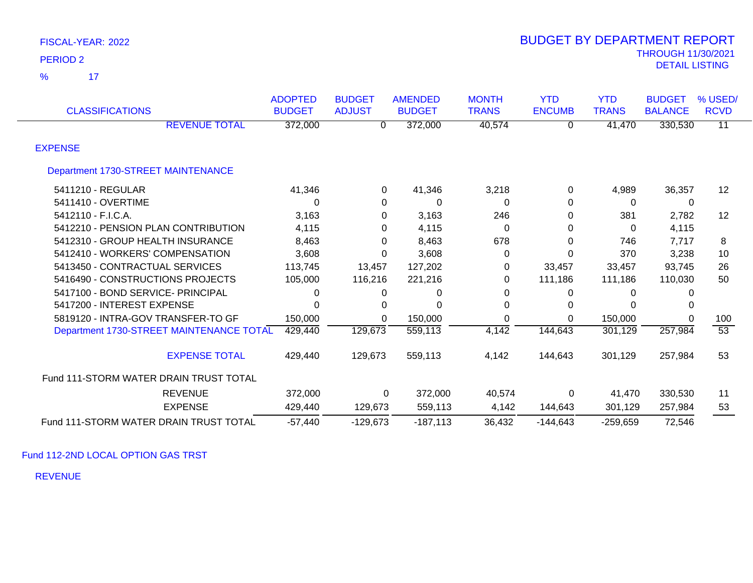$\overline{\phantom{1}}$  17 %

| <b>CLASSIFICATIONS</b>                   | <b>ADOPTED</b><br><b>BUDGET</b> | <b>BUDGET</b><br><b>ADJUST</b> | <b>AMENDED</b><br><b>BUDGET</b> | <b>MONTH</b><br><b>TRANS</b> | <b>YTD</b><br><b>ENCUMB</b> | <b>YTD</b><br><b>TRANS</b> | <b>BUDGET</b><br><b>BALANCE</b> | % USED/<br><b>RCVD</b> |
|------------------------------------------|---------------------------------|--------------------------------|---------------------------------|------------------------------|-----------------------------|----------------------------|---------------------------------|------------------------|
| <b>REVENUE TOTAL</b>                     | 372,000                         | 0                              | 372,000                         | 40,574                       | 0                           | 41,470                     | 330,530                         | $\overline{11}$        |
| <b>EXPENSE</b>                           |                                 |                                |                                 |                              |                             |                            |                                 |                        |
| Department 1730-STREET MAINTENANCE       |                                 |                                |                                 |                              |                             |                            |                                 |                        |
| 5411210 - REGULAR                        | 41,346                          | $\mathbf 0$                    | 41,346                          | 3,218                        | 0                           | 4,989                      | 36,357                          | 12                     |
| 5411410 - OVERTIME                       | 0                               | $\mathbf 0$                    | 0                               | 0                            | 0                           | 0                          | $\mathbf 0$                     |                        |
| 5412110 - F.I.C.A.                       | 3,163                           | 0                              | 3,163                           | 246                          | 0                           | 381                        | 2,782                           | 12                     |
| 5412210 - PENSION PLAN CONTRIBUTION      | 4,115                           | 0                              | 4,115                           | 0                            | 0                           | 0                          | 4,115                           |                        |
| 5412310 - GROUP HEALTH INSURANCE         | 8,463                           | 0                              | 8,463                           | 678                          | 0                           | 746                        | 7,717                           | 8                      |
| 5412410 - WORKERS' COMPENSATION          | 3,608                           | $\Omega$                       | 3,608                           | 0                            | 0                           | 370                        | 3,238                           | 10                     |
| 5413450 - CONTRACTUAL SERVICES           | 113,745                         | 13,457                         | 127,202                         | 0                            | 33,457                      | 33,457                     | 93,745                          | 26                     |
| 5416490 - CONSTRUCTIONS PROJECTS         | 105,000                         | 116,216                        | 221,216                         | 0                            | 111,186                     | 111,186                    | 110,030                         | 50                     |
| 5417100 - BOND SERVICE- PRINCIPAL        | 0                               | 0                              | 0                               | 0                            | 0                           | 0                          |                                 |                        |
| 5417200 - INTEREST EXPENSE               | O                               | 0                              | O                               | 0                            | 0                           |                            |                                 |                        |
| 5819120 - INTRA-GOV TRANSFER-TO GF       | 150,000                         | $\Omega$                       | 150,000                         | 0                            | 0                           | 150,000                    | $\Omega$                        | 100                    |
| Department 1730-STREET MAINTENANCE TOTAL | 429,440                         | 129,673                        | 559,113                         | $\overline{4,142}$           | 144,643                     | 301,129                    | 257,984                         | $\overline{53}$        |
| <b>EXPENSE TOTAL</b>                     | 429,440                         | 129,673                        | 559,113                         | 4,142                        | 144,643                     | 301,129                    | 257,984                         | 53                     |
| Fund 111-STORM WATER DRAIN TRUST TOTAL   |                                 |                                |                                 |                              |                             |                            |                                 |                        |
| <b>REVENUE</b>                           | 372,000                         | $\Omega$                       | 372,000                         | 40,574                       | 0                           | 41,470                     | 330,530                         | 11                     |
| <b>EXPENSE</b>                           | 429,440                         | 129,673                        | 559,113                         | 4,142                        | 144,643                     | 301,129                    | 257,984                         | 53                     |
| Fund 111-STORM WATER DRAIN TRUST TOTAL   | $-57,440$                       | $-129,673$                     | $-187,113$                      | 36,432                       | $-144,643$                  | $-259,659$                 | 72,546                          |                        |

Fund 112-2ND LOCAL OPTION GAS TRST

REVENUE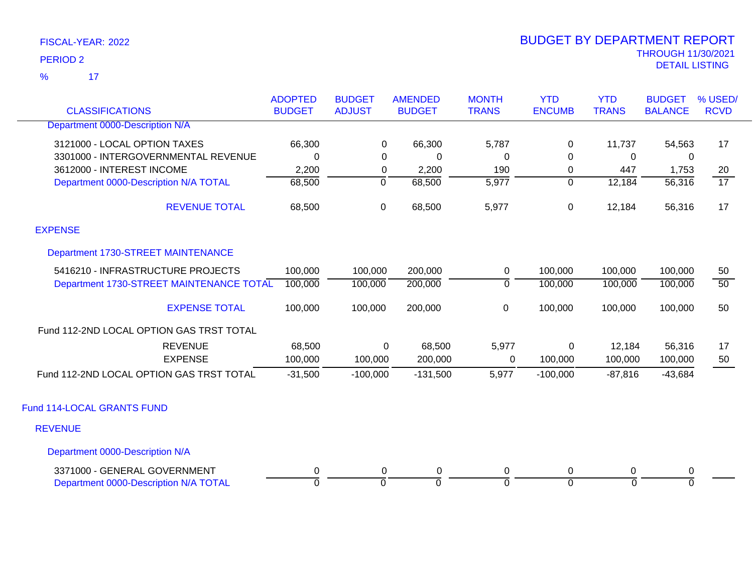17 %

| <b>CLASSIFICATIONS</b>                   | <b>ADOPTED</b><br><b>BUDGET</b> | <b>BUDGET</b><br><b>ADJUST</b> | <b>AMENDED</b><br><b>BUDGET</b> | <b>MONTH</b><br><b>TRANS</b> | <b>YTD</b><br><b>ENCUMB</b> | <b>YTD</b><br><b>TRANS</b> | <b>BUDGET</b><br><b>BALANCE</b> | % USED/<br><b>RCVD</b> |
|------------------------------------------|---------------------------------|--------------------------------|---------------------------------|------------------------------|-----------------------------|----------------------------|---------------------------------|------------------------|
| Department 0000-Description N/A          |                                 |                                |                                 |                              |                             |                            |                                 |                        |
| 3121000 - LOCAL OPTION TAXES             | 66,300                          | 0                              | 66,300                          | 5,787                        | 0                           | 11,737                     | 54,563                          | 17                     |
| 3301000 - INTERGOVERNMENTAL REVENUE      | $\mathbf 0$                     | 0                              | $\mathbf 0$                     | 0                            | $\Omega$                    | 0                          | 0                               |                        |
| 3612000 - INTEREST INCOME                | 2,200                           | 0                              | 2,200                           | 190                          | 0                           | 447                        | 1,753                           | 20                     |
| Department 0000-Description N/A TOTAL    | 68,500                          | $\overline{0}$                 | 68,500                          | $\overline{5,977}$           | $\overline{0}$              | 12,184                     | 56,316                          | $\overline{17}$        |
| <b>REVENUE TOTAL</b>                     | 68,500                          | $\mathbf 0$                    | 68,500                          | 5,977                        | 0                           | 12,184                     | 56,316                          | 17                     |
| <b>EXPENSE</b>                           |                                 |                                |                                 |                              |                             |                            |                                 |                        |
| Department 1730-STREET MAINTENANCE       |                                 |                                |                                 |                              |                             |                            |                                 |                        |
| 5416210 - INFRASTRUCTURE PROJECTS        | 100,000                         | 100,000                        | 200,000                         | 0                            | 100,000                     | 100,000                    | 100,000                         | 50                     |
| Department 1730-STREET MAINTENANCE TOTAL | 100,000                         | 100,000                        | 200,000                         | $\mathbf 0$                  | 100,000                     | 100,000                    | 100,000                         | $\overline{50}$        |
| <b>EXPENSE TOTAL</b>                     | 100,000                         | 100,000                        | 200,000                         | $\mathbf 0$                  | 100,000                     | 100,000                    | 100,000                         | 50                     |
| Fund 112-2ND LOCAL OPTION GAS TRST TOTAL |                                 |                                |                                 |                              |                             |                            |                                 |                        |
| <b>REVENUE</b>                           | 68,500                          | $\Omega$                       | 68,500                          | 5,977                        | 0                           | 12,184                     | 56,316                          | 17                     |
| <b>EXPENSE</b>                           | 100,000                         | 100,000                        | 200,000                         | 0                            | 100,000                     | 100,000                    | 100,000                         | 50                     |
| Fund 112-2ND LOCAL OPTION GAS TRST TOTAL | $-31,500$                       | $-100,000$                     | $-131,500$                      | 5,977                        | $-100,000$                  | $-87,816$                  | $-43,684$                       |                        |
| Fund 114-LOCAL GRANTS FUND               |                                 |                                |                                 |                              |                             |                            |                                 |                        |
| <b>REVENUE</b>                           |                                 |                                |                                 |                              |                             |                            |                                 |                        |
| Department 0000-Description N/A          |                                 |                                |                                 |                              |                             |                            |                                 |                        |
| 3371000 - GENERAL GOVERNMENT             | 0                               | 0                              | 0                               | 0                            | 0                           | 0                          | 0                               |                        |
| Department 0000-Description N/A TOTAL    | $\overline{0}$                  | $\Omega$                       | $\mathbf{0}$                    | $\mathbf 0$                  | $\Omega$                    | $\Omega$                   | $\overline{0}$                  |                        |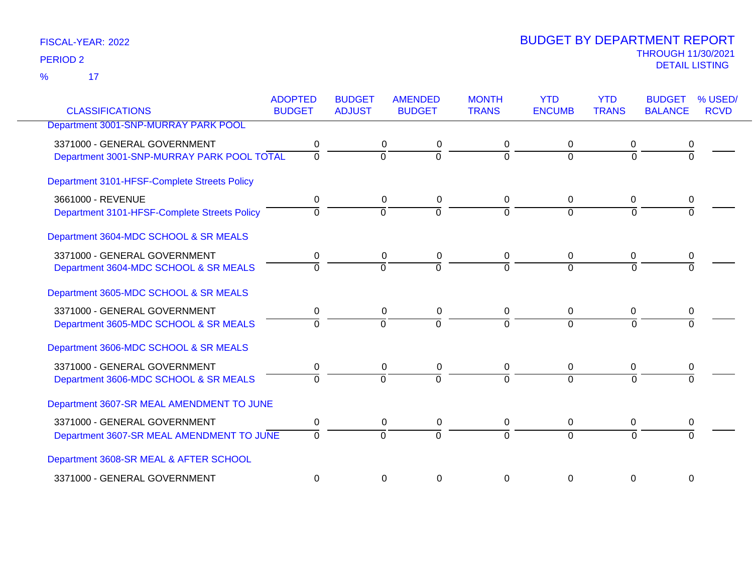17 %

| <b>CLASSIFICATIONS</b>                       | <b>ADOPTED</b><br><b>BUDGET</b> | <b>BUDGET</b><br><b>ADJUST</b> | <b>AMENDED</b><br><b>BUDGET</b> | <b>MONTH</b><br><b>TRANS</b> | <b>YTD</b><br><b>ENCUMB</b> | <b>YTD</b><br><b>TRANS</b> | <b>BUDGET</b><br><b>BALANCE</b> | % USED/<br><b>RCVD</b> |
|----------------------------------------------|---------------------------------|--------------------------------|---------------------------------|------------------------------|-----------------------------|----------------------------|---------------------------------|------------------------|
| Department 3001-SNP-MURRAY PARK POOL         |                                 |                                |                                 |                              |                             |                            |                                 |                        |
| 3371000 - GENERAL GOVERNMENT                 | 0                               |                                | 0<br>0                          | 0                            | 0                           | 0                          | 0                               |                        |
| Department 3001-SNP-MURRAY PARK POOL TOTAL   | $\overline{0}$                  | $\overline{0}$                 | ō                               | $\Omega$                     | $\overline{0}$              | $\overline{0}$             | $\overline{0}$                  |                        |
| Department 3101-HFSF-Complete Streets Policy |                                 |                                |                                 |                              |                             |                            |                                 |                        |
| 3661000 - REVENUE                            | 0                               |                                | $\Omega$<br>0                   | 0                            | 0                           | 0                          | 0                               |                        |
| Department 3101-HFSF-Complete Streets Policy | $\Omega$                        | $\Omega$                       | $\Omega$                        | $\Omega$                     | $\Omega$                    | $\Omega$                   |                                 |                        |
| Department 3604-MDC SCHOOL & SR MEALS        |                                 |                                |                                 |                              |                             |                            |                                 |                        |
| 3371000 - GENERAL GOVERNMENT                 | 0                               |                                | 0<br>0                          | 0                            | 0                           | 0                          | 0                               |                        |
| Department 3604-MDC SCHOOL & SR MEALS        | $\Omega$                        | $\Omega$                       | $\Omega$                        |                              | $\Omega$                    | $\Omega$                   |                                 |                        |
| Department 3605-MDC SCHOOL & SR MEALS        |                                 |                                |                                 |                              |                             |                            |                                 |                        |
| 3371000 - GENERAL GOVERNMENT                 | 0                               |                                | 0<br>0                          | 0                            | 0                           | 0                          | 0                               |                        |
| Department 3605-MDC SCHOOL & SR MEALS        | $\Omega$                        | $\Omega$                       | $\Omega$                        | $\Omega$                     | $\Omega$                    | $\Omega$                   | $\Omega$                        |                        |
| Department 3606-MDC SCHOOL & SR MEALS        |                                 |                                |                                 |                              |                             |                            |                                 |                        |
| 3371000 - GENERAL GOVERNMENT                 | 0                               |                                | 0<br>0                          | 0                            | 0                           | 0                          | 0                               |                        |
| Department 3606-MDC SCHOOL & SR MEALS        | $\Omega$                        | $\Omega$                       | $\Omega$                        | $\Omega$                     | $\Omega$                    | $\Omega$                   | $\Omega$                        |                        |
| Department 3607-SR MEAL AMENDMENT TO JUNE    |                                 |                                |                                 |                              |                             |                            |                                 |                        |
| 3371000 - GENERAL GOVERNMENT                 | 0                               |                                | 0<br>0                          | $\mathbf 0$                  | 0                           | $\mathbf 0$                | 0                               |                        |
| Department 3607-SR MEAL AMENDMENT TO JUNE    | $\Omega$                        | $\Omega$                       | $\Omega$                        | $\Omega$                     | $\Omega$                    | $\Omega$                   | $\Omega$                        |                        |
| Department 3608-SR MEAL & AFTER SCHOOL       |                                 |                                |                                 |                              |                             |                            |                                 |                        |
| 3371000 - GENERAL GOVERNMENT                 | 0                               |                                | 0<br>0                          | $\Omega$                     | $\Omega$                    | $\Omega$                   | 0                               |                        |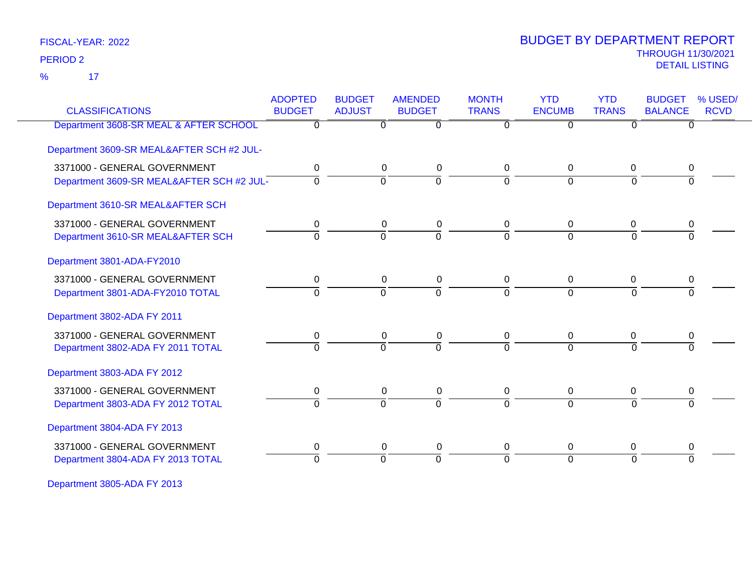17 %

# THROUGH 11/30/2021 DETAIL LISTING PERIOD <sup>2</sup> BUDGET BY DEPARTMENT REPORT

| <b>CLASSIFICATIONS</b>                    | <b>ADOPTED</b><br><b>BUDGET</b> | <b>BUDGET</b><br><b>ADJUST</b> | <b>AMENDED</b><br><b>BUDGET</b> | <b>MONTH</b><br><b>TRANS</b> | <b>YTD</b><br><b>ENCUMB</b> | <b>YTD</b><br><b>TRANS</b> | <b>BUDGET</b><br><b>BALANCE</b> | % USED/<br><b>RCVD</b> |
|-------------------------------------------|---------------------------------|--------------------------------|---------------------------------|------------------------------|-----------------------------|----------------------------|---------------------------------|------------------------|
| Department 3608-SR MEAL & AFTER SCHOOL    | $\overline{0}$                  | 0                              | $\overline{0}$                  | $\Omega$                     | $\overline{0}$              | $\Omega$                   | $\overline{0}$                  |                        |
| Department 3609-SR MEAL&AFTER SCH #2 JUL- |                                 |                                |                                 |                              |                             |                            |                                 |                        |
| 3371000 - GENERAL GOVERNMENT              | 0                               | $\mathbf 0$                    | 0                               | 0                            | $\mathbf 0$                 | $\mathbf 0$                | 0                               |                        |
| Department 3609-SR MEAL&AFTER SCH #2 JUL- | $\Omega$                        | $\Omega$                       | $\overline{0}$                  | $\Omega$                     | $\Omega$                    | $\Omega$                   | $\Omega$                        |                        |
| Department 3610-SR MEAL&AFTER SCH         |                                 |                                |                                 |                              |                             |                            |                                 |                        |
| 3371000 - GENERAL GOVERNMENT              | 0                               | 0                              | 0                               | 0                            | 0                           | 0                          | 0                               |                        |
| Department 3610-SR MEAL&AFTER SCH         | $\overline{0}$                  | $\mathbf 0$                    | $\overline{0}$                  | $\Omega$                     | $\Omega$                    | $\Omega$                   | $\Omega$                        |                        |
| Department 3801-ADA-FY2010                |                                 |                                |                                 |                              |                             |                            |                                 |                        |
| 3371000 - GENERAL GOVERNMENT              | 0                               | 0                              | 0                               | 0                            | $\overline{0}$              | 0                          | 0                               |                        |
| Department 3801-ADA-FY2010 TOTAL          | $\overline{0}$                  | $\overline{0}$                 | $\overline{0}$                  | $\Omega$                     | $\overline{0}$              | $\Omega$                   | $\overline{0}$                  |                        |
| Department 3802-ADA FY 2011               |                                 |                                |                                 |                              |                             |                            |                                 |                        |
| 3371000 - GENERAL GOVERNMENT              | 0                               | 0                              | 0                               | 0                            | 0                           | 0                          | 0                               |                        |
| Department 3802-ADA FY 2011 TOTAL         | $\Omega$                        | $\Omega$                       | $\overline{0}$                  | $\Omega$                     | $\Omega$                    | $\Omega$                   | $\Omega$                        |                        |
| Department 3803-ADA FY 2012               |                                 |                                |                                 |                              |                             |                            |                                 |                        |
| 3371000 - GENERAL GOVERNMENT              | 0                               | 0                              | 0                               | 0                            | 0                           | $\mathbf 0$                | 0                               |                        |
| Department 3803-ADA FY 2012 TOTAL         | $\Omega$                        | $\Omega$                       | $\overline{0}$                  | $\Omega$                     | $\Omega$                    | $\Omega$                   | $\Omega$                        |                        |
| Department 3804-ADA FY 2013               |                                 |                                |                                 |                              |                             |                            |                                 |                        |
| 3371000 - GENERAL GOVERNMENT              | 0                               | 0                              | 0                               | 0                            | 0                           | 0                          | 0                               |                        |
| Department 3804-ADA FY 2013 TOTAL         | $\Omega$                        | $\Omega$                       | $\overline{0}$                  | $\Omega$                     | $\Omega$                    | $\Omega$                   | $\Omega$                        |                        |
|                                           |                                 |                                |                                 |                              |                             |                            |                                 |                        |

Department 3805-ADA FY 2013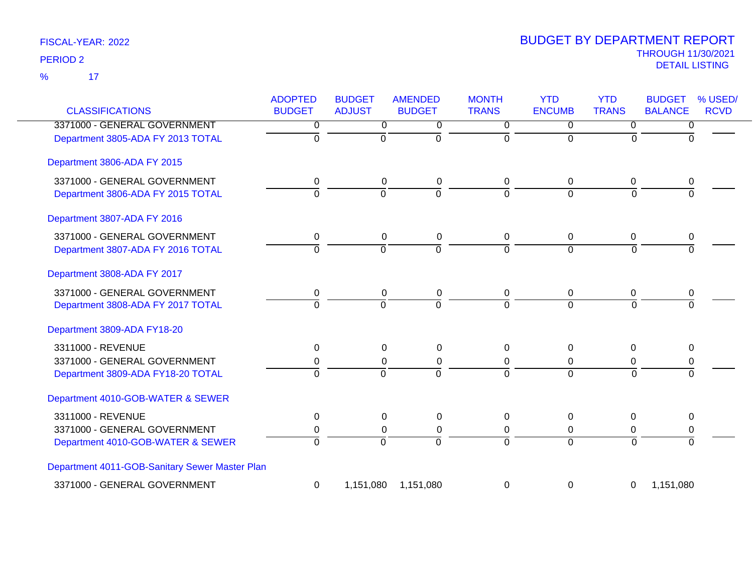17 %

| <b>CLASSIFICATIONS</b>                         | <b>ADOPTED</b><br><b>BUDGET</b> | <b>BUDGET</b><br><b>ADJUST</b> | <b>AMENDED</b><br><b>BUDGET</b> | <b>MONTH</b><br><b>TRANS</b> | <b>YTD</b><br><b>ENCUMB</b> | <b>YTD</b><br><b>TRANS</b> | <b>BUDGET</b><br>% USED/<br><b>RCVD</b><br><b>BALANCE</b> |
|------------------------------------------------|---------------------------------|--------------------------------|---------------------------------|------------------------------|-----------------------------|----------------------------|-----------------------------------------------------------|
| 3371000 - GENERAL GOVERNMENT                   | $\overline{0}$                  | $\overline{0}$                 | 0                               | $\overline{0}$               | $\overline{0}$              | $\overline{0}$             | 0                                                         |
| Department 3805-ADA FY 2013 TOTAL              | $\overline{0}$                  | 0                              | $\Omega$                        | $\Omega$                     | $\Omega$                    | $\Omega$                   | $\Omega$                                                  |
| Department 3806-ADA FY 2015                    |                                 |                                |                                 |                              |                             |                            |                                                           |
| 3371000 - GENERAL GOVERNMENT                   | 0                               | 0                              | 0                               | 0                            | $\mathbf 0$                 | $\mathbf 0$                | $\pmb{0}$                                                 |
| Department 3806-ADA FY 2015 TOTAL              | $\Omega$                        | $\Omega$                       | $\overline{0}$                  | $\Omega$                     | $\Omega$                    | $\overline{0}$             | 0                                                         |
| Department 3807-ADA FY 2016                    |                                 |                                |                                 |                              |                             |                            |                                                           |
| 3371000 - GENERAL GOVERNMENT                   | 0                               | 0                              | $\pmb{0}$                       | $\mathbf 0$                  | $\mathbf 0$                 | $\mathbf 0$                | 0                                                         |
| Department 3807-ADA FY 2016 TOTAL              | $\overline{0}$                  | $\overline{0}$                 | $\overline{0}$                  | $\Omega$                     | $\Omega$                    | $\overline{0}$             | $\Omega$                                                  |
| Department 3808-ADA FY 2017                    |                                 |                                |                                 |                              |                             |                            |                                                           |
| 3371000 - GENERAL GOVERNMENT                   | 0                               | $\mathbf 0$                    | 0                               | 0                            | 0                           | 0                          | 0                                                         |
| Department 3808-ADA FY 2017 TOTAL              | $\overline{0}$                  | $\overline{0}$                 | $\overline{0}$                  | $\mathbf 0$                  | $\Omega$                    | $\overline{0}$             | $\overline{0}$                                            |
| Department 3809-ADA FY18-20                    |                                 |                                |                                 |                              |                             |                            |                                                           |
| 3311000 - REVENUE                              | 0                               | 0                              | 0                               | 0                            | 0                           | 0                          | 0                                                         |
| 3371000 - GENERAL GOVERNMENT                   | 0                               | 0                              | $\pmb{0}$                       | 0                            | 0                           | 0                          | $\mathbf 0$                                               |
| Department 3809-ADA FY18-20 TOTAL              | $\overline{0}$                  | $\Omega$                       | $\overline{0}$                  | $\Omega$                     | $\Omega$                    | $\overline{0}$             | $\Omega$                                                  |
| Department 4010-GOB-WATER & SEWER              |                                 |                                |                                 |                              |                             |                            |                                                           |
| 3311000 - REVENUE                              | 0                               | 0                              | 0                               | 0                            | $\Omega$                    | $\Omega$                   | $\mathbf{0}$                                              |
| 3371000 - GENERAL GOVERNMENT                   | 0                               | $\Omega$                       | 0                               | 0                            | $\Omega$                    | 0                          | 0                                                         |
| Department 4010-GOB-WATER & SEWER              | $\overline{0}$                  | $\overline{0}$                 | $\Omega$                        | $\Omega$                     | $\Omega$                    | $\overline{0}$             | $\overline{0}$                                            |
| Department 4011-GOB-Sanitary Sewer Master Plan |                                 |                                |                                 |                              |                             |                            |                                                           |
| 3371000 - GENERAL GOVERNMENT                   | 0                               | 1,151,080                      | 1,151,080                       | 0                            | 0                           | 0                          | 1,151,080                                                 |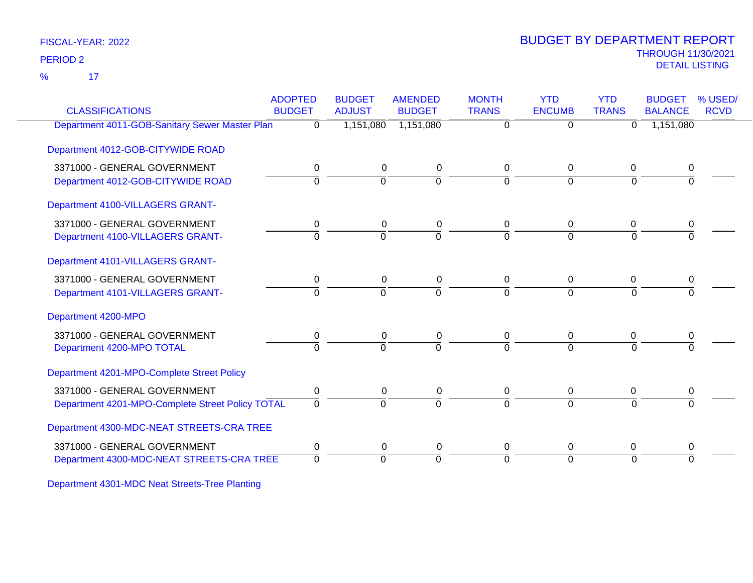17 %

# THROUGH 11/30/2021 DETAIL LISTING PERIOD <sup>2</sup> BUDGET BY DEPARTMENT REPORT

| <b>CLASSIFICATIONS</b>                           | <b>ADOPTED</b><br><b>BUDGET</b> | <b>BUDGET</b><br><b>ADJUST</b> | <b>AMENDED</b><br><b>BUDGET</b> | <b>MONTH</b><br><b>TRANS</b> | <b>YTD</b><br><b>ENCUMB</b> | <b>YTD</b><br><b>TRANS</b> | <b>BUDGET</b><br><b>BALANCE</b> | % USED/<br><b>RCVD</b> |
|--------------------------------------------------|---------------------------------|--------------------------------|---------------------------------|------------------------------|-----------------------------|----------------------------|---------------------------------|------------------------|
| Department 4011-GOB-Sanitary Sewer Master Plan   | $\Omega$                        | 1,151,080                      | 1,151,080                       | $\overline{0}$               | $\overline{0}$              | $\Omega$                   | 1,151,080                       |                        |
| Department 4012-GOB-CITYWIDE ROAD                |                                 |                                |                                 |                              |                             |                            |                                 |                        |
| 3371000 - GENERAL GOVERNMENT                     | $\mathbf 0$                     | 0                              | 0                               | 0                            | 0                           | $\mathbf 0$                | 0                               |                        |
| Department 4012-GOB-CITYWIDE ROAD                | $\Omega$                        | $\Omega$                       | $\Omega$                        | $\Omega$                     | $\overline{0}$              | $\Omega$                   |                                 |                        |
| Department 4100-VILLAGERS GRANT-                 |                                 |                                |                                 |                              |                             |                            |                                 |                        |
| 3371000 - GENERAL GOVERNMENT                     | 0                               | 0                              | 0                               | 0                            | $\Omega$                    | $\Omega$                   | 0                               |                        |
| Department 4100-VILLAGERS GRANT-                 | $\Omega$                        | $\Omega$                       | $\overline{0}$                  | $\Omega$                     | $\Omega$                    | $\Omega$                   | $\Omega$                        |                        |
| Department 4101-VILLAGERS GRANT-                 |                                 |                                |                                 |                              |                             |                            |                                 |                        |
| 3371000 - GENERAL GOVERNMENT                     | 0                               | 0                              | 0                               | 0                            | 0                           | 0                          | 0                               |                        |
| Department 4101-VILLAGERS GRANT-                 | $\Omega$                        | $\Omega$                       | $\overline{0}$                  | $\Omega$                     | $\Omega$                    | $\Omega$                   |                                 |                        |
| Department 4200-MPO                              |                                 |                                |                                 |                              |                             |                            |                                 |                        |
| 3371000 - GENERAL GOVERNMENT                     | 0                               | 0                              | 0                               | 0                            | 0                           | 0                          | 0                               |                        |
| Department 4200-MPO TOTAL                        | $\Omega$                        | $\Omega$                       | $\overline{0}$                  | $\Omega$                     | $\Omega$                    | $\Omega$                   |                                 |                        |
| Department 4201-MPO-Complete Street Policy       |                                 |                                |                                 |                              |                             |                            |                                 |                        |
| 3371000 - GENERAL GOVERNMENT                     | 0                               | 0                              | 0                               | 0                            | 0                           | 0                          | 0                               |                        |
| Department 4201-MPO-Complete Street Policy TOTAL | $\Omega$                        | $\Omega$                       | $\Omega$                        | $\Omega$                     | $\Omega$                    | $\Omega$                   | $\Omega$                        |                        |
| Department 4300-MDC-NEAT STREETS-CRA TREE        |                                 |                                |                                 |                              |                             |                            |                                 |                        |
| 3371000 - GENERAL GOVERNMENT                     | 0                               | 0                              | 0                               | 0                            | 0                           | 0                          | 0                               |                        |
| Department 4300-MDC-NEAT STREETS-CRA TREE        | $\Omega$                        | $\overline{0}$                 | $\Omega$                        | $\Omega$                     | $\overline{0}$              | $\Omega$                   | $\Omega$                        |                        |
|                                                  |                                 |                                |                                 |                              |                             |                            |                                 |                        |

Department 4301-MDC Neat Streets-Tree Planting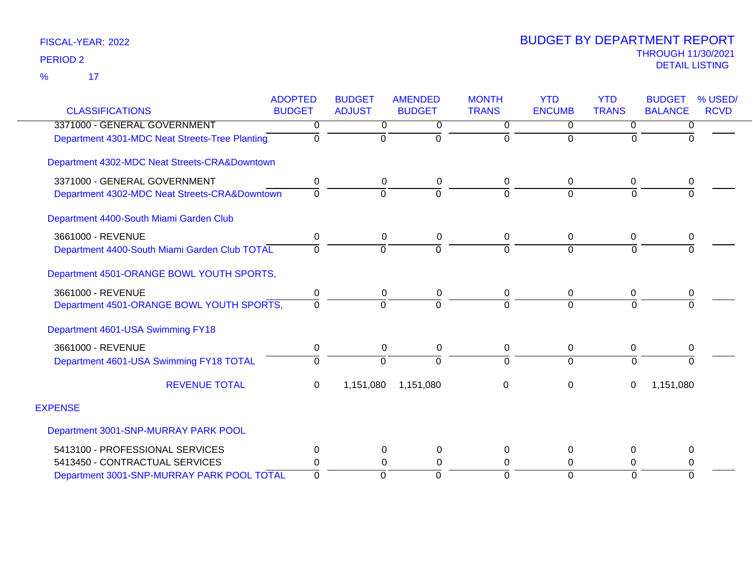$\overline{\phantom{1}}$  17 %

| <b>CLASSIFICATIONS</b>                         | <b>ADOPTED</b><br><b>BUDGET</b> | <b>BUDGET</b><br><b>ADJUST</b> | <b>AMENDED</b><br><b>BUDGET</b> | <b>MONTH</b><br><b>TRANS</b> | <b>YTD</b><br><b>ENCUMB</b> | <b>YTD</b><br><b>TRANS</b> | % USED/<br><b>BUDGET</b><br><b>BALANCE</b><br><b>RCVD</b> |
|------------------------------------------------|---------------------------------|--------------------------------|---------------------------------|------------------------------|-----------------------------|----------------------------|-----------------------------------------------------------|
| 3371000 - GENERAL GOVERNMENT                   | 0                               | $\overline{0}$                 | 0                               | 0                            | $\Omega$                    | $\mathbf 0$                |                                                           |
| Department 4301-MDC Neat Streets-Tree Planting | $\Omega$                        | 0                              | $\Omega$                        | $\overline{0}$               | $\Omega$                    | $\Omega$                   | 0<br><sup>0</sup>                                         |
| Department 4302-MDC Neat Streets-CRA&Downtown  |                                 |                                |                                 |                              |                             |                            |                                                           |
| 3371000 - GENERAL GOVERNMENT                   | 0                               | 0                              | $\Omega$                        | 0                            | $\Omega$                    | 0                          | 0                                                         |
| Department 4302-MDC Neat Streets-CRA&Downtown  | $\Omega$                        | $\Omega$                       | $\Omega$                        | 0                            | $\Omega$                    | $\Omega$                   | $\Omega$                                                  |
| Department 4400-South Miami Garden Club        |                                 |                                |                                 |                              |                             |                            |                                                           |
| 3661000 - REVENUE                              | 0                               | 0                              | 0                               | 0                            | $\overline{0}$              | 0                          | 0                                                         |
| Department 4400-South Miami Garden Club TOTAL  | 0                               | $\Omega$                       | $\Omega$                        | $\Omega$                     | $\overline{0}$              | $\Omega$                   | $\Omega$                                                  |
| Department 4501-ORANGE BOWL YOUTH SPORTS,      |                                 |                                |                                 |                              |                             |                            |                                                           |
| 3661000 - REVENUE                              | $\pmb{0}$                       | $\mathbf 0$                    | $\mathbf 0$                     | 0                            | $\mathbf 0$                 | $\mathbf 0$                | 0                                                         |
| Department 4501-ORANGE BOWL YOUTH SPORTS,      | $\Omega$                        | $\Omega$                       | $\Omega$                        | $\Omega$                     | $\Omega$                    | $\Omega$                   | $\Omega$                                                  |
| Department 4601-USA Swimming FY18              |                                 |                                |                                 |                              |                             |                            |                                                           |
| 3661000 - REVENUE                              | 0                               | 0                              | $\Omega$                        | 0                            | $\mathbf 0$                 | $\Omega$                   | 0                                                         |
| Department 4601-USA Swimming FY18 TOTAL        | 0                               | $\Omega$                       | $\Omega$                        | $\overline{0}$               | $\Omega$                    | $\Omega$                   | $\Omega$                                                  |
| <b>REVENUE TOTAL</b>                           | $\Omega$                        | 1,151,080                      | 1,151,080                       | 0                            | $\Omega$                    | 0                          | 1,151,080                                                 |
| <b>EXPENSE</b>                                 |                                 |                                |                                 |                              |                             |                            |                                                           |
| Department 3001-SNP-MURRAY PARK POOL           |                                 |                                |                                 |                              |                             |                            |                                                           |
| 5413100 - PROFESSIONAL SERVICES                | 0                               | 0                              | 0                               | 0                            | 0                           | 0                          | 0                                                         |
| 5413450 - CONTRACTUAL SERVICES                 | 0                               | $\Omega$                       | $\Omega$                        | 0                            | $\Omega$                    | $\Omega$                   | 0                                                         |
| Department 3001-SNP-MURRAY PARK POOL TOTAL     | $\Omega$                        | $\Omega$                       | $\Omega$                        | $\Omega$                     | $\Omega$                    | $\Omega$                   | $\Omega$                                                  |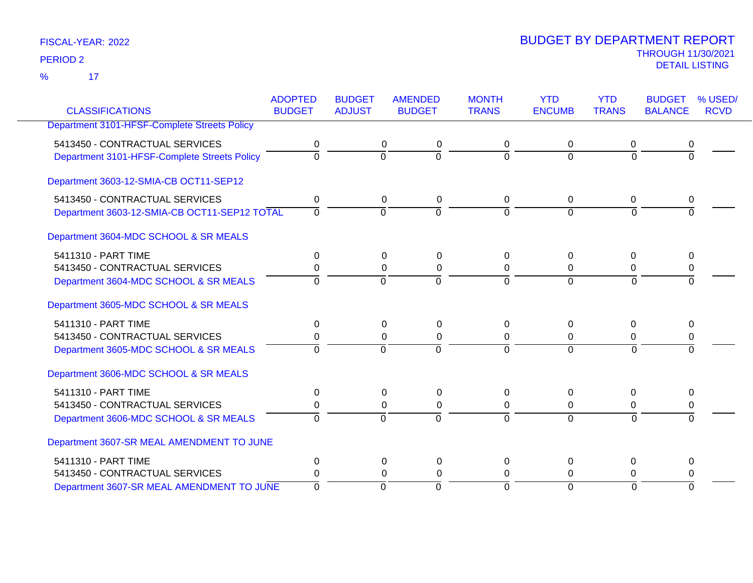17 %

|                                              | <b>ADOPTED</b> | <b>BUDGET</b> | <b>AMENDED</b>                   | <b>MONTH</b> | <b>YTD</b>    | <b>YTD</b>   | <b>BUDGET</b>  | % USED/     |
|----------------------------------------------|----------------|---------------|----------------------------------|--------------|---------------|--------------|----------------|-------------|
| <b>CLASSIFICATIONS</b>                       | <b>BUDGET</b>  | <b>ADJUST</b> | <b>BUDGET</b>                    | <b>TRANS</b> | <b>ENCUMB</b> | <b>TRANS</b> | <b>BALANCE</b> | <b>RCVD</b> |
| Department 3101-HFSF-Complete Streets Policy |                |               |                                  |              |               |              |                |             |
| 5413450 - CONTRACTUAL SERVICES               | 0              |               | 0<br>0                           | 0            | 0             | 0            | 0              |             |
| Department 3101-HFSF-Complete Streets Policy | $\overline{0}$ |               | $\overline{0}$<br>$\overline{0}$ | $\Omega$     | $\Omega$      | $\Omega$     | $\overline{0}$ |             |
| Department 3603-12-SMIA-CB OCT11-SEP12       |                |               |                                  |              |               |              |                |             |
| 5413450 - CONTRACTUAL SERVICES               | 0              |               | 0<br>0                           | 0            | $\mathbf{0}$  | 0            | 0              |             |
| Department 3603-12-SMIA-CB OCT11-SEP12 TOTAL | $\overline{0}$ |               | $\overline{0}$<br>$\Omega$       | $\Omega$     | $\Omega$      | $\Omega$     | $\Omega$       |             |
| Department 3604-MDC SCHOOL & SR MEALS        |                |               |                                  |              |               |              |                |             |
| 5411310 - PART TIME                          | $\Omega$       |               | $\Omega$<br>0                    | 0            | $\Omega$      | $\Omega$     | $\Omega$       |             |
| 5413450 - CONTRACTUAL SERVICES               | 0              |               | 0<br>0                           | 0            | 0             | 0            | 0              |             |
| Department 3604-MDC SCHOOL & SR MEALS        | $\Omega$       |               | $\Omega$<br>$\Omega$             | $\Omega$     | $\Omega$      | $\Omega$     | $\Omega$       |             |
| Department 3605-MDC SCHOOL & SR MEALS        |                |               |                                  |              |               |              |                |             |
| 5411310 - PART TIME                          | 0              |               | $\mathbf{0}$<br>0                | 0            | $\Omega$      | $\Omega$     | $\Omega$       |             |
| 5413450 - CONTRACTUAL SERVICES               | 0              |               | $\mathbf{0}$<br>$\Omega$         | 0            | $\Omega$      | 0            | 0              |             |
| Department 3605-MDC SCHOOL & SR MEALS        | $\mathbf 0$    |               | $\Omega$<br>$\Omega$             | $\Omega$     | $\Omega$      | $\mathbf 0$  | $\Omega$       |             |
| Department 3606-MDC SCHOOL & SR MEALS        |                |               |                                  |              |               |              |                |             |
| 5411310 - PART TIME                          | $\pmb{0}$      |               | 0<br>0                           | 0            | $\mathbf 0$   | $\Omega$     | 0              |             |
| 5413450 - CONTRACTUAL SERVICES               | 0              |               | $\Omega$<br>0                    | 0            | 0             | 0            | 0              |             |
| Department 3606-MDC SCHOOL & SR MEALS        | $\Omega$       |               | $\Omega$<br>$\Omega$             | $\Omega$     | $\Omega$      | $\Omega$     | $\Omega$       |             |
| Department 3607-SR MEAL AMENDMENT TO JUNE    |                |               |                                  |              |               |              |                |             |
| 5411310 - PART TIME                          | $\Omega$       |               | 0<br>0                           | 0            | $\Omega$      | $\Omega$     | $\Omega$       |             |
| 5413450 - CONTRACTUAL SERVICES               | 0              |               | 0<br>0                           | 0            | 0             | 0            | 0              |             |
| Department 3607-SR MEAL AMENDMENT TO JUNE    | $\Omega$       |               | $\Omega$<br>$\Omega$             | $\Omega$     | $\Omega$      | $\Omega$     | $\Omega$       |             |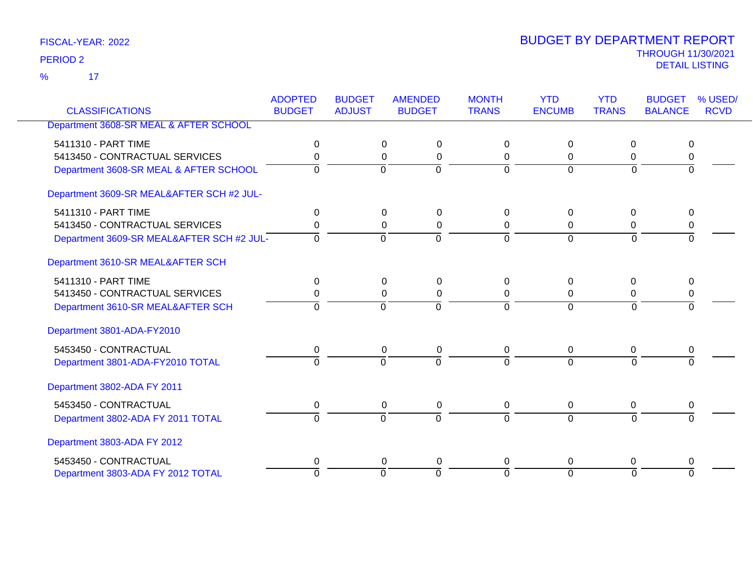17 %

|                                           | <b>ADOPTED</b> | <b>BUDGET</b>  | <b>AMENDED</b>                   | <b>MONTH</b> | <b>YTD</b>    | <b>YTD</b>     | <b>BUDGET</b>  | % USED/     |
|-------------------------------------------|----------------|----------------|----------------------------------|--------------|---------------|----------------|----------------|-------------|
| <b>CLASSIFICATIONS</b>                    | <b>BUDGET</b>  | <b>ADJUST</b>  | <b>BUDGET</b>                    | <b>TRANS</b> | <b>ENCUMB</b> | <b>TRANS</b>   | <b>BALANCE</b> | <b>RCVD</b> |
| Department 3608-SR MEAL & AFTER SCHOOL    |                |                |                                  |              |               |                |                |             |
| 5411310 - PART TIME                       | 0              |                | 0<br>0                           | 0            | 0             | 0              | 0              |             |
| 5413450 - CONTRACTUAL SERVICES            | 0              |                | $\Omega$<br>0                    | $\mathbf 0$  | $\Omega$      | 0              | 0              |             |
| Department 3608-SR MEAL & AFTER SCHOOL    | $\Omega$       | $\Omega$       | $\Omega$                         | $\Omega$     | $\Omega$      | $\Omega$       | $\Omega$       |             |
| Department 3609-SR MEAL&AFTER SCH #2 JUL- |                |                |                                  |              |               |                |                |             |
| 5411310 - PART TIME                       | $\Omega$       |                | $\Omega$<br>0                    | 0            | $\Omega$      | $\Omega$       | 0              |             |
| 5413450 - CONTRACTUAL SERVICES            | 0              |                | 0<br>0                           | 0            | $\mathbf 0$   | 0              | 0              |             |
| Department 3609-SR MEAL&AFTER SCH #2 JUL- | $\mathbf 0$    | $\mathbf 0$    | $\overline{0}$                   | $\Omega$     | $\Omega$      | $\overline{0}$ | $\Omega$       |             |
| Department 3610-SR MEAL&AFTER SCH         |                |                |                                  |              |               |                |                |             |
| 5411310 - PART TIME                       | 0              |                | $\Omega$<br>0                    | 0            | $\Omega$      | 0              | 0              |             |
| 5413450 - CONTRACTUAL SERVICES            | 0              |                | 0<br>0                           | 0            | 0             | 0              | 0              |             |
| Department 3610-SR MEAL&AFTER SCH         | $\Omega$       | $\Omega$       | $\Omega$                         | $\Omega$     | $\Omega$      | $\Omega$       | $\Omega$       |             |
| Department 3801-ADA-FY2010                |                |                |                                  |              |               |                |                |             |
| 5453450 - CONTRACTUAL                     | 0              |                | 0<br>0                           | $\Omega$     | $\mathbf{0}$  | $\Omega$       | 0              |             |
| Department 3801-ADA-FY2010 TOTAL          | $\overline{0}$ | $\overline{0}$ | $\Omega$                         | $\Omega$     | $\Omega$      | $\Omega$       | $\Omega$       |             |
| Department 3802-ADA FY 2011               |                |                |                                  |              |               |                |                |             |
| 5453450 - CONTRACTUAL                     | 0              |                | 0<br>0                           | 0            | 0             | 0              | 0              |             |
| Department 3802-ADA FY 2011 TOTAL         | $\Omega$       | $\Omega$       | $\Omega$                         | $\Omega$     | $\Omega$      | $\Omega$       | $\Omega$       |             |
| Department 3803-ADA FY 2012               |                |                |                                  |              |               |                |                |             |
| 5453450 - CONTRACTUAL                     | 0              |                | 0<br>$\mathbf 0$                 | 0            | $\Omega$      | 0              | 0              |             |
| Department 3803-ADA FY 2012 TOTAL         | $\overline{0}$ |                | $\overline{0}$<br>$\overline{0}$ | $\Omega$     | $\Omega$      | $\Omega$       | $\overline{0}$ |             |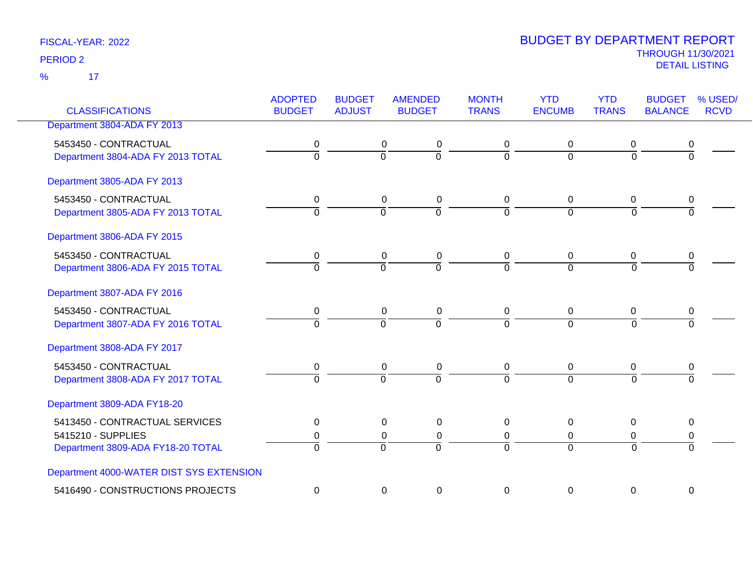17 %

| <b>CLASSIFICATIONS</b>                                                                    | <b>ADOPTED</b><br><b>BUDGET</b> | <b>BUDGET</b><br><b>ADJUST</b> | <b>AMENDED</b><br><b>BUDGET</b>            | <b>MONTH</b><br><b>TRANS</b> | <b>YTD</b><br><b>ENCUMB</b>      | <b>YTD</b><br><b>TRANS</b>    | <b>BUDGET</b><br><b>BALANCE</b> | % USED/<br><b>RCVD</b> |
|-------------------------------------------------------------------------------------------|---------------------------------|--------------------------------|--------------------------------------------|------------------------------|----------------------------------|-------------------------------|---------------------------------|------------------------|
| Department 3804-ADA FY 2013                                                               |                                 |                                |                                            |                              |                                  |                               |                                 |                        |
| 5453450 - CONTRACTUAL<br>Department 3804-ADA FY 2013 TOTAL                                | 0<br>$\overline{0}$             | $\overline{0}$                 | 0<br>0<br>$\overline{0}$                   | 0<br>$\mathbf 0$             | 0<br>$\Omega$                    | 0<br>$\Omega$                 | 0<br>$\mathbf 0$                |                        |
| Department 3805-ADA FY 2013                                                               |                                 |                                |                                            |                              |                                  |                               |                                 |                        |
| 5453450 - CONTRACTUAL<br>Department 3805-ADA FY 2013 TOTAL                                | 0<br>$\overline{0}$             | $\mathbf 0$                    | 0<br>0<br>$\overline{0}$                   | 0<br>$\Omega$                | $\mathbf 0$<br>$\Omega$          | $\mathbf 0$<br>$\overline{0}$ | 0<br>$\Omega$                   |                        |
| Department 3806-ADA FY 2015                                                               |                                 |                                |                                            |                              |                                  |                               |                                 |                        |
| 5453450 - CONTRACTUAL<br>Department 3806-ADA FY 2015 TOTAL                                | 0<br>$\overline{0}$             | $\overline{0}$                 | 0<br>0<br>$\overline{0}$                   | 0<br>$\overline{0}$          | 0<br>$\overline{0}$              | 0<br>$\overline{0}$           | 0<br>$\overline{0}$             |                        |
| Department 3807-ADA FY 2016                                                               |                                 |                                |                                            |                              |                                  |                               |                                 |                        |
| 5453450 - CONTRACTUAL<br>Department 3807-ADA FY 2016 TOTAL                                | 0<br>$\Omega$                   | $\Omega$                       | $\mathbf 0$<br>$\mathbf 0$<br>$\Omega$     | $\mathbf 0$<br>$\Omega$      | $\mathbf 0$<br>$\Omega$          | 0<br>$\Omega$                 | 0<br>$\Omega$                   |                        |
| Department 3808-ADA FY 2017                                                               |                                 |                                |                                            |                              |                                  |                               |                                 |                        |
| 5453450 - CONTRACTUAL<br>Department 3808-ADA FY 2017 TOTAL                                | 0<br>$\Omega$                   | $\overline{0}$                 | $\mathbf 0$<br>$\pmb{0}$<br>$\overline{0}$ | 0<br>$\Omega$                | $\overline{0}$<br>$\overline{0}$ | $\mathbf 0$<br>$\Omega$       | $\pmb{0}$<br>$\Omega$           |                        |
| Department 3809-ADA FY18-20                                                               |                                 |                                |                                            |                              |                                  |                               |                                 |                        |
| 5413450 - CONTRACTUAL SERVICES<br>5415210 - SUPPLIES<br>Department 3809-ADA FY18-20 TOTAL | 0<br>0<br>$\overline{0}$        | $\overline{0}$                 | 0<br>0<br>0<br>0<br>$\overline{0}$         | 0<br>0<br>$\Omega$           | 0<br>$\mathbf 0$<br>$\Omega$     | 0<br>0<br>$\overline{0}$      | 0<br>0<br>$\overline{0}$        |                        |
| Department 4000-WATER DIST SYS EXTENSION                                                  |                                 |                                |                                            |                              |                                  |                               |                                 |                        |
| 5416490 - CONSTRUCTIONS PROJECTS                                                          | $\boldsymbol{0}$                |                                | $\mathbf 0$<br>$\pmb{0}$                   | 0                            | $\mathbf 0$                      | $\mathbf 0$                   | $\boldsymbol{0}$                |                        |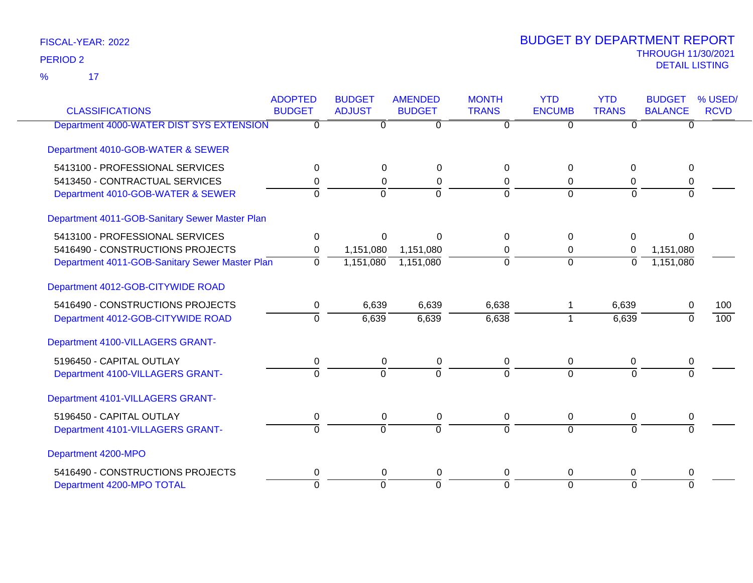17 %

| <b>CLASSIFICATIONS</b>                         | <b>ADOPTED</b><br><b>BUDGET</b> | <b>BUDGET</b><br><b>ADJUST</b> | <b>AMENDED</b><br><b>BUDGET</b> | <b>MONTH</b><br><b>TRANS</b> | <b>YTD</b><br><b>ENCUMB</b> | <b>YTD</b><br><b>TRANS</b> | <b>BUDGET</b><br><b>BALANCE</b> | % USED/<br><b>RCVD</b> |
|------------------------------------------------|---------------------------------|--------------------------------|---------------------------------|------------------------------|-----------------------------|----------------------------|---------------------------------|------------------------|
| Department 4000-WATER DIST SYS EXTENSION       | $\Omega$                        | 0                              | $\overline{0}$                  | $\Omega$                     | $\overline{0}$              | $\Omega$                   | $\Omega$                        |                        |
|                                                |                                 |                                |                                 |                              |                             |                            |                                 |                        |
| Department 4010-GOB-WATER & SEWER              |                                 |                                |                                 |                              |                             |                            |                                 |                        |
| 5413100 - PROFESSIONAL SERVICES                | 0                               | $\Omega$                       | $\Omega$                        | $\Omega$                     | $\Omega$                    | 0                          | $\Omega$                        |                        |
| 5413450 - CONTRACTUAL SERVICES                 | 0                               | 0                              | 0                               | 0                            | 0                           | 0                          | 0                               |                        |
| Department 4010-GOB-WATER & SEWER              | $\Omega$                        | $\Omega$                       | $\overline{0}$                  | $\Omega$                     | $\Omega$                    | $\Omega$                   | $\Omega$                        |                        |
| Department 4011-GOB-Sanitary Sewer Master Plan |                                 |                                |                                 |                              |                             |                            |                                 |                        |
| 5413100 - PROFESSIONAL SERVICES                | $\Omega$                        | $\Omega$                       | $\Omega$                        | $\Omega$                     | $\Omega$                    | 0                          | $\Omega$                        |                        |
| 5416490 - CONSTRUCTIONS PROJECTS               | 0                               | 1,151,080                      | 1,151,080                       | 0                            | 0                           | 0                          | 1,151,080                       |                        |
| Department 4011-GOB-Sanitary Sewer Master Plan | $\overline{0}$                  | 1,151,080                      | 1,151,080                       | $\overline{0}$               | $\overline{0}$              | $\overline{0}$             | 1,151,080                       |                        |
| Department 4012-GOB-CITYWIDE ROAD              |                                 |                                |                                 |                              |                             |                            |                                 |                        |
| 5416490 - CONSTRUCTIONS PROJECTS               | 0                               | 6,639                          | 6,639                           | 6,638                        |                             | 6,639                      | 0                               | 100                    |
| Department 4012-GOB-CITYWIDE ROAD              | $\overline{0}$                  | 6,639                          | 6,639                           | 6,638                        |                             | 6,639                      | $\Omega$                        | $\overline{100}$       |
| Department 4100-VILLAGERS GRANT-               |                                 |                                |                                 |                              |                             |                            |                                 |                        |
| 5196450 - CAPITAL OUTLAY                       | 0                               | 0                              | 0                               | $\mathbf 0$                  | 0                           | 0                          | 0                               |                        |
| Department 4100-VILLAGERS GRANT-               | $\Omega$                        | $\Omega$                       | $\overline{0}$                  | $\Omega$                     | $\Omega$                    | $\Omega$                   | $\Omega$                        |                        |
| Department 4101-VILLAGERS GRANT-               |                                 |                                |                                 |                              |                             |                            |                                 |                        |
| 5196450 - CAPITAL OUTLAY                       | 0                               | 0                              | $\mathbf 0$                     | 0                            | 0                           | $\mathbf 0$                | 0                               |                        |
| Department 4101-VILLAGERS GRANT-               | $\Omega$                        | $\mathbf 0$                    | $\overline{0}$                  | $\Omega$                     | $\overline{0}$              | $\Omega$                   | $\Omega$                        |                        |
| Department 4200-MPO                            |                                 |                                |                                 |                              |                             |                            |                                 |                        |
| 5416490 - CONSTRUCTIONS PROJECTS               | 0                               | $\Omega$                       | 0                               | $\Omega$                     | 0                           | 0                          | 0                               |                        |
| Department 4200-MPO TOTAL                      | $\Omega$                        | $\overline{0}$                 | $\overline{0}$                  | $\Omega$                     | $\overline{0}$              | $\overline{0}$             | $\overline{0}$                  |                        |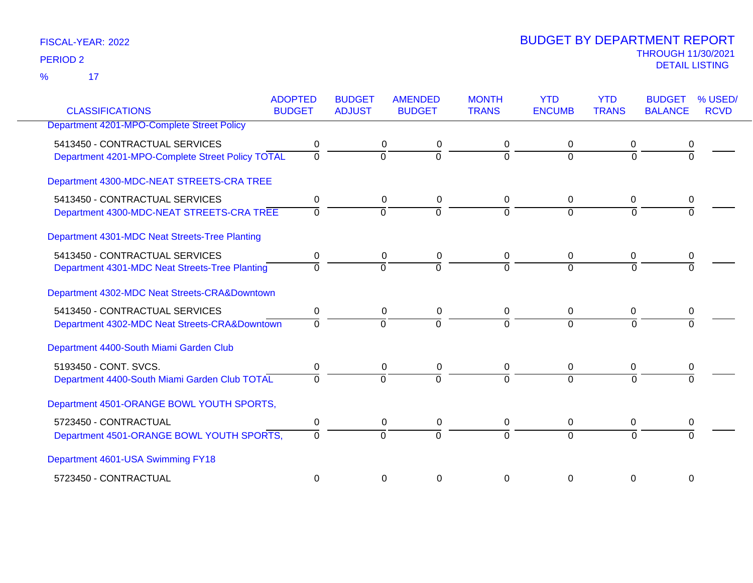17 %

| <b>CLASSIFICATIONS</b>                           | <b>ADOPTED</b><br><b>BUDGET</b> | <b>BUDGET</b><br><b>ADJUST</b> | <b>AMENDED</b><br><b>BUDGET</b> | <b>MONTH</b><br><b>TRANS</b> | <b>YTD</b><br><b>ENCUMB</b> | <b>YTD</b><br><b>TRANS</b> | <b>BUDGET</b><br><b>BALANCE</b> | % USED/<br><b>RCVD</b> |
|--------------------------------------------------|---------------------------------|--------------------------------|---------------------------------|------------------------------|-----------------------------|----------------------------|---------------------------------|------------------------|
| Department 4201-MPO-Complete Street Policy       |                                 |                                |                                 |                              |                             |                            |                                 |                        |
|                                                  |                                 |                                |                                 |                              |                             |                            |                                 |                        |
| 5413450 - CONTRACTUAL SERVICES                   | 0                               |                                | 0<br>0                          | 0                            | 0                           | 0                          |                                 |                        |
| Department 4201-MPO-Complete Street Policy TOTAL | $\overline{0}$                  | $\overline{0}$                 | $\overline{0}$                  | $\Omega$                     | $\Omega$                    | $\Omega$                   | $\Omega$                        |                        |
| Department 4300-MDC-NEAT STREETS-CRA TREE        |                                 |                                |                                 |                              |                             |                            |                                 |                        |
| 5413450 - CONTRACTUAL SERVICES                   | 0                               |                                | $\mathbf 0$<br>0                | 0                            | $\mathbf 0$                 | 0                          |                                 |                        |
| Department 4300-MDC-NEAT STREETS-CRA TREE        | $\Omega$                        | $\Omega$                       | $\overline{0}$                  | $\Omega$                     | $\Omega$                    | $\Omega$                   |                                 |                        |
| Department 4301-MDC Neat Streets-Tree Planting   |                                 |                                |                                 |                              |                             |                            |                                 |                        |
| 5413450 - CONTRACTUAL SERVICES                   | 0                               |                                | 0<br>0                          | 0                            | $\mathbf 0$                 | 0                          | 0                               |                        |
| Department 4301-MDC Neat Streets-Tree Planting   | $\Omega$                        | $\Omega$                       | $\Omega$                        | $\Omega$                     | $\Omega$                    | $\Omega$                   |                                 |                        |
| Department 4302-MDC Neat Streets-CRA&Downtown    |                                 |                                |                                 |                              |                             |                            |                                 |                        |
| 5413450 - CONTRACTUAL SERVICES                   | 0                               |                                | $\Omega$<br>0                   | $\mathbf{0}$                 | $\Omega$                    | 0                          | 0                               |                        |
| Department 4302-MDC Neat Streets-CRA&Downtown    | $\Omega$                        | $\Omega$                       | $\overline{0}$                  | $\Omega$                     | $\Omega$                    | $\Omega$                   |                                 |                        |
| Department 4400-South Miami Garden Club          |                                 |                                |                                 |                              |                             |                            |                                 |                        |
| 5193450 - CONT. SVCS.                            | 0                               |                                | 0<br>0                          | 0                            | $\mathbf 0$                 | 0                          | 0                               |                        |
| Department 4400-South Miami Garden Club TOTAL    | $\Omega$                        | $\Omega$                       | $\overline{0}$                  | $\Omega$                     | $\Omega$                    | $\Omega$                   |                                 |                        |
| Department 4501-ORANGE BOWL YOUTH SPORTS,        |                                 |                                |                                 |                              |                             |                            |                                 |                        |
| 5723450 - CONTRACTUAL                            | 0                               |                                | 0<br>0                          | 0                            | $\mathbf 0$                 | 0                          | 0                               |                        |
| Department 4501-ORANGE BOWL YOUTH SPORTS,        | $\Omega$                        | $\Omega$                       | $\Omega$                        | $\Omega$                     | $\Omega$                    | $\Omega$                   |                                 |                        |
| Department 4601-USA Swimming FY18                |                                 |                                |                                 |                              |                             |                            |                                 |                        |
| 5723450 - CONTRACTUAL                            | $\Omega$                        |                                | $\Omega$<br>0                   | 0                            | $\Omega$                    | $\Omega$                   | $\Omega$                        |                        |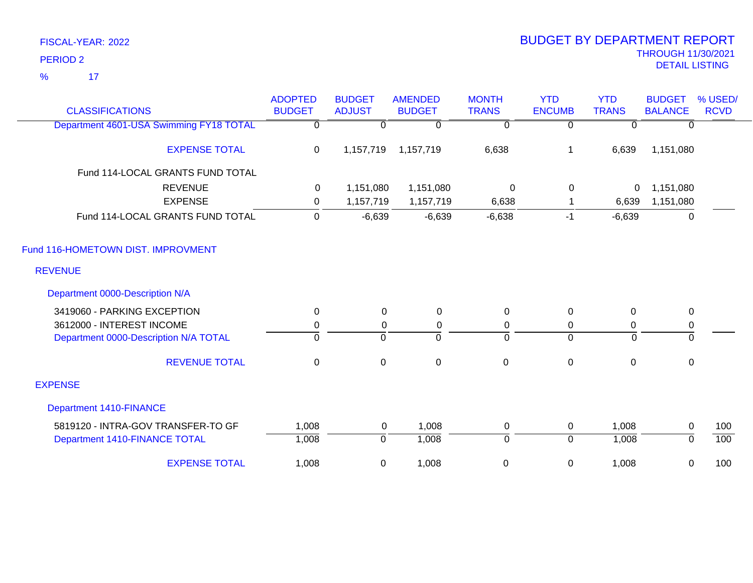17 %

| <b>CLASSIFICATIONS</b>                  | <b>ADOPTED</b><br><b>BUDGET</b> | <b>BUDGET</b><br><b>ADJUST</b> | <b>AMENDED</b><br><b>BUDGET</b> | <b>MONTH</b><br><b>TRANS</b> | <b>YTD</b><br><b>ENCUMB</b> | <b>YTD</b><br><b>TRANS</b> | <b>BUDGET</b><br><b>BALANCE</b> | % USED/<br><b>RCVD</b> |
|-----------------------------------------|---------------------------------|--------------------------------|---------------------------------|------------------------------|-----------------------------|----------------------------|---------------------------------|------------------------|
| Department 4601-USA Swimming FY18 TOTAL | $\Omega$                        | 0                              | $\Omega$                        | 0                            | $\Omega$                    | <sup>0</sup>               | $\Omega$                        |                        |
| <b>EXPENSE TOTAL</b>                    | $\mathbf 0$                     | 1,157,719                      | 1,157,719                       | 6,638                        | 1                           | 6,639                      | 1,151,080                       |                        |
| Fund 114-LOCAL GRANTS FUND TOTAL        |                                 |                                |                                 |                              |                             |                            |                                 |                        |
| <b>REVENUE</b>                          | 0                               | 1,151,080                      | 1,151,080                       | $\mathbf 0$                  | $\mathbf 0$                 | 0                          | 1,151,080                       |                        |
| <b>EXPENSE</b>                          | 0                               | 1,157,719                      | 1,157,719                       | 6,638                        |                             | 6,639                      | 1,151,080                       |                        |
| Fund 114-LOCAL GRANTS FUND TOTAL        | 0                               | $-6,639$                       | $-6,639$                        | $-6,638$                     | $-1$                        | $-6,639$                   | $\mathbf 0$                     |                        |
| Fund 116-HOMETOWN DIST. IMPROVMENT      |                                 |                                |                                 |                              |                             |                            |                                 |                        |
| <b>REVENUE</b>                          |                                 |                                |                                 |                              |                             |                            |                                 |                        |
| Department 0000-Description N/A         |                                 |                                |                                 |                              |                             |                            |                                 |                        |
| 3419060 - PARKING EXCEPTION             | 0                               | 0                              | 0                               | $\mathbf 0$                  | $\pmb{0}$                   | 0                          | $\mathbf 0$                     |                        |
| 3612000 - INTEREST INCOME               | 0                               | 0                              | 0                               | 0                            | 0                           | 0                          | $\mathbf 0$                     |                        |
| Department 0000-Description N/A TOTAL   | $\overline{0}$                  | $\mathbf 0$                    | ō                               | $\overline{0}$               | $\Omega$                    | $\Omega$                   | 0                               |                        |
| <b>REVENUE TOTAL</b>                    | $\pmb{0}$                       | $\pmb{0}$                      | $\mathsf 0$                     | $\pmb{0}$                    | $\pmb{0}$                   | $\mathbf 0$                | $\mathbf 0$                     |                        |
| <b>EXPENSE</b>                          |                                 |                                |                                 |                              |                             |                            |                                 |                        |
| <b>Department 1410-FINANCE</b>          |                                 |                                |                                 |                              |                             |                            |                                 |                        |
| 5819120 - INTRA-GOV TRANSFER-TO GF      | 1,008                           | 0                              | 1,008                           | $\pmb{0}$                    | 0                           | 1,008                      | 0                               | 100                    |
| Department 1410-FINANCE TOTAL           | 1,008                           | 0                              | 1,008                           | 0                            | $\overline{0}$              | 1,008                      | $\Omega$                        | 100                    |
| <b>EXPENSE TOTAL</b>                    | 1,008                           | 0                              | 1,008                           | $\pmb{0}$                    | $\mathbf 0$                 | 1,008                      | 0                               | 100                    |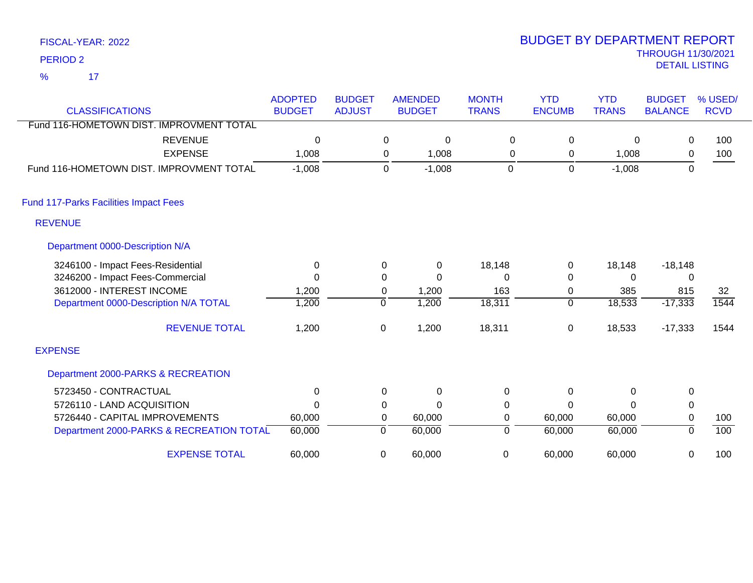17 %

| <b>CLASSIFICATIONS</b>                       | <b>ADOPTED</b><br><b>BUDGET</b> | <b>BUDGET</b><br><b>ADJUST</b> | <b>AMENDED</b><br><b>BUDGET</b> | <b>MONTH</b><br><b>TRANS</b> | <b>YTD</b><br><b>ENCUMB</b> | <b>YTD</b><br><b>TRANS</b> | <b>BUDGET</b><br><b>BALANCE</b> | % USED/<br><b>RCVD</b> |
|----------------------------------------------|---------------------------------|--------------------------------|---------------------------------|------------------------------|-----------------------------|----------------------------|---------------------------------|------------------------|
| Fund 116-HOMETOWN DIST. IMPROVMENT TOTAL     |                                 |                                |                                 |                              |                             |                            |                                 |                        |
| <b>REVENUE</b>                               | 0                               |                                | 0                               | 0<br>0                       | 0                           | 0                          | 0                               | 100                    |
| <b>EXPENSE</b>                               | 1,008                           |                                | 1,008<br>0                      | 0                            | 0                           | 1,008                      | 0                               | 100                    |
| Fund 116-HOMETOWN DIST. IMPROVMENT TOTAL     | $-1,008$                        |                                | $-1,008$<br>0                   | 0                            | $\mathbf 0$                 | $-1,008$                   | $\mathbf 0$                     |                        |
| <b>Fund 117-Parks Facilities Impact Fees</b> |                                 |                                |                                 |                              |                             |                            |                                 |                        |
| <b>REVENUE</b>                               |                                 |                                |                                 |                              |                             |                            |                                 |                        |
| Department 0000-Description N/A              |                                 |                                |                                 |                              |                             |                            |                                 |                        |
| 3246100 - Impact Fees-Residential            | 0                               |                                | $\mathbf 0$<br>0                | 18,148                       | 0                           | 18,148                     | $-18,148$                       |                        |
| 3246200 - Impact Fees-Commercial             | $\Omega$                        |                                | 0<br>$\mathbf{0}$               | 0                            | 0                           | 0                          | 0                               |                        |
| 3612000 - INTEREST INCOME                    | 1,200                           |                                | 1,200<br>$\mathbf 0$            | 163                          | 0                           | 385                        | 815                             | 32                     |
| Department 0000-Description N/A TOTAL        | 1,200                           | $\Omega$                       | 1,200                           | 18,311                       | 0                           | 18,533                     | $-17,333$                       | 1544                   |
| <b>REVENUE TOTAL</b>                         | 1,200                           | 0                              | 1,200                           | 18,311                       | 0                           | 18,533                     | $-17,333$                       | 1544                   |
| <b>EXPENSE</b>                               |                                 |                                |                                 |                              |                             |                            |                                 |                        |
| Department 2000-PARKS & RECREATION           |                                 |                                |                                 |                              |                             |                            |                                 |                        |
| 5723450 - CONTRACTUAL                        | 0                               |                                | 0<br>0                          | 0                            | 0                           | $\Omega$                   | 0                               |                        |
| 5726110 - LAND ACQUISITION                   | $\Omega$                        | 0                              | $\Omega$                        | 0                            | 0                           | 0                          | 0                               |                        |
| 5726440 - CAPITAL IMPROVEMENTS               | 60,000                          |                                | 60,000<br>$\mathbf 0$           | 0                            | 60,000                      | 60,000                     | $\mathbf 0$                     | 100                    |
| Department 2000-PARKS & RECREATION TOTAL     | 60,000                          | 0                              | 60,000                          | 0                            | 60,000                      | 60,000                     | 0                               | 100                    |
| <b>EXPENSE TOTAL</b>                         | 60,000                          | $\Omega$                       | 60,000                          | 0                            | 60,000                      | 60,000                     | 0                               | 100                    |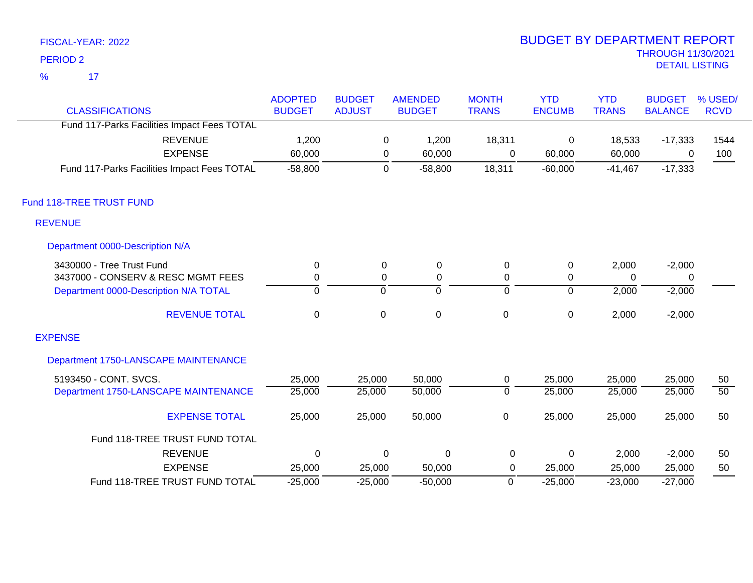$\overline{\mathbf{17}}$ %

| <b>CLASSIFICATIONS</b>                      | <b>ADOPTED</b><br><b>BUDGET</b> | <b>BUDGET</b><br><b>ADJUST</b> | <b>AMENDED</b><br><b>BUDGET</b> | <b>MONTH</b><br><b>TRANS</b> | <b>YTD</b><br><b>ENCUMB</b> | <b>YTD</b><br><b>TRANS</b> | <b>BUDGET</b><br><b>BALANCE</b> | % USED/<br><b>RCVD</b> |
|---------------------------------------------|---------------------------------|--------------------------------|---------------------------------|------------------------------|-----------------------------|----------------------------|---------------------------------|------------------------|
| Fund 117-Parks Facilities Impact Fees TOTAL |                                 |                                |                                 |                              |                             |                            |                                 |                        |
| <b>REVENUE</b>                              | 1,200                           | 0                              | 1,200                           | 18,311                       | $\mathsf 0$                 | 18,533                     | $-17,333$                       | 1544                   |
| <b>EXPENSE</b>                              | 60,000                          | 0                              | 60,000                          | 0                            | 60,000                      | 60,000                     | 0                               | 100                    |
| Fund 117-Parks Facilities Impact Fees TOTAL | $-58,800$                       |                                | $-58,800$<br>0                  | 18,311                       | $-60,000$                   | $-41,467$                  | $-17,333$                       |                        |
| Fund 118-TREE TRUST FUND                    |                                 |                                |                                 |                              |                             |                            |                                 |                        |
| <b>REVENUE</b>                              |                                 |                                |                                 |                              |                             |                            |                                 |                        |
| Department 0000-Description N/A             |                                 |                                |                                 |                              |                             |                            |                                 |                        |
| 3430000 - Tree Trust Fund                   | $\mathbf 0$                     | 0                              | $\mathbf 0$                     | 0                            | $\pmb{0}$                   | 2,000                      | $-2,000$                        |                        |
| 3437000 - CONSERV & RESC MGMT FEES          | $\mathbf 0$                     | 0                              | $\mathbf 0$                     | 0                            | 0                           | $\Omega$                   | 0                               |                        |
| Department 0000-Description N/A TOTAL       | $\mathbf 0$                     | $\overline{0}$                 | $\mathbf 0$                     | $\overline{0}$               | $\overline{0}$              | 2,000                      | $-2,000$                        |                        |
| <b>REVENUE TOTAL</b>                        | $\mathbf 0$                     | $\mathbf 0$                    | $\mathsf 0$                     | $\mathbf 0$                  | $\pmb{0}$                   | 2,000                      | $-2,000$                        |                        |
| <b>EXPENSE</b>                              |                                 |                                |                                 |                              |                             |                            |                                 |                        |
| Department 1750-LANSCAPE MAINTENANCE        |                                 |                                |                                 |                              |                             |                            |                                 |                        |
| 5193450 - CONT. SVCS.                       | 25,000                          | 25,000                         | 50,000                          | 0                            | 25,000                      | 25,000                     | 25,000                          | 50                     |
| Department 1750-LANSCAPE MAINTENANCE        | 25,000                          | 25,000                         | 50,000                          | $\mathbf 0$                  | 25,000                      | 25,000                     | 25,000                          | $\overline{50}$        |
| <b>EXPENSE TOTAL</b>                        | 25,000                          | 25,000                         | 50,000                          | $\mathsf 0$                  | 25,000                      | 25,000                     | 25,000                          | 50                     |
| Fund 118-TREE TRUST FUND TOTAL              |                                 |                                |                                 |                              |                             |                            |                                 |                        |
| <b>REVENUE</b>                              | $\Omega$                        | 0                              | $\Omega$                        | $\mathbf 0$                  | $\mathbf 0$                 | 2,000                      | $-2,000$                        | 50                     |
| <b>EXPENSE</b>                              | 25,000                          | 25,000                         | 50,000                          | 0                            | 25,000                      | 25,000                     | 25,000                          | 50                     |
| Fund 118-TREE TRUST FUND TOTAL              | $-25,000$                       | $-25,000$                      | $-50,000$                       | $\mathbf 0$                  | $-25,000$                   | $-23,000$                  | $-27,000$                       |                        |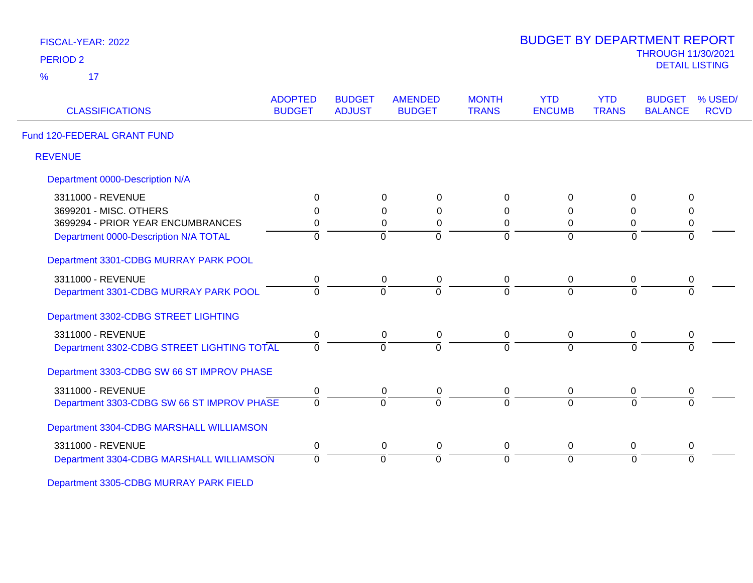| <b>PERIOD 2</b>                            |                                 |                                |                                 |                              |                             |                            | <b>THROUGH 11/30/2021</b><br><b>DETAIL LISTING</b>        |
|--------------------------------------------|---------------------------------|--------------------------------|---------------------------------|------------------------------|-----------------------------|----------------------------|-----------------------------------------------------------|
| 17<br>$\frac{9}{6}$                        |                                 |                                |                                 |                              |                             |                            |                                                           |
| <b>CLASSIFICATIONS</b>                     | <b>ADOPTED</b><br><b>BUDGET</b> | <b>BUDGET</b><br><b>ADJUST</b> | <b>AMENDED</b><br><b>BUDGET</b> | <b>MONTH</b><br><b>TRANS</b> | <b>YTD</b><br><b>ENCUMB</b> | <b>YTD</b><br><b>TRANS</b> | % USED/<br><b>BUDGET</b><br><b>BALANCE</b><br><b>RCVD</b> |
| Fund 120-FEDERAL GRANT FUND                |                                 |                                |                                 |                              |                             |                            |                                                           |
| <b>REVENUE</b>                             |                                 |                                |                                 |                              |                             |                            |                                                           |
| Department 0000-Description N/A            |                                 |                                |                                 |                              |                             |                            |                                                           |
| 3311000 - REVENUE                          | 0                               | 0                              | 0                               | 0                            | $\Omega$                    | 0                          | 0                                                         |
| 3699201 - MISC. OTHERS                     | 0                               | $\mathbf 0$                    | $\mathbf 0$                     | 0                            | $\Omega$                    | 0                          | $\mathbf 0$                                               |
| 3699294 - PRIOR YEAR ENCUMBRANCES          | 0                               |                                | 0<br>$\pmb{0}$                  | 0                            | $\mathbf 0$                 | 0                          | $\pmb{0}$                                                 |
| Department 0000-Description N/A TOTAL      | $\overline{0}$                  | $\overline{0}$                 | $\Omega$                        | $\Omega$                     | $\Omega$                    | $\overline{0}$             | $\Omega$                                                  |
| Department 3301-CDBG MURRAY PARK POOL      |                                 |                                |                                 |                              |                             |                            |                                                           |
| 3311000 - REVENUE                          | 0                               | $\mathbf 0$                    | $\pmb{0}$                       | 0                            | $\mathbf 0$                 | $\mathbf 0$                | 0                                                         |
| Department 3301-CDBG MURRAY PARK POOL      | 0                               | $\Omega$                       | $\Omega$                        | $\Omega$                     | $\Omega$                    | $\Omega$                   | $\Omega$                                                  |
| Department 3302-CDBG STREET LIGHTING       |                                 |                                |                                 |                              |                             |                            |                                                           |
| 3311000 - REVENUE                          | $\pmb{0}$                       |                                | 0<br>0                          | $\overline{0}$               | 0                           | 0                          | 0                                                         |
| Department 3302-CDBG STREET LIGHTING TOTAL | $\overline{0}$                  | $\overline{0}$                 | $\overline{0}$                  | $\overline{0}$               | $\Omega$                    | $\Omega$                   | $\overline{0}$                                            |
| Department 3303-CDBG SW 66 ST IMPROV PHASE |                                 |                                |                                 |                              |                             |                            |                                                           |
| 3311000 - REVENUE                          | 0                               | 0                              | 0                               | 0                            | 0                           | 0                          | 0                                                         |
| Department 3303-CDBG SW 66 ST IMPROV PHASE | $\overline{0}$                  | $\Omega$                       | $\Omega$                        | $\Omega$                     | $\Omega$                    | $\Omega$                   | $\Omega$                                                  |
| Department 3304-CDBG MARSHALL WILLIAMSON   |                                 |                                |                                 |                              |                             |                            |                                                           |
| 3311000 - REVENUE                          | 0                               | $\mathbf 0$                    | 0                               | $\mathbf 0$                  | 0                           | 0                          | 0                                                         |
| Department 3304-CDBG MARSHALL WILLIAMSON   | $\overline{0}$                  | $\overline{0}$                 | $\overline{0}$                  | $\overline{0}$               | $\Omega$                    | $\overline{0}$             | $\overline{0}$                                            |

BUDGET BY DEPARTMENT REPORT

Department 3305-CDBG MURRAY PARK FIELD

FISCAL-YEAR: 2022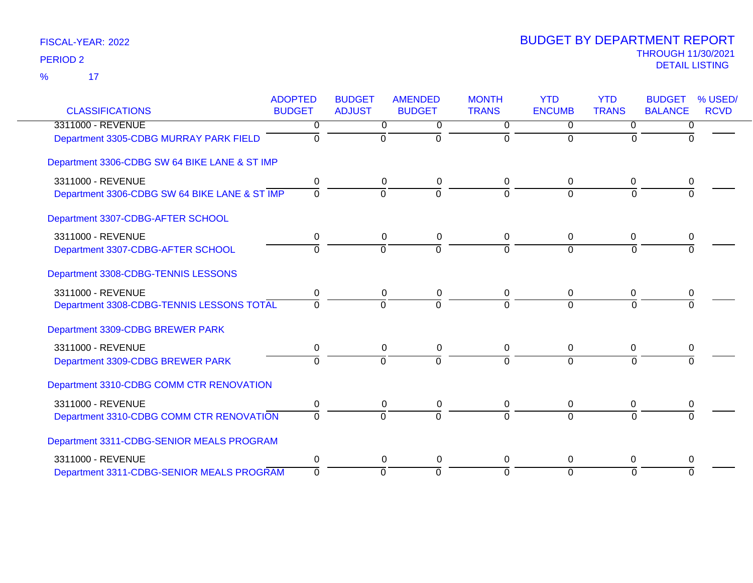$\overline{\mathbf{17}}$ %

|                                               | <b>ADOPTED</b> | <b>BUDGET</b>  | <b>AMENDED</b> | <b>MONTH</b> | <b>YTD</b>     | <b>YTD</b>     | <b>BUDGET</b>  | % USED/     |
|-----------------------------------------------|----------------|----------------|----------------|--------------|----------------|----------------|----------------|-------------|
| <b>CLASSIFICATIONS</b>                        | <b>BUDGET</b>  | <b>ADJUST</b>  | <b>BUDGET</b>  | <b>TRANS</b> | <b>ENCUMB</b>  | <b>TRANS</b>   | <b>BALANCE</b> | <b>RCVD</b> |
| 3311000 - REVENUE                             | 0              | $\overline{0}$ | 0              | $\Omega$     | $\overline{0}$ | $\Omega$       | 0              |             |
| Department 3305-CDBG MURRAY PARK FIELD        | 0              | $\mathbf 0$    | $\Omega$       | $\Omega$     | $\Omega$       | $\Omega$       | <sup>0</sup>   |             |
| Department 3306-CDBG SW 64 BIKE LANE & ST IMP |                |                |                |              |                |                |                |             |
| 3311000 - REVENUE                             | 0              | 0              | 0              | 0            | $\Omega$       | 0              | 0              |             |
| Department 3306-CDBG SW 64 BIKE LANE & ST IMP | $\overline{0}$ | $\mathbf 0$    | $\overline{0}$ | $\Omega$     | $\Omega$       | $\Omega$       | 0              |             |
| Department 3307-CDBG-AFTER SCHOOL             |                |                |                |              |                |                |                |             |
| 3311000 - REVENUE                             | 0              | 0              | 0              | 0            | 0              | 0              | 0              |             |
| Department 3307-CDBG-AFTER SCHOOL             | $\Omega$       | $\overline{0}$ | $\overline{0}$ | $\Omega$     | $\overline{0}$ | $\overline{0}$ | $\overline{0}$ |             |
| Department 3308-CDBG-TENNIS LESSONS           |                |                |                |              |                |                |                |             |
| 3311000 - REVENUE                             | 0              | $\mathbf 0$    | $\pmb{0}$      | $\mathbf 0$  | $\Omega$       | 0              | 0              |             |
| Department 3308-CDBG-TENNIS LESSONS TOTAL     | $\Omega$       | $\Omega$       | $\Omega$       | $\Omega$     | $\Omega$       | $\Omega$       |                |             |
| Department 3309-CDBG BREWER PARK              |                |                |                |              |                |                |                |             |
| 3311000 - REVENUE                             | $\mathbf 0$    | $\mathbf 0$    | $\mathbf 0$    | 0            | $\Omega$       | 0              | 0              |             |
| Department 3309-CDBG BREWER PARK              | $\mathbf 0$    | $\overline{0}$ | $\overline{0}$ | $\Omega$     | $\Omega$       | $\Omega$       | $\Omega$       |             |
| Department 3310-CDBG COMM CTR RENOVATION      |                |                |                |              |                |                |                |             |
| 3311000 - REVENUE                             | 0              | 0              | 0              | 0            | 0              | 0              | 0              |             |
| Department 3310-CDBG COMM CTR RENOVATION      | $\Omega$       | $\Omega$       | $\Omega$       | $\Omega$     | $\Omega$       | $\Omega$       |                |             |
| Department 3311-CDBG-SENIOR MEALS PROGRAM     |                |                |                |              |                |                |                |             |
| 3311000 - REVENUE                             | 0              | 0              | 0              | $\Omega$     | $\Omega$       | $\Omega$       | 0              |             |
| Department 3311-CDBG-SENIOR MEALS PROGRAM     | $\mathbf 0$    | $\overline{0}$ | $\overline{0}$ | $\Omega$     | $\Omega$       | $\Omega$       | $\Omega$       |             |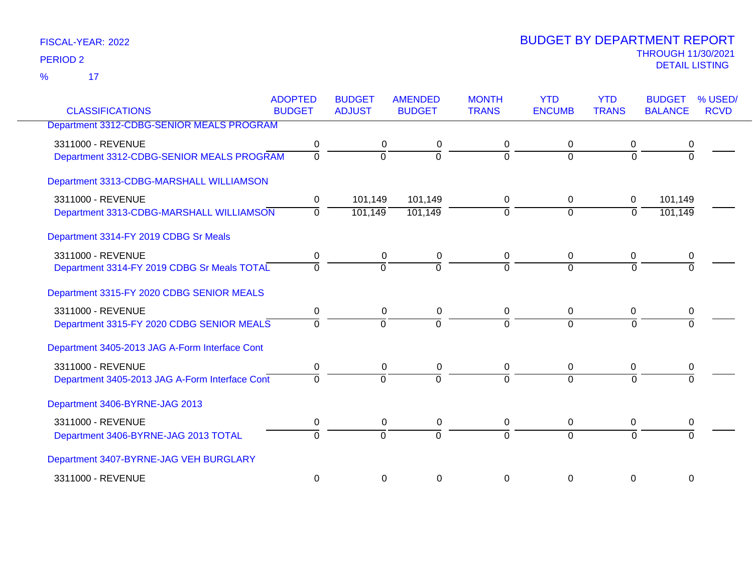17 %

|                                                | <b>ADOPTED</b> | <b>BUDGET</b>  | <b>AMENDED</b> | <b>MONTH</b> | <b>YTD</b>    | <b>YTD</b>     | <b>BUDGET</b>  | % USED/     |
|------------------------------------------------|----------------|----------------|----------------|--------------|---------------|----------------|----------------|-------------|
| <b>CLASSIFICATIONS</b>                         | <b>BUDGET</b>  | <b>ADJUST</b>  | <b>BUDGET</b>  | <b>TRANS</b> | <b>ENCUMB</b> | <b>TRANS</b>   | <b>BALANCE</b> | <b>RCVD</b> |
| Department 3312-CDBG-SENIOR MEALS PROGRAM      |                |                |                |              |               |                |                |             |
| 3311000 - REVENUE                              | 0              | 0              | 0              | 0            | 0             | 0              | 0              |             |
| Department 3312-CDBG-SENIOR MEALS PROGRAM      | $\overline{0}$ | $\overline{0}$ | $\overline{0}$ | $\Omega$     | $\Omega$      | $\Omega$       | $\Omega$       |             |
| Department 3313-CDBG-MARSHALL WILLIAMSON       |                |                |                |              |               |                |                |             |
| 3311000 - REVENUE                              | 0              | 101,149        | 101,149        | 0            | 0             | $\mathbf 0$    | 101,149        |             |
| Department 3313-CDBG-MARSHALL WILLIAMSON       | $\Omega$       | 101,149        | 101,149        | $\Omega$     | $\Omega$      | $\Omega$       | 101,149        |             |
| Department 3314-FY 2019 CDBG Sr Meals          |                |                |                |              |               |                |                |             |
| 3311000 - REVENUE                              | 0              | 0              | 0              | 0            | 0             | 0              | 0              |             |
| Department 3314-FY 2019 CDBG Sr Meals TOTAL    | $\Omega$       | $\Omega$       | $\Omega$       | $\Omega$     | $\Omega$      | $\Omega$       | <sup>n</sup>   |             |
| Department 3315-FY 2020 CDBG SENIOR MEALS      |                |                |                |              |               |                |                |             |
| 3311000 - REVENUE                              | 0              | 0              | 0              | 0            | $\mathbf 0$   | $\Omega$       | 0              |             |
| Department 3315-FY 2020 CDBG SENIOR MEALS      | $\Omega$       | $\overline{0}$ | $\Omega$       | $\Omega$     | $\Omega$      | $\overline{0}$ | $\Omega$       |             |
| Department 3405-2013 JAG A-Form Interface Cont |                |                |                |              |               |                |                |             |
| 3311000 - REVENUE                              | 0              | 0              | 0              | 0            | $\mathbf 0$   | 0              | 0              |             |
| Department 3405-2013 JAG A-Form Interface Cont | $\Omega$       | $\Omega$       | $\Omega$       | $\Omega$     | $\Omega$      | $\Omega$       | $\Omega$       |             |
| Department 3406-BYRNE-JAG 2013                 |                |                |                |              |               |                |                |             |
| 3311000 - REVENUE                              | 0              | 0              | 0              | $\mathbf 0$  | $\mathbf 0$   | 0              | 0              |             |
| Department 3406-BYRNE-JAG 2013 TOTAL           | $\Omega$       | $\Omega$       | $\Omega$       | $\Omega$     | $\Omega$      | $\Omega$       |                |             |
| Department 3407-BYRNE-JAG VEH BURGLARY         |                |                |                |              |               |                |                |             |
| 3311000 - REVENUE                              | $\mathbf 0$    | $\Omega$       | $\mathbf 0$    | $\Omega$     | $\Omega$      | 0              | 0              |             |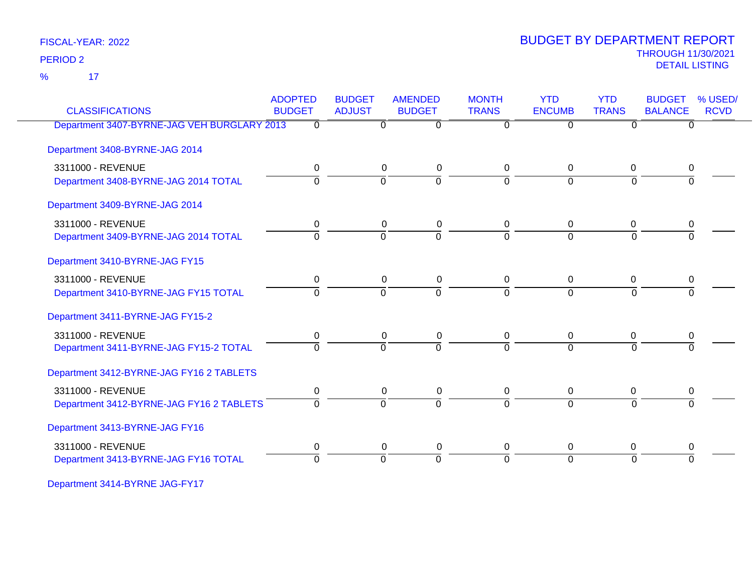17 %

### THROUGH 11/30/2021 DETAIL LISTING PERIOD <sup>2</sup> BUDGET BY DEPARTMENT REPORT

| <b>CLASSIFICATIONS</b>                      | <b>ADOPTED</b><br><b>BUDGET</b> | <b>BUDGET</b><br><b>ADJUST</b> | <b>AMENDED</b><br><b>BUDGET</b> | <b>MONTH</b><br><b>TRANS</b> | <b>YTD</b><br><b>ENCUMB</b> | <b>YTD</b><br><b>TRANS</b> | <b>BUDGET</b><br><b>BALANCE</b> | % USED/<br><b>RCVD</b> |
|---------------------------------------------|---------------------------------|--------------------------------|---------------------------------|------------------------------|-----------------------------|----------------------------|---------------------------------|------------------------|
| Department 3407-BYRNE-JAG VEH BURGLARY 2013 | $\Omega$                        | $\Omega$                       | $\overline{0}$                  | $\Omega$                     | $\overline{0}$              | 0                          | $\Omega$                        |                        |
| Department 3408-BYRNE-JAG 2014              |                                 |                                |                                 |                              |                             |                            |                                 |                        |
| 3311000 - REVENUE                           | 0                               | 0                              | 0                               | 0                            | 0                           | 0                          | 0                               |                        |
| Department 3408-BYRNE-JAG 2014 TOTAL        | $\Omega$                        | $\Omega$                       | $\overline{0}$                  | 0                            | $\Omega$                    | $\Omega$                   |                                 |                        |
| Department 3409-BYRNE-JAG 2014              |                                 |                                |                                 |                              |                             |                            |                                 |                        |
| 3311000 - REVENUE                           | 0                               | 0                              | 0                               | 0                            | 0                           | 0                          | 0                               |                        |
| Department 3409-BYRNE-JAG 2014 TOTAL        | 0                               | $\Omega$                       | $\overline{0}$                  | $\Omega$                     | $\Omega$                    | $\Omega$                   | $\Omega$                        |                        |
| Department 3410-BYRNE-JAG FY15              |                                 |                                |                                 |                              |                             |                            |                                 |                        |
| 3311000 - REVENUE                           | 0                               | 0                              | 0                               | 0                            | 0                           | 0                          |                                 |                        |
| Department 3410-BYRNE-JAG FY15 TOTAL        | $\overline{0}$                  | $\overline{0}$                 | $\overline{0}$                  | $\Omega$                     | $\overline{0}$              | $\overline{0}$             | $\Omega$                        |                        |
| Department 3411-BYRNE-JAG FY15-2            |                                 |                                |                                 |                              |                             |                            |                                 |                        |
| 3311000 - REVENUE                           | 0                               | 0                              | 0                               | 0                            | 0                           | 0                          | 0                               |                        |
| Department 3411-BYRNE-JAG FY15-2 TOTAL      | $\Omega$                        | $\Omega$                       | $\Omega$                        | 0                            | $\Omega$                    | $\Omega$                   |                                 |                        |
| Department 3412-BYRNE-JAG FY16 2 TABLETS    |                                 |                                |                                 |                              |                             |                            |                                 |                        |
| 3311000 - REVENUE                           | $\pmb{0}$                       | 0                              | 0                               | 0                            | 0                           | 0                          | 0                               |                        |
| Department 3412-BYRNE-JAG FY16 2 TABLETS    | $\Omega$                        | $\Omega$                       | $\overline{0}$                  | $\Omega$                     | $\Omega$                    | $\Omega$                   | $\Omega$                        |                        |
| Department 3413-BYRNE-JAG FY16              |                                 |                                |                                 |                              |                             |                            |                                 |                        |
| 3311000 - REVENUE                           | 0                               | 0                              | 0                               | 0                            | 0                           | 0                          | 0                               |                        |
| Department 3413-BYRNE-JAG FY16 TOTAL        | $\Omega$                        | $\Omega$                       | $\overline{0}$                  | $\Omega$                     | $\Omega$                    | $\Omega$                   | $\Omega$                        |                        |

Department 3414-BYRNE JAG-FY17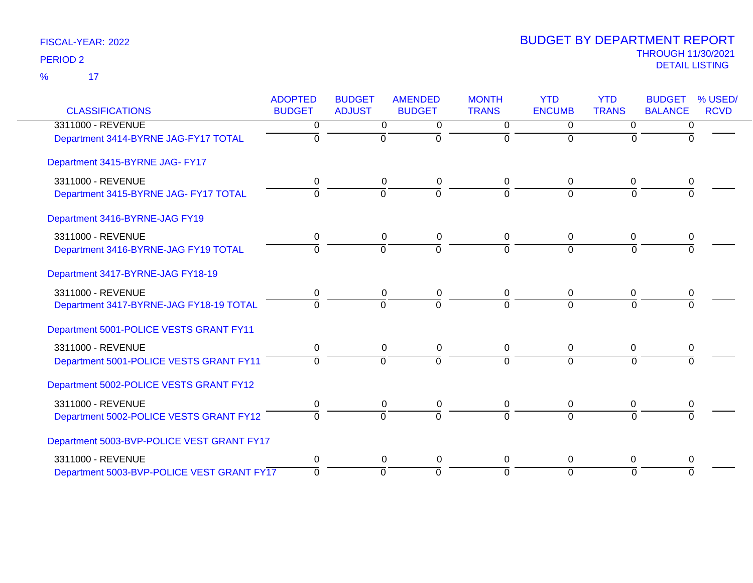$\overline{17}$ %

| <b>CLASSIFICATIONS</b>                     | <b>ADOPTED</b><br><b>BUDGET</b> | <b>BUDGET</b><br><b>ADJUST</b> | <b>AMENDED</b><br><b>BUDGET</b> | <b>MONTH</b><br><b>TRANS</b> | <b>YTD</b><br><b>ENCUMB</b> | <b>YTD</b><br><b>TRANS</b> | <b>BUDGET</b><br><b>BALANCE</b> | % USED/<br><b>RCVD</b> |
|--------------------------------------------|---------------------------------|--------------------------------|---------------------------------|------------------------------|-----------------------------|----------------------------|---------------------------------|------------------------|
| 3311000 - REVENUE                          | 0                               | 0                              | 0                               | $\Omega$                     | 0                           | $\Omega$                   | 0                               |                        |
| Department 3414-BYRNE JAG-FY17 TOTAL       | $\mathbf 0$                     | $\overline{0}$                 | $\mathbf 0$                     | $\Omega$                     | $\mathbf 0$                 | 0                          | $\Omega$                        |                        |
| Department 3415-BYRNE JAG- FY17            |                                 |                                |                                 |                              |                             |                            |                                 |                        |
| 3311000 - REVENUE                          | 0                               | 0                              | $\mathbf 0$                     | 0                            | 0                           | 0                          | 0                               |                        |
| Department 3415-BYRNE JAG- FY17 TOTAL      | $\Omega$                        | $\Omega$                       | $\overline{0}$                  | $\Omega$                     | $\Omega$                    | $\Omega$                   | $\Omega$                        |                        |
| Department 3416-BYRNE-JAG FY19             |                                 |                                |                                 |                              |                             |                            |                                 |                        |
| 3311000 - REVENUE                          | 0                               | 0                              | $\pmb{0}$                       | $\Omega$                     | 0                           | 0                          | 0                               |                        |
| Department 3416-BYRNE-JAG FY19 TOTAL       | $\overline{0}$                  | 0                              | $\overline{0}$                  | $\overline{0}$               | $\overline{0}$              | $\overline{0}$             | $\Omega$                        |                        |
| Department 3417-BYRNE-JAG FY18-19          |                                 |                                |                                 |                              |                             |                            |                                 |                        |
| 3311000 - REVENUE                          | $\mathbf 0$                     | $\mathbf 0$                    | $\pmb{0}$                       | $\mathbf 0$                  | $\mathbf 0$                 | $\mathbf 0$                | $\mathbf 0$                     |                        |
| Department 3417-BYRNE-JAG FY18-19 TOTAL    | $\Omega$                        | $\mathbf 0$                    | $\Omega$                        | $\Omega$                     | $\Omega$                    | $\Omega$                   | $\Omega$                        |                        |
| Department 5001-POLICE VESTS GRANT FY11    |                                 |                                |                                 |                              |                             |                            |                                 |                        |
| 3311000 - REVENUE                          | 0                               | 0                              | 0                               | $\Omega$                     | $\Omega$                    | $\mathbf 0$                | 0                               |                        |
| Department 5001-POLICE VESTS GRANT FY11    | $\overline{0}$                  | ō                              | ō                               | $\Omega$                     | $\mathbf 0$                 | $\Omega$                   | $\Omega$                        |                        |
| Department 5002-POLICE VESTS GRANT FY12    |                                 |                                |                                 |                              |                             |                            |                                 |                        |
| 3311000 - REVENUE                          | 0                               | $\mathbf 0$                    | 0                               | 0                            | 0                           | $\mathbf 0$                | 0                               |                        |
| Department 5002-POLICE VESTS GRANT FY12    | $\Omega$                        | $\Omega$                       | $\Omega$                        | $\Omega$                     | $\Omega$                    | $\Omega$                   | $\Omega$                        |                        |
| Department 5003-BVP-POLICE VEST GRANT FY17 |                                 |                                |                                 |                              |                             |                            |                                 |                        |
| 3311000 - REVENUE                          | $\mathbf 0$                     | $\mathbf 0$                    | $\mathbf 0$                     | $\mathbf 0$                  | $\mathbf 0$                 | $\mathbf 0$                | 0                               |                        |
| Department 5003-BVP-POLICE VEST GRANT FY17 | $\mathbf 0$                     | ō                              | $\mathbf 0$                     | $\mathbf 0$                  | 0                           | $\Omega$                   | $\Omega$                        |                        |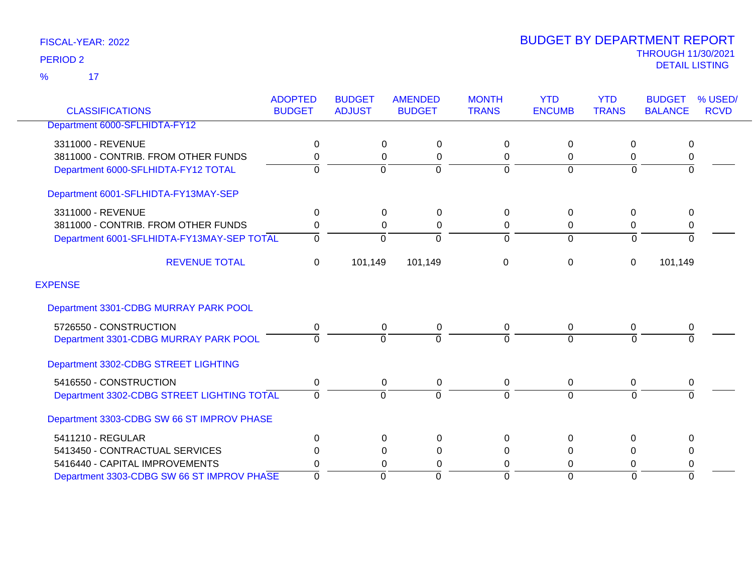$\overline{\mathbf{17}}$ %

| <b>CLASSIFICATIONS</b>                     | <b>ADOPTED</b><br><b>BUDGET</b> | <b>BUDGET</b><br><b>ADJUST</b> | <b>AMENDED</b><br><b>BUDGET</b> | <b>MONTH</b><br><b>TRANS</b> | <b>YTD</b><br><b>ENCUMB</b> | <b>YTD</b><br><b>TRANS</b> | <b>BUDGET</b><br><b>BALANCE</b> | % USED/<br><b>RCVD</b> |
|--------------------------------------------|---------------------------------|--------------------------------|---------------------------------|------------------------------|-----------------------------|----------------------------|---------------------------------|------------------------|
| Department 6000-SFLHIDTA-FY12              |                                 |                                |                                 |                              |                             |                            |                                 |                        |
| 3311000 - REVENUE                          | 0                               | 0                              | 0                               | 0                            | 0                           | $\Omega$                   | 0                               |                        |
| 3811000 - CONTRIB. FROM OTHER FUNDS        | 0                               | 0                              | 0                               | $\mathbf 0$                  | 0                           | 0                          | 0                               |                        |
| Department 6000-SFLHIDTA-FY12 TOTAL        | 0                               | $\Omega$                       | $\Omega$                        | $\Omega$                     | $\Omega$                    | $\Omega$                   | $\Omega$                        |                        |
| Department 6001-SFLHIDTA-FY13MAY-SEP       |                                 |                                |                                 |                              |                             |                            |                                 |                        |
| 3311000 - REVENUE                          | 0                               | $\Omega$                       | 0                               | 0                            | 0                           | $\Omega$                   | $\mathbf{0}$                    |                        |
| 3811000 - CONTRIB. FROM OTHER FUNDS        | 0                               | 0                              | 0                               | 0                            | 0                           | 0                          | 0                               |                        |
| Department 6001-SFLHIDTA-FY13MAY-SEP TOTAL | $\Omega$                        | $\Omega$                       | $\Omega$                        | $\Omega$                     | $\Omega$                    | $\Omega$                   |                                 |                        |
| <b>REVENUE TOTAL</b>                       | 0                               | 101,149                        | 101,149                         | $\mathbf 0$                  | 0                           | $\mathbf 0$                | 101,149                         |                        |
| <b>EXPENSE</b>                             |                                 |                                |                                 |                              |                             |                            |                                 |                        |
| Department 3301-CDBG MURRAY PARK POOL      |                                 |                                |                                 |                              |                             |                            |                                 |                        |
| 5726550 - CONSTRUCTION                     | 0                               | 0                              | 0                               | 0                            | 0                           | $\Omega$                   | 0                               |                        |
| Department 3301-CDBG MURRAY PARK POOL      | $\Omega$                        | $\overline{0}$                 | 0                               | $\overline{0}$               | $\Omega$                    | $\Omega$                   |                                 |                        |
| Department 3302-CDBG STREET LIGHTING       |                                 |                                |                                 |                              |                             |                            |                                 |                        |
| 5416550 - CONSTRUCTION                     | 0                               | $\mathbf 0$                    | 0                               | 0                            | 0                           | 0                          | 0                               |                        |
| Department 3302-CDBG STREET LIGHTING TOTAL | $\Omega$                        | $\Omega$                       | $\Omega$                        | $\Omega$                     | $\Omega$                    | $\Omega$                   | $\Omega$                        |                        |
| Department 3303-CDBG SW 66 ST IMPROV PHASE |                                 |                                |                                 |                              |                             |                            |                                 |                        |
| 5411210 - REGULAR                          | $\Omega$                        | $\Omega$                       | 0                               | $\Omega$                     | $\Omega$                    | $\Omega$                   | 0                               |                        |
| 5413450 - CONTRACTUAL SERVICES             | 0                               | 0                              | 0                               | 0                            | 0                           | $\Omega$                   | 0                               |                        |
| 5416440 - CAPITAL IMPROVEMENTS             | 0                               | 0                              | 0                               | 0                            | 0                           | $\Omega$                   | 0                               |                        |
| Department 3303-CDBG SW 66 ST IMPROV PHASE | $\Omega$                        | $\Omega$                       | $\Omega$                        | $\Omega$                     | $\Omega$                    | $\Omega$                   | $\Omega$                        |                        |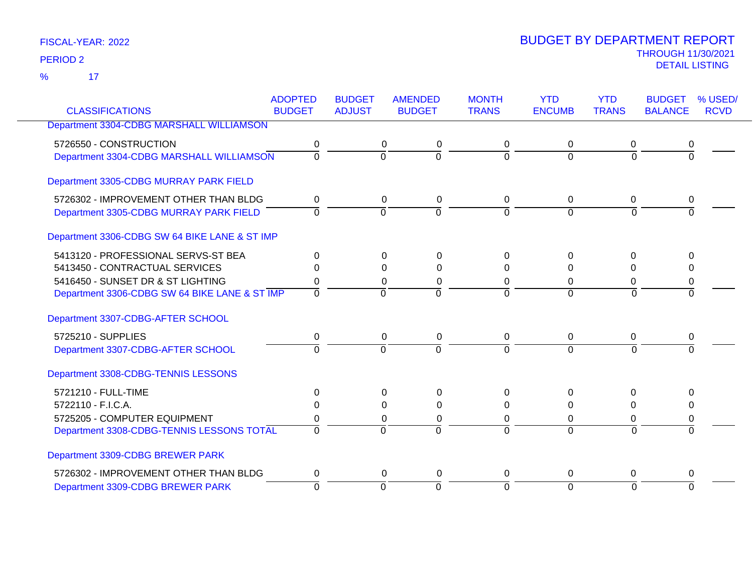17 %

| <b>CLASSIFICATIONS</b>                        | <b>ADOPTED</b><br><b>BUDGET</b> | <b>BUDGET</b><br><b>ADJUST</b> | <b>AMENDED</b><br><b>BUDGET</b> | <b>MONTH</b><br><b>TRANS</b> | <b>YTD</b><br><b>ENCUMB</b> | <b>YTD</b><br><b>TRANS</b> | <b>BUDGET</b><br><b>BALANCE</b> | % USED/<br><b>RCVD</b> |
|-----------------------------------------------|---------------------------------|--------------------------------|---------------------------------|------------------------------|-----------------------------|----------------------------|---------------------------------|------------------------|
|                                               |                                 |                                |                                 |                              |                             |                            |                                 |                        |
| Department 3304-CDBG MARSHALL WILLIAMSON      |                                 |                                |                                 |                              |                             |                            |                                 |                        |
| 5726550 - CONSTRUCTION                        | 0                               | 0                              | 0                               | 0                            | 0                           | 0                          | 0                               |                        |
| Department 3304-CDBG MARSHALL WILLIAMSON      | $\Omega$                        | $\overline{0}$                 | $\overline{0}$                  | $\Omega$                     | $\Omega$                    | $\Omega$                   | $\Omega$                        |                        |
| Department 3305-CDBG MURRAY PARK FIELD        |                                 |                                |                                 |                              |                             |                            |                                 |                        |
| 5726302 - IMPROVEMENT OTHER THAN BLDG         | 0                               | 0                              | 0                               | 0                            | 0                           | 0                          | 0                               |                        |
| Department 3305-CDBG MURRAY PARK FIELD        | $\Omega$                        | $\overline{0}$                 | $\overline{0}$                  | $\Omega$                     | $\overline{0}$              | $\Omega$                   |                                 |                        |
| Department 3306-CDBG SW 64 BIKE LANE & ST IMP |                                 |                                |                                 |                              |                             |                            |                                 |                        |
| 5413120 - PROFESSIONAL SERVS-ST BEA           | $\Omega$                        | $\Omega$                       | <sup>0</sup>                    | $\Omega$                     | $\Omega$                    | $\Omega$                   | $\Omega$                        |                        |
| 5413450 - CONTRACTUAL SERVICES                | 0                               | 0                              | $\Omega$                        | 0                            | $\Omega$                    | $\Omega$                   | $\Omega$                        |                        |
| 5416450 - SUNSET DR & ST LIGHTING             | 0                               | 0                              | 0                               | 0                            | 0                           | 0                          | 0                               |                        |
| Department 3306-CDBG SW 64 BIKE LANE & ST IMP | $\Omega$                        | $\Omega$                       | $\overline{0}$                  | $\Omega$                     | $\Omega$                    | $\Omega$                   | $\Omega$                        |                        |
| Department 3307-CDBG-AFTER SCHOOL             |                                 |                                |                                 |                              |                             |                            |                                 |                        |
| 5725210 - SUPPLIES                            | 0                               |                                | 0<br>0                          | 0                            | 0                           | 0                          | 0                               |                        |
| Department 3307-CDBG-AFTER SCHOOL             | $\overline{0}$                  | $\Omega$                       | $\overline{0}$                  | $\Omega$                     | $\Omega$                    | $\overline{0}$             | $\Omega$                        |                        |
| Department 3308-CDBG-TENNIS LESSONS           |                                 |                                |                                 |                              |                             |                            |                                 |                        |
| 5721210 - FULL-TIME                           | $\Omega$                        | $\Omega$                       | $\Omega$                        | $\Omega$                     | $\Omega$                    | $\Omega$                   | $\Omega$                        |                        |
| 5722110 - F.I.C.A.                            | 0                               | 0                              | 0                               | 0                            | $\Omega$                    | $\Omega$                   | $\Omega$                        |                        |
| 5725205 - COMPUTER EQUIPMENT                  | 0                               | 0                              | 0                               | 0                            | $\Omega$                    | 0                          | 0                               |                        |
| Department 3308-CDBG-TENNIS LESSONS TOTAL     | $\Omega$                        | $\Omega$                       | $\Omega$                        | $\Omega$                     | $\Omega$                    | $\Omega$                   | $\Omega$                        |                        |
| Department 3309-CDBG BREWER PARK              |                                 |                                |                                 |                              |                             |                            |                                 |                        |
| 5726302 - IMPROVEMENT OTHER THAN BLDG         | 0                               | $\mathbf 0$                    | 0                               | 0                            | 0                           | $\mathbf 0$                | 0                               |                        |
| Department 3309-CDBG BREWER PARK              | $\Omega$                        | $\overline{0}$                 | $\Omega$                        | $\Omega$                     | $\Omega$                    | $\Omega$                   | $\Omega$                        |                        |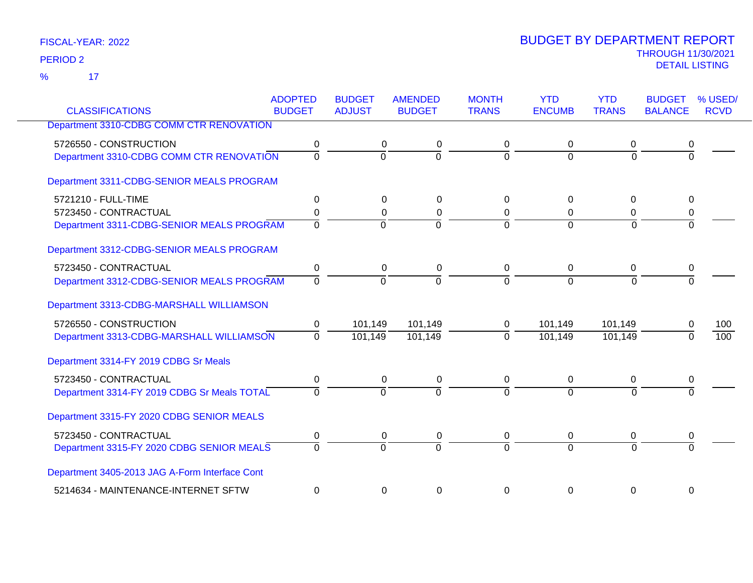17 %

|                                                | <b>ADOPTED</b> | <b>BUDGET</b>  | <b>AMENDED</b> | <b>MONTH</b> | <b>YTD</b>     | <b>YTD</b>     | <b>BUDGET</b>    | % USED/     |
|------------------------------------------------|----------------|----------------|----------------|--------------|----------------|----------------|------------------|-------------|
| <b>CLASSIFICATIONS</b>                         | <b>BUDGET</b>  | <b>ADJUST</b>  | <b>BUDGET</b>  | <b>TRANS</b> | <b>ENCUMB</b>  | <b>TRANS</b>   | <b>BALANCE</b>   | <b>RCVD</b> |
| Department 3310-CDBG COMM CTR RENOVATION       |                |                |                |              |                |                |                  |             |
| 5726550 - CONSTRUCTION                         | 0              | $\Omega$       | 0              | 0            | 0              | 0              | 0                |             |
| Department 3310-CDBG COMM CTR RENOVATION       | $\overline{0}$ | $\Omega$       | $\overline{0}$ | $\Omega$     | $\Omega$       | $\overline{0}$ | $\Omega$         |             |
| Department 3311-CDBG-SENIOR MEALS PROGRAM      |                |                |                |              |                |                |                  |             |
| 5721210 - FULL-TIME                            | 0              | $\mathbf 0$    | 0              | $\mathbf 0$  | $\Omega$       | $\overline{0}$ | $\mathbf 0$      |             |
| 5723450 - CONTRACTUAL                          | 0              | 0              | $\pmb{0}$      | 0            | 0              | 0              | 0                |             |
| Department 3311-CDBG-SENIOR MEALS PROGRAM      | $\overline{0}$ | $\Omega$       | $\overline{0}$ | $\Omega$     | $\Omega$       | $\overline{0}$ | $\Omega$         |             |
| Department 3312-CDBG-SENIOR MEALS PROGRAM      |                |                |                |              |                |                |                  |             |
| 5723450 - CONTRACTUAL                          | 0              | $\mathbf 0$    | 0              | 0            | $\mathbf 0$    | 0              | $\boldsymbol{0}$ |             |
| Department 3312-CDBG-SENIOR MEALS PROGRAM      | $\Omega$       | $\Omega$       | $\Omega$       | $\Omega$     | $\Omega$       | $\Omega$       | $\Omega$         |             |
| Department 3313-CDBG-MARSHALL WILLIAMSON       |                |                |                |              |                |                |                  |             |
| 5726550 - CONSTRUCTION                         | 0              | 101,149        | 101,149        | 0            | 101,149        | 101,149        | 0                | 100         |
| Department 3313-CDBG-MARSHALL WILLIAMSON       | $\Omega$       | 101,149        | 101,149        | $\Omega$     | 101,149        | 101,149        | $\Omega$         | 100         |
| Department 3314-FY 2019 CDBG Sr Meals          |                |                |                |              |                |                |                  |             |
| 5723450 - CONTRACTUAL                          | 0              | $\Omega$       | 0              | 0            | $\Omega$       | 0              | 0                |             |
| Department 3314-FY 2019 CDBG Sr Meals TOTAL    | $\overline{0}$ | $\overline{0}$ | $\overline{0}$ | $\Omega$     | $\overline{0}$ | $\Omega$       |                  |             |
| Department 3315-FY 2020 CDBG SENIOR MEALS      |                |                |                |              |                |                |                  |             |
| 5723450 - CONTRACTUAL                          | 0              | 0              | 0              | 0            | 0              | 0              | 0                |             |
| Department 3315-FY 2020 CDBG SENIOR MEALS      | $\overline{0}$ | $\Omega$       | $\overline{0}$ | $\Omega$     | $\Omega$       | $\Omega$       | $\Omega$         |             |
| Department 3405-2013 JAG A-Form Interface Cont |                |                |                |              |                |                |                  |             |
| 5214634 - MAINTENANCE-INTERNET SFTW            | 0              | 0              | $\pmb{0}$      | 0            | 0              | 0              | 0                |             |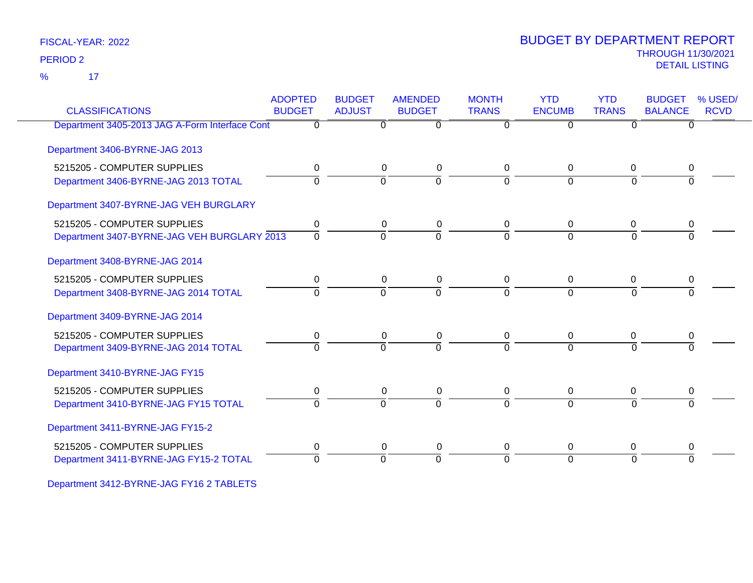17 %

### THROUGH 11/30/2021 DETAIL LISTING PERIOD <sup>2</sup> BUDGET BY DEPARTMENT REPORT

| <b>CLASSIFICATIONS</b>                         | <b>ADOPTED</b><br><b>BUDGET</b> | <b>BUDGET</b><br><b>ADJUST</b> | <b>AMENDED</b><br><b>BUDGET</b> | <b>MONTH</b><br><b>TRANS</b> | <b>YTD</b><br><b>ENCUMB</b> | <b>YTD</b><br><b>TRANS</b> | <b>BUDGET</b><br><b>BALANCE</b> | % USED/<br><b>RCVD</b> |
|------------------------------------------------|---------------------------------|--------------------------------|---------------------------------|------------------------------|-----------------------------|----------------------------|---------------------------------|------------------------|
| Department 3405-2013 JAG A-Form Interface Cont | 0                               | 0                              | $\overline{0}$                  | $\Omega$                     | $\Omega$                    | 0                          | $\Omega$                        |                        |
| Department 3406-BYRNE-JAG 2013                 |                                 |                                |                                 |                              |                             |                            |                                 |                        |
| 5215205 - COMPUTER SUPPLIES                    | 0                               | 0                              | 0                               | 0                            | 0                           | 0                          | 0                               |                        |
| Department 3406-BYRNE-JAG 2013 TOTAL           | $\Omega$                        | $\Omega$                       | $\overline{0}$                  | $\Omega$                     | $\Omega$                    | $\Omega$                   |                                 |                        |
| Department 3407-BYRNE-JAG VEH BURGLARY         |                                 |                                |                                 |                              |                             |                            |                                 |                        |
| 5215205 - COMPUTER SUPPLIES                    | 0                               | 0                              | 0                               | 0                            | 0                           | 0                          | 0                               |                        |
| Department 3407-BYRNE-JAG VEH BURGLARY 2013    | $\overline{0}$                  | $\overline{0}$                 | $\overline{0}$                  | $\Omega$                     | $\Omega$                    | $\Omega$                   | $\Omega$                        |                        |
| Department 3408-BYRNE-JAG 2014                 |                                 |                                |                                 |                              |                             |                            |                                 |                        |
| 5215205 - COMPUTER SUPPLIES                    | 0                               | 0                              | 0                               | 0                            | 0                           | 0                          | 0                               |                        |
| Department 3408-BYRNE-JAG 2014 TOTAL           | $\Omega$                        | $\overline{0}$                 | $\overline{0}$                  | $\Omega$                     | $\overline{0}$              | $\overline{0}$             |                                 |                        |
| Department 3409-BYRNE-JAG 2014                 |                                 |                                |                                 |                              |                             |                            |                                 |                        |
| 5215205 - COMPUTER SUPPLIES                    | 0                               | 0                              | 0                               | 0                            | 0                           | $\mathbf 0$                | 0                               |                        |
| Department 3409-BYRNE-JAG 2014 TOTAL           | $\Omega$                        | $\Omega$                       | $\Omega$                        | $\Omega$                     | $\Omega$                    | $\Omega$                   |                                 |                        |
| Department 3410-BYRNE-JAG FY15                 |                                 |                                |                                 |                              |                             |                            |                                 |                        |
| 5215205 - COMPUTER SUPPLIES                    | 0                               | $\mathbf 0$                    | 0                               | 0                            | 0                           | 0                          | 0                               |                        |
| Department 3410-BYRNE-JAG FY15 TOTAL           | $\Omega$                        | $\Omega$                       | $\overline{0}$                  | $\Omega$                     | $\Omega$                    | $\Omega$                   | $\Omega$                        |                        |
| Department 3411-BYRNE-JAG FY15-2               |                                 |                                |                                 |                              |                             |                            |                                 |                        |
| 5215205 - COMPUTER SUPPLIES                    | 0                               | 0                              | 0                               | 0                            | 0                           | 0                          | 0                               |                        |
| Department 3411-BYRNE-JAG FY15-2 TOTAL         | 0                               | $\Omega$                       | $\Omega$                        | $\Omega$                     | $\Omega$                    | $\Omega$                   | $\Omega$                        |                        |
|                                                |                                 |                                |                                 |                              |                             |                            |                                 |                        |

Department 3412-BYRNE-JAG FY16 2 TABLETS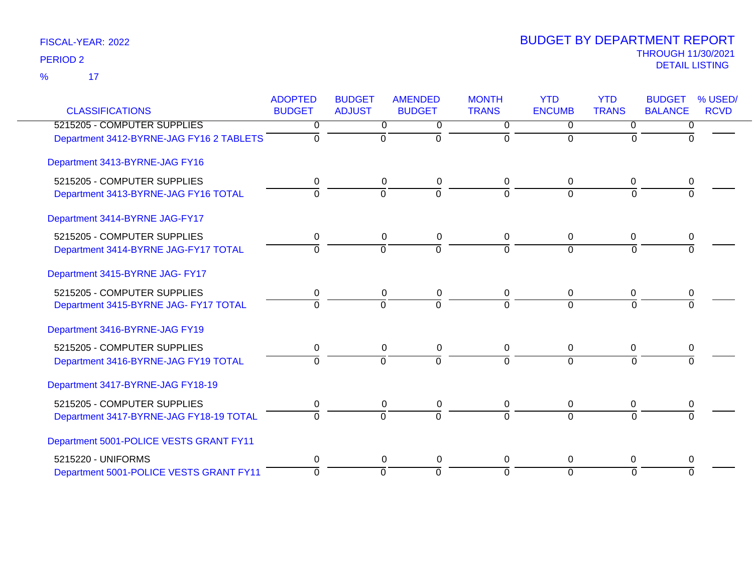17 %

| <b>CLASSIFICATIONS</b>                   | <b>ADOPTED</b> | <b>BUDGET</b>  | <b>AMENDED</b> | <b>MONTH</b>   | <b>YTD</b>     | <b>YTD</b>     | <b>BUDGET</b><br>% USED/<br><b>BALANCE</b> |  |
|------------------------------------------|----------------|----------------|----------------|----------------|----------------|----------------|--------------------------------------------|--|
|                                          | <b>BUDGET</b>  | <b>ADJUST</b>  | <b>BUDGET</b>  | <b>TRANS</b>   | <b>ENCUMB</b>  | <b>TRANS</b>   | <b>RCVD</b>                                |  |
| 5215205 - COMPUTER SUPPLIES              | $\Omega$       | $\overline{0}$ | 0              | $\overline{0}$ | $\overline{0}$ | $\overline{0}$ | 0                                          |  |
| Department 3412-BYRNE-JAG FY16 2 TABLETS | $\Omega$       | $\mathbf 0$    | $\overline{0}$ | $\Omega$       | $\Omega$       | $\Omega$       | <sup>0</sup>                               |  |
| Department 3413-BYRNE-JAG FY16           |                |                |                |                |                |                |                                            |  |
| 5215205 - COMPUTER SUPPLIES              | 0              | 0              | 0              | 0              | $\Omega$       | 0              | 0                                          |  |
| Department 3413-BYRNE-JAG FY16 TOTAL     | $\Omega$       | $\Omega$       | $\Omega$       | 0              | $\Omega$       | $\Omega$       | $\Omega$                                   |  |
| Department 3414-BYRNE JAG-FY17           |                |                |                |                |                |                |                                            |  |
| 5215205 - COMPUTER SUPPLIES              | 0              | $\mathbf 0$    | 0              | 0              | $\mathbf{0}$   | $\mathbf 0$    | 0                                          |  |
| Department 3414-BYRNE JAG-FY17 TOTAL     | $\Omega$       | $\Omega$       | $\overline{0}$ | $\Omega$       | $\Omega$       | $\Omega$       | $\Omega$                                   |  |
| Department 3415-BYRNE JAG- FY17          |                |                |                |                |                |                |                                            |  |
| 5215205 - COMPUTER SUPPLIES              | 0              | 0              | 0              | 0              | $\mathbf{0}$   | 0              | 0                                          |  |
| Department 3415-BYRNE JAG- FY17 TOTAL    | $\Omega$       | $\Omega$       | $\Omega$       | <sup>0</sup>   | $\Omega$       | $\Omega$       |                                            |  |
| Department 3416-BYRNE-JAG FY19           |                |                |                |                |                |                |                                            |  |
| 5215205 - COMPUTER SUPPLIES              | 0              | 0              | 0              | 0              | $\mathbf 0$    | 0              | 0                                          |  |
| Department 3416-BYRNE-JAG FY19 TOTAL     | $\Omega$       | $\Omega$       | $\Omega$       | $\Omega$       | $\Omega$       | $\Omega$       | $\Omega$                                   |  |
| Department 3417-BYRNE-JAG FY18-19        |                |                |                |                |                |                |                                            |  |
| 5215205 - COMPUTER SUPPLIES              | 0              | 0              | 0              | 0              | $\mathbf 0$    | 0              | 0                                          |  |
| Department 3417-BYRNE-JAG FY18-19 TOTAL  | $\Omega$       | $\Omega$       | $\Omega$       | <sup>0</sup>   | $\Omega$       | $\Omega$       | $\Omega$                                   |  |
| Department 5001-POLICE VESTS GRANT FY11  |                |                |                |                |                |                |                                            |  |
| 5215220 - UNIFORMS                       | $\Omega$       | $\Omega$       | 0              | 0              | $\Omega$       | 0              | 0                                          |  |
| Department 5001-POLICE VESTS GRANT FY11  | $\Omega$       | $\overline{0}$ | $\Omega$       | $\Omega$       | $\Omega$       | $\Omega$       | $\Omega$                                   |  |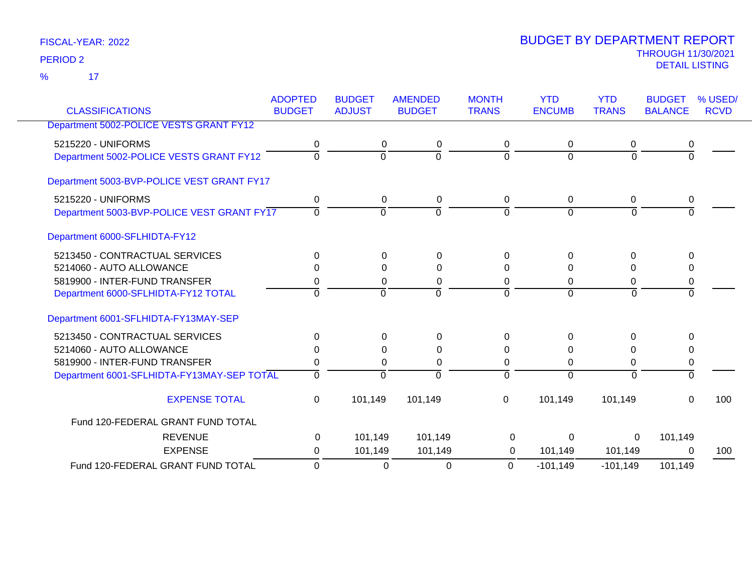17 %

| <b>CLASSIFICATIONS</b>                     | <b>ADOPTED</b><br><b>BUDGET</b> | <b>BUDGET</b><br><b>ADJUST</b> | <b>AMENDED</b><br><b>BUDGET</b> | <b>MONTH</b><br><b>TRANS</b> | <b>YTD</b><br><b>ENCUMB</b> | <b>YTD</b><br><b>TRANS</b> | <b>BUDGET</b><br><b>BALANCE</b> | % USED/<br><b>RCVD</b> |
|--------------------------------------------|---------------------------------|--------------------------------|---------------------------------|------------------------------|-----------------------------|----------------------------|---------------------------------|------------------------|
| Department 5002-POLICE VESTS GRANT FY12    |                                 |                                |                                 |                              |                             |                            |                                 |                        |
| 5215220 - UNIFORMS                         | 0                               | 0                              | 0                               | 0                            | 0                           | 0                          | 0                               |                        |
| Department 5002-POLICE VESTS GRANT FY12    | $\Omega$                        | $\overline{0}$                 | $\overline{0}$                  | $\Omega$                     | $\Omega$                    | $\Omega$                   | $\overline{0}$                  |                        |
| Department 5003-BVP-POLICE VEST GRANT FY17 |                                 |                                |                                 |                              |                             |                            |                                 |                        |
| 5215220 - UNIFORMS                         | 0                               | 0                              | 0                               | 0                            | $\mathbf 0$                 | 0                          | 0                               |                        |
| Department 5003-BVP-POLICE VEST GRANT FY17 | $\Omega$                        | ō                              | $\overline{0}$                  | $\Omega$                     | $\mathbf 0$                 | $\Omega$                   | 0                               |                        |
| Department 6000-SFLHIDTA-FY12              |                                 |                                |                                 |                              |                             |                            |                                 |                        |
| 5213450 - CONTRACTUAL SERVICES             | 0                               | $\Omega$                       | 0                               | $\Omega$                     | 0                           | 0                          | 0                               |                        |
| 5214060 - AUTO ALLOWANCE                   | 0                               | $\Omega$                       | $\Omega$                        | $\Omega$                     | 0                           | 0                          | 0                               |                        |
| 5819900 - INTER-FUND TRANSFER              | 0                               | 0                              | 0                               | 0                            | 0                           | 0                          | 0                               |                        |
| Department 6000-SFLHIDTA-FY12 TOTAL        | $\Omega$                        | $\overline{0}$                 | $\Omega$                        | $\Omega$                     | $\Omega$                    | $\Omega$                   | $\overline{0}$                  |                        |
| Department 6001-SFLHIDTA-FY13MAY-SEP       |                                 |                                |                                 |                              |                             |                            |                                 |                        |
| 5213450 - CONTRACTUAL SERVICES             | $\Omega$                        | $\Omega$                       | 0                               | $\Omega$                     | $\Omega$                    | 0                          | 0                               |                        |
| 5214060 - AUTO ALLOWANCE                   | 0                               | 0                              | 0                               | 0                            | 0                           | 0                          | 0                               |                        |
| 5819900 - INTER-FUND TRANSFER              | 0                               | 0                              | 0                               | $\Omega$                     | 0                           | 0                          | 0                               |                        |
| Department 6001-SFLHIDTA-FY13MAY-SEP TOTAL | $\overline{0}$                  | $\mathbf 0$                    | $\mathbf 0$                     | $\mathbf 0$                  | $\overline{0}$              | $\Omega$                   | $\Omega$                        |                        |
| <b>EXPENSE TOTAL</b>                       | 0                               | 101,149                        | 101,149                         | 0                            | 101,149                     | 101,149                    | $\mathbf{0}$                    | 100                    |
| Fund 120-FEDERAL GRANT FUND TOTAL          |                                 |                                |                                 |                              |                             |                            |                                 |                        |
| <b>REVENUE</b>                             | 0                               | 101,149                        | 101,149                         | 0                            | $\Omega$                    | $\mathbf{0}$               | 101,149                         |                        |
| <b>EXPENSE</b>                             | 0                               | 101,149                        | 101,149                         | 0                            | 101,149                     | 101,149                    | 0                               | 100                    |
| Fund 120-FEDERAL GRANT FUND TOTAL          | $\overline{0}$                  | $\Omega$                       | $\Omega$                        | 0                            | $-101,149$                  | $-101,149$                 | 101,149                         |                        |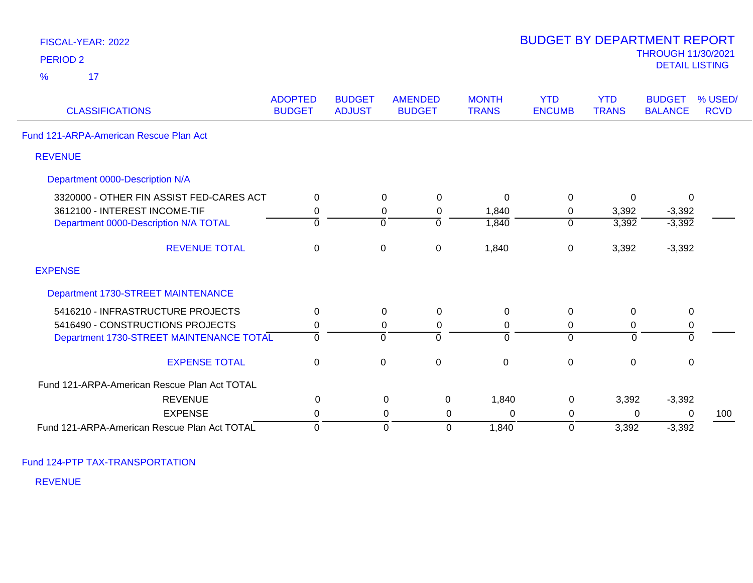| FISCAL-YEAR: 2022                            |                                 |                                |                                 |                              | <b>BUDGET BY DEPARTMENT REPORT</b> |                            |                                                    |                        |
|----------------------------------------------|---------------------------------|--------------------------------|---------------------------------|------------------------------|------------------------------------|----------------------------|----------------------------------------------------|------------------------|
| <b>PERIOD 2</b>                              |                                 |                                |                                 |                              |                                    |                            | <b>THROUGH 11/30/2021</b><br><b>DETAIL LISTING</b> |                        |
| 17<br>$\frac{9}{6}$                          |                                 |                                |                                 |                              |                                    |                            |                                                    |                        |
| <b>CLASSIFICATIONS</b>                       | <b>ADOPTED</b><br><b>BUDGET</b> | <b>BUDGET</b><br><b>ADJUST</b> | <b>AMENDED</b><br><b>BUDGET</b> | <b>MONTH</b><br><b>TRANS</b> | <b>YTD</b><br><b>ENCUMB</b>        | <b>YTD</b><br><b>TRANS</b> | <b>BUDGET</b><br><b>BALANCE</b>                    | % USED/<br><b>RCVD</b> |
| Fund 121-ARPA-American Rescue Plan Act       |                                 |                                |                                 |                              |                                    |                            |                                                    |                        |
| <b>REVENUE</b>                               |                                 |                                |                                 |                              |                                    |                            |                                                    |                        |
| Department 0000-Description N/A              |                                 |                                |                                 |                              |                                    |                            |                                                    |                        |
| 3320000 - OTHER FIN ASSIST FED-CARES ACT     | $\Omega$                        | $\Omega$                       | 0                               | $\Omega$                     | 0                                  | $\Omega$                   | $\mathbf{0}$                                       |                        |
| 3612100 - INTEREST INCOME-TIF                | 0                               | 0                              | 0                               | 1,840                        | 0                                  | 3,392                      | $-3,392$                                           |                        |
| Department 0000-Description N/A TOTAL        | $\Omega$                        | $\Omega$                       | $\Omega$                        | 1,840                        | $\mathbf 0$                        | 3,392                      | $-3,392$                                           |                        |
| <b>REVENUE TOTAL</b>                         | $\mathbf 0$                     | $\mathbf 0$                    | $\pmb{0}$                       | 1,840                        | $\pmb{0}$                          | 3,392                      | $-3,392$                                           |                        |
| <b>EXPENSE</b>                               |                                 |                                |                                 |                              |                                    |                            |                                                    |                        |
| Department 1730-STREET MAINTENANCE           |                                 |                                |                                 |                              |                                    |                            |                                                    |                        |
| 5416210 - INFRASTRUCTURE PROJECTS            | 0                               | 0                              | $\mathbf 0$                     | $\mathbf 0$                  | $\mathbf 0$                        | 0                          | $\mathbf 0$                                        |                        |
| 5416490 - CONSTRUCTIONS PROJECTS             | 0                               | $\Omega$                       | $\mathbf 0$                     | 0                            | 0                                  | 0                          | 0                                                  |                        |
| Department 1730-STREET MAINTENANCE TOTAL     | $\Omega$                        | $\Omega$                       | 0                               | 0                            | $\overline{0}$                     | $\Omega$                   | 0                                                  |                        |
| <b>EXPENSE TOTAL</b>                         | 0                               | $\mathbf 0$                    | $\mathbf 0$                     | $\mathbf 0$                  | $\pmb{0}$                          | $\mathbf 0$                | $\mathbf 0$                                        |                        |
| Fund 121-ARPA-American Rescue Plan Act TOTAL |                                 |                                |                                 |                              |                                    |                            |                                                    |                        |
| <b>REVENUE</b>                               | 0                               |                                | $\mathbf 0$<br>0                | 1,840                        | $\mathbf 0$                        | 3,392                      | $-3,392$                                           |                        |
| <b>EXPENSE</b>                               | 0                               |                                | 0<br>0                          | 0                            | 0                                  | 0                          | $\Omega$                                           | 100                    |
| Fund 121-ARPA-American Rescue Plan Act TOTAL | $\mathbf 0$                     |                                | $\overline{0}$<br>0             | 1,840                        | 0                                  | 3,392                      | $-3,392$                                           |                        |

BUDGET BY DEPARTMENT REPORT

Fund 124-PTP TAX-TRANSPORTATION

REVENUE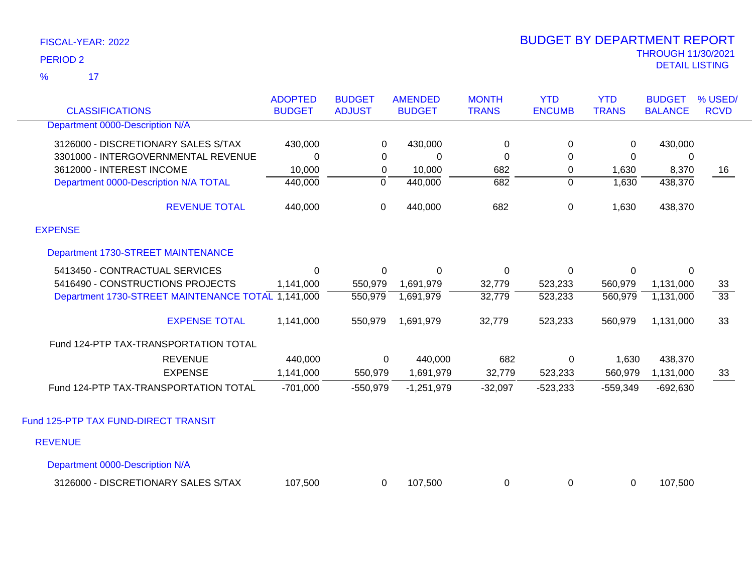17 %

| <b>CLASSIFICATIONS</b>                             | <b>ADOPTED</b><br><b>BUDGET</b> | <b>BUDGET</b><br><b>ADJUST</b> | <b>AMENDED</b><br><b>BUDGET</b> | <b>MONTH</b><br><b>TRANS</b> | <b>YTD</b><br><b>ENCUMB</b> | <b>YTD</b><br><b>TRANS</b> | <b>BUDGET</b><br><b>BALANCE</b> | % USED/<br><b>RCVD</b> |
|----------------------------------------------------|---------------------------------|--------------------------------|---------------------------------|------------------------------|-----------------------------|----------------------------|---------------------------------|------------------------|
| Department 0000-Description N/A                    |                                 |                                |                                 |                              |                             |                            |                                 |                        |
| 3126000 - DISCRETIONARY SALES S/TAX                | 430,000                         | 0                              | 430,000                         | $\pmb{0}$                    | 0                           | 0                          | 430,000                         |                        |
| 3301000 - INTERGOVERNMENTAL REVENUE                | 0                               | 0                              | 0                               | 0                            | $\Omega$                    | $\mathbf 0$                | 0                               |                        |
| 3612000 - INTEREST INCOME                          | 10,000                          | 0                              | 10,000                          | 682                          | 0                           | 1,630                      | 8,370                           | 16                     |
| Department 0000-Description N/A TOTAL              | 440,000                         | $\overline{0}$                 | 440,000                         | 682                          | $\Omega$                    | 1,630                      | 438,370                         |                        |
| <b>REVENUE TOTAL</b>                               | 440,000                         | $\pmb{0}$                      | 440,000                         | 682                          | 0                           | 1,630                      | 438,370                         |                        |
| <b>EXPENSE</b>                                     |                                 |                                |                                 |                              |                             |                            |                                 |                        |
| Department 1730-STREET MAINTENANCE                 |                                 |                                |                                 |                              |                             |                            |                                 |                        |
| 5413450 - CONTRACTUAL SERVICES                     | $\mathbf 0$                     | 0                              | $\mathbf 0$                     | $\mathbf 0$                  | 0                           | $\mathbf 0$                | 0                               |                        |
| 5416490 - CONSTRUCTIONS PROJECTS                   | 1,141,000                       | 550,979                        | 1,691,979                       | 32,779                       | 523,233                     | 560,979                    | 1,131,000                       | 33                     |
| Department 1730-STREET MAINTENANCE TOTAL 1,141,000 |                                 | 550,979                        | 1,691,979                       | 32,779                       | 523,233                     | 560,979                    | 1,131,000                       | $\overline{33}$        |
| <b>EXPENSE TOTAL</b>                               | 1,141,000                       | 550,979                        | 1,691,979                       | 32,779                       | 523,233                     | 560,979                    | 1,131,000                       | 33                     |
| Fund 124-PTP TAX-TRANSPORTATION TOTAL              |                                 |                                |                                 |                              |                             |                            |                                 |                        |
| <b>REVENUE</b>                                     | 440,000                         | 0                              | 440,000                         | 682                          | 0                           | 1,630                      | 438,370                         |                        |
| <b>EXPENSE</b>                                     | 1,141,000                       | 550,979                        | 1,691,979                       | 32,779                       | 523,233                     | 560,979                    | 1,131,000                       | 33                     |
| Fund 124-PTP TAX-TRANSPORTATION TOTAL              | $-701,000$                      | $-550,979$                     | $-1,251,979$                    | $-32,097$                    | $-523,233$                  | $-559,349$                 | $-692,630$                      |                        |
| Fund 125-PTP TAX FUND-DIRECT TRANSIT               |                                 |                                |                                 |                              |                             |                            |                                 |                        |
| <b>REVENUE</b>                                     |                                 |                                |                                 |                              |                             |                            |                                 |                        |
| Department 0000-Description N/A                    |                                 |                                |                                 |                              |                             |                            |                                 |                        |
| 3126000 - DISCRETIONARY SALES S/TAX                | 107,500                         | $\Omega$                       | 107,500                         | 0                            | 0                           | 0                          | 107,500                         |                        |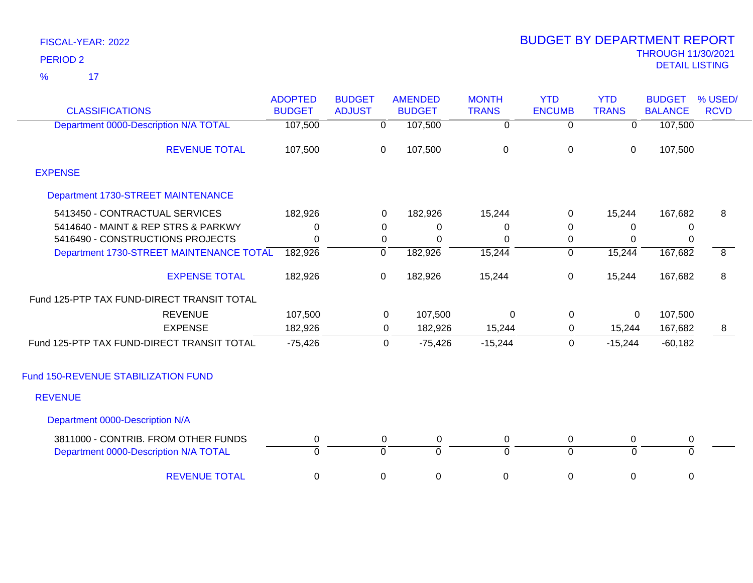17 %

| <b>CLASSIFICATIONS</b>                                                       | <b>ADOPTED</b><br><b>BUDGET</b> | <b>BUDGET</b><br><b>ADJUST</b> | <b>AMENDED</b><br><b>BUDGET</b> | <b>MONTH</b><br><b>TRANS</b> | <b>YTD</b><br><b>ENCUMB</b> | <b>YTD</b><br><b>TRANS</b> | <b>BUDGET</b><br><b>BALANCE</b> | % USED/<br><b>RCVD</b> |
|------------------------------------------------------------------------------|---------------------------------|--------------------------------|---------------------------------|------------------------------|-----------------------------|----------------------------|---------------------------------|------------------------|
| Department 0000-Description N/A TOTAL                                        | 107,500                         | 0                              | 107,500                         | $\overline{0}$               | $\overline{0}$              | $\overline{0}$             | 107,500                         |                        |
| <b>REVENUE TOTAL</b>                                                         | 107,500                         | 0                              | 107,500                         | $\pmb{0}$                    | $\mathbf 0$                 | $\mathbf 0$                | 107,500                         |                        |
| <b>EXPENSE</b>                                                               |                                 |                                |                                 |                              |                             |                            |                                 |                        |
| Department 1730-STREET MAINTENANCE                                           |                                 |                                |                                 |                              |                             |                            |                                 |                        |
| 5413450 - CONTRACTUAL SERVICES                                               | 182,926                         | $\Omega$                       | 182,926                         | 15,244                       | 0                           | 15,244                     | 167,682                         | 8                      |
| 5414640 - MAINT & REP STRS & PARKWY                                          | 0                               | 0                              | 0                               | 0                            | 0                           | 0                          | 0                               |                        |
| 5416490 - CONSTRUCTIONS PROJECTS                                             | 0                               | 0                              | $\Omega$                        | 0                            | 0                           | 0                          | 0                               |                        |
| Department 1730-STREET MAINTENANCE TOTAL                                     | 182,926                         | ō                              | 182,926                         | 15,244                       | $\overline{0}$              | 15,244                     | 167,682                         | $\overline{8}$         |
| <b>EXPENSE TOTAL</b>                                                         | 182,926                         | 0                              | 182,926                         | 15,244                       | 0                           | 15,244                     | 167,682                         | 8                      |
| Fund 125-PTP TAX FUND-DIRECT TRANSIT TOTAL                                   |                                 |                                |                                 |                              |                             |                            |                                 |                        |
| <b>REVENUE</b>                                                               | 107,500                         | 0                              | 107,500                         | $\Omega$                     | 0                           | 0                          | 107,500                         |                        |
| <b>EXPENSE</b>                                                               | 182,926                         | $\Omega$                       | 182,926                         | 15,244                       | $\Omega$                    | 15,244                     | 167,682                         | 8                      |
| Fund 125-PTP TAX FUND-DIRECT TRANSIT TOTAL                                   | $-75,426$                       | $\mathbf 0$                    | $-75,426$                       | $-15,244$                    | 0                           | $-15,244$                  | $-60,182$                       |                        |
| Fund 150-REVENUE STABILIZATION FUND                                          |                                 |                                |                                 |                              |                             |                            |                                 |                        |
| <b>REVENUE</b>                                                               |                                 |                                |                                 |                              |                             |                            |                                 |                        |
| Department 0000-Description N/A                                              |                                 |                                |                                 |                              |                             |                            |                                 |                        |
| 3811000 - CONTRIB. FROM OTHER FUNDS<br>Department 0000-Description N/A TOTAL | 0<br>$\Omega$                   | 0<br>$\Omega$                  | $\pmb{0}$<br>$\Omega$           | 0<br>$\overline{0}$          | 0<br>$\Omega$               | 0<br>$\Omega$              | 0<br>$\overline{0}$             |                        |
| <b>REVENUE TOTAL</b>                                                         | 0                               | 0                              | 0                               | 0                            | 0                           | $\mathbf 0$                | $\pmb{0}$                       |                        |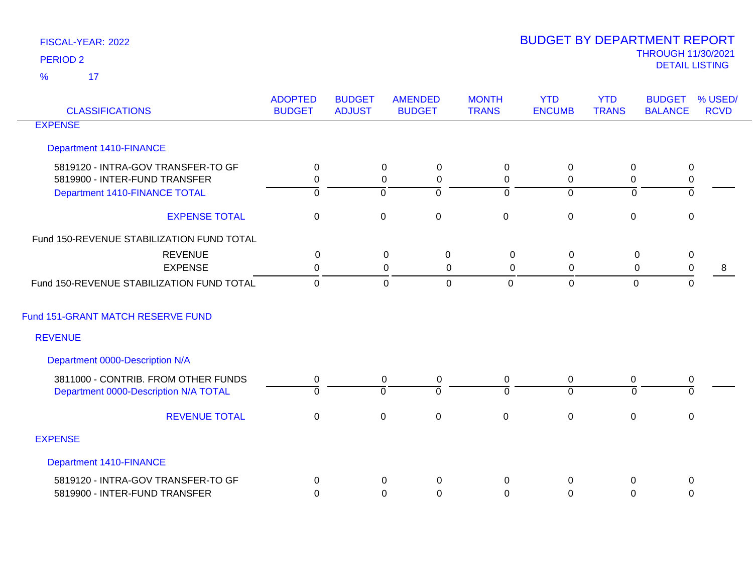17 %

| <b>CLASSIFICATIONS</b>                    | <b>ADOPTED</b><br><b>BUDGET</b> | <b>BUDGET</b><br><b>ADJUST</b> | <b>AMENDED</b><br><b>BUDGET</b> | <b>MONTH</b><br><b>TRANS</b> | <b>YTD</b><br><b>ENCUMB</b> | <b>YTD</b><br><b>TRANS</b> | <b>BUDGET</b><br><b>BALANCE</b> | % USED/<br><b>RCVD</b> |
|-------------------------------------------|---------------------------------|--------------------------------|---------------------------------|------------------------------|-----------------------------|----------------------------|---------------------------------|------------------------|
| <b>EXPENSE</b>                            |                                 |                                |                                 |                              |                             |                            |                                 |                        |
| Department 1410-FINANCE                   |                                 |                                |                                 |                              |                             |                            |                                 |                        |
| 5819120 - INTRA-GOV TRANSFER-TO GF        | 0                               |                                | $\mathbf 0$<br>$\mathbf 0$      | $\mathbf 0$                  | $\boldsymbol{0}$            | 0                          | $\mathbf 0$                     |                        |
| 5819900 - INTER-FUND TRANSFER             | $\mathbf 0$                     |                                | 0<br>0                          | 0                            | 0                           | 0                          | $\pmb{0}$                       |                        |
| Department 1410-FINANCE TOTAL             | $\overline{0}$                  |                                | 0<br>$\mathbf 0$                | $\overline{0}$               | $\overline{0}$              | $\Omega$                   | $\mathbf{0}$                    |                        |
| <b>EXPENSE TOTAL</b>                      | $\mathbf{0}$                    |                                | $\mathbf 0$<br>$\mathbf 0$      | $\mathbf 0$                  | $\mathbf 0$                 | $\mathbf 0$                | $\mathbf 0$                     |                        |
| Fund 150-REVENUE STABILIZATION FUND TOTAL |                                 |                                |                                 |                              |                             |                            |                                 |                        |
| <b>REVENUE</b>                            | $\mathbf 0$                     |                                | $\mathbf 0$<br>$\mathbf 0$      | $\mathbf 0$                  | $\mathsf 0$                 | $\mathbf 0$                | $\pmb{0}$                       |                        |
| <b>EXPENSE</b>                            | $\mathbf{0}$                    |                                | 0<br>0                          | 0                            | 0                           | $\mathbf 0$                | $\pmb{0}$                       | 8                      |
| Fund 150-REVENUE STABILIZATION FUND TOTAL | $\Omega$                        |                                | $\mathbf 0$<br>$\mathbf 0$      | $\Omega$                     | $\mathbf 0$                 | $\mathbf 0$                | $\Omega$                        |                        |
| Fund 151-GRANT MATCH RESERVE FUND         |                                 |                                |                                 |                              |                             |                            |                                 |                        |
| <b>REVENUE</b>                            |                                 |                                |                                 |                              |                             |                            |                                 |                        |
| Department 0000-Description N/A           |                                 |                                |                                 |                              |                             |                            |                                 |                        |
| 3811000 - CONTRIB. FROM OTHER FUNDS       | 0                               |                                | $\mathbf 0$<br>$\mathbf 0$      | $\mathbf 0$                  | $\mathbf 0$                 | 0                          | $\pmb{0}$                       |                        |
| Department 0000-Description N/A TOTAL     | $\Omega$                        |                                | $\overline{0}$<br>$\Omega$      | $\Omega$                     | $\Omega$                    | $\Omega$                   | $\Omega$                        |                        |
| <b>REVENUE TOTAL</b>                      | $\mathbf 0$                     |                                | $\mathbf 0$<br>$\mathbf 0$      | $\mathbf 0$                  | $\mathbf 0$                 | 0                          | 0                               |                        |
| <b>EXPENSE</b>                            |                                 |                                |                                 |                              |                             |                            |                                 |                        |
| Department 1410-FINANCE                   |                                 |                                |                                 |                              |                             |                            |                                 |                        |
| 5819120 - INTRA-GOV TRANSFER-TO GF        | $\mathbf{0}$                    |                                | 0<br>0                          | $\Omega$                     | 0                           | 0                          | 0                               |                        |
| 5819900 - INTER-FUND TRANSFER             | 0                               |                                | $\Omega$<br>0                   | 0                            | $\Omega$                    | $\Omega$                   | 0                               |                        |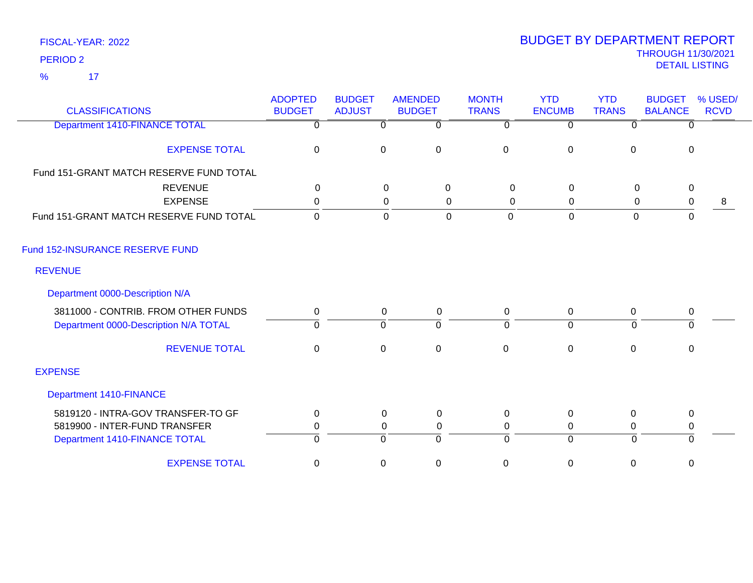17 %

| <b>CLASSIFICATIONS</b>                  | <b>ADOPTED</b><br><b>BUDGET</b> | <b>BUDGET</b><br><b>ADJUST</b> | <b>AMENDED</b><br><b>BUDGET</b> | <b>MONTH</b><br><b>TRANS</b> | <b>YTD</b><br><b>ENCUMB</b> | <b>YTD</b><br><b>TRANS</b> | <b>BUDGET</b><br><b>BALANCE</b> | % USED/<br><b>RCVD</b> |
|-----------------------------------------|---------------------------------|--------------------------------|---------------------------------|------------------------------|-----------------------------|----------------------------|---------------------------------|------------------------|
| <b>Department 1410-FINANCE TOTAL</b>    | 0                               | $\Omega$                       | $\overline{0}$                  | $\Omega$                     | $\Omega$                    | $\overline{0}$             | $\Omega$                        |                        |
| <b>EXPENSE TOTAL</b>                    | 0                               | $\mathbf 0$                    | $\pmb{0}$                       | 0                            | $\boldsymbol{0}$            | $\mathbf 0$                | 0                               |                        |
| Fund 151-GRANT MATCH RESERVE FUND TOTAL |                                 |                                |                                 |                              |                             |                            |                                 |                        |
| <b>REVENUE</b>                          | $\Omega$                        |                                | 0<br>$\mathbf 0$                | $\mathbf 0$                  | $\mathbf 0$                 | $\mathbf 0$                | $\mathbf 0$                     |                        |
| <b>EXPENSE</b>                          | $\mathbf 0$                     |                                | $\mathbf 0$<br>0                | $\boldsymbol{0}$             | $\mathbf 0$                 | $\mathbf 0$                | $\pmb{0}$                       | 8                      |
| Fund 151-GRANT MATCH RESERVE FUND TOTAL | $\mathbf 0$                     |                                | $\overline{0}$<br>$\mathbf 0$   | $\mathbf 0$                  | $\mathbf 0$                 | $\mathbf 0$                | $\mathbf 0$                     |                        |
| Fund 152-INSURANCE RESERVE FUND         |                                 |                                |                                 |                              |                             |                            |                                 |                        |
| <b>REVENUE</b>                          |                                 |                                |                                 |                              |                             |                            |                                 |                        |
| Department 0000-Description N/A         |                                 |                                |                                 |                              |                             |                            |                                 |                        |
| 3811000 - CONTRIB. FROM OTHER FUNDS     | 0                               | 0                              | $\mathbf 0$                     | $\mathbf 0$                  | $\mathbf 0$                 | 0                          | $\pmb{0}$                       |                        |
| Department 0000-Description N/A TOTAL   | $\Omega$                        | $\Omega$                       | $\overline{0}$                  | $\Omega$                     | $\overline{0}$              | $\Omega$                   | $\Omega$                        |                        |
| <b>REVENUE TOTAL</b>                    | $\Omega$                        | $\mathbf 0$                    | $\mathbf 0$                     | $\mathbf 0$                  | $\mathbf 0$                 | $\Omega$                   | $\mathbf{0}$                    |                        |
| <b>EXPENSE</b>                          |                                 |                                |                                 |                              |                             |                            |                                 |                        |
| Department 1410-FINANCE                 |                                 |                                |                                 |                              |                             |                            |                                 |                        |
| 5819120 - INTRA-GOV TRANSFER-TO GF      | 0                               | $\mathbf 0$                    | $\mathbf 0$                     | $\mathbf 0$                  | $\mathbf 0$                 | 0                          | $\pmb{0}$                       |                        |
| 5819900 - INTER-FUND TRANSFER           | 0                               |                                | 0<br>0                          | 0                            | 0                           | 0                          | 0                               |                        |
| Department 1410-FINANCE TOTAL           | $\Omega$                        | $\mathbf 0$                    | $\Omega$                        | $\Omega$                     | $\Omega$                    | $\Omega$                   | $\Omega$                        |                        |
| <b>EXPENSE TOTAL</b>                    | $\mathbf 0$                     | 0                              | $\mathbf 0$                     | 0                            | $\mathbf 0$                 | 0                          | $\mathbf 0$                     |                        |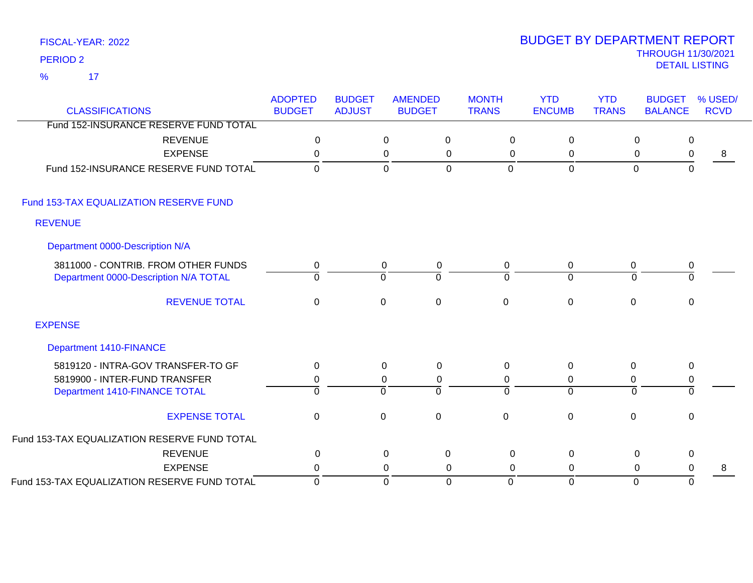17 %

| <b>CLASSIFICATIONS</b>                       | <b>ADOPTED</b><br><b>BUDGET</b> | <b>BUDGET</b><br><b>ADJUST</b> | <b>AMENDED</b><br><b>BUDGET</b> |                  | <b>MONTH</b><br><b>TRANS</b> | <b>YTD</b><br><b>ENCUMB</b> | <b>YTD</b><br><b>TRANS</b> | <b>BUDGET</b><br><b>BALANCE</b> | % USED/<br><b>RCVD</b> |
|----------------------------------------------|---------------------------------|--------------------------------|---------------------------------|------------------|------------------------------|-----------------------------|----------------------------|---------------------------------|------------------------|
| Fund 152-INSURANCE RESERVE FUND TOTAL        |                                 |                                |                                 |                  |                              |                             |                            |                                 |                        |
| <b>REVENUE</b>                               | 0                               |                                | $\pmb{0}$                       | $\mathbf 0$      | $\mathbf 0$                  | $\mathbf 0$                 | 0                          | 0                               |                        |
| <b>EXPENSE</b>                               | $\mathbf 0$                     |                                | $\pmb{0}$                       | 0                | $\mathbf 0$                  | $\mathbf 0$                 | $\mathbf 0$                | 0                               | 8                      |
| Fund 152-INSURANCE RESERVE FUND TOTAL        | $\mathbf 0$                     |                                | $\mathbf 0$                     | $\Omega$         | $\mathbf 0$                  | $\mathbf 0$                 | $\mathbf{0}$               | $\mathbf 0$                     |                        |
| Fund 153-TAX EQUALIZATION RESERVE FUND       |                                 |                                |                                 |                  |                              |                             |                            |                                 |                        |
| <b>REVENUE</b>                               |                                 |                                |                                 |                  |                              |                             |                            |                                 |                        |
| Department 0000-Description N/A              |                                 |                                |                                 |                  |                              |                             |                            |                                 |                        |
| 3811000 - CONTRIB. FROM OTHER FUNDS          | 0                               |                                | $\mathbf 0$                     | 0                | 0                            | $\mathbf 0$                 | $\mathbf 0$                | 0                               |                        |
| Department 0000-Description N/A TOTAL        | $\Omega$                        |                                | $\mathbf 0$                     | $\Omega$         | $\Omega$                     | $\Omega$                    | $\Omega$                   | $\Omega$                        |                        |
| <b>REVENUE TOTAL</b>                         | $\mathbf 0$                     |                                | $\mathbf 0$                     | $\pmb{0}$        | $\mathsf 0$                  | $\mathbf 0$                 | $\pmb{0}$                  | 0                               |                        |
| <b>EXPENSE</b>                               |                                 |                                |                                 |                  |                              |                             |                            |                                 |                        |
| <b>Department 1410-FINANCE</b>               |                                 |                                |                                 |                  |                              |                             |                            |                                 |                        |
| 5819120 - INTRA-GOV TRANSFER-TO GF           | $\mathbf 0$                     |                                | $\mathbf 0$                     | $\boldsymbol{0}$ | $\mathbf 0$                  | $\mathbf 0$                 | $\pmb{0}$                  | 0                               |                        |
| 5819900 - INTER-FUND TRANSFER                | 0                               |                                | $\mathbf 0$                     | 0                | 0                            | 0                           | 0                          | 0                               |                        |
| Department 1410-FINANCE TOTAL                | $\overline{0}$                  |                                | $\overline{0}$                  | $\Omega$         | $\Omega$                     | $\Omega$                    | $\Omega$                   | $\mathbf 0$                     |                        |
| <b>EXPENSE TOTAL</b>                         | $\mathbf 0$                     |                                | $\mathbf 0$                     | $\mathbf 0$      | $\mathbf 0$                  | $\mathbf 0$                 | $\mathbf 0$                | 0                               |                        |
| Fund 153-TAX EQUALIZATION RESERVE FUND TOTAL |                                 |                                |                                 |                  |                              |                             |                            |                                 |                        |
| <b>REVENUE</b>                               | $\mathbf{0}$                    |                                | 0                               | 0                | $\Omega$                     | 0                           | 0                          | 0                               |                        |
| <b>EXPENSE</b>                               | 0                               |                                | 0                               | 0                | $\Omega$                     | 0                           | 0                          | 0                               | 8                      |
| Fund 153-TAX EQUALIZATION RESERVE FUND TOTAL | $\Omega$                        |                                | $\mathbf 0$                     | $\Omega$         | $\Omega$                     | $\mathbf 0$                 | $\Omega$                   | $\Omega$                        |                        |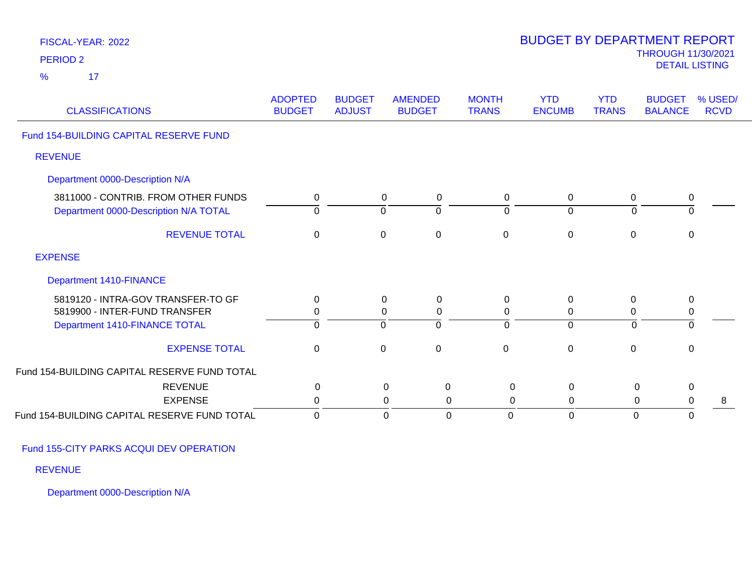| FISCAL-YEAR: 2022<br><b>PERIOD 2</b>                                         |                                 |                                |                                      |                              | <b>BUDGET BY DEPARTMENT REPORT</b>   |                            | <b>THROUGH 11/30/2021</b><br><b>DETAIL LISTING</b> |                        |
|------------------------------------------------------------------------------|---------------------------------|--------------------------------|--------------------------------------|------------------------------|--------------------------------------|----------------------------|----------------------------------------------------|------------------------|
| $\frac{9}{6}$<br>17                                                          |                                 |                                |                                      |                              |                                      |                            |                                                    |                        |
| <b>CLASSIFICATIONS</b>                                                       | <b>ADOPTED</b><br><b>BUDGET</b> | <b>BUDGET</b><br><b>ADJUST</b> | <b>AMENDED</b><br><b>BUDGET</b>      | <b>MONTH</b><br><b>TRANS</b> | <b>YTD</b><br><b>ENCUMB</b>          | <b>YTD</b><br><b>TRANS</b> | <b>BUDGET</b><br><b>BALANCE</b>                    | % USED/<br><b>RCVD</b> |
| Fund 154-BUILDING CAPITAL RESERVE FUND                                       |                                 |                                |                                      |                              |                                      |                            |                                                    |                        |
| <b>REVENUE</b>                                                               |                                 |                                |                                      |                              |                                      |                            |                                                    |                        |
| Department 0000-Description N/A                                              |                                 |                                |                                      |                              |                                      |                            |                                                    |                        |
| 3811000 - CONTRIB. FROM OTHER FUNDS<br>Department 0000-Description N/A TOTAL | 0<br>$\Omega$                   |                                | 0<br>0<br>$\mathbf 0$<br>$\mathbf 0$ |                              | 0<br>0<br>$\overline{0}$<br>$\Omega$ | 0<br>$\mathbf 0$           | 0<br>$\overline{0}$                                |                        |
| <b>REVENUE TOTAL</b>                                                         | $\mathbf{0}$                    |                                | $\mathbf 0$<br>$\mathbf 0$           |                              | $\mathbf 0$<br>$\mathbf 0$           | $\mathbf 0$                | $\mathbf 0$                                        |                        |
| <b>EXPENSE</b>                                                               |                                 |                                |                                      |                              |                                      |                            |                                                    |                        |
| <b>Department 1410-FINANCE</b>                                               |                                 |                                |                                      |                              |                                      |                            |                                                    |                        |
| 5819120 - INTRA-GOV TRANSFER-TO GF                                           | 0                               |                                | 0<br>0                               |                              | 0<br>0                               | 0                          | $\mathbf 0$                                        |                        |
| 5819900 - INTER-FUND TRANSFER                                                | 0                               |                                | $\mathbf 0$<br>$\pmb{0}$             |                              | 0<br>0                               | $\pmb{0}$                  | $\pmb{0}$                                          |                        |
| Department 1410-FINANCE TOTAL                                                | $\overline{0}$                  |                                | $\overline{0}$<br>$\overline{0}$     |                              | $\overline{0}$<br>$\overline{0}$     | $\overline{0}$             | $\overline{0}$                                     |                        |
| <b>EXPENSE TOTAL</b>                                                         | $\mathbf 0$                     |                                | $\mathbf 0$<br>$\mathbf 0$           |                              | $\pmb{0}$<br>$\pmb{0}$               | $\pmb{0}$                  | $\pmb{0}$                                          |                        |
| Fund 154-BUILDING CAPITAL RESERVE FUND TOTAL                                 |                                 |                                |                                      |                              |                                      |                            |                                                    |                        |
| <b>REVENUE</b>                                                               | 0                               |                                | $\mathbf 0$                          | $\mathbf 0$                  | $\pmb{0}$<br>$\mathsf 0$             | $\pmb{0}$                  | $\pmb{0}$                                          |                        |
| <b>EXPENSE</b>                                                               | 0                               |                                | 0                                    | 0                            | $\mathbf 0$<br>$\mathbf 0$           | 0                          | $\mathbf 0$                                        | 8                      |
| Fund 154-BUILDING CAPITAL RESERVE FUND TOTAL                                 | $\mathbf 0$                     |                                | $\overline{0}$                       | $\overline{0}$               | 0<br>$\overline{0}$                  | $\mathbf{0}$               | $\mathbf 0$                                        |                        |

Fund 155-CITY PARKS ACQUI DEV OPERATION

REVENUE

Department 0000-Description N/A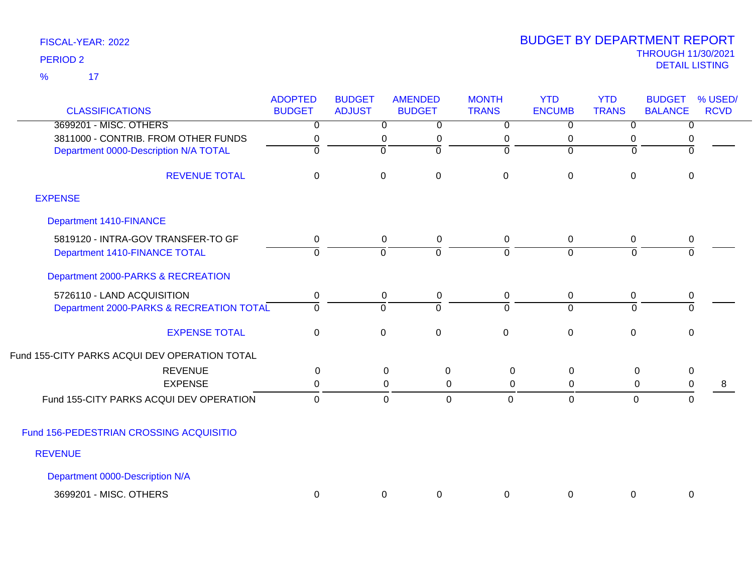17 %

| <b>CLASSIFICATIONS</b>                        | <b>ADOPTED</b><br><b>BUDGET</b> | <b>BUDGET</b><br><b>ADJUST</b> | <b>AMENDED</b><br><b>BUDGET</b> | <b>MONTH</b><br><b>TRANS</b> | <b>YTD</b><br><b>ENCUMB</b> | <b>YTD</b><br><b>TRANS</b> | <b>BUDGET</b><br><b>BALANCE</b> | % USED/<br><b>RCVD</b> |
|-----------------------------------------------|---------------------------------|--------------------------------|---------------------------------|------------------------------|-----------------------------|----------------------------|---------------------------------|------------------------|
| 3699201 - MISC. OTHERS                        | $\Omega$                        | $\overline{0}$                 | $\Omega$                        | 0                            | $\overline{0}$              | 0                          | 0                               |                        |
| 3811000 - CONTRIB. FROM OTHER FUNDS           | 0                               | 0                              | 0                               | 0                            | 0                           | 0                          | 0                               |                        |
| Department 0000-Description N/A TOTAL         | $\Omega$                        | $\Omega$                       | $\Omega$                        | $\Omega$                     | $\Omega$                    | $\Omega$                   | $\Omega$                        |                        |
| <b>REVENUE TOTAL</b>                          | $\mathbf 0$                     | $\mathbf 0$                    | $\mathbf 0$                     | $\mathbf 0$                  | $\overline{0}$              | 0                          | $\pmb{0}$                       |                        |
| <b>EXPENSE</b>                                |                                 |                                |                                 |                              |                             |                            |                                 |                        |
| <b>Department 1410-FINANCE</b>                |                                 |                                |                                 |                              |                             |                            |                                 |                        |
| 5819120 - INTRA-GOV TRANSFER-TO GF            | 0                               | 0                              | $\pmb{0}$                       | 0                            | $\mathbf 0$                 | 0                          | 0                               |                        |
| Department 1410-FINANCE TOTAL                 | $\overline{0}$                  | $\overline{0}$                 | $\Omega$                        | $\overline{0}$               | $\overline{0}$              | 0                          | $\overline{0}$                  |                        |
| Department 2000-PARKS & RECREATION            |                                 |                                |                                 |                              |                             |                            |                                 |                        |
| 5726110 - LAND ACQUISITION                    | 0                               | $\mathbf 0$                    | $\pmb{0}$                       | 0                            | 0                           | 0                          | 0                               |                        |
| Department 2000-PARKS & RECREATION TOTAL      | $\overline{0}$                  | $\overline{0}$                 | $\Omega$                        | $\Omega$                     | $\overline{0}$              | $\overline{0}$             | 0                               |                        |
| <b>EXPENSE TOTAL</b>                          | $\mathbf 0$                     | $\mathbf 0$                    | $\mathbf 0$                     | $\mathbf{0}$                 | $\overline{0}$              | $\mathbf 0$                | $\mathbf 0$                     |                        |
| Fund 155-CITY PARKS ACQUI DEV OPERATION TOTAL |                                 |                                |                                 |                              |                             |                            |                                 |                        |
| <b>REVENUE</b>                                | 0                               |                                | 0<br>0                          | $\Omega$                     | 0                           | 0                          | $\pmb{0}$                       |                        |
| <b>EXPENSE</b>                                | 0                               |                                | 0<br>0                          | 0                            | 0                           | 0                          | $\boldsymbol{0}$                | 8                      |
| Fund 155-CITY PARKS ACQUI DEV OPERATION       | $\mathbf 0$                     |                                | $\mathbf 0$<br>0                | $\mathbf 0$                  | $\mathbf 0$                 | $\overline{0}$             | 0                               |                        |
| Fund 156-PEDESTRIAN CROSSING ACQUISITIO       |                                 |                                |                                 |                              |                             |                            |                                 |                        |
| <b>REVENUE</b>                                |                                 |                                |                                 |                              |                             |                            |                                 |                        |
| Department 0000-Description N/A               |                                 |                                |                                 |                              |                             |                            |                                 |                        |
| 3699201 - MISC. OTHERS                        | 0                               | 0                              | $\mathbf 0$                     | 0                            | 0                           | $\mathbf 0$                | $\mathbf 0$                     |                        |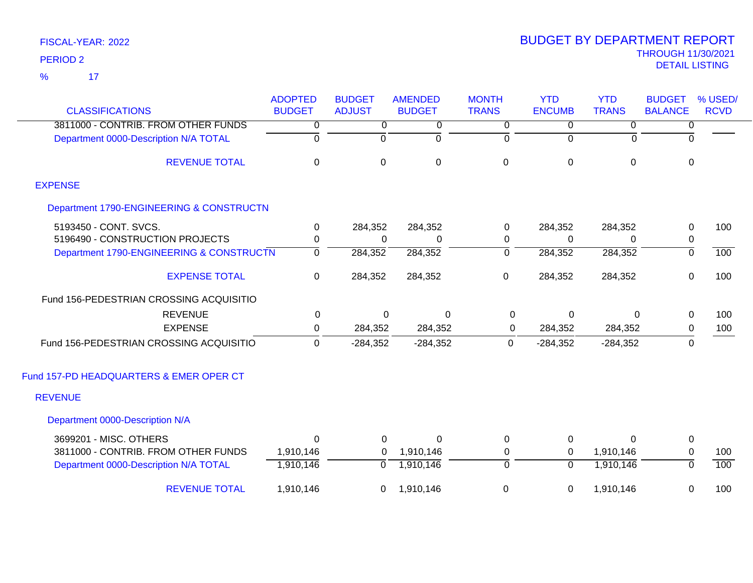17 %

| <b>CLASSIFICATIONS</b>                   | <b>ADOPTED</b><br><b>BUDGET</b> | <b>BUDGET</b><br><b>ADJUST</b> | <b>AMENDED</b><br><b>BUDGET</b> | <b>MONTH</b><br><b>TRANS</b> | <b>YTD</b><br><b>ENCUMB</b> | <b>YTD</b><br><b>TRANS</b> | <b>BUDGET</b><br><b>BALANCE</b> | % USED/<br><b>RCVD</b> |
|------------------------------------------|---------------------------------|--------------------------------|---------------------------------|------------------------------|-----------------------------|----------------------------|---------------------------------|------------------------|
| 3811000 - CONTRIB. FROM OTHER FUNDS      | $\overline{0}$                  | 0                              | 0                               | 0                            | 0                           | 0                          | 0                               |                        |
| Department 0000-Description N/A TOTAL    | ō                               | $\overline{0}$                 | ō                               | ō                            | $\overline{0}$              | $\Omega$                   | $\Omega$                        |                        |
| <b>REVENUE TOTAL</b>                     | $\mathbf 0$                     | 0                              | $\mathbf 0$                     | $\mathbf 0$                  | $\mathbf 0$                 | $\overline{0}$             | $\mathbf 0$                     |                        |
| <b>EXPENSE</b>                           |                                 |                                |                                 |                              |                             |                            |                                 |                        |
| Department 1790-ENGINEERING & CONSTRUCTN |                                 |                                |                                 |                              |                             |                            |                                 |                        |
| 5193450 - CONT. SVCS.                    | 0                               | 284,352                        | 284,352                         | 0                            | 284,352                     | 284,352                    | 0                               | 100                    |
| 5196490 - CONSTRUCTION PROJECTS          | 0                               | $\Omega$                       | 0                               | 0                            | 0                           | 0                          | 0                               |                        |
| Department 1790-ENGINEERING & CONSTRUCTN | $\overline{0}$                  | 284,352                        | 284,352                         | $\overline{0}$               | 284,352                     | 284,352                    | $\overline{0}$                  | 100                    |
| <b>EXPENSE TOTAL</b>                     | 0                               | 284,352                        | 284,352                         | $\mathbf 0$                  | 284,352                     | 284,352                    | $\mathsf 0$                     | 100                    |
| Fund 156-PEDESTRIAN CROSSING ACQUISITIO  |                                 |                                |                                 |                              |                             |                            |                                 |                        |
| <b>REVENUE</b>                           | 0                               | $\Omega$                       | $\Omega$                        | 0                            | $\mathbf{0}$                | 0                          | $\mathbf 0$                     | 100                    |
| <b>EXPENSE</b>                           | 0                               | 284,352                        | 284,352                         | 0                            | 284,352                     | 284,352                    | $\mathbf 0$                     | 100                    |
| Fund 156-PEDESTRIAN CROSSING ACQUISITIO  | $\mathbf 0$                     | $-284,352$                     | $-284,352$                      | $\mathbf 0$                  | $-284,352$                  | $-284,352$                 | $\mathbf 0$                     |                        |
| Fund 157-PD HEADQUARTERS & EMER OPER CT  |                                 |                                |                                 |                              |                             |                            |                                 |                        |
| <b>REVENUE</b>                           |                                 |                                |                                 |                              |                             |                            |                                 |                        |
| Department 0000-Description N/A          |                                 |                                |                                 |                              |                             |                            |                                 |                        |
| 3699201 - MISC. OTHERS                   | <sup>0</sup>                    | $\Omega$                       | $\Omega$                        | 0                            | 0                           | 0                          | $\mathbf 0$                     |                        |
| 3811000 - CONTRIB. FROM OTHER FUNDS      | 1,910,146                       | $\mathbf 0$                    | 1,910,146                       | $\mathbf 0$                  | 0                           | 1,910,146                  | $\mathbf 0$                     | 100                    |
| Department 0000-Description N/A TOTAL    | 1,910,146                       | $\mathbf 0$                    | 1,910,146                       | $\overline{0}$               | $\Omega$                    | 1,910,146                  | $\overline{0}$                  | 100                    |
| <b>REVENUE TOTAL</b>                     | 1,910,146                       | 0                              | 1,910,146                       | 0                            | 0                           | 1,910,146                  | $\mathbf 0$                     | 100                    |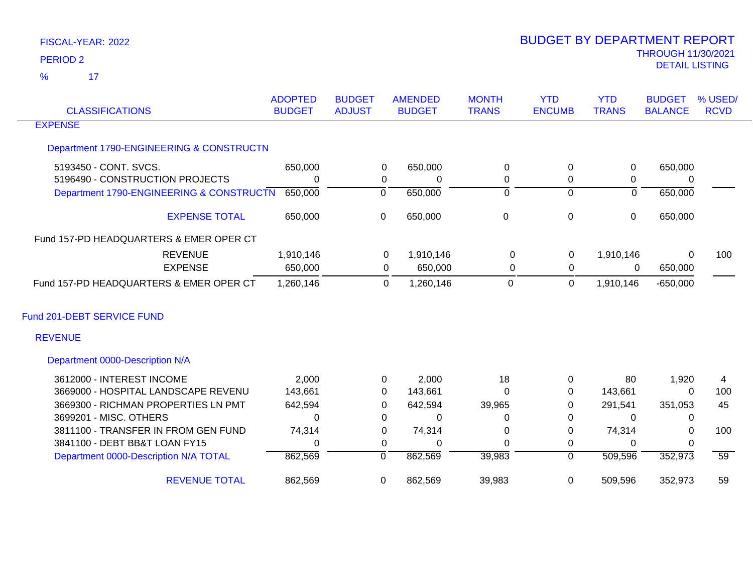$\overline{17}$ %

| <b>CLASSIFICATIONS</b>                   | <b>ADOPTED</b><br><b>BUDGET</b> | <b>BUDGET</b><br><b>ADJUST</b> | <b>AMENDED</b><br><b>BUDGET</b> | <b>MONTH</b><br><b>TRANS</b> | <b>YTD</b><br><b>ENCUMB</b> | <b>YTD</b><br><b>TRANS</b> | <b>BUDGET</b><br><b>BALANCE</b> | % USED/<br><b>RCVD</b> |
|------------------------------------------|---------------------------------|--------------------------------|---------------------------------|------------------------------|-----------------------------|----------------------------|---------------------------------|------------------------|
| <b>EXPENSE</b>                           |                                 |                                |                                 |                              |                             |                            |                                 |                        |
| Department 1790-ENGINEERING & CONSTRUCTN |                                 |                                |                                 |                              |                             |                            |                                 |                        |
| 5193450 - CONT. SVCS.                    | 650,000                         | 0                              | 650,000                         | 0                            | $\mathbf 0$                 | 0                          | 650,000                         |                        |
| 5196490 - CONSTRUCTION PROJECTS          | 0                               |                                | 0<br>0                          | 0                            | $\mathbf 0$                 | 0                          | $\Omega$                        |                        |
| Department 1790-ENGINEERING & CONSTRUCTN | 650,000                         | $\overline{0}$                 | 650,000                         | ō                            | $\overline{0}$              | $\overline{0}$             | 650,000                         |                        |
| <b>EXPENSE TOTAL</b>                     | 650,000                         | 0                              | 650,000                         | $\pmb{0}$                    | $\pmb{0}$                   | $\overline{0}$             | 650,000                         |                        |
| Fund 157-PD HEADQUARTERS & EMER OPER CT  |                                 |                                |                                 |                              |                             |                            |                                 |                        |
| <b>REVENUE</b>                           | 1,910,146                       |                                | 1,910,146<br>0                  | 0                            | 0                           | 1,910,146                  | $\Omega$                        | 100                    |
| <b>EXPENSE</b>                           | 650,000                         |                                | 650,000<br>0                    | 0                            | $\mathbf 0$                 | 0                          | 650,000                         |                        |
| Fund 157-PD HEADQUARTERS & EMER OPER CT  | 1,260,146                       |                                | 1,260,146<br>0                  | $\Omega$                     | $\mathbf 0$                 | 1,910,146                  | $-650,000$                      |                        |
| Fund 201-DEBT SERVICE FUND               |                                 |                                |                                 |                              |                             |                            |                                 |                        |
| <b>REVENUE</b>                           |                                 |                                |                                 |                              |                             |                            |                                 |                        |
| Department 0000-Description N/A          |                                 |                                |                                 |                              |                             |                            |                                 |                        |
| 3612000 - INTEREST INCOME                | 2,000                           |                                | 2,000<br>0                      | 18                           | $\mathbf 0$                 | 80                         | 1,920                           | 4                      |
| 3669000 - HOSPITAL LANDSCAPE REVENU      | 143,661                         | 0                              | 143,661                         | 0                            | $\mathbf 0$                 | 143,661                    | $\Omega$                        | 100                    |
| 3669300 - RICHMAN PROPERTIES LN PMT      | 642,594                         | 0                              | 642,594                         | 39,965                       | 0                           | 291,541                    | 351,053                         | 45                     |
| 3699201 - MISC. OTHERS                   | $\Omega$                        | 0                              | 0                               | 0                            | $\mathbf 0$                 | $\mathbf{0}$               | 0                               |                        |
| 3811100 - TRANSFER IN FROM GEN FUND      | 74,314                          | 0                              | 74,314                          | 0                            | $\mathbf 0$                 | 74,314                     | $\Omega$                        | 100                    |
| 3841100 - DEBT BB&T LOAN FY15            | 0                               | 0                              | 0                               | $\Omega$                     | $\mathbf 0$                 | $\Omega$                   | $\Omega$                        |                        |
| Department 0000-Description N/A TOTAL    | 862,569                         | 0                              | 862,569                         | 39,983                       | 0                           | 509,596                    | 352,973                         | 59                     |
| <b>REVENUE TOTAL</b>                     | 862,569                         | 0                              | 862,569                         | 39,983                       | 0                           | 509,596                    | 352,973                         | 59                     |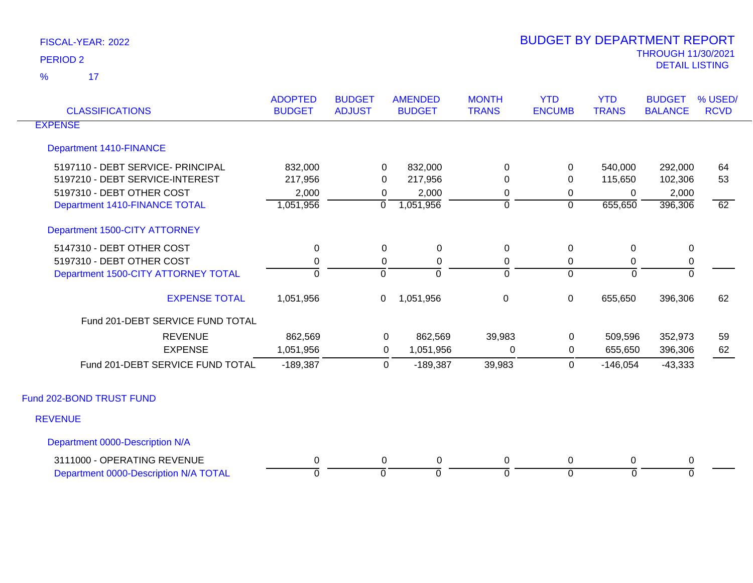$\overline{17}$ %

| <b>CLASSIFICATIONS</b>                | <b>ADOPTED</b><br><b>BUDGET</b> | <b>BUDGET</b><br><b>ADJUST</b> | <b>AMENDED</b><br><b>BUDGET</b> | <b>MONTH</b><br><b>TRANS</b> | <b>YTD</b><br><b>ENCUMB</b> | <b>YTD</b><br><b>TRANS</b> | <b>BUDGET</b><br><b>BALANCE</b> | % USED/<br><b>RCVD</b> |
|---------------------------------------|---------------------------------|--------------------------------|---------------------------------|------------------------------|-----------------------------|----------------------------|---------------------------------|------------------------|
| <b>EXPENSE</b>                        |                                 |                                |                                 |                              |                             |                            |                                 |                        |
| <b>Department 1410-FINANCE</b>        |                                 |                                |                                 |                              |                             |                            |                                 |                        |
| 5197110 - DEBT SERVICE- PRINCIPAL     | 832,000                         | 0                              | 832,000                         | 0                            | 0                           | 540,000                    | 292,000                         | 64                     |
| 5197210 - DEBT SERVICE-INTEREST       | 217,956                         | 0                              | 217,956                         | 0                            | 0                           | 115,650                    | 102,306                         | 53                     |
| 5197310 - DEBT OTHER COST             | 2,000                           | 0                              | 2,000                           | 0                            | 0                           | 0                          | 2,000                           |                        |
| Department 1410-FINANCE TOTAL         | 1,051,956                       | $\overline{0}$                 | 1,051,956                       | $\overline{0}$               | $\overline{0}$              | 655,650                    | 396,306                         | 62                     |
| Department 1500-CITY ATTORNEY         |                                 |                                |                                 |                              |                             |                            |                                 |                        |
| 5147310 - DEBT OTHER COST             | 0                               | 0                              | $\mathbf 0$                     | $\mathbf 0$                  | 0                           | 0                          | $\mathbf 0$                     |                        |
| 5197310 - DEBT OTHER COST             | 0                               | 0                              | 0                               | 0                            | 0                           | 0                          | $\mathbf 0$                     |                        |
| Department 1500-CITY ATTORNEY TOTAL   | $\overline{0}$                  | $\Omega$                       | $\Omega$                        | $\overline{0}$               | $\Omega$                    | $\Omega$                   | $\overline{0}$                  |                        |
| <b>EXPENSE TOTAL</b>                  | 1,051,956                       | 0                              | 1,051,956                       | $\,0\,$                      | 0                           | 655,650                    | 396,306                         | 62                     |
| Fund 201-DEBT SERVICE FUND TOTAL      |                                 |                                |                                 |                              |                             |                            |                                 |                        |
| <b>REVENUE</b>                        | 862,569                         | 0                              | 862,569                         | 39,983                       | $\mathbf 0$                 | 509,596                    | 352,973                         | 59                     |
| <b>EXPENSE</b>                        | 1,051,956                       | 0                              | 1,051,956                       | 0                            | $\mathbf 0$                 | 655,650                    | 396,306                         | 62                     |
| Fund 201-DEBT SERVICE FUND TOTAL      | $-189,387$                      | 0                              | $-189,387$                      | 39,983                       | $\mathbf 0$                 | $-146,054$                 | $-43,333$                       |                        |
| Fund 202-BOND TRUST FUND              |                                 |                                |                                 |                              |                             |                            |                                 |                        |
| <b>REVENUE</b>                        |                                 |                                |                                 |                              |                             |                            |                                 |                        |
| Department 0000-Description N/A       |                                 |                                |                                 |                              |                             |                            |                                 |                        |
| 3111000 - OPERATING REVENUE           | 0                               | 0                              | $\mathbf 0$                     | 0                            | 0                           | 0                          | $\mathbf 0$                     |                        |
| Department 0000-Description N/A TOTAL | $\overline{0}$                  | $\Omega$                       | $\Omega$                        | $\overline{0}$               | $\overline{0}$              | $\overline{0}$             | $\overline{0}$                  |                        |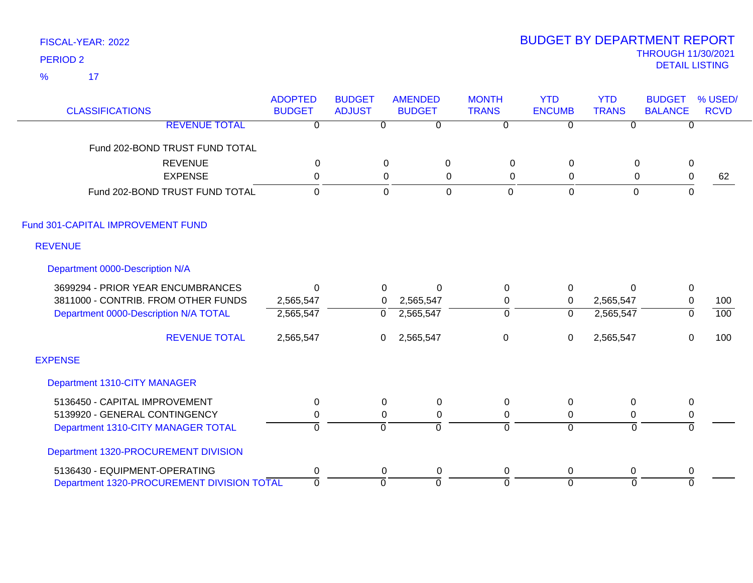$\overline{\phantom{1}}$  17 %

| <b>CLASSIFICATIONS</b>                     | <b>ADOPTED</b><br><b>BUDGET</b> | <b>BUDGET</b><br><b>ADJUST</b> | <b>AMENDED</b><br><b>BUDGET</b> | <b>MONTH</b><br><b>TRANS</b> | <b>YTD</b><br><b>ENCUMB</b> | <b>YTD</b><br><b>TRANS</b> | <b>BUDGET</b><br><b>BALANCE</b> | % USED/<br><b>RCVD</b> |
|--------------------------------------------|---------------------------------|--------------------------------|---------------------------------|------------------------------|-----------------------------|----------------------------|---------------------------------|------------------------|
|                                            |                                 |                                |                                 |                              |                             |                            |                                 |                        |
| <b>REVENUE TOTAL</b>                       | 0                               | $\Omega$                       | 0                               | $\overline{0}$               | 0                           | 0                          | 0                               |                        |
| Fund 202-BOND TRUST FUND TOTAL             |                                 |                                |                                 |                              |                             |                            |                                 |                        |
| <b>REVENUE</b>                             | $\mathbf{0}$                    | $\mathbf{0}$                   | 0                               | $\Omega$                     | 0                           | $\Omega$                   | $\mathbf 0$                     |                        |
| <b>EXPENSE</b>                             | $\mathbf 0$                     | 0                              | 0                               | 0                            | 0                           | 0                          | $\mathbf 0$                     | 62                     |
| Fund 202-BOND TRUST FUND TOTAL             | $\overline{0}$                  | $\mathbf 0$                    | $\mathbf 0$                     | $\mathbf{0}$                 | $\overline{0}$              | $\overline{0}$             | $\overline{0}$                  |                        |
| Fund 301-CAPITAL IMPROVEMENT FUND          |                                 |                                |                                 |                              |                             |                            |                                 |                        |
| <b>REVENUE</b>                             |                                 |                                |                                 |                              |                             |                            |                                 |                        |
| Department 0000-Description N/A            |                                 |                                |                                 |                              |                             |                            |                                 |                        |
| 3699294 - PRIOR YEAR ENCUMBRANCES          | $\Omega$                        | $\overline{0}$                 | $\Omega$                        | 0                            | 0                           | $\Omega$                   | $\mathbf 0$                     |                        |
| 3811000 - CONTRIB. FROM OTHER FUNDS        | 2,565,547                       | $\Omega$                       | 2,565,547                       | 0                            | 0                           | 2,565,547                  | $\mathbf 0$                     | 100                    |
| Department 0000-Description N/A TOTAL      | 2,565,547                       | $\mathbf 0$                    | 2,565,547                       | $\mathbf 0$                  | 0                           | 2,565,547                  | $\overline{0}$                  | 100                    |
| <b>REVENUE TOTAL</b>                       | 2,565,547                       | 0                              | 2,565,547                       | $\pmb{0}$                    | 0                           | 2,565,547                  | $\mathbf 0$                     | 100                    |
| <b>EXPENSE</b>                             |                                 |                                |                                 |                              |                             |                            |                                 |                        |
| Department 1310-CITY MANAGER               |                                 |                                |                                 |                              |                             |                            |                                 |                        |
| 5136450 - CAPITAL IMPROVEMENT              | 0                               | 0                              | $\mathbf 0$                     | $\mathbf 0$                  | 0                           | 0                          | $\mathbf 0$                     |                        |
| 5139920 - GENERAL CONTINGENCY              | 0                               | 0                              | $\mathbf 0$                     | $\mathbf 0$                  | 0                           | 0                          | $\pmb{0}$                       |                        |
| Department 1310-CITY MANAGER TOTAL         | $\mathbf 0$                     | $\mathbf 0$                    | $\Omega$                        | $\mathbf 0$                  | 0                           | $\mathbf 0$                | $\Omega$                        |                        |
| Department 1320-PROCUREMENT DIVISION       |                                 |                                |                                 |                              |                             |                            |                                 |                        |
| 5136430 - EQUIPMENT-OPERATING              | $\mathbf 0$                     | 0                              | $\mathbf 0$                     | $\mathbf 0$                  | 0                           | 0                          | 0                               |                        |
| Department 1320-PROCUREMENT DIVISION TOTAL | $\mathbf{0}$                    | $\mathbf 0$                    | 0                               | $\Omega$                     | $\Omega$                    | $\overline{0}$             | $\Omega$                        |                        |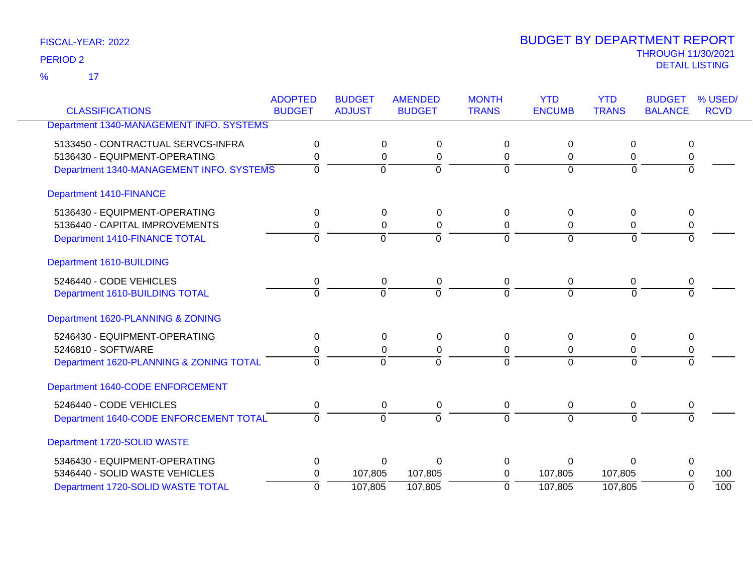17 %

| <b>CLASSIFICATIONS</b>                   | <b>ADOPTED</b><br><b>BUDGET</b> | <b>BUDGET</b><br><b>AMENDED</b> |                | <b>MONTH</b><br><b>TRANS</b> | <b>YTD</b><br><b>ENCUMB</b> | <b>YTD</b><br><b>TRANS</b> | <b>BUDGET</b><br><b>BALANCE</b> | % USED/     |
|------------------------------------------|---------------------------------|---------------------------------|----------------|------------------------------|-----------------------------|----------------------------|---------------------------------|-------------|
|                                          |                                 | <b>ADJUST</b>                   | <b>BUDGET</b>  |                              |                             |                            |                                 | <b>RCVD</b> |
| Department 1340-MANAGEMENT INFO. SYSTEMS |                                 |                                 |                |                              |                             |                            |                                 |             |
| 5133450 - CONTRACTUAL SERVCS-INFRA       | 0                               | 0                               | 0              | 0                            | 0                           | 0                          | 0                               |             |
| 5136430 - EQUIPMENT-OPERATING            | 0                               | $\Omega$                        | 0              | 0                            | $\Omega$                    | 0                          | 0                               |             |
| Department 1340-MANAGEMENT INFO. SYSTEMS | $\Omega$                        | $\overline{0}$                  | $\overline{0}$ | $\Omega$                     | $\Omega$                    | 0                          | $\overline{0}$                  |             |
| <b>Department 1410-FINANCE</b>           |                                 |                                 |                |                              |                             |                            |                                 |             |
| 5136430 - EQUIPMENT-OPERATING            | 0                               | 0                               | 0              | 0                            | 0                           | 0                          | 0                               |             |
| 5136440 - CAPITAL IMPROVEMENTS           | 0                               | 0                               | $\mathbf 0$    | 0                            | 0                           | 0                          | 0                               |             |
| Department 1410-FINANCE TOTAL            | $\Omega$                        | $\Omega$                        | $\mathbf 0$    | $\Omega$                     | $\mathbf 0$                 | $\Omega$                   | $\Omega$                        |             |
| Department 1610-BUILDING                 |                                 |                                 |                |                              |                             |                            |                                 |             |
| 5246440 - CODE VEHICLES                  | 0                               | 0                               | 0              | 0                            | 0                           | 0                          | 0                               |             |
| Department 1610-BUILDING TOTAL           | $\overline{0}$                  | $\overline{0}$                  | $\overline{0}$ | $\Omega$                     | $\Omega$                    | $\Omega$                   | $\Omega$                        |             |
| Department 1620-PLANNING & ZONING        |                                 |                                 |                |                              |                             |                            |                                 |             |
| 5246430 - EQUIPMENT-OPERATING            | 0                               | 0                               | 0              | 0                            | $\Omega$                    | 0                          | 0                               |             |
| 5246810 - SOFTWARE                       | 0                               | 0                               | 0              | $\Omega$                     | 0                           | 0                          | 0                               |             |
| Department 1620-PLANNING & ZONING TOTAL  | $\Omega$                        | $\overline{0}$                  | $\Omega$       | $\Omega$                     | $\Omega$                    | $\Omega$                   | $\Omega$                        |             |
| Department 1640-CODE ENFORCEMENT         |                                 |                                 |                |                              |                             |                            |                                 |             |
| 5246440 - CODE VEHICLES                  | 0                               | 0                               | 0              | $\mathbf 0$                  | 0                           | 0                          | 0                               |             |
| Department 1640-CODE ENFORCEMENT TOTAL   | 0                               | $\Omega$                        | $\Omega$       | $\Omega$                     | $\Omega$                    | $\Omega$                   |                                 |             |
| Department 1720-SOLID WASTE              |                                 |                                 |                |                              |                             |                            |                                 |             |
| 5346430 - EQUIPMENT-OPERATING            | 0                               | $\Omega$                        | $\Omega$       | $\Omega$                     | $\Omega$                    | $\Omega$                   | 0                               |             |
| 5346440 - SOLID WASTE VEHICLES           | 0                               | 107,805                         | 107,805        | $\Omega$                     | 107,805                     | 107,805                    | $\Omega$                        | 100         |
| Department 1720-SOLID WASTE TOTAL        | $\mathbf 0$                     | 107,805                         | 107,805        | $\Omega$                     | 107,805                     | 107,805                    | $\overline{0}$                  | 100         |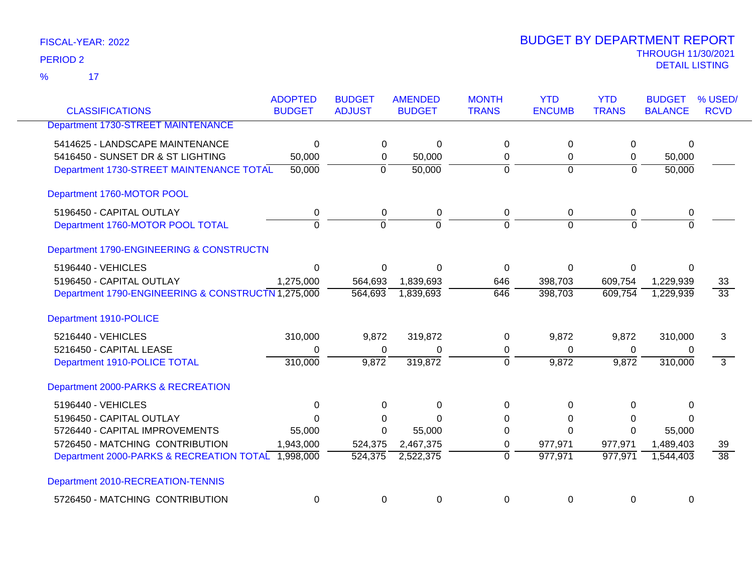17 %

| <b>CLASSIFICATIONS</b>                             | <b>ADOPTED</b><br><b>BUDGET</b> | <b>BUDGET</b><br><b>ADJUST</b> | <b>AMENDED</b><br><b>BUDGET</b> | <b>MONTH</b><br><b>TRANS</b> | <b>YTD</b><br><b>ENCUMB</b> | <b>YTD</b><br><b>TRANS</b> | <b>BUDGET</b><br><b>BALANCE</b> | % USED/<br><b>RCVD</b> |
|----------------------------------------------------|---------------------------------|--------------------------------|---------------------------------|------------------------------|-----------------------------|----------------------------|---------------------------------|------------------------|
| Department 1730-STREET MAINTENANCE                 |                                 |                                |                                 |                              |                             |                            |                                 |                        |
|                                                    |                                 |                                |                                 |                              |                             |                            |                                 |                        |
| 5414625 - LANDSCAPE MAINTENANCE                    | $\Omega$                        | 0                              | $\Omega$                        | 0                            | 0                           | 0                          | 0                               |                        |
| 5416450 - SUNSET DR & ST LIGHTING                  | 50,000                          | 0                              | 50,000                          | 0                            | 0                           | 0                          | 50,000                          |                        |
| Department 1730-STREET MAINTENANCE TOTAL           | 50,000                          | $\mathbf 0$                    | 50,000                          | $\overline{0}$               | $\overline{0}$              | $\overline{0}$             | 50,000                          |                        |
| Department 1760-MOTOR POOL                         |                                 |                                |                                 |                              |                             |                            |                                 |                        |
| 5196450 - CAPITAL OUTLAY                           | $\mathbf 0$                     | 0                              | $\pmb{0}$                       | 0                            | 0                           | 0                          | 0                               |                        |
| Department 1760-MOTOR POOL TOTAL                   | $\Omega$                        | $\overline{0}$                 | $\Omega$                        | $\Omega$                     | $\Omega$                    | $\Omega$                   | $\overline{0}$                  |                        |
| Department 1790-ENGINEERING & CONSTRUCTN           |                                 |                                |                                 |                              |                             |                            |                                 |                        |
| 5196440 - VEHICLES                                 | $\Omega$                        | 0                              | $\Omega$                        | 0                            | $\Omega$                    | 0                          | 0                               |                        |
| 5196450 - CAPITAL OUTLAY                           | 1,275,000                       | 564,693                        | 1,839,693                       | 646                          | 398,703                     | 609,754                    | 1,229,939                       | 33                     |
| Department 1790-ENGINEERING & CONSTRUCTN 1,275,000 |                                 | 564,693                        | 1,839,693                       | 646                          | 398,703                     | 609,754                    | 1,229,939                       | $\overline{33}$        |
| Department 1910-POLICE                             |                                 |                                |                                 |                              |                             |                            |                                 |                        |
| 5216440 - VEHICLES                                 | 310,000                         | 9,872                          | 319,872                         | 0                            | 9,872                       | 9,872                      | 310,000                         | 3                      |
| 5216450 - CAPITAL LEASE                            | 0                               | $\Omega$                       | 0                               | $\mathbf 0$                  | $\Omega$                    | 0                          | 0                               |                        |
| Department 1910-POLICE TOTAL                       | 310,000                         | 9,872                          | 319,872                         | $\overline{0}$               | 9,872                       | 9,872                      | 310,000                         | $\overline{3}$         |
| Department 2000-PARKS & RECREATION                 |                                 |                                |                                 |                              |                             |                            |                                 |                        |
| 5196440 - VEHICLES                                 | $\Omega$                        | $\Omega$                       | 0                               | 0                            | $\Omega$                    | 0                          | $\Omega$                        |                        |
| 5196450 - CAPITAL OUTLAY                           | $\Omega$                        | 0                              | $\Omega$                        | 0                            | 0                           | 0                          | 0                               |                        |
| 5726440 - CAPITAL IMPROVEMENTS                     | 55,000                          | $\Omega$                       | 55,000                          | $\Omega$                     | $\Omega$                    | $\Omega$                   | 55,000                          |                        |
| 5726450 - MATCHING CONTRIBUTION                    | 1,943,000                       | 524,375                        | 2,467,375                       | $\mathbf 0$                  | 977,971                     | 977,971                    | 1,489,403                       | 39                     |
| Department 2000-PARKS & RECREATION TOTAL           | 1,998,000                       | 524,375                        | 2,522,375                       | $\Omega$                     | 977,971                     | 977,971                    | 1,544,403                       | $\overline{38}$        |
| Department 2010-RECREATION-TENNIS                  |                                 |                                |                                 |                              |                             |                            |                                 |                        |
| 5726450 - MATCHING CONTRIBUTION                    | 0                               | 0                              | 0                               | 0                            | 0                           | 0                          | 0                               |                        |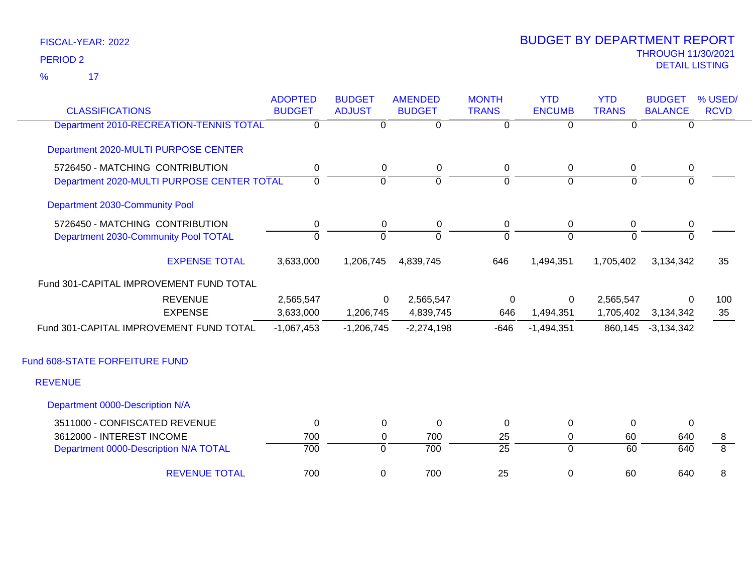17 %

| <b>CLASSIFICATIONS</b>                     | <b>ADOPTED</b><br><b>BUDGET</b> | <b>BUDGET</b><br><b>ADJUST</b> | <b>AMENDED</b><br><b>BUDGET</b> | <b>MONTH</b><br><b>TRANS</b> | <b>YTD</b><br><b>ENCUMB</b> | <b>YTD</b><br><b>TRANS</b> | <b>BUDGET</b><br><b>BALANCE</b> | % USED/<br><b>RCVD</b> |
|--------------------------------------------|---------------------------------|--------------------------------|---------------------------------|------------------------------|-----------------------------|----------------------------|---------------------------------|------------------------|
| Department 2010-RECREATION-TENNIS TOTAL    | $\Omega$                        | $\Omega$                       | $\Omega$                        | $\Omega$                     | $\Omega$                    | $\Omega$                   | $\mathbf{0}$                    |                        |
| Department 2020-MULTI PURPOSE CENTER       |                                 |                                |                                 |                              |                             |                            |                                 |                        |
| 5726450 - MATCHING CONTRIBUTION            | 0                               | 0                              | 0                               | 0                            | 0                           | 0                          | 0                               |                        |
| Department 2020-MULTI PURPOSE CENTER TOTAL | $\mathbf 0$                     | $\Omega$                       | $\Omega$                        | $\Omega$                     | $\Omega$                    | $\Omega$                   | $\Omega$                        |                        |
| Department 2030-Community Pool             |                                 |                                |                                 |                              |                             |                            |                                 |                        |
| 5726450 - MATCHING CONTRIBUTION            | 0                               | 0                              | 0                               | 0                            | 0                           | 0                          | 0                               |                        |
| Department 2030-Community Pool TOTAL       | $\mathbf 0$                     | $\mathbf 0$                    | $\overline{0}$                  | $\overline{0}$               | $\overline{0}$              | $\Omega$                   | $\mathbf{0}$                    |                        |
| <b>EXPENSE TOTAL</b>                       | 3,633,000                       | 1,206,745                      | 4,839,745                       | 646                          | 1,494,351                   | 1,705,402                  | 3,134,342                       | 35                     |
| Fund 301-CAPITAL IMPROVEMENT FUND TOTAL    |                                 |                                |                                 |                              |                             |                            |                                 |                        |
| <b>REVENUE</b>                             | 2,565,547                       | 0                              | 2,565,547                       | $\mathbf 0$                  | 0                           | 2,565,547                  | $\mathbf{0}$                    | 100                    |
| <b>EXPENSE</b>                             | 3,633,000                       | 1,206,745                      | 4,839,745                       | 646                          | 1,494,351                   | 1,705,402                  | 3,134,342                       | 35                     |
| Fund 301-CAPITAL IMPROVEMENT FUND TOTAL    | $-1,067,453$                    | $-1,206,745$                   | $-2,274,198$                    | $-646$                       | $-1,494,351$                | 860,145                    | $-3,134,342$                    |                        |
| Fund 608-STATE FORFEITURE FUND             |                                 |                                |                                 |                              |                             |                            |                                 |                        |
| <b>REVENUE</b>                             |                                 |                                |                                 |                              |                             |                            |                                 |                        |
| Department 0000-Description N/A            |                                 |                                |                                 |                              |                             |                            |                                 |                        |
| 3511000 - CONFISCATED REVENUE              | $\mathbf{0}$                    | 0                              | $\mathbf 0$                     | 0                            | $\mathbf 0$                 | $\Omega$                   | 0                               |                        |
| 3612000 - INTEREST INCOME                  | 700                             | 0                              | 700                             | 25                           | $\mathbf 0$                 | 60                         | 640                             | 8                      |
| Department 0000-Description N/A TOTAL      | 700                             | $\mathbf 0$                    | 700                             | $\overline{25}$              | $\mathbf 0$                 | $\overline{60}$            | $\overline{640}$                | $\overline{8}$         |
| <b>REVENUE TOTAL</b>                       | 700                             | $\mathbf 0$                    | 700                             | 25                           | $\mathbf 0$                 | 60                         | 640                             | 8                      |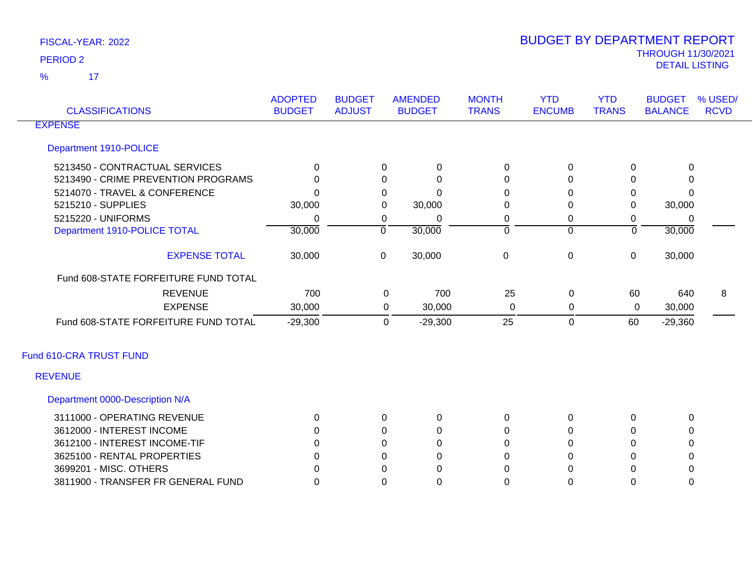17 %

| <b>CLASSIFICATIONS</b>               | <b>ADOPTED</b><br><b>BUDGET</b> | <b>BUDGET</b><br><b>ADJUST</b> |                | <b>AMENDED</b><br><b>BUDGET</b> | <b>MONTH</b><br><b>TRANS</b> | <b>YTD</b><br><b>ENCUMB</b> | <b>YTD</b><br><b>TRANS</b> | <b>BUDGET</b><br><b>BALANCE</b> | % USED/<br><b>RCVD</b> |
|--------------------------------------|---------------------------------|--------------------------------|----------------|---------------------------------|------------------------------|-----------------------------|----------------------------|---------------------------------|------------------------|
| <b>EXPENSE</b>                       |                                 |                                |                |                                 |                              |                             |                            |                                 |                        |
| Department 1910-POLICE               |                                 |                                |                |                                 |                              |                             |                            |                                 |                        |
| 5213450 - CONTRACTUAL SERVICES       | 0                               |                                | $\Omega$       | 0                               | 0                            | 0                           | 0                          | 0                               |                        |
| 5213490 - CRIME PREVENTION PROGRAMS  | ∩                               |                                | $\Omega$       | $\Omega$                        | $\Omega$                     | $\Omega$                    | $\Omega$                   | $\Omega$                        |                        |
| 5214070 - TRAVEL & CONFERENCE        | <sup>0</sup>                    |                                | 0              | $\Omega$                        | 0                            | 0                           | 0                          | $\Omega$                        |                        |
| 5215210 - SUPPLIES                   | 30,000                          |                                | 0              | 30,000                          | 0                            | $\Omega$                    | 0                          | 30,000                          |                        |
| 5215220 - UNIFORMS                   | $\Omega$                        |                                | 0              | 0                               | 0                            | 0                           | $\mathbf 0$                | 0                               |                        |
| Department 1910-POLICE TOTAL         | 30,000                          |                                | $\overline{0}$ | 30,000                          | $\overline{0}$               | $\mathbf 0$                 | $\overline{0}$             | 30,000                          |                        |
| <b>EXPENSE TOTAL</b>                 | 30,000                          |                                | $\mathbf 0$    | 30,000                          | $\mathbf 0$                  | $\pmb{0}$                   | $\boldsymbol{0}$           | 30,000                          |                        |
| Fund 608-STATE FORFEITURE FUND TOTAL |                                 |                                |                |                                 |                              |                             |                            |                                 |                        |
| <b>REVENUE</b>                       | 700                             |                                | 0              | 700                             | 25                           | $\mathbf 0$                 | 60                         | 640                             | 8                      |
| <b>EXPENSE</b>                       | 30,000                          |                                | 0              | 30,000                          | $\pmb{0}$                    | 0                           | $\mathbf 0$                | 30,000                          |                        |
| Fund 608-STATE FORFEITURE FUND TOTAL | $-29,300$                       |                                | 0              | $-29,300$                       | 25                           | $\mathbf 0$                 | 60                         | $-29,360$                       |                        |
| Fund 610-CRA TRUST FUND              |                                 |                                |                |                                 |                              |                             |                            |                                 |                        |
| <b>REVENUE</b>                       |                                 |                                |                |                                 |                              |                             |                            |                                 |                        |
| Department 0000-Description N/A      |                                 |                                |                |                                 |                              |                             |                            |                                 |                        |
| 3111000 - OPERATING REVENUE          | $\Omega$                        |                                | 0              | 0                               | 0                            | $\mathbf 0$                 | 0                          | 0                               |                        |
| 3612000 - INTEREST INCOME            | $\Omega$                        |                                | 0              | 0                               | 0                            | 0                           | 0                          | 0                               |                        |
| 3612100 - INTEREST INCOME-TIF        |                                 |                                | 0              | 0                               | 0                            | $\Omega$                    | $\Omega$                   | 0                               |                        |
| 3625100 - RENTAL PROPERTIES          |                                 |                                | 0              | 0                               | 0                            | 0                           | 0                          | 0                               |                        |
| 3699201 - MISC. OTHERS               |                                 |                                | $\Omega$       | $\Omega$                        | $\Omega$                     | $\Omega$                    | $\Omega$                   | 0                               |                        |
| 3811900 - TRANSFER FR GENERAL FUND   | 0                               |                                | $\Omega$       | $\mathbf 0$                     | $\Omega$                     | $\Omega$                    | $\Omega$                   | $\mathbf 0$                     |                        |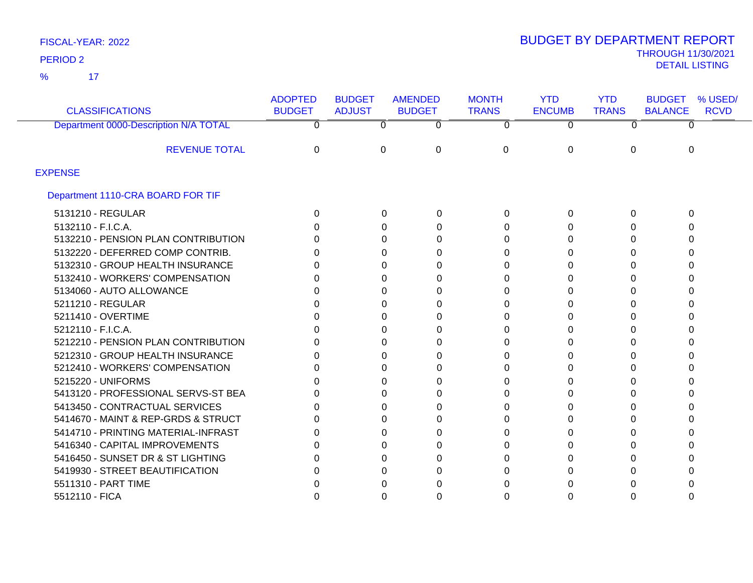17 %

| <b>CLASSIFICATIONS</b>                | <b>ADOPTED</b><br><b>BUDGET</b> | <b>BUDGET</b><br><b>ADJUST</b> | <b>AMENDED</b><br><b>BUDGET</b> | <b>MONTH</b><br><b>TRANS</b> | <b>YTD</b><br><b>ENCUMB</b> | <b>YTD</b><br><b>TRANS</b> | <b>BUDGET</b><br>% USED/<br><b>BALANCE</b><br><b>RCVD</b> |
|---------------------------------------|---------------------------------|--------------------------------|---------------------------------|------------------------------|-----------------------------|----------------------------|-----------------------------------------------------------|
| Department 0000-Description N/A TOTAL | 0                               | 0                              | 0                               | $\Omega$                     | 0                           | 0                          |                                                           |
| <b>REVENUE TOTAL</b>                  | 0                               | 0                              | $\Omega$                        | 0                            | 0                           | $\Omega$                   | $\Omega$                                                  |
| <b>EXPENSE</b>                        |                                 |                                |                                 |                              |                             |                            |                                                           |
| Department 1110-CRA BOARD FOR TIF     |                                 |                                |                                 |                              |                             |                            |                                                           |
| 5131210 - REGULAR                     | 0                               | 0                              | 0                               | 0                            | 0                           | 0                          | $\Omega$                                                  |
| 5132110 - F.I.C.A.                    | U                               | 0                              | 0                               | 0                            | 0                           |                            | $\Omega$                                                  |
| 5132210 - PENSION PLAN CONTRIBUTION   | n                               | 0                              | 0                               | 0                            | 0                           | n                          |                                                           |
| 5132220 - DEFERRED COMP CONTRIB.      | O                               | 0                              | 0                               | 0                            | 0                           | 0                          |                                                           |
| 5132310 - GROUP HEALTH INSURANCE      | O                               | 0                              | 0                               | 0                            | 0                           | n                          |                                                           |
| 5132410 - WORKERS' COMPENSATION       | ∩                               | 0                              | 0                               | 0                            | 0                           |                            |                                                           |
| 5134060 - AUTO ALLOWANCE              |                                 | 0                              | 0                               |                              | 0                           | O                          |                                                           |
| 5211210 - REGULAR                     |                                 | 0                              | 0                               | U                            | 0                           |                            |                                                           |
| 5211410 - OVERTIME                    |                                 | 0                              | 0                               | 0                            | 0                           |                            |                                                           |
| 5212110 - F.I.C.A.                    | n                               | 0                              | 0                               | 0                            | 0                           | n                          |                                                           |
| 5212210 - PENSION PLAN CONTRIBUTION   |                                 | 0                              | 0                               | U                            | 0                           |                            |                                                           |
| 5212310 - GROUP HEALTH INSURANCE      |                                 | 0                              | 0                               | 0                            | 0                           |                            |                                                           |
| 5212410 - WORKERS' COMPENSATION       |                                 | 0                              | 0                               | O                            | 0                           |                            |                                                           |
| 5215220 - UNIFORMS                    |                                 | 0                              | 0                               | U                            | 0                           |                            |                                                           |
| 5413120 - PROFESSIONAL SERVS-ST BEA   |                                 | 0                              | 0                               | 0                            | 0                           | O                          |                                                           |
| 5413450 - CONTRACTUAL SERVICES        | O                               | 0                              | 0                               | 0                            | 0                           |                            |                                                           |
| 5414670 - MAINT & REP-GRDS & STRUCT   | ∩                               | 0                              | 0                               | 0                            | 0                           | O                          |                                                           |
| 5414710 - PRINTING MATERIAL-INFRAST   |                                 | 0                              | 0                               |                              | 0                           | n                          |                                                           |
| 5416340 - CAPITAL IMPROVEMENTS        |                                 | 0                              | 0                               | 0                            | 0                           |                            |                                                           |
| 5416450 - SUNSET DR & ST LIGHTING     |                                 | 0                              | 0                               |                              | 0                           |                            |                                                           |
| 5419930 - STREET BEAUTIFICATION       |                                 | 0                              | 0                               |                              | 0                           |                            |                                                           |
| 5511310 - PART TIME                   |                                 | 0                              | O                               |                              | O                           |                            |                                                           |
| 5512110 - FICA                        |                                 | 0                              | 0                               |                              | 0                           |                            |                                                           |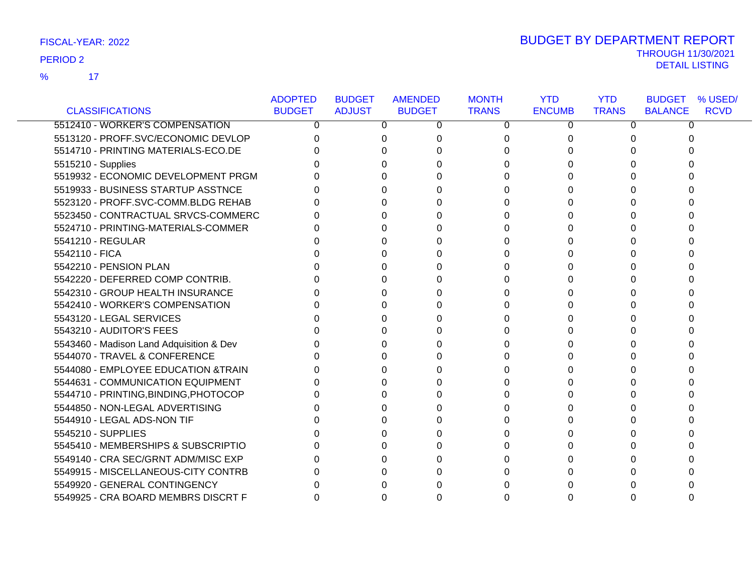17 %

|                                          | <b>ADOPTED</b> | <b>BUDGET</b> | <b>AMENDED</b> | <b>MONTH</b> | <b>YTD</b>    | <b>YTD</b>   | <b>BUDGET</b><br>% USED/      |
|------------------------------------------|----------------|---------------|----------------|--------------|---------------|--------------|-------------------------------|
| <b>CLASSIFICATIONS</b>                   | <b>BUDGET</b>  | <b>ADJUST</b> | <b>BUDGET</b>  | <b>TRANS</b> | <b>ENCUMB</b> | <b>TRANS</b> | <b>RCVD</b><br><b>BALANCE</b> |
| 5512410 - WORKER'S COMPENSATION          | 0              | 0             | 0              | 0            | 0             | 0            | 0                             |
| 5513120 - PROFF.SVC/ECONOMIC DEVLOP      |                | 0             | 0              | 0            |               |              |                               |
| 5514710 - PRINTING MATERIALS-ECO.DE      |                |               |                | 0            |               |              |                               |
| 5515210 - Supplies                       |                |               |                | U            |               |              |                               |
| 5519932 - ECONOMIC DEVELOPMENT PRGM      |                |               |                | 0            |               |              |                               |
| 5519933 - BUSINESS STARTUP ASSTNCE       |                | 0             | U              | 0            |               |              |                               |
| 5523120 - PROFF.SVC-COMM.BLDG REHAB      |                |               |                | 0            |               |              |                               |
| 5523450 - CONTRACTUAL SRVCS-COMMERC      |                |               |                | 0            |               |              |                               |
| 5524710 - PRINTING-MATERIALS-COMMER      |                |               |                | 0            |               |              |                               |
| 5541210 - REGULAR                        |                |               |                | 0            |               |              |                               |
| 5542110 - FICA                           |                |               |                | 0            |               |              |                               |
| 5542210 - PENSION PLAN                   |                |               |                | 0            |               |              |                               |
| 5542220 - DEFERRED COMP CONTRIB.         |                |               |                | 0            |               |              |                               |
| 5542310 - GROUP HEALTH INSURANCE         |                |               |                | 0            |               |              |                               |
| 5542410 - WORKER'S COMPENSATION          |                |               |                | U            |               |              |                               |
| 5543120 - LEGAL SERVICES                 |                |               |                | 0            |               |              |                               |
| 5543210 - AUDITOR'S FEES                 |                |               |                | 0            |               |              |                               |
| 5543460 - Madison Land Adquisition & Dev |                |               |                | 0            |               |              |                               |
| 5544070 - TRAVEL & CONFERENCE            |                |               |                | 0            |               |              |                               |
| 5544080 - EMPLOYEE EDUCATION &TRAIN      |                |               |                | U            |               |              |                               |
| 5544631 - COMMUNICATION EQUIPMENT        |                |               |                | 0            |               |              |                               |
| 5544710 - PRINTING, BINDING, PHOTOCOP    |                |               |                | 0            |               |              |                               |
| 5544850 - NON-LEGAL ADVERTISING          |                |               |                | 0            |               |              |                               |
| 5544910 - LEGAL ADS-NON TIF              |                |               |                | $\Omega$     |               |              |                               |
| 5545210 - SUPPLIES                       |                |               |                | 0            |               |              |                               |
| 5545410 - MEMBERSHIPS & SUBSCRIPTIO      |                |               |                | 0            |               |              |                               |
| 5549140 - CRA SEC/GRNT ADM/MISC EXP      |                |               |                | 0            |               |              |                               |
| 5549915 - MISCELLANEOUS-CITY CONTRB      |                |               |                | 0            |               |              |                               |
| 5549920 - GENERAL CONTINGENCY            |                |               |                |              |               |              |                               |
| 5549925 - CRA BOARD MEMBRS DISCRT F      |                | ი             | O              | 0            |               |              |                               |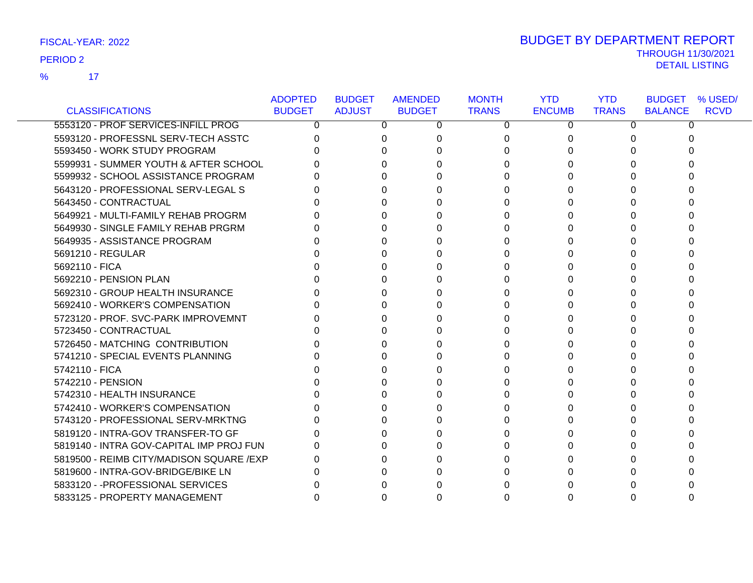17 %

|                                           | <b>ADOPTED</b> | <b>BUDGET</b> | <b>AMENDED</b> | <b>MONTH</b> | <b>YTD</b>    | <b>YTD</b>   | <b>BUDGET % USED/</b>         |
|-------------------------------------------|----------------|---------------|----------------|--------------|---------------|--------------|-------------------------------|
| <b>CLASSIFICATIONS</b>                    | <b>BUDGET</b>  | <b>ADJUST</b> | <b>BUDGET</b>  | <b>TRANS</b> | <b>ENCUMB</b> | <b>TRANS</b> | <b>RCVD</b><br><b>BALANCE</b> |
| 5553120 - PROF SERVICES-INFILL PROG       | 0              | 0             | 0              | 0            | 0             | 0            | 0                             |
| 5593120 - PROFESSNL SERV-TECH ASSTC       |                | 0             | 0              | 0            | O             |              | 0                             |
| 5593450 - WORK STUDY PROGRAM              |                | 0             |                | 0            |               |              | n                             |
| 5599931 - SUMMER YOUTH & AFTER SCHOOL     |                | 0             |                |              |               |              |                               |
| 5599932 - SCHOOL ASSISTANCE PROGRAM       |                | 0             |                | 0            |               |              |                               |
| 5643120 - PROFESSIONAL SERV-LEGAL S       |                | 0             |                | 0            |               |              |                               |
| 5643450 - CONTRACTUAL                     |                | 0             |                | 0            |               |              |                               |
| 5649921 - MULTI-FAMILY REHAB PROGRM       |                | 0             |                | 0            |               |              |                               |
| 5649930 - SINGLE FAMILY REHAB PRGRM       |                | U             |                |              |               |              |                               |
| 5649935 - ASSISTANCE PROGRAM              |                | 0             |                | 0            |               |              |                               |
| 5691210 - REGULAR                         |                | 0             |                | 0            |               |              |                               |
| 5692110 - FICA                            |                | 0             |                | 0            |               |              |                               |
| 5692210 - PENSION PLAN                    |                | 0             |                | 0            |               |              |                               |
| 5692310 - GROUP HEALTH INSURANCE          |                | <sup>0</sup>  |                | 0            |               |              |                               |
| 5692410 - WORKER'S COMPENSATION           |                | 0             |                | 0            |               |              |                               |
| 5723120 - PROF. SVC-PARK IMPROVEMNT       |                | 0             |                | 0            |               |              |                               |
| 5723450 - CONTRACTUAL                     |                | 0             | U              | 0            | O             |              | U                             |
| 5726450 - MATCHING CONTRIBUTION           |                | 0             |                | 0            |               |              |                               |
| 5741210 - SPECIAL EVENTS PLANNING         |                | 0             |                | 0            |               |              |                               |
| 5742110 - FICA                            |                | O             |                |              |               |              |                               |
| 5742210 - PENSION                         |                | U             |                | 0            |               |              |                               |
| 5742310 - HEALTH INSURANCE                |                | 0             |                | 0            |               |              |                               |
| 5742410 - WORKER'S COMPENSATION           |                | 0             |                | 0            |               |              |                               |
| 5743120 - PROFESSIONAL SERV-MRKTNG        |                | 0             |                | 0            |               |              |                               |
| 5819120 - INTRA-GOV TRANSFER-TO GF        |                | 0             |                | 0            |               |              |                               |
| 5819140 - INTRA GOV-CAPITAL IMP PROJ FUN  |                | 0             |                | 0            |               |              |                               |
| 5819500 - REIMB CITY/MADISON SQUARE / EXP |                | 0             |                |              |               |              |                               |
| 5819600 - INTRA-GOV-BRIDGE/BIKE LN        |                | U             |                | 0            |               |              |                               |
| 5833120 - - PROFESSIONAL SERVICES         |                |               |                |              |               |              |                               |
| 5833125 - PROPERTY MANAGEMENT             | 0              | 0             |                | 0            |               |              |                               |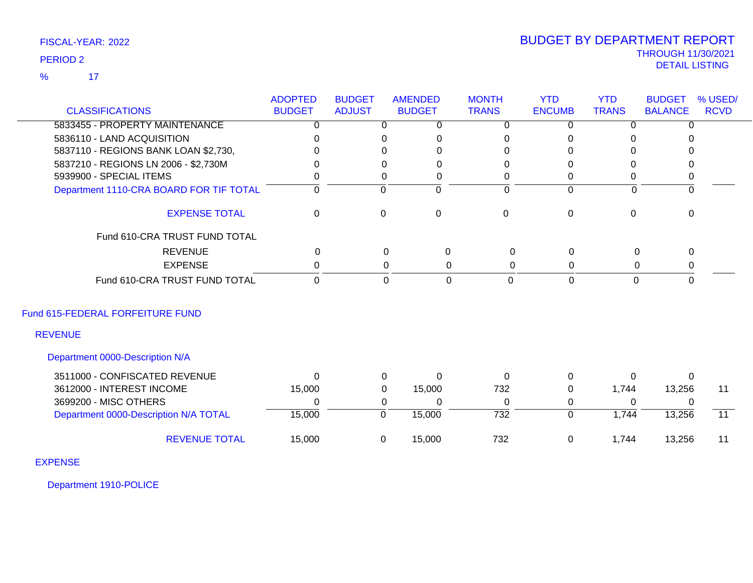## THROUGH 11/30/2021 DETAIL LISTING PERIOD <sup>2</sup> BUDGET BY DEPARTMENT REPORT

| <b>CLASSIFICATIONS</b>                                          | <b>ADOPTED</b><br><b>BUDGET</b> | <b>BUDGET</b><br><b>ADJUST</b> | <b>AMENDED</b><br><b>BUDGET</b> |                | <b>MONTH</b><br><b>TRANS</b> | <b>YTD</b><br><b>ENCUMB</b> | <b>YTD</b><br><b>TRANS</b> | <b>BUDGET</b><br><b>BALANCE</b> | % USED/<br><b>RCVD</b> |
|-----------------------------------------------------------------|---------------------------------|--------------------------------|---------------------------------|----------------|------------------------------|-----------------------------|----------------------------|---------------------------------|------------------------|
|                                                                 |                                 |                                |                                 |                |                              |                             |                            |                                 |                        |
| 5833455 - PROPERTY MAINTENANCE                                  | 0                               | $\overline{0}$                 |                                 | $\overline{0}$ | $\overline{0}$               | $\overline{0}$              | $\overline{0}$             | $\Omega$                        |                        |
| 5836110 - LAND ACQUISITION                                      | $\Omega$                        | $\Omega$                       |                                 | 0              | 0                            | $\Omega$                    | 0                          |                                 |                        |
| 5837110 - REGIONS BANK LOAN \$2,730,                            |                                 | 0                              |                                 | $\Omega$       | 0                            | $\Omega$                    |                            |                                 |                        |
| 5837210 - REGIONS LN 2006 - \$2,730M<br>5939900 - SPECIAL ITEMS | 0                               | 0<br>$\Omega$                  |                                 | 0<br>0         | 0<br>0                       | 0<br>0                      | 0<br>0                     | 0<br>0                          |                        |
| Department 1110-CRA BOARD FOR TIF TOTAL                         | $\Omega$                        | $\mathbf 0$                    |                                 | $\Omega$       | $\Omega$                     | $\Omega$                    | $\Omega$                   | $\Omega$                        |                        |
|                                                                 |                                 |                                |                                 |                |                              |                             |                            |                                 |                        |
| <b>EXPENSE TOTAL</b>                                            | $\mathbf 0$                     | $\mathbf 0$                    |                                 | $\mathbf 0$    | $\mathbf 0$                  | $\mathbf 0$                 | $\overline{0}$             | $\mathbf 0$                     |                        |
| Fund 610-CRA TRUST FUND TOTAL                                   |                                 |                                |                                 |                |                              |                             |                            |                                 |                        |
| <b>REVENUE</b>                                                  | $\Omega$                        |                                | 0                               | 0              | 0                            | $\mathbf 0$                 | 0                          | 0                               |                        |
| <b>EXPENSE</b>                                                  | 0                               |                                | 0                               | 0              | 0                            | 0                           | 0                          | 0                               |                        |
| Fund 610-CRA TRUST FUND TOTAL                                   | $\overline{0}$                  |                                | 0                               | $\mathbf 0$    | $\mathbf 0$                  | $\mathbf 0$                 | 0                          | 0                               |                        |
| Fund 615-FEDERAL FORFEITURE FUND                                |                                 |                                |                                 |                |                              |                             |                            |                                 |                        |
| <b>REVENUE</b>                                                  |                                 |                                |                                 |                |                              |                             |                            |                                 |                        |
| Department 0000-Description N/A                                 |                                 |                                |                                 |                |                              |                             |                            |                                 |                        |
| 3511000 - CONFISCATED REVENUE                                   | $\Omega$                        | 0                              |                                 | $\Omega$       | $\Omega$                     | $\Omega$                    | $\Omega$                   | $\Omega$                        |                        |
| 3612000 - INTEREST INCOME                                       | 15,000                          | 0                              |                                 | 15,000         | 732                          | 0                           | 1,744                      | 13,256                          | 11                     |
| 3699200 - MISC OTHERS                                           | 0                               | 0                              |                                 | 0              | 0                            | 0                           | $\Omega$                   | -0                              |                        |
| Department 0000-Description N/A TOTAL                           | 15,000                          | $\mathbf 0$                    |                                 | 15,000         | $\overline{732}$             | $\mathbf 0$                 | 1,744                      | 13,256                          | $\overline{11}$        |
| <b>REVENUE TOTAL</b>                                            | 15,000                          | 0                              |                                 | 15,000         | 732                          | 0                           | 1,744                      | 13,256                          | 11                     |
| <b>EXPENSE</b>                                                  |                                 |                                |                                 |                |                              |                             |                            |                                 |                        |

Department 1910-POLICE